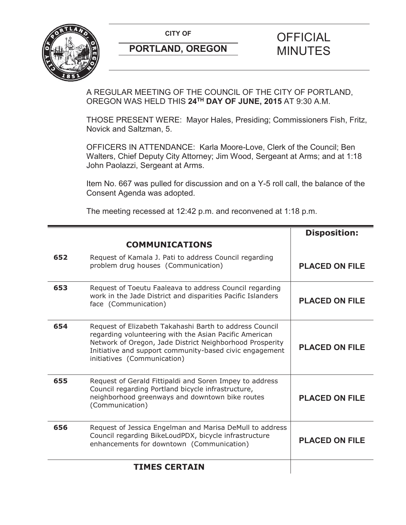**CITY OF CITY OF SAMPLE OF FICIAL** 



# **PORTLAND, OREGON MINUTES**

# A REGULAR MEETING OF THE COUNCIL OF THE CITY OF PORTLAND,

OREGON WAS HELD THIS **24TH DAY OF JUNE, 2015** AT 9:30 A.M.

THOSE PRESENT WERE: Mayor Hales, Presiding; Commissioners Fish, Fritz, Novick and Saltzman, 5.

OFFICERS IN ATTENDANCE: Karla Moore-Love, Clerk of the Council; Ben Walters, Chief Deputy City Attorney; Jim Wood, Sergeant at Arms; and at 1:18 John Paolazzi, Sergeant at Arms.

Item No. 667 was pulled for discussion and on a Y-5 roll call, the balance of the Consent Agenda was adopted.

The meeting recessed at 12:42 p.m. and reconvened at 1:18 p.m.

|     |                                                                                                                                                                                                                                                                         | <b>Disposition:</b>   |
|-----|-------------------------------------------------------------------------------------------------------------------------------------------------------------------------------------------------------------------------------------------------------------------------|-----------------------|
|     | <b>COMMUNICATIONS</b>                                                                                                                                                                                                                                                   |                       |
| 652 | Request of Kamala J. Pati to address Council regarding<br>problem drug houses (Communication)                                                                                                                                                                           | <b>PLACED ON FILE</b> |
| 653 | Request of Toeutu Faaleava to address Council regarding<br>work in the Jade District and disparities Pacific Islanders<br>face (Communication)                                                                                                                          | <b>PLACED ON FILE</b> |
| 654 | Request of Elizabeth Takahashi Barth to address Council<br>regarding volunteering with the Asian Pacific American<br>Network of Oregon, Jade District Neighborhood Prosperity<br>Initiative and support community-based civic engagement<br>initiatives (Communication) | <b>PLACED ON FILE</b> |
| 655 | Request of Gerald Fittipaldi and Soren Impey to address<br>Council regarding Portland bicycle infrastructure,<br>neighborhood greenways and downtown bike routes<br>(Communication)                                                                                     | <b>PLACED ON FILE</b> |
| 656 | Request of Jessica Engelman and Marisa DeMull to address<br>Council regarding BikeLoudPDX, bicycle infrastructure<br>enhancements for downtown (Communication)                                                                                                          | <b>PLACED ON FILE</b> |
|     | <b>TIMES CERTAIN</b>                                                                                                                                                                                                                                                    |                       |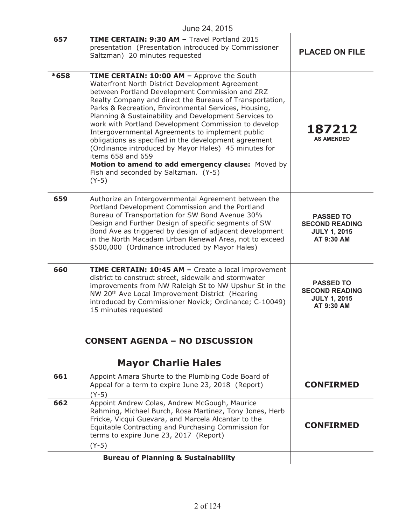|      | June 24, 2015                                                                                                                                                                                                                                                                                                                                                                                                                                                                                                                                                                                                                                                                           |                                                                                |
|------|-----------------------------------------------------------------------------------------------------------------------------------------------------------------------------------------------------------------------------------------------------------------------------------------------------------------------------------------------------------------------------------------------------------------------------------------------------------------------------------------------------------------------------------------------------------------------------------------------------------------------------------------------------------------------------------------|--------------------------------------------------------------------------------|
| 657  | TIME CERTAIN: 9:30 AM - Travel Portland 2015<br>presentation (Presentation introduced by Commissioner<br>Saltzman) 20 minutes requested                                                                                                                                                                                                                                                                                                                                                                                                                                                                                                                                                 | <b>PLACED ON FILE</b>                                                          |
| *658 | TIME CERTAIN: 10:00 AM - Approve the South<br>Waterfront North District Development Agreement<br>between Portland Development Commission and ZRZ<br>Realty Company and direct the Bureaus of Transportation,<br>Parks & Recreation, Environmental Services, Housing,<br>Planning & Sustainability and Development Services to<br>work with Portland Development Commission to develop<br>Intergovernmental Agreements to implement public<br>obligations as specified in the development agreement<br>(Ordinance introduced by Mayor Hales) 45 minutes for<br>items 658 and 659<br>Motion to amend to add emergency clause: Moved by<br>Fish and seconded by Saltzman. (Y-5)<br>$(Y-5)$ | 187212<br><b>AS AMENDED</b>                                                    |
| 659  | Authorize an Intergovernmental Agreement between the<br>Portland Development Commission and the Portland<br>Bureau of Transportation for SW Bond Avenue 30%<br>Design and Further Design of specific segments of SW<br>Bond Ave as triggered by design of adjacent development<br>in the North Macadam Urban Renewal Area, not to exceed<br>\$500,000 (Ordinance introduced by Mayor Hales)                                                                                                                                                                                                                                                                                             | <b>PASSED TO</b><br><b>SECOND READING</b><br><b>JULY 1, 2015</b><br>AT 9:30 AM |
| 660  | TIME CERTAIN: 10:45 AM - Create a local improvement<br>district to construct street, sidewalk and stormwater<br>improvements from NW Raleigh St to NW Upshur St in the<br>NW 20 <sup>th</sup> Ave Local Improvement District (Hearing<br>introduced by Commissioner Novick; Ordinance; C-10049)<br>15 minutes requested                                                                                                                                                                                                                                                                                                                                                                 | <b>PASSED TO</b><br><b>SECOND READING</b><br><b>JULY 1, 2015</b><br>AT 9:30 AM |
|      | <b>CONSENT AGENDA - NO DISCUSSION</b>                                                                                                                                                                                                                                                                                                                                                                                                                                                                                                                                                                                                                                                   |                                                                                |
|      | <b>Mayor Charlie Hales</b>                                                                                                                                                                                                                                                                                                                                                                                                                                                                                                                                                                                                                                                              |                                                                                |
| 661  | Appoint Amara Shurte to the Plumbing Code Board of<br>Appeal for a term to expire June 23, 2018 (Report)<br>$(Y-5)$                                                                                                                                                                                                                                                                                                                                                                                                                                                                                                                                                                     | <b>CONFIRMED</b>                                                               |
| 662  | Appoint Andrew Colas, Andrew McGough, Maurice<br>Rahming, Michael Burch, Rosa Martinez, Tony Jones, Herb<br>Fricke, Vicqui Guevara, and Marcela Alcantar to the<br>Equitable Contracting and Purchasing Commission for<br>terms to expire June 23, 2017 (Report)<br>$(Y-5)$                                                                                                                                                                                                                                                                                                                                                                                                             | <b>CONFIRMED</b>                                                               |
|      | <b>Bureau of Planning &amp; Sustainability</b>                                                                                                                                                                                                                                                                                                                                                                                                                                                                                                                                                                                                                                          |                                                                                |
|      |                                                                                                                                                                                                                                                                                                                                                                                                                                                                                                                                                                                                                                                                                         |                                                                                |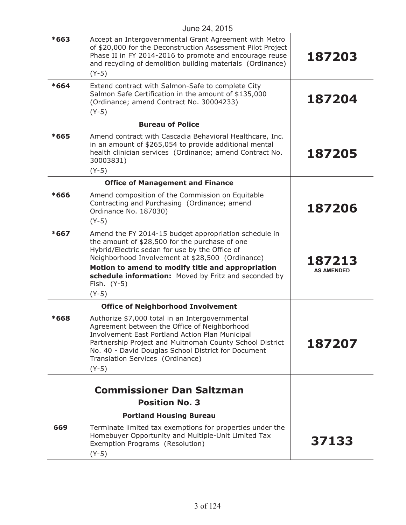|        | JUIJE $24, 2010$                                                                                                                                                                                                                                                                                                     |                             |
|--------|----------------------------------------------------------------------------------------------------------------------------------------------------------------------------------------------------------------------------------------------------------------------------------------------------------------------|-----------------------------|
| $*663$ | Accept an Intergovernmental Grant Agreement with Metro<br>of \$20,000 for the Deconstruction Assessment Pilot Project<br>Phase II in FY 2014-2016 to promote and encourage reuse<br>and recycling of demolition building materials (Ordinance)<br>$(Y-5)$                                                            | 187203                      |
| $*664$ | Extend contract with Salmon-Safe to complete City<br>Salmon Safe Certification in the amount of \$135,000<br>(Ordinance; amend Contract No. 30004233)<br>$(Y-5)$                                                                                                                                                     | 187204                      |
|        | <b>Bureau of Police</b>                                                                                                                                                                                                                                                                                              |                             |
| $*665$ | Amend contract with Cascadia Behavioral Healthcare, Inc.<br>in an amount of \$265,054 to provide additional mental<br>health clinician services (Ordinance; amend Contract No.<br>30003831)<br>$(Y-5)$                                                                                                               | 187205                      |
|        | <b>Office of Management and Finance</b>                                                                                                                                                                                                                                                                              |                             |
| $*666$ | Amend composition of the Commission on Equitable<br>Contracting and Purchasing (Ordinance; amend<br>Ordinance No. 187030)                                                                                                                                                                                            | 187206                      |
|        | $(Y-5)$                                                                                                                                                                                                                                                                                                              |                             |
| $*667$ | Amend the FY 2014-15 budget appropriation schedule in<br>the amount of \$28,500 for the purchase of one<br>Hybrid/Electric sedan for use by the Office of<br>Neighborhood Involvement at \$28,500 (Ordinance)                                                                                                        |                             |
|        | Motion to amend to modify title and appropriation<br>schedule information: Moved by Fritz and seconded by<br>Fish. (Y-5)<br>$(Y-5)$                                                                                                                                                                                  | 187213<br><b>AS AMENDED</b> |
|        | <b>Office of Neighborhood Involvement</b>                                                                                                                                                                                                                                                                            |                             |
| $*668$ | Authorize \$7,000 total in an Intergovernmental<br>Agreement between the Office of Neighborhood<br>Involvement East Portland Action Plan Municipal<br>Partnership Project and Multnomah County School District<br>No. 40 - David Douglas School District for Document<br>Translation Services (Ordinance)<br>$(Y-5)$ | 187207                      |
|        | <b>Commissioner Dan Saltzman</b>                                                                                                                                                                                                                                                                                     |                             |
|        | <b>Position No. 3</b>                                                                                                                                                                                                                                                                                                |                             |
|        | <b>Portland Housing Bureau</b>                                                                                                                                                                                                                                                                                       |                             |
| 669    | Terminate limited tax exemptions for properties under the<br>Homebuyer Opportunity and Multiple-Unit Limited Tax<br>Exemption Programs (Resolution)<br>$(Y-5)$                                                                                                                                                       | 37133                       |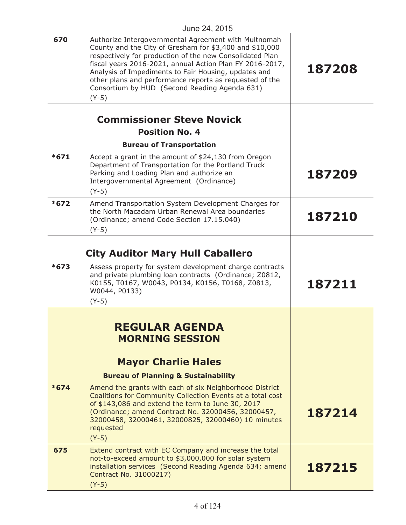| 670    | Authorize Intergovernmental Agreement with Multnomah<br>County and the City of Gresham for \$3,400 and \$10,000<br>respectively for production of the new Consolidated Plan<br>fiscal years 2016-2021, annual Action Plan FY 2016-2017,<br>Analysis of Impediments to Fair Housing, updates and<br>other plans and performance reports as requested of the<br>Consortium by HUD (Second Reading Agenda 631)<br>$(Y-5)$                 | 187208 |
|--------|----------------------------------------------------------------------------------------------------------------------------------------------------------------------------------------------------------------------------------------------------------------------------------------------------------------------------------------------------------------------------------------------------------------------------------------|--------|
|        |                                                                                                                                                                                                                                                                                                                                                                                                                                        |        |
|        | <b>Commissioner Steve Novick</b><br><b>Position No. 4</b>                                                                                                                                                                                                                                                                                                                                                                              |        |
|        | <b>Bureau of Transportation</b>                                                                                                                                                                                                                                                                                                                                                                                                        |        |
| $*671$ | Accept a grant in the amount of \$24,130 from Oregon<br>Department of Transportation for the Portland Truck<br>Parking and Loading Plan and authorize an<br>Intergovernmental Agreement (Ordinance)<br>$(Y-5)$                                                                                                                                                                                                                         | 187209 |
| $*672$ | Amend Transportation System Development Charges for<br>the North Macadam Urban Renewal Area boundaries<br>(Ordinance; amend Code Section 17.15.040)<br>$(Y-5)$                                                                                                                                                                                                                                                                         | 187210 |
| $*673$ | <b>City Auditor Mary Hull Caballero</b><br>Assess property for system development charge contracts<br>and private plumbing loan contracts (Ordinance; Z0812,<br>K0155, T0167, W0043, P0134, K0156, T0168, Z0813,<br>W0044, P0133)<br>$(Y-5)$                                                                                                                                                                                           | 187211 |
| $*674$ | <b>REGULAR AGENDA</b><br><b>MORNING SESSION</b><br><b>Mayor Charlie Hales</b><br><b>Bureau of Planning &amp; Sustainability</b><br>Amend the grants with each of six Neighborhood District<br>Coalitions for Community Collection Events at a total cost<br>of \$143,086 and extend the term to June 30, 2017<br>(Ordinance; amend Contract No. 32000456, 32000457,<br>32000458, 32000461, 32000825, 32000460) 10 minutes<br>requested | 187214 |
| 675    | $(Y-5)$<br>Extend contract with EC Company and increase the total                                                                                                                                                                                                                                                                                                                                                                      |        |
|        | not-to-exceed amount to \$3,000,000 for solar system<br>installation services (Second Reading Agenda 634; amend<br>Contract No. 31000217)<br>$(Y-5)$                                                                                                                                                                                                                                                                                   | 187215 |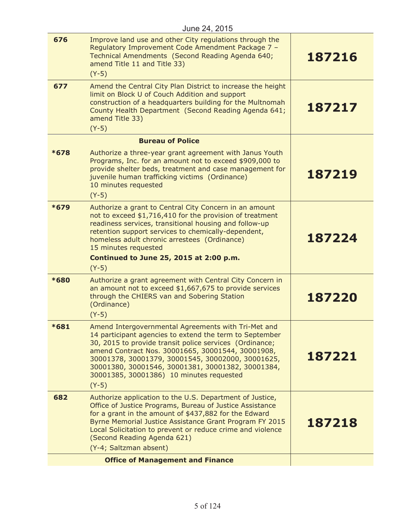| 676    | Improve land use and other City regulations through the<br>Regulatory Improvement Code Amendment Package 7 -<br>Technical Amendments (Second Reading Agenda 640;<br>amend Title 11 and Title 33)<br>$(Y-5)$                                                                                                                                                                                     | 187216 |
|--------|-------------------------------------------------------------------------------------------------------------------------------------------------------------------------------------------------------------------------------------------------------------------------------------------------------------------------------------------------------------------------------------------------|--------|
| 677    | Amend the Central City Plan District to increase the height<br>limit on Block U of Couch Addition and support<br>construction of a headquarters building for the Multnomah<br>County Health Department (Second Reading Agenda 641;<br>amend Title 33)<br>$(Y-5)$                                                                                                                                | 187217 |
|        | <b>Bureau of Police</b>                                                                                                                                                                                                                                                                                                                                                                         |        |
| *678   | Authorize a three-year grant agreement with Janus Youth<br>Programs, Inc. for an amount not to exceed \$909,000 to<br>provide shelter beds, treatment and case management for<br>juvenile human trafficking victims (Ordinance)<br>10 minutes requested<br>$(Y-5)$                                                                                                                              | 187219 |
| *679   | Authorize a grant to Central City Concern in an amount<br>not to exceed \$1,716,410 for the provision of treatment<br>readiness services, transitional housing and follow-up<br>retention support services to chemically-dependent,<br>homeless adult chronic arrestees (Ordinance)<br>15 minutes requested<br>Continued to June 25, 2015 at 2:00 p.m.<br>$(Y-5)$                               | 187224 |
| *680   | Authorize a grant agreement with Central City Concern in<br>an amount not to exceed \$1,667,675 to provide services<br>through the CHIERS van and Sobering Station<br>(Ordinance)<br>$(Y-5)$                                                                                                                                                                                                    | 187220 |
| $*681$ | Amend Intergovernmental Agreements with Tri-Met and<br>14 participant agencies to extend the term to September<br>30, 2015 to provide transit police services (Ordinance;<br>amend Contract Nos. 30001665, 30001544, 30001908,<br>30001378, 30001379, 30001545, 30002000, 30001625,<br>30001380, 30001546, 30001381, 30001382, 30001384,<br>30001385, 30001386) 10 minutes requested<br>$(Y-5)$ | 187221 |
| 682    | Authorize application to the U.S. Department of Justice,<br>Office of Justice Programs, Bureau of Justice Assistance<br>for a grant in the amount of \$437,882 for the Edward<br>Byrne Memorial Justice Assistance Grant Program FY 2015<br>Local Solicitation to prevent or reduce crime and violence<br>(Second Reading Agenda 621)<br>(Y-4; Saltzman absent)                                 | 187218 |
|        | <b>Office of Management and Finance</b>                                                                                                                                                                                                                                                                                                                                                         |        |
|        |                                                                                                                                                                                                                                                                                                                                                                                                 |        |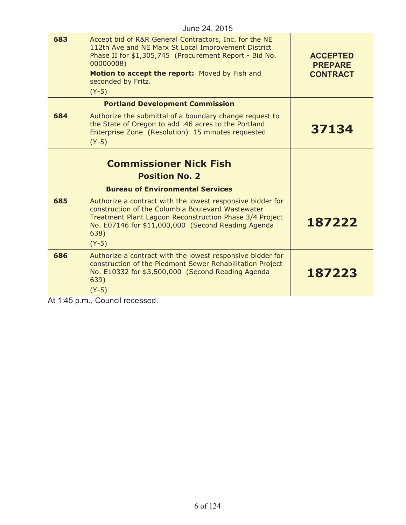|     | June 24, 2015                                                                                                                                                                                                                                                           |                                                      |
|-----|-------------------------------------------------------------------------------------------------------------------------------------------------------------------------------------------------------------------------------------------------------------------------|------------------------------------------------------|
| 683 | Accept bid of R&R General Contractors, Inc. for the NE<br>112th Ave and NE Marx St Local Improvement District<br>Phase II for \$1,305,745 (Procurement Report - Bid No.<br>00000008)<br>Motion to accept the report: Moved by Fish and<br>seconded by Fritz.<br>$(Y-5)$ | <b>ACCEPTED</b><br><b>PREPARE</b><br><b>CONTRACT</b> |
|     | <b>Portland Development Commission</b>                                                                                                                                                                                                                                  |                                                      |
| 684 | Authorize the submittal of a boundary change request to<br>the State of Oregon to add .46 acres to the Portland<br>Enterprise Zone (Resolution) 15 minutes requested<br>$(Y-5)$                                                                                         | 37134                                                |
|     | <b>Commissioner Nick Fish</b>                                                                                                                                                                                                                                           |                                                      |
|     | <b>Position No. 2</b>                                                                                                                                                                                                                                                   |                                                      |
|     | <b>Bureau of Environmental Services</b>                                                                                                                                                                                                                                 |                                                      |
| 685 | Authorize a contract with the lowest responsive bidder for<br>construction of the Columbia Boulevard Wastewater<br>Treatment Plant Lagoon Reconstruction Phase 3/4 Project<br>No. E07146 for \$11,000,000 (Second Reading Agenda<br>638)<br>$(Y-5)$                     | 187222                                               |
| 686 | Authorize a contract with the lowest responsive bidder for<br>construction of the Piedmont Sewer Rehabilitation Project<br>No. E10332 for \$3,500,000 (Second Reading Agenda<br>639)<br>$(Y-5)$                                                                         | 187223                                               |
|     | $1 + 1.15$ n m Council roocoood                                                                                                                                                                                                                                         |                                                      |

At 1:45 p.m., Council recessed.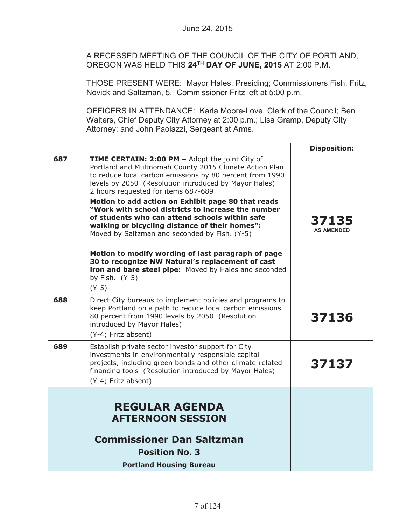A RECESSED MEETING OF THE COUNCIL OF THE CITY OF PORTLAND, OREGON WAS HELD THIS **24TH DAY OF JUNE, 2015** AT 2:00 P.M.

THOSE PRESENT WERE: Mayor Hales, Presiding; Commissioners Fish, Fritz, Novick and Saltzman, 5. Commissioner Fritz left at 5:00 p.m.

OFFICERS IN ATTENDANCE: Karla Moore-Love, Clerk of the Council; Ben Walters, Chief Deputy City Attorney at 2:00 p.m.; Lisa Gramp, Deputy City Attorney; and John Paolazzi, Sergeant at Arms.

|     |                                                                                                                                                                                                                                                                                                                                                                                                                                                                                                                                                                                                                                                                                                                                          | <b>Disposition:</b>        |
|-----|------------------------------------------------------------------------------------------------------------------------------------------------------------------------------------------------------------------------------------------------------------------------------------------------------------------------------------------------------------------------------------------------------------------------------------------------------------------------------------------------------------------------------------------------------------------------------------------------------------------------------------------------------------------------------------------------------------------------------------------|----------------------------|
| 687 | TIME CERTAIN: 2:00 PM - Adopt the joint City of<br>Portland and Multnomah County 2015 Climate Action Plan<br>to reduce local carbon emissions by 80 percent from 1990<br>levels by 2050 (Resolution introduced by Mayor Hales)<br>2 hours requested for items 687-689<br>Motion to add action on Exhibit page 80 that reads<br>"Work with school districts to increase the number<br>of students who can attend schools within safe<br>walking or bicycling distance of their homes":<br>Moved by Saltzman and seconded by Fish. (Y-5)<br>Motion to modify wording of last paragraph of page<br>30 to recognize NW Natural's replacement of cast<br>iron and bare steel pipe: Moved by Hales and seconded<br>by Fish. $(Y-5)$<br>$(Y-5)$ | 37135<br><b>AS AMENDED</b> |
| 688 | Direct City bureaus to implement policies and programs to<br>keep Portland on a path to reduce local carbon emissions<br>80 percent from 1990 levels by 2050 (Resolution<br>introduced by Mayor Hales)<br>(Y-4; Fritz absent)                                                                                                                                                                                                                                                                                                                                                                                                                                                                                                            | 37136                      |
| 689 | Establish private sector investor support for City<br>investments in environmentally responsible capital<br>projects, including green bonds and other climate-related<br>financing tools (Resolution introduced by Mayor Hales)<br>(Y-4; Fritz absent)                                                                                                                                                                                                                                                                                                                                                                                                                                                                                   | 37137                      |
|     | <b>REGULAR AGENDA</b><br><b>AFTERNOON SESSION</b><br><b>Commissioner Dan Saltzman</b><br><b>Position No. 3</b><br><b>Portland Housing Bureau</b>                                                                                                                                                                                                                                                                                                                                                                                                                                                                                                                                                                                         |                            |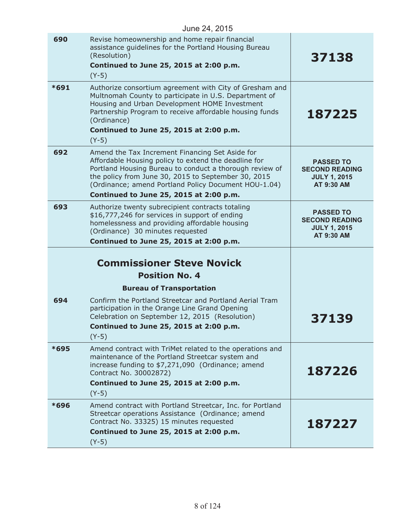| June 24, 2015 |                                                                                                                                                                                                                                                                                                                              |                                                                                |
|---------------|------------------------------------------------------------------------------------------------------------------------------------------------------------------------------------------------------------------------------------------------------------------------------------------------------------------------------|--------------------------------------------------------------------------------|
| 690           | Revise homeownership and home repair financial<br>assistance guidelines for the Portland Housing Bureau<br>(Resolution)<br>Continued to June 25, 2015 at 2:00 p.m.<br>$(Y-5)$                                                                                                                                                | 37138                                                                          |
| $*691$        | Authorize consortium agreement with City of Gresham and<br>Multnomah County to participate in U.S. Department of<br>Housing and Urban Development HOME Investment<br>Partnership Program to receive affordable housing funds<br>(Ordinance)<br>Continued to June 25, 2015 at 2:00 p.m.<br>$(Y-5)$                            | 187225                                                                         |
| 692           | Amend the Tax Increment Financing Set Aside for<br>Affordable Housing policy to extend the deadline for<br>Portland Housing Bureau to conduct a thorough review of<br>the policy from June 30, 2015 to September 30, 2015<br>(Ordinance; amend Portland Policy Document HOU-1.04)<br>Continued to June 25, 2015 at 2:00 p.m. | <b>PASSED TO</b><br><b>SECOND READING</b><br><b>JULY 1, 2015</b><br>AT 9:30 AM |
| 693           | Authorize twenty subrecipient contracts totaling<br>\$16,777,246 for services in support of ending<br>homelessness and providing affordable housing<br>(Ordinance) 30 minutes requested<br>Continued to June 25, 2015 at 2:00 p.m.                                                                                           | <b>PASSED TO</b><br><b>SECOND READING</b><br><b>JULY 1, 2015</b><br>AT 9:30 AM |
|               | <b>Commissioner Steve Novick</b><br><b>Position No. 4</b>                                                                                                                                                                                                                                                                    |                                                                                |
| 694           | <b>Bureau of Transportation</b><br>Confirm the Portland Streetcar and Portland Aerial Tram<br>participation in the Orange Line Grand Opening<br>Celebration on September 12, 2015 (Resolution)<br>Continued to June 25, 2015 at 2:00 p.m.<br>$(Y-5)$                                                                         | <b>37139</b>                                                                   |
| *695          | Amend contract with TriMet related to the operations and<br>maintenance of the Portland Streetcar system and<br>increase funding to \$7,271,090 (Ordinance; amend<br>Contract No. 30002872)<br>Continued to June 25, 2015 at 2:00 p.m.<br>$(Y-5)$                                                                            | 187226                                                                         |
| *696          | Amend contract with Portland Streetcar, Inc. for Portland<br>Streetcar operations Assistance (Ordinance; amend<br>Contract No. 33325) 15 minutes requested<br>Continued to June 25, 2015 at 2:00 p.m.<br>$(Y-5)$                                                                                                             | 187227                                                                         |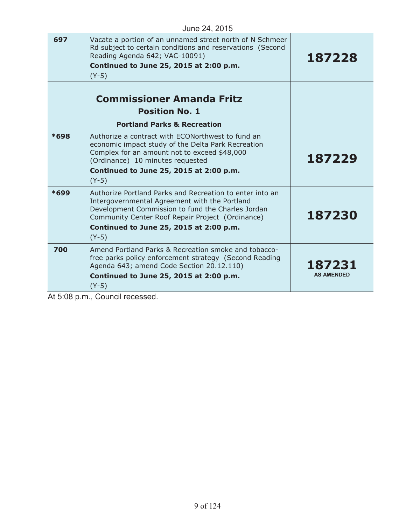| June 24, 2015 |                                                                                                                                                                                                                                                                          |                             |
|---------------|--------------------------------------------------------------------------------------------------------------------------------------------------------------------------------------------------------------------------------------------------------------------------|-----------------------------|
| 697           | Vacate a portion of an unnamed street north of N Schmeer<br>Rd subject to certain conditions and reservations (Second<br>Reading Agenda 642; VAC-10091)<br>Continued to June 25, 2015 at 2:00 p.m.<br>$(Y-5)$                                                            | 187228                      |
|               | <b>Commissioner Amanda Fritz</b><br><b>Position No. 1</b><br><b>Portland Parks &amp; Recreation</b>                                                                                                                                                                      |                             |
| *698          | Authorize a contract with ECONorthwest to fund an<br>economic impact study of the Delta Park Recreation<br>Complex for an amount not to exceed \$48,000<br>(Ordinance) 10 minutes requested<br>Continued to June 25, 2015 at 2:00 p.m.<br>$(Y-5)$                        | 187229                      |
| $*699$        | Authorize Portland Parks and Recreation to enter into an<br>Intergovernmental Agreement with the Portland<br>Development Commission to fund the Charles Jordan<br>Community Center Roof Repair Project (Ordinance)<br>Continued to June 25, 2015 at 2:00 p.m.<br>$(Y-5)$ | 187230                      |
| 700           | Amend Portland Parks & Recreation smoke and tobacco-<br>free parks policy enforcement strategy (Second Reading<br>Agenda 643; amend Code Section 20.12.110)<br>Continued to June 25, 2015 at 2:00 p.m.<br>$(Y-5)$                                                        | 187231<br><b>AS AMENDED</b> |

At 5:08 p.m., Council recessed.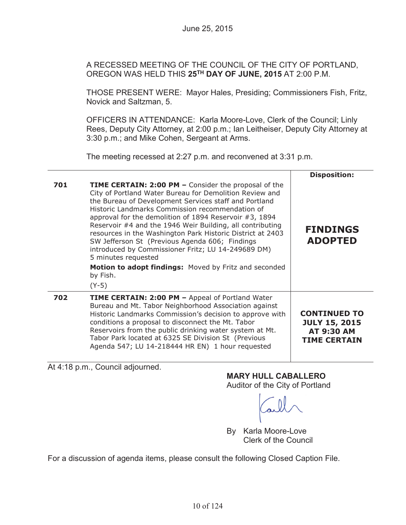A RECESSED MEETING OF THE COUNCIL OF THE CITY OF PORTLAND, OREGON WAS HELD THIS **25TH DAY OF JUNE, 2015** AT 2:00 P.M.

THOSE PRESENT WERE: Mayor Hales, Presiding; Commissioners Fish, Fritz, Novick and Saltzman, 5.

OFFICERS IN ATTENDANCE: Karla Moore-Love, Clerk of the Council; Linly Rees, Deputy City Attorney, at 2:00 p.m.; Ian Leitheiser, Deputy City Attorney at 3:30 p.m.; and Mike Cohen, Sergeant at Arms.

The meeting recessed at 2:27 p.m. and reconvened at 3:31 p.m.

|     |                                                                                                                                                                                                                                                                                                                                                                                                                                                                                                                                                                                                                                               | <b>Disposition:</b>                                                                     |
|-----|-----------------------------------------------------------------------------------------------------------------------------------------------------------------------------------------------------------------------------------------------------------------------------------------------------------------------------------------------------------------------------------------------------------------------------------------------------------------------------------------------------------------------------------------------------------------------------------------------------------------------------------------------|-----------------------------------------------------------------------------------------|
| 701 | <b>TIME CERTAIN: 2:00 PM - Consider the proposal of the</b><br>City of Portland Water Bureau for Demolition Review and<br>the Bureau of Development Services staff and Portland<br>Historic Landmarks Commission recommendation of<br>approval for the demolition of 1894 Reservoir #3, 1894<br>Reservoir #4 and the 1946 Weir Building, all contributing<br>resources in the Washington Park Historic District at 2403<br>SW Jefferson St (Previous Agenda 606; Findings<br>introduced by Commissioner Fritz; LU 14-249689 DM)<br>5 minutes requested<br><b>Motion to adopt findings:</b> Moved by Fritz and seconded<br>by Fish.<br>$(Y-5)$ | <b>FINDINGS</b><br><b>ADOPTED</b>                                                       |
| 702 | <b>TIME CERTAIN: 2:00 PM - Appeal of Portland Water</b><br>Bureau and Mt. Tabor Neighborhood Association against<br>Historic Landmarks Commission's decision to approve with<br>conditions a proposal to disconnect the Mt. Tabor<br>Reservoirs from the public drinking water system at Mt.<br>Tabor Park located at 6325 SE Division St (Previous<br>Agenda 547; LU 14-218444 HR EN) 1 hour requested                                                                                                                                                                                                                                       | <b>CONTINUED TO</b><br><b>JULY 15, 2015</b><br><b>AT 9:30 AM</b><br><b>TIME CERTAIN</b> |

At 4:18 p.m., Council adjourned.

**MARY HULL CABALLERO**

Auditor of the City of Portland

By Karla Moore-Love Clerk of the Council

For a discussion of agenda items, please consult the following Closed Caption File.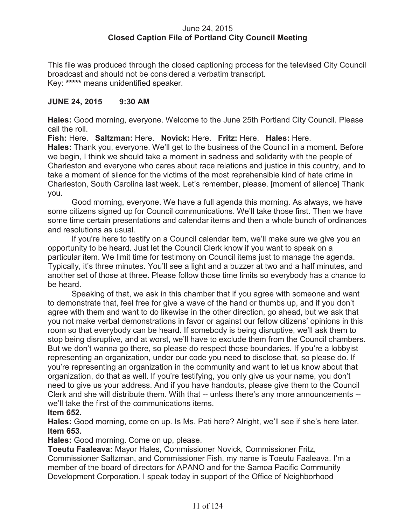# June 24, 2015 **Closed Caption File of Portland City Council Meeting**

This file was produced through the closed captioning process for the televised City Council broadcast and should not be considered a verbatim transcript. Key: **\*\*\*\*\*** means unidentified speaker.

# **JUNE 24, 2015 9:30 AM**

**Hales:** Good morning, everyone. Welcome to the June 25th Portland City Council. Please call the roll.

**Fish:** Here. **Saltzman:** Here. **Novick:** Here. **Fritz:** Here. **Hales:** Here. **Hales:** Thank you, everyone. We'll get to the business of the Council in a moment. Before we begin, I think we should take a moment in sadness and solidarity with the people of Charleston and everyone who cares about race relations and justice in this country, and to take a moment of silence for the victims of the most reprehensible kind of hate crime in Charleston, South Carolina last week. Let's remember, please. [moment of silence] Thank you.

Good morning, everyone. We have a full agenda this morning. As always, we have some citizens signed up for Council communications. We'll take those first. Then we have some time certain presentations and calendar items and then a whole bunch of ordinances and resolutions as usual.

If you're here to testify on a Council calendar item, we'll make sure we give you an opportunity to be heard. Just let the Council Clerk know if you want to speak on a particular item. We limit time for testimony on Council items just to manage the agenda. Typically, it's three minutes. You'll see a light and a buzzer at two and a half minutes, and another set of those at three. Please follow those time limits so everybody has a chance to be heard.

Speaking of that, we ask in this chamber that if you agree with someone and want to demonstrate that, feel free for give a wave of the hand or thumbs up, and if you don't agree with them and want to do likewise in the other direction, go ahead, but we ask that you not make verbal demonstrations in favor or against our fellow citizens' opinions in this room so that everybody can be heard. If somebody is being disruptive, we'll ask them to stop being disruptive, and at worst, we'll have to exclude them from the Council chambers. But we don't wanna go there, so please do respect those boundaries. If you're a lobbyist representing an organization, under our code you need to disclose that, so please do. If you're representing an organization in the community and want to let us know about that organization, do that as well. If you're testifying, you only give us your name, you don't need to give us your address. And if you have handouts, please give them to the Council Clerk and she will distribute them. With that -- unless there's any more announcements - we'll take the first of the communications items.

# **Item 652.**

**Hales:** Good morning, come on up. Is Ms. Pati here? Alright, we'll see if she's here later. **Item 653.**

**Hales:** Good morning. Come on up, please.

**Toeutu Faaleava:** Mayor Hales, Commissioner Novick, Commissioner Fritz, Commissioner Saltzman, and Commissioner Fish, my name is Toeutu Faaleava. I'm a member of the board of directors for APANO and for the Samoa Pacific Community Development Corporation. I speak today in support of the Office of Neighborhood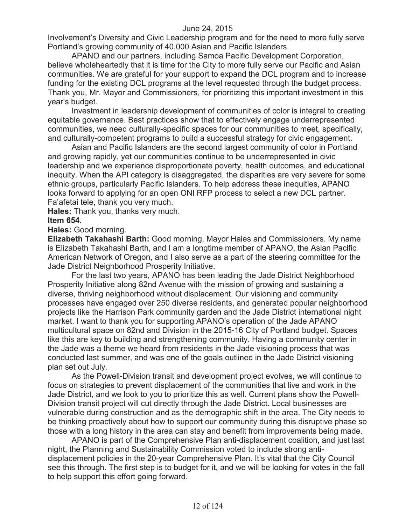Involvement's Diversity and Civic Leadership program and for the need to more fully serve Portland's growing community of 40,000 Asian and Pacific Islanders.

APANO and our partners, including Samoa Pacific Development Corporation, believe wholeheartedly that it is time for the City to more fully serve our Pacific and Asian communities. We are grateful for your support to expand the DCL program and to increase funding for the existing DCL programs at the level requested through the budget process. Thank you, Mr. Mayor and Commissioners, for prioritizing this important investment in this year's budget.

Investment in leadership development of communities of color is integral to creating equitable governance. Best practices show that to effectively engage underrepresented communities, we need culturally-specific spaces for our communities to meet, specifically, and culturally-competent programs to build a successful strategy for civic engagement.

Asian and Pacific Islanders are the second largest community of color in Portland and growing rapidly, yet our communities continue to be underrepresented in civic leadership and we experience disproportionate poverty, health outcomes, and educational inequity. When the API category is disaggregated, the disparities are very severe for some ethnic groups, particularly Pacific Islanders. To help address these inequities, APANO looks forward to applying for an open ONI RFP process to select a new DCL partner. Fa'afetai tele, thank you very much.

**Hales:** Thank you, thanks very much. **Item 654.**

**Hales:** Good morning.

**Elizabeth Takahashi Barth:** Good morning, Mayor Hales and Commissioners. My name is Elizabeth Takahashi Barth, and I am a longtime member of APANO, the Asian Pacific American Network of Oregon, and I also serve as a part of the steering committee for the Jade District Neighborhood Prosperity Initiative.

For the last two years, APANO has been leading the Jade District Neighborhood Prosperity Initiative along 82nd Avenue with the mission of growing and sustaining a diverse, thriving neighborhood without displacement. Our visioning and community processes have engaged over 250 diverse residents, and generated popular neighborhood projects like the Harrison Park community garden and the Jade District international night market. I want to thank you for supporting APANO's operation of the Jade APANO multicultural space on 82nd and Division in the 2015-16 City of Portland budget. Spaces like this are key to building and strengthening community. Having a community center in the Jade was a theme we heard from residents in the Jade visioning process that was conducted last summer, and was one of the goals outlined in the Jade District visioning plan set out July.

As the Powell-Division transit and development project evolves, we will continue to focus on strategies to prevent displacement of the communities that live and work in the Jade District, and we look to you to prioritize this as well. Current plans show the Powell-Division transit project will cut directly through the Jade District. Local businesses are vulnerable during construction and as the demographic shift in the area. The City needs to be thinking proactively about how to support our community during this disruptive phase so those with a long history in the area can stay and benefit from improvements being made.

APANO is part of the Comprehensive Plan anti-displacement coalition, and just last night, the Planning and Sustainability Commission voted to include strong antidisplacement policies in the 20-year Comprehensive Plan. It's vital that the City Council see this through. The first step is to budget for it, and we will be looking for votes in the fall to help support this effort going forward.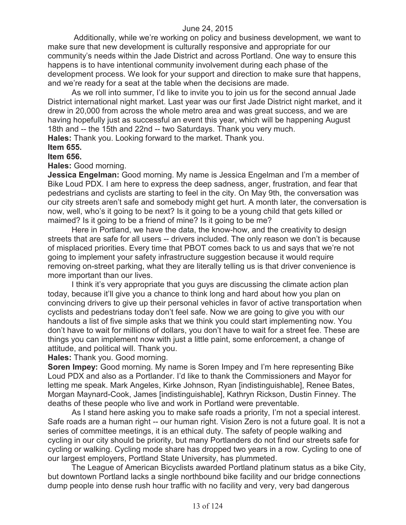Additionally, while we're working on policy and business development, we want to make sure that new development is culturally responsive and appropriate for our community's needs within the Jade District and across Portland. One way to ensure this happens is to have intentional community involvement during each phase of the development process. We look for your support and direction to make sure that happens, and we're ready for a seat at the table when the decisions are made.

As we roll into summer, I'd like to invite you to join us for the second annual Jade District international night market. Last year was our first Jade District night market, and it drew in 20,000 from across the whole metro area and was great success, and we are having hopefully just as successful an event this year, which will be happening August 18th and -- the 15th and 22nd -- two Saturdays. Thank you very much. **Hales:** Thank you. Looking forward to the market. Thank you.

#### **Item 655.**

#### **Item 656.**

#### **Hales:** Good morning.

**Jessica Engelman:** Good morning. My name is Jessica Engelman and I'm a member of Bike Loud PDX. I am here to express the deep sadness, anger, frustration, and fear that pedestrians and cyclists are starting to feel in the city. On May 9th, the conversation was our city streets aren't safe and somebody might get hurt. A month later, the conversation is now, well, who's it going to be next? Is it going to be a young child that gets killed or maimed? Is it going to be a friend of mine? Is it going to be me?

Here in Portland, we have the data, the know-how, and the creativity to design streets that are safe for all users -- drivers included. The only reason we don't is because of misplaced priorities. Every time that PBOT comes back to us and says that we're not going to implement your safety infrastructure suggestion because it would require removing on-street parking, what they are literally telling us is that driver convenience is more important than our lives.

I think it's very appropriate that you guys are discussing the climate action plan today, because it'll give you a chance to think long and hard about how you plan on convincing drivers to give up their personal vehicles in favor of active transportation when cyclists and pedestrians today don't feel safe. Now we are going to give you with our handouts a list of five simple asks that we think you could start implementing now. You don't have to wait for millions of dollars, you don't have to wait for a street fee. These are things you can implement now with just a little paint, some enforcement, a change of attitude, and political will. Thank you.

**Hales:** Thank you. Good morning.

**Soren Impey:** Good morning. My name is Soren Impey and I'm here representing Bike Loud PDX and also as a Portlander. I'd like to thank the Commissioners and Mayor for letting me speak. Mark Angeles, Kirke Johnson, Ryan [indistinguishable], Renee Bates, Morgan Maynard-Cook, James [indistinguishable], Kathryn Rickson, Dustin Finney. The deaths of these people who live and work in Portland were preventable.

As I stand here asking you to make safe roads a priority, I'm not a special interest. Safe roads are a human right -- our human right. Vision Zero is not a future goal. It is not a series of committee meetings, it is an ethical duty. The safety of people walking and cycling in our city should be priority, but many Portlanders do not find our streets safe for cycling or walking. Cycling mode share has dropped two years in a row. Cycling to one of our largest employers, Portland State University, has plummeted.

The League of American Bicyclists awarded Portland platinum status as a bike City, but downtown Portland lacks a single northbound bike facility and our bridge connections dump people into dense rush hour traffic with no facility and very, very bad dangerous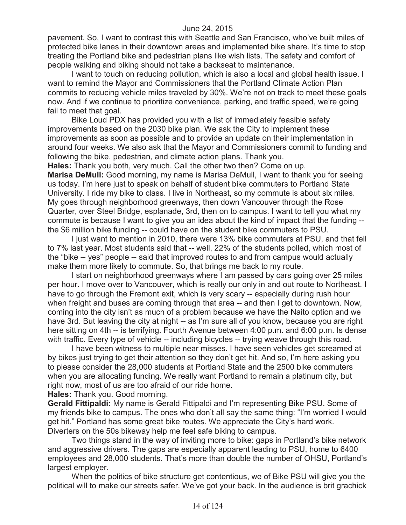pavement. So, I want to contrast this with Seattle and San Francisco, who've built miles of protected bike lanes in their downtown areas and implemented bike share. It's time to stop treating the Portland bike and pedestrian plans like wish lists. The safety and comfort of people walking and biking should not take a backseat to maintenance.

I want to touch on reducing pollution, which is also a local and global health issue. I want to remind the Mayor and Commissioners that the Portland Climate Action Plan commits to reducing vehicle miles traveled by 30%. We're not on track to meet these goals now. And if we continue to prioritize convenience, parking, and traffic speed, we're going fail to meet that goal.

Bike Loud PDX has provided you with a list of immediately feasible safety improvements based on the 2030 bike plan. We ask the City to implement these improvements as soon as possible and to provide an update on their implementation in around four weeks. We also ask that the Mayor and Commissioners commit to funding and following the bike, pedestrian, and climate action plans. Thank you.

**Hales:** Thank you both, very much. Call the other two then? Come on up. **Marisa DeMull:** Good morning, my name is Marisa DeMull, I want to thank you for seeing us today. I'm here just to speak on behalf of student bike commuters to Portland State University. I ride my bike to class. I live in Northeast, so my commute is about six miles. My goes through neighborhood greenways, then down Vancouver through the Rose Quarter, over Steel Bridge, esplanade, 3rd, then on to campus. I want to tell you what my commute is because I want to give you an idea about the kind of impact that the funding - the \$6 million bike funding -- could have on the student bike commuters to PSU.

I just want to mention in 2010, there were 13% bike commuters at PSU, and that fell to 7% last year. Most students said that -- well, 22% of the students polled, which most of the "bike -- yes" people -- said that improved routes to and from campus would actually make them more likely to commute. So, that brings me back to my route.

I start on neighborhood greenways where I am passed by cars going over 25 miles per hour. I move over to Vancouver, which is really our only in and out route to Northeast. I have to go through the Fremont exit, which is very scary -- especially during rush hour when freight and buses are coming through that area -- and then I get to downtown. Now, coming into the city isn't as much of a problem because we have the Naito option and we have 3rd. But leaving the city at night -- as I'm sure all of you know, because you are right here sitting on 4th -- is terrifying. Fourth Avenue between 4:00 p.m. and 6:00 p.m. Is dense with traffic. Every type of vehicle -- including bicycles -- trying weave through this road.

I have been witness to multiple near misses. I have seen vehicles get screamed at by bikes just trying to get their attention so they don't get hit. And so, I'm here asking you to please consider the 28,000 students at Portland State and the 2500 bike commuters when you are allocating funding. We really want Portland to remain a platinum city, but right now, most of us are too afraid of our ride home.

**Hales:** Thank you. Good morning.

**Gerald Fittipaldi:** My name is Gerald Fittipaldi and I'm representing Bike PSU. Some of my friends bike to campus. The ones who don't all say the same thing: "I'm worried I would get hit." Portland has some great bike routes. We appreciate the City's hard work. Diverters on the 50s bikeway help me feel safe biking to campus.

Two things stand in the way of inviting more to bike: gaps in Portland's bike network and aggressive drivers. The gaps are especially apparent leading to PSU, home to 6400 employees and 28,000 students. That's more than double the number of OHSU, Portland's largest employer.

When the politics of bike structure get contentious, we of Bike PSU will give you the political will to make our streets safer. We've got your back. In the audience is brit grachick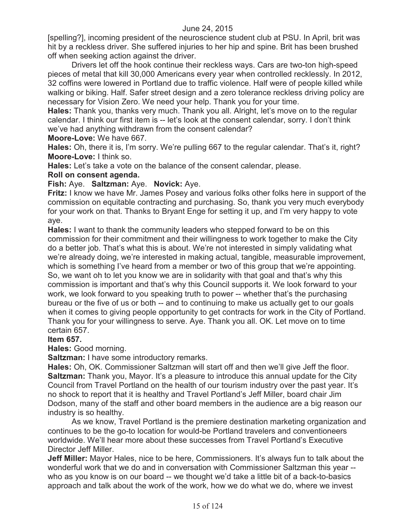[spelling?], incoming president of the neuroscience student club at PSU. In April, brit was hit by a reckless driver. She suffered injuries to her hip and spine. Brit has been brushed off when seeking action against the driver.

Drivers let off the hook continue their reckless ways. Cars are two-ton high-speed pieces of metal that kill 30,000 Americans every year when controlled recklessly. In 2012, 32 coffins were lowered in Portland due to traffic violence. Half were of people killed while walking or biking. Half. Safer street design and a zero tolerance reckless driving policy are necessary for Vision Zero. We need your help. Thank you for your time.

**Hales:** Thank you, thanks very much. Thank you all. Alright, let's move on to the regular calendar. I think our first item is -- let's look at the consent calendar, sorry. I don't think we've had anything withdrawn from the consent calendar?

**Moore-Love:** We have 667.

**Hales:** Oh, there it is, I'm sorry. We're pulling 667 to the regular calendar. That's it, right? **Moore-Love:** I think so.

**Hales:** Let's take a vote on the balance of the consent calendar, please.

# **Roll on consent agenda.**

# **Fish:** Aye. **Saltzman:** Aye. **Novick:** Aye.

**Fritz:** I know we have Mr. James Posey and various folks other folks here in support of the commission on equitable contracting and purchasing. So, thank you very much everybody for your work on that. Thanks to Bryant Enge for setting it up, and I'm very happy to vote aye.

**Hales:** I want to thank the community leaders who stepped forward to be on this commission for their commitment and their willingness to work together to make the City do a better job. That's what this is about. We're not interested in simply validating what we're already doing, we're interested in making actual, tangible, measurable improvement, which is something I've heard from a member or two of this group that we're appointing. So, we want oh to let you know we are in solidarity with that goal and that's why this commission is important and that's why this Council supports it. We look forward to your work, we look forward to you speaking truth to power -- whether that's the purchasing bureau or the five of us or both -- and to continuing to make us actually get to our goals when it comes to giving people opportunity to get contracts for work in the City of Portland. Thank you for your willingness to serve. Aye. Thank you all. OK. Let move on to time certain 657.

# **Item 657.**

# **Hales:** Good morning.

**Saltzman:** I have some introductory remarks.

**Hales:** Oh, OK. Commissioner Saltzman will start off and then we'll give Jeff the floor. **Saltzman:** Thank you, Mayor. It's a pleasure to introduce this annual update for the City Council from Travel Portland on the health of our tourism industry over the past year. It's no shock to report that it is healthy and Travel Portland's Jeff Miller, board chair Jim Dodson, many of the staff and other board members in the audience are a big reason our industry is so healthy.

As we know, Travel Portland is the premiere destination marketing organization and continues to be the go-to location for would-be Portland travelers and conventioneers worldwide. We'll hear more about these successes from Travel Portland's Executive Director Jeff Miller.

**Jeff Miller:** Mayor Hales, nice to be here, Commissioners. It's always fun to talk about the wonderful work that we do and in conversation with Commissioner Saltzman this year - who as you know is on our board -- we thought we'd take a little bit of a back-to-basics approach and talk about the work of the work, how we do what we do, where we invest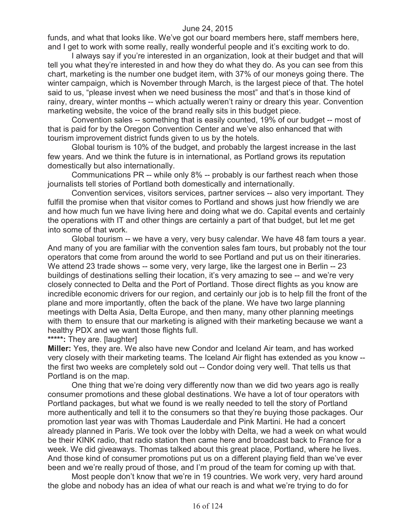funds, and what that looks like. We've got our board members here, staff members here, and I get to work with some really, really wonderful people and it's exciting work to do.

I always say if you're interested in an organization, look at their budget and that will tell you what they're interested in and how they do what they do. As you can see from this chart, marketing is the number one budget item, with 37% of our moneys going there. The winter campaign, which is November through March, is the largest piece of that. The hotel said to us, "please invest when we need business the most" and that's in those kind of rainy, dreary, winter months -- which actually weren't rainy or dreary this year. Convention marketing website, the voice of the brand really sits in this budget piece.

Convention sales -- something that is easily counted, 19% of our budget -- most of that is paid for by the Oregon Convention Center and we've also enhanced that with tourism improvement district funds given to us by the hotels.

Global tourism is 10% of the budget, and probably the largest increase in the last few years. And we think the future is in international, as Portland grows its reputation domestically but also internationally.

Communications PR -- while only 8% -- probably is our farthest reach when those journalists tell stories of Portland both domestically and internationally.

Convention services, visitors services, partner services -- also very important. They fulfill the promise when that visitor comes to Portland and shows just how friendly we are and how much fun we have living here and doing what we do. Capital events and certainly the operations with IT and other things are certainly a part of that budget, but let me get into some of that work.

Global tourism -- we have a very, very busy calendar. We have 48 fam tours a year. And many of you are familiar with the convention sales fam tours, but probably not the tour operators that come from around the world to see Portland and put us on their itineraries. We attend 23 trade shows -- some very, very large, like the largest one in Berlin -- 23 buildings of destinations selling their location, it's very amazing to see -- and we're very closely connected to Delta and the Port of Portland. Those direct flights as you know are incredible economic drivers for our region, and certainly our job is to help fill the front of the plane and more importantly, often the back of the plane. We have two large planning meetings with Delta Asia, Delta Europe, and then many, many other planning meetings with them to ensure that our marketing is aligned with their marketing because we want a healthy PDX and we want those flights full.

**\*\*\*\*\*:** They are. [laughter]

**Miller:** Yes, they are. We also have new Condor and Iceland Air team, and has worked very closely with their marketing teams. The Iceland Air flight has extended as you know - the first two weeks are completely sold out -- Condor doing very well. That tells us that Portland is on the map.

One thing that we're doing very differently now than we did two years ago is really consumer promotions and these global destinations. We have a lot of tour operators with Portland packages, but what we found is we really needed to tell the story of Portland more authentically and tell it to the consumers so that they're buying those packages. Our promotion last year was with Thomas Lauderdale and Pink Martini. He had a concert already planned in Paris. We took over the lobby with Delta, we had a week on what would be their KINK radio, that radio station then came here and broadcast back to France for a week. We did giveaways. Thomas talked about this great place, Portland, where he lives. And those kind of consumer promotions put us on a different playing field than we've ever been and we're really proud of those, and I'm proud of the team for coming up with that.

Most people don't know that we're in 19 countries. We work very, very hard around the globe and nobody has an idea of what our reach is and what we're trying to do for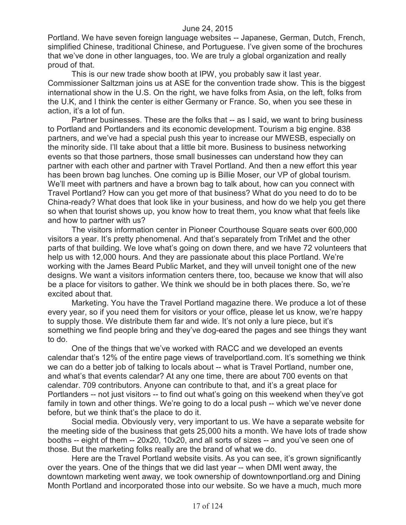Portland. We have seven foreign language websites -- Japanese, German, Dutch, French, simplified Chinese, traditional Chinese, and Portuguese. I've given some of the brochures that we've done in other languages, too. We are truly a global organization and really proud of that.

This is our new trade show booth at IPW, you probably saw it last year. Commissioner Saltzman joins us at ASE for the convention trade show. This is the biggest international show in the U.S. On the right, we have folks from Asia, on the left, folks from the U.K, and I think the center is either Germany or France. So, when you see these in action, it's a lot of fun.

Partner businesses. These are the folks that -- as I said, we want to bring business to Portland and Portlanders and its economic development. Tourism a big engine. 838 partners, and we've had a special push this year to increase our MWESB, especially on the minority side. I'll take about that a little bit more. Business to business networking events so that those partners, those small businesses can understand how they can partner with each other and partner with Travel Portland. And then a new effort this year has been brown bag lunches. One coming up is Billie Moser, our VP of global tourism. We'll meet with partners and have a brown bag to talk about, how can you connect with Travel Portland? How can you get more of that business? What do you need to do to be China-ready? What does that look like in your business, and how do we help you get there so when that tourist shows up, you know how to treat them, you know what that feels like and how to partner with us?

The visitors information center in Pioneer Courthouse Square seats over 600,000 visitors a year. It's pretty phenomenal. And that's separately from TriMet and the other parts of that building. We love what's going on down there, and we have 72 volunteers that help us with 12,000 hours. And they are passionate about this place Portland. We're working with the James Beard Public Market, and they will unveil tonight one of the new designs. We want a visitors information centers there, too, because we know that will also be a place for visitors to gather. We think we should be in both places there. So, we're excited about that.

Marketing. You have the Travel Portland magazine there. We produce a lot of these every year, so if you need them for visitors or your office, please let us know, we're happy to supply those. We distribute them far and wide. It's not only a lure piece, but it's something we find people bring and they've dog-eared the pages and see things they want to do.

One of the things that we've worked with RACC and we developed an events calendar that's 12% of the entire page views of travelportland.com. It's something we think we can do a better job of talking to locals about -- what is Travel Portland, number one, and what's that events calendar? At any one time, there are about 700 events on that calendar. 709 contributors. Anyone can contribute to that, and it's a great place for Portlanders -- not just visitors -- to find out what's going on this weekend when they've got family in town and other things. We're going to do a local push -- which we've never done before, but we think that's the place to do it.

Social media. Obviously very, very important to us. We have a separate website for the meeting side of the business that gets 25,000 hits a month. We have lots of trade show booths -- eight of them -- 20x20, 10x20, and all sorts of sizes -- and you've seen one of those. But the marketing folks really are the brand of what we do.

Here are the Travel Portland website visits. As you can see, it's grown significantly over the years. One of the things that we did last year -- when DMI went away, the downtown marketing went away, we took ownership of downtownportland.org and Dining Month Portland and incorporated those into our website. So we have a much, much more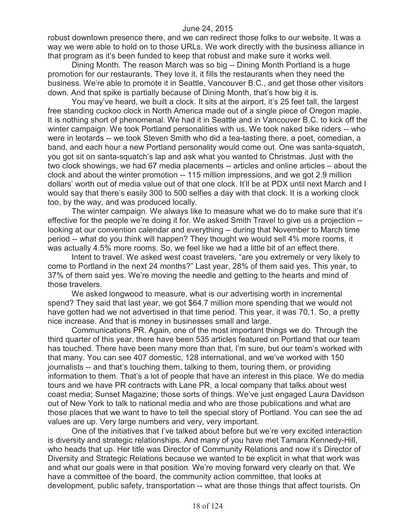robust downtown presence there, and we can redirect those folks to our website. It was a way we were able to hold on to those URLs. We work directly with the business alliance in that program as it's been funded to keep that robust and make sure it works well.

Dining Month. The reason March was so big -- Dining Month Portland is a huge promotion for our restaurants. They love it, it fills the restaurants when they need the business. We're able to promote it in Seattle, Vancouver B.C., and get those other visitors down. And that spike is partially because of Dining Month, that's how big it is.

You may've heard, we built a clock. It sits at the airport, it's 25 feet tall, the largest free standing cuckoo clock in North America made out of a single piece of Oregon maple. It is nothing short of phenomenal. We had it in Seattle and in Vancouver B.C. to kick off the winter campaign. We took Portland personalities with us. We took naked bike riders -- who were in leotards -- we took Steven Smith who did a tea-tasting there, a poet, comedian, a band, and each hour a new Portland personality would come out. One was santa-squatch, you got sit on santa-squatch's lap and ask what you wanted to Christmas. Just with the two clock showings, we had 67 media placements -- articles and online articles – about the clock and about the winter promotion -- 115 million impressions, and we got 2.9 million dollars' worth out of media value out of that one clock. It'll be at PDX until next March and I would say that there's easily 300 to 500 selfies a day with that clock. It is a working clock too, by the way, and was produced locally.

The winter campaign. We always like to measure what we do to make sure that it's effective for the people we're doing it for. We asked Smith Travel to give us a projection - looking at our convention calendar and everything -- during that November to March time period -- what do you think will happen? They thought we would sell 4% more rooms, it was actually 4.5% more rooms. So, we feel like we had a little bit of an effect there.

Intent to travel. We asked west coast travelers, "are you extremely or very likely to come to Portland in the next 24 months?" Last year, 28% of them said yes. This year, to 37% of them said yes. We're moving the needle and getting to the hearts and mind of those travelers.

We asked longwood to measure, what is our advertising worth in incremental spend? They said that last year, we got \$64.7 million more spending that we would not have gotten had we not advertised in that time period. This year, it was 70.1. So, a pretty nice increase. And that is money in businesses small and large.

Communications PR. Again, one of the most important things we do. Through the third quarter of this year, there have been 535 articles featured on Portland that our team has touched. There have been many more than that, I'm sure, but our team's worked with that many. You can see 407 domestic, 128 international, and we've worked with 150 journalists -- and that's touching them, talking to them, touring them, or providing information to them. That's a lot of people that have an interest in this place. We do media tours and we have PR contracts with Lane PR, a local company that talks about west coast media; Sunset Magazine; those sorts of things. We've just engaged Laura Davidson out of New York to talk to national media and who are those publications and what are those places that we want to have to tell the special story of Portland. You can see the ad values are up. Very large numbers and very, very important.

One of the initiatives that I've talked about before but we're very excited interaction is diversity and strategic relationships. And many of you have met Tamara Kennedy-Hill, who heads that up. Her title was Director of Community Relations and now it's Director of Diversity and Strategic Relations because we wanted to be explicit in what that work was and what our goals were in that position. We're moving forward very clearly on that. We have a committee of the board, the community action committee, that looks at development, public safety, transportation -- what are those things that affect tourists. On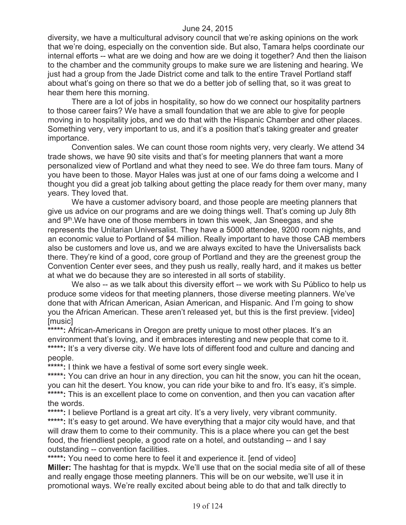diversity, we have a multicultural advisory council that we're asking opinions on the work that we're doing, especially on the convention side. But also, Tamara helps coordinate our internal efforts -- what are we doing and how are we doing it together? And then the liaison to the chamber and the community groups to make sure we are listening and hearing. We just had a group from the Jade District come and talk to the entire Travel Portland staff about what's going on there so that we do a better job of selling that, so it was great to hear them here this morning.

There are a lot of jobs in hospitality, so how do we connect our hospitality partners to those career fairs? We have a small foundation that we are able to give for people moving in to hospitality jobs, and we do that with the Hispanic Chamber and other places. Something very, very important to us, and it's a position that's taking greater and greater importance.

Convention sales. We can count those room nights very, very clearly. We attend 34 trade shows, we have 90 site visits and that's for meeting planners that want a more personalized view of Portland and what they need to see. We do three fam tours. Many of you have been to those. Mayor Hales was just at one of our fams doing a welcome and I thought you did a great job talking about getting the place ready for them over many, many years. They loved that.

We have a customer advisory board, and those people are meeting planners that give us advice on our programs and are we doing things well. That's coming up July 8th and 9th.We have one of those members in town this week, Jan Sneegas, and she represents the Unitarian Universalist. They have a 5000 attendee, 9200 room nights, and an economic value to Portland of \$4 million. Really important to have those CAB members also be customers and love us, and we are always excited to have the Universalists back there. They're kind of a good, core group of Portland and they are the greenest group the Convention Center ever sees, and they push us really, really hard, and it makes us better at what we do because they are so interested in all sorts of stability.

We also -- as we talk about this diversity effort -- we work with Su Público to help us produce some videos for that meeting planners, those diverse meeting planners. We've done that with African American, Asian American, and Hispanic. And I'm going to show you the African American. These aren't released yet, but this is the first preview. [video] [music]

\*\*\*\*\*: African-Americans in Oregon are pretty unique to most other places. It's an environment that's loving, and it embraces interesting and new people that come to it. \*\*\*\*\*: It's a very diverse city. We have lots of different food and culture and dancing and people.

**\*\*\*\*\*:** I think we have a festival of some sort every single week.

\*\*\*\*\*: You can drive an hour in any direction, you can hit the snow, you can hit the ocean, you can hit the desert. You know, you can ride your bike to and fro. It's easy, it's simple. \*\*\*\*\*: This is an excellent place to come on convention, and then you can vacation after the words.

\*\*\*\*\*: I believe Portland is a great art city. It's a very lively, very vibrant community. **\*\*\*\*\*:** It's easy to get around. We have everything that a major city would have, and that will draw them to come to their community. This is a place where you can get the best food, the friendliest people, a good rate on a hotel, and outstanding -- and I say outstanding -- convention facilities.

**\*\*\*\*\*:** You need to come here to feel it and experience it. [end of video] **Miller:** The hashtag for that is mypdx. We'll use that on the social media site of all of these and really engage those meeting planners. This will be on our website, we'll use it in promotional ways. We're really excited about being able to do that and talk directly to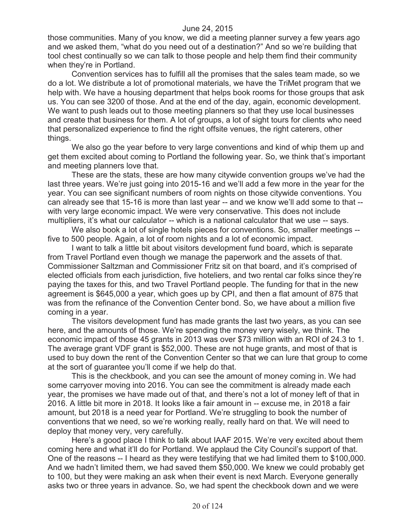those communities. Many of you know, we did a meeting planner survey a few years ago and we asked them, "what do you need out of a destination?" And so we're building that tool chest continually so we can talk to those people and help them find their community when they're in Portland.

Convention services has to fulfill all the promises that the sales team made, so we do a lot. We distribute a lot of promotional materials, we have the TriMet program that we help with. We have a housing department that helps book rooms for those groups that ask us. You can see 3200 of those. And at the end of the day, again, economic development. We want to push leads out to those meeting planners so that they use local businesses and create that business for them. A lot of groups, a lot of sight tours for clients who need that personalized experience to find the right offsite venues, the right caterers, other things.

We also go the year before to very large conventions and kind of whip them up and get them excited about coming to Portland the following year. So, we think that's important and meeting planners love that.

These are the stats, these are how many citywide convention groups we've had the last three years. We're just going into 2015-16 and we'll add a few more in the year for the year. You can see significant numbers of room nights on those citywide conventions. You can already see that 15-16 is more than last year -- and we know we'll add some to that - with very large economic impact. We were very conservative. This does not include multipliers, it's what our calculator -- which is a national calculator that we use -- says.

We also book a lot of single hotels pieces for conventions. So, smaller meetings -five to 500 people. Again, a lot of room nights and a lot of economic impact.

I want to talk a little bit about visitors development fund board, which is separate from Travel Portland even though we manage the paperwork and the assets of that. Commissioner Saltzman and Commissioner Fritz sit on that board, and it's comprised of elected officials from each jurisdiction, five hoteliers, and two rental car folks since they're paying the taxes for this, and two Travel Portland people. The funding for that in the new agreement is \$645,000 a year, which goes up by CPI, and then a flat amount of 875 that was from the refinance of the Convention Center bond. So, we have about a million five coming in a year.

The visitors development fund has made grants the last two years, as you can see here, and the amounts of those. We're spending the money very wisely, we think. The economic impact of those 45 grants in 2013 was over \$73 million with an ROI of 24.3 to 1. The average grant VDF grant is \$52,000. These are not huge grants, and most of that is used to buy down the rent of the Convention Center so that we can lure that group to come at the sort of guarantee you'll come if we help do that.

This is the checkbook, and you can see the amount of money coming in. We had some carryover moving into 2016. You can see the commitment is already made each year, the promises we have made out of that, and there's not a lot of money left of that in 2016. A little bit more in 2018. It looks like a fair amount in -- excuse me, in 2018 a fair amount, but 2018 is a need year for Portland. We're struggling to book the number of conventions that we need, so we're working really, really hard on that. We will need to deploy that money very, very carefully.

Here's a good place I think to talk about IAAF 2015. We're very excited about them coming here and what it'll do for Portland. We applaud the City Council's support of that. One of the reasons -- I heard as they were testifying that we had limited them to \$100,000. And we hadn't limited them, we had saved them \$50,000. We knew we could probably get to 100, but they were making an ask when their event is next March. Everyone generally asks two or three years in advance. So, we had spent the checkbook down and we were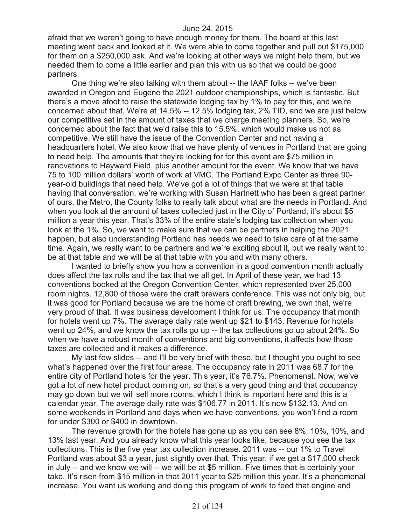afraid that we weren't going to have enough money for them. The board at this last meeting went back and looked at it. We were able to come together and pull out \$175,000 for them on a \$250,000 ask. And we're looking at other ways we might help them, but we needed them to come a little earlier and plan this with us so that we could be good partners.

One thing we're also talking with them about -- the IAAF folks -- we've been awarded in Oregon and Eugene the 2021 outdoor championships, which is fantastic. But there's a move afoot to raise the statewide lodging tax by 1% to pay for this, and we're concerned about that. We're at 14.5% -- 12.5% lodging tax, 2% TID, and we are just below our competitive set in the amount of taxes that we charge meeting planners. So, we're concerned about the fact that we'd raise this to 15.5%, which would make us not as competitive. We still have the issue of the Convention Center and not having a headquarters hotel. We also know that we have plenty of venues in Portland that are going to need help. The amounts that they're looking for for this event are \$75 million in renovations to Hayward Field, plus another amount for the event. We know that we have 75 to 100 million dollars' worth of work at VMC. The Portland Expo Center as three 90 year-old buildings that need help. We've got a lot of things that we were at that table having that conversation, we're working with Susan Hartnett who has been a great partner of ours, the Metro, the County folks to really talk about what are the needs in Portland. And when you look at the amount of taxes collected just in the City of Portland, it's about \$5 million a year this year. That's 33% of the entire state's lodging tax collection when you look at the 1%. So, we want to make sure that we can be partners in helping the 2021 happen, but also understanding Portland has needs we need to take care of at the same time. Again, we really want to be partners and we're exciting about it, but we really want to be at that table and we will be at that table with you and with many others.

I wanted to briefly show you how a convention in a good convention month actually does affect the tax rolls and the tax that we all get. In April of these year, we had 13 conventions booked at the Oregon Convention Center, which represented over 25,000 room nights. 12,800 of those were the craft brewers conference. This was not only big, but it was good for Portland because we are the home of craft brewing, we own that, we're very proud of that. It was business development I think for us. The occupancy that month for hotels went up 7%. The average daily rate went up \$21 to \$143. Revenue for hotels went up 24%, and we know the tax rolls go up -- the tax collections go up about 24%. So when we have a robust month of conventions and big conventions, it affects how those taxes are collected and it makes a difference.

My last few slides -- and I'll be very brief with these, but I thought you ought to see what's happened over the first four areas. The occupancy rate in 2011 was 68.7 for the entire city of Portland hotels for the year. This year, it's 76.7%. Phenomenal. Now, we've got a lot of new hotel product coming on, so that's a very good thing and that occupancy may go down but we will sell more rooms, which I think is important here and this is a calendar year. The average daily rate was \$106.77 in 2011. It's now \$132.13. And on some weekends in Portland and days when we have conventions, you won't find a room for under \$300 or \$400 in downtown.

The revenue growth for the hotels has gone up as you can see 8%, 10%, 10%, and 13% last year. And you already know what this year looks like, because you see the tax collections. This is the five year tax collection increase. 2011 was -- our 1% to Travel Portland was about \$3 a year, just slightly over that. This year, if we get a \$17,000 check in July -- and we know we will -- we will be at \$5 million. Five times that is certainly your take. It's risen from \$15 million in that 2011 year to \$25 million this year. It's a phenomenal increase. You want us working and doing this program of work to feed that engine and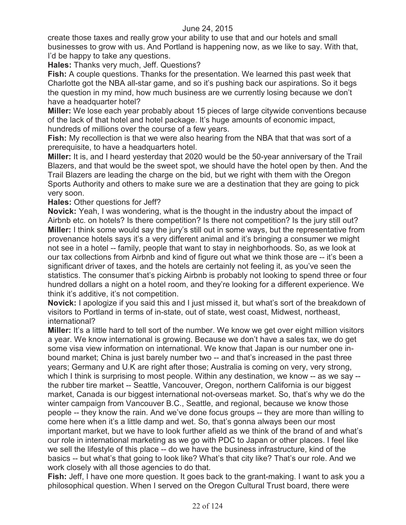create those taxes and really grow your ability to use that and our hotels and small businesses to grow with us. And Portland is happening now, as we like to say. With that, I'd be happy to take any questions.

**Hales:** Thanks very much, Jeff. Questions?

**Fish:** A couple questions. Thanks for the presentation. We learned this past week that Charlotte got the NBA all-star game, and so it's pushing back our aspirations. So it begs the question in my mind, how much business are we currently losing because we don't have a headquarter hotel?

**Miller:** We lose each year probably about 15 pieces of large citywide conventions because of the lack of that hotel and hotel package. It's huge amounts of economic impact, hundreds of millions over the course of a few years.

**Fish:** My recollection is that we were also hearing from the NBA that that was sort of a prerequisite, to have a headquarters hotel.

**Miller:** It is, and I heard yesterday that 2020 would be the 50-year anniversary of the Trail Blazers, and that would be the sweet spot, we should have the hotel open by then. And the Trail Blazers are leading the charge on the bid, but we right with them with the Oregon Sports Authority and others to make sure we are a destination that they are going to pick very soon.

# **Hales:** Other questions for Jeff?

**Novick:** Yeah, I was wondering, what is the thought in the industry about the impact of Airbnb etc. on hotels? Is there competition? Is there not competition? Is the jury still out? **Miller:** I think some would say the jury's still out in some ways, but the representative from provenance hotels says it's a very different animal and it's bringing a consumer we might not see in a hotel -- family, people that want to stay in neighborhoods. So, as we look at our tax collections from Airbnb and kind of figure out what we think those are -- it's been a significant driver of taxes, and the hotels are certainly not feeling it, as you've seen the statistics. The consumer that's picking Airbnb is probably not looking to spend three or four hundred dollars a night on a hotel room, and they're looking for a different experience. We think it's additive, it's not competition.

**Novick:** I apologize if you said this and I just missed it, but what's sort of the breakdown of visitors to Portland in terms of in-state, out of state, west coast, Midwest, northeast, international?

**Miller:** It's a little hard to tell sort of the number. We know we get over eight million visitors a year. We know international is growing. Because we don't have a sales tax, we do get some visa view information on international. We know that Japan is our number one inbound market; China is just barely number two -- and that's increased in the past three years; Germany and U.K are right after those; Australia is coming on very, very strong, which I think is surprising to most people. Within any destination, we know -- as we say -the rubber tire market -- Seattle, Vancouver, Oregon, northern California is our biggest market, Canada is our biggest international not-overseas market. So, that's why we do the winter campaign from Vancouver B.C., Seattle, and regional, because we know those people -- they know the rain. And we've done focus groups -- they are more than willing to come here when it's a little damp and wet. So, that's gonna always been our most important market, but we have to look further afield as we think of the brand of and what's our role in international marketing as we go with PDC to Japan or other places. I feel like we sell the lifestyle of this place -- do we have the business infrastructure, kind of the basics -- but what's that going to look like? What's that city like? That's our role. And we work closely with all those agencies to do that.

**Fish:** Jeff, I have one more question. It goes back to the grant-making. I want to ask you a philosophical question. When I served on the Oregon Cultural Trust board, there were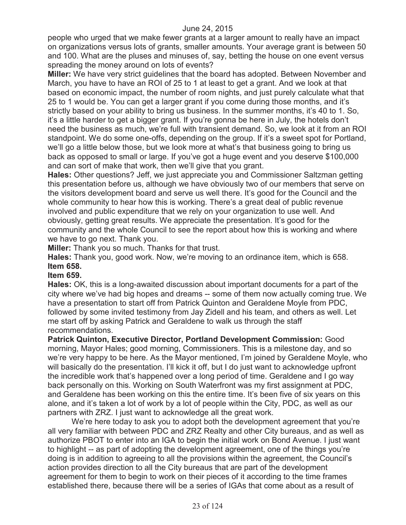people who urged that we make fewer grants at a larger amount to really have an impact on organizations versus lots of grants, smaller amounts. Your average grant is between 50 and 100. What are the pluses and minuses of, say, betting the house on one event versus spreading the money around on lots of events?

**Miller:** We have very strict guidelines that the board has adopted. Between November and March, you have to have an ROI of 25 to 1 at least to get a grant. And we look at that based on economic impact, the number of room nights, and just purely calculate what that 25 to 1 would be. You can get a larger grant if you come during those months, and it's strictly based on your ability to bring us business. In the summer months, it's 40 to 1. So, it's a little harder to get a bigger grant. If you're gonna be here in July, the hotels don't need the business as much, we're full with transient demand. So, we look at it from an ROI standpoint. We do some one-offs, depending on the group. If it's a sweet spot for Portland, we'll go a little below those, but we look more at what's that business going to bring us back as opposed to small or large. If you've got a huge event and you deserve \$100,000 and can sort of make that work, then we'll give that you grant.

**Hales:** Other questions? Jeff, we just appreciate you and Commissioner Saltzman getting this presentation before us, although we have obviously two of our members that serve on the visitors development board and serve us well there. It's good for the Council and the whole community to hear how this is working. There's a great deal of public revenue involved and public expenditure that we rely on your organization to use well. And obviously, getting great results. We appreciate the presentation. It's good for the community and the whole Council to see the report about how this is working and where we have to go next. Thank you.

**Miller:** Thank you so much. Thanks for that trust.

**Hales:** Thank you, good work. Now, we're moving to an ordinance item, which is 658. **Item 658.**

#### **Item 659.**

**Hales:** OK, this is a long-awaited discussion about important documents for a part of the city where we've had big hopes and dreams -- some of them now actually coming true. We have a presentation to start off from Patrick Quinton and Geraldene Moyle from PDC, followed by some invited testimony from Jay Zidell and his team, and others as well. Let me start off by asking Patrick and Geraldene to walk us through the staff recommendations.

**Patrick Quinton, Executive Director, Portland Development Commission:** Good morning, Mayor Hales; good morning, Commissioners. This is a milestone day, and so we're very happy to be here. As the Mayor mentioned, I'm joined by Geraldene Moyle, who will basically do the presentation. I'll kick it off, but I do just want to acknowledge upfront the incredible work that's happened over a long period of time. Geraldene and I go way back personally on this. Working on South Waterfront was my first assignment at PDC, and Geraldene has been working on this the entire time. It's been five of six years on this alone, and it's taken a lot of work by a lot of people within the City, PDC, as well as our partners with ZRZ. I just want to acknowledge all the great work.

We're here today to ask you to adopt both the development agreement that you're all very familiar with between PDC and ZRZ Realty and other City bureaus, and as well as authorize PBOT to enter into an IGA to begin the initial work on Bond Avenue. I just want to highlight -- as part of adopting the development agreement, one of the things you're doing is in addition to agreeing to all the provisions within the agreement, the Council's action provides direction to all the City bureaus that are part of the development agreement for them to begin to work on their pieces of it according to the time frames established there, because there will be a series of IGAs that come about as a result of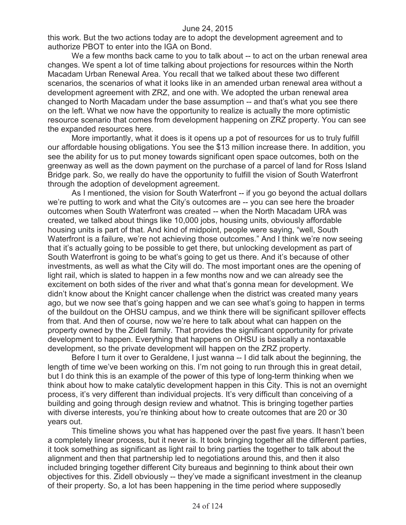this work. But the two actions today are to adopt the development agreement and to authorize PBOT to enter into the IGA on Bond.

We a few months back came to you to talk about -- to act on the urban renewal area changes. We spent a lot of time talking about projections for resources within the North Macadam Urban Renewal Area. You recall that we talked about these two different scenarios, the scenarios of what it looks like in an amended urban renewal area without a development agreement with ZRZ, and one with. We adopted the urban renewal area changed to North Macadam under the base assumption -- and that's what you see there on the left. What we now have the opportunity to realize is actually the more optimistic resource scenario that comes from development happening on ZRZ property. You can see the expanded resources here.

More importantly, what it does is it opens up a pot of resources for us to truly fulfill our affordable housing obligations. You see the \$13 million increase there. In addition, you see the ability for us to put money towards significant open space outcomes, both on the greenway as well as the down payment on the purchase of a parcel of land for Ross Island Bridge park. So, we really do have the opportunity to fulfill the vision of South Waterfront through the adoption of development agreement.

As I mentioned, the vision for South Waterfront -- if you go beyond the actual dollars we're putting to work and what the City's outcomes are -- you can see here the broader outcomes when South Waterfront was created -- when the North Macadam URA was created, we talked about things like 10,000 jobs, housing units, obviously affordable housing units is part of that. And kind of midpoint, people were saying, "well, South Waterfront is a failure, we're not achieving those outcomes." And I think we're now seeing that it's actually going to be possible to get there, but unlocking development as part of South Waterfront is going to be what's going to get us there. And it's because of other investments, as well as what the City will do. The most important ones are the opening of light rail, which is slated to happen in a few months now and we can already see the excitement on both sides of the river and what that's gonna mean for development. We didn't know about the Knight cancer challenge when the district was created many years ago, but we now see that's going happen and we can see what's going to happen in terms of the buildout on the OHSU campus, and we think there will be significant spillover effects from that. And then of course, now we're here to talk about what can happen on the property owned by the Zidell family. That provides the significant opportunity for private development to happen. Everything that happens on OHSU is basically a nontaxable development, so the private development will happen on the ZRZ property.

Before I turn it over to Geraldene, I just wanna -- I did talk about the beginning, the length of time we've been working on this. I'm not going to run through this in great detail, but I do think this is an example of the power of this type of long-term thinking when we think about how to make catalytic development happen in this City. This is not an overnight process, it's very different than individual projects. It's very difficult than conceiving of a building and going through design review and whatnot. This is bringing together parties with diverse interests, you're thinking about how to create outcomes that are 20 or 30 years out.

This timeline shows you what has happened over the past five years. It hasn't been a completely linear process, but it never is. It took bringing together all the different parties, it took something as significant as light rail to bring parties the together to talk about the alignment and then that partnership led to negotiations around this, and then it also included bringing together different City bureaus and beginning to think about their own objectives for this. Zidell obviously -- they've made a significant investment in the cleanup of their property. So, a lot has been happening in the time period where supposedly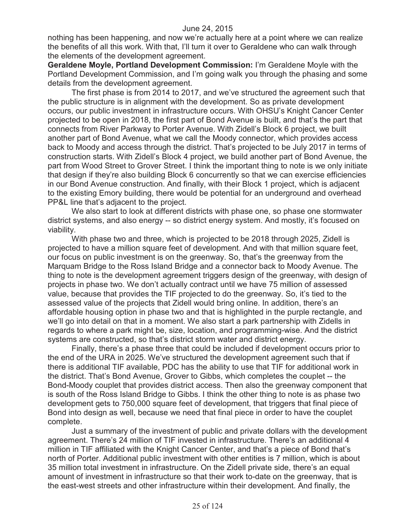nothing has been happening, and now we're actually here at a point where we can realize the benefits of all this work. With that, I'll turn it over to Geraldene who can walk through the elements of the development agreement.

**Geraldene Moyle, Portland Development Commission:** I'm Geraldene Moyle with the Portland Development Commission, and I'm going walk you through the phasing and some details from the development agreement.

The first phase is from 2014 to 2017, and we've structured the agreement such that the public structure is in alignment with the development. So as private development occurs, our public investment in infrastructure occurs. With OHSU's Knight Cancer Center projected to be open in 2018, the first part of Bond Avenue is built, and that's the part that connects from River Parkway to Porter Avenue. With Zidell's Block 6 project, we built another part of Bond Avenue, what we call the Moody connector, which provides access back to Moody and access through the district. That's projected to be July 2017 in terms of construction starts. With Zidell's Block 4 project, we build another part of Bond Avenue, the part from Wood Street to Grover Street. I think the important thing to note is we only initiate that design if they're also building Block 6 concurrently so that we can exercise efficiencies in our Bond Avenue construction. And finally, with their Block 1 project, which is adjacent to the existing Emory building, there would be potential for an underground and overhead PP&L line that's adjacent to the project.

We also start to look at different districts with phase one, so phase one stormwater district systems, and also energy -- so district energy system. And mostly, it's focused on viability.

With phase two and three, which is projected to be 2018 through 2025, Zidell is projected to have a million square feet of development. And with that million square feet, our focus on public investment is on the greenway. So, that's the greenway from the Marquam Bridge to the Ross Island Bridge and a connector back to Moody Avenue. The thing to note is the development agreement triggers design of the greenway, with design of projects in phase two. We don't actually contract until we have 75 million of assessed value, because that provides the TIF projected to do the greenway. So, it's tied to the assessed value of the projects that Zidell would bring online. In addition, there's an affordable housing option in phase two and that is highlighted in the purple rectangle, and we'll go into detail on that in a moment. We also start a park partnership with Zidells in regards to where a park might be, size, location, and programming-wise. And the district systems are constructed, so that's district storm water and district energy.

Finally, there's a phase three that could be included if development occurs prior to the end of the URA in 2025. We've structured the development agreement such that if there is additional TIF available, PDC has the ability to use that TIF for additional work in the district. That's Bond Avenue, Grover to Gibbs, which completes the couplet -- the Bond-Moody couplet that provides district access. Then also the greenway component that is south of the Ross Island Bridge to Gibbs. I think the other thing to note is as phase two development gets to 750,000 square feet of development, that triggers that final piece of Bond into design as well, because we need that final piece in order to have the couplet complete.

Just a summary of the investment of public and private dollars with the development agreement. There's 24 million of TIF invested in infrastructure. There's an additional 4 million in TIF affiliated with the Knight Cancer Center, and that's a piece of Bond that's north of Porter. Additional public investment with other entities is 7 million, which is about 35 million total investment in infrastructure. On the Zidell private side, there's an equal amount of investment in infrastructure so that their work to-date on the greenway, that is the east-west streets and other infrastructure within their development. And finally, the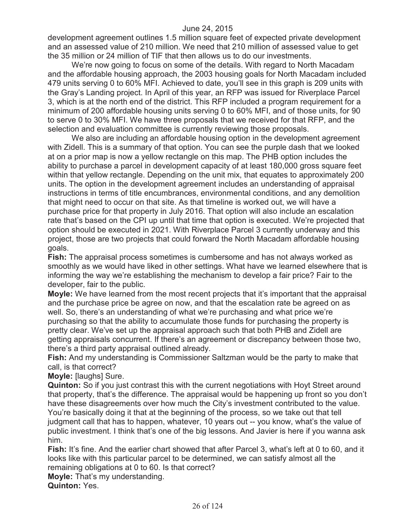development agreement outlines 1.5 million square feet of expected private development and an assessed value of 210 million. We need that 210 million of assessed value to get the 35 million or 24 million of TIF that then allows us to do our investments.

We're now going to focus on some of the details. With regard to North Macadam and the affordable housing approach, the 2003 housing goals for North Macadam included 479 units serving 0 to 60% MFI. Achieved to date, you'll see in this graph is 209 units with the Gray's Landing project. In April of this year, an RFP was issued for Riverplace Parcel 3, which is at the north end of the district. This RFP included a program requirement for a minimum of 200 affordable housing units serving 0 to 60% MFI, and of those units, for 90 to serve 0 to 30% MFI. We have three proposals that we received for that RFP, and the selection and evaluation committee is currently reviewing those proposals.

We also are including an affordable housing option in the development agreement with Zidell. This is a summary of that option. You can see the purple dash that we looked at on a prior map is now a yellow rectangle on this map. The PHB option includes the ability to purchase a parcel in development capacity of at least 180,000 gross square feet within that yellow rectangle. Depending on the unit mix, that equates to approximately 200 units. The option in the development agreement includes an understanding of appraisal instructions in terms of title encumbrances, environmental conditions, and any demolition that might need to occur on that site. As that timeline is worked out, we will have a purchase price for that property in July 2016. That option will also include an escalation rate that's based on the CPI up until that time that option is executed. We're projected that option should be executed in 2021. With Riverplace Parcel 3 currently underway and this project, those are two projects that could forward the North Macadam affordable housing goals.

**Fish:** The appraisal process sometimes is cumbersome and has not always worked as smoothly as we would have liked in other settings. What have we learned elsewhere that is informing the way we're establishing the mechanism to develop a fair price? Fair to the developer, fair to the public.

**Moyle:** We have learned from the most recent projects that it's important that the appraisal and the purchase price be agree on now, and that the escalation rate be agreed on as well. So, there's an understanding of what we're purchasing and what price we're purchasing so that the ability to accumulate those funds for purchasing the property is pretty clear. We've set up the appraisal approach such that both PHB and Zidell are getting appraisals concurrent. If there's an agreement or discrepancy between those two, there's a third party appraisal outlined already.

**Fish:** And my understanding is Commissioner Saltzman would be the party to make that call, is that correct?

**Moyle:** [laughs] Sure.

**Quinton:** So if you just contrast this with the current negotiations with Hoyt Street around that property, that's the difference. The appraisal would be happening up front so you don't have these disagreements over how much the City's investment contributed to the value. You're basically doing it that at the beginning of the process, so we take out that tell judgment call that has to happen, whatever, 10 years out -- you know, what's the value of public investment. I think that's one of the big lessons. And Javier is here if you wanna ask him.

Fish: It's fine. And the earlier chart showed that after Parcel 3, what's left at 0 to 60, and it looks like with this particular parcel to be determined, we can satisfy almost all the remaining obligations at 0 to 60. Is that correct?

**Moyle:** That's my understanding.

**Quinton:** Yes.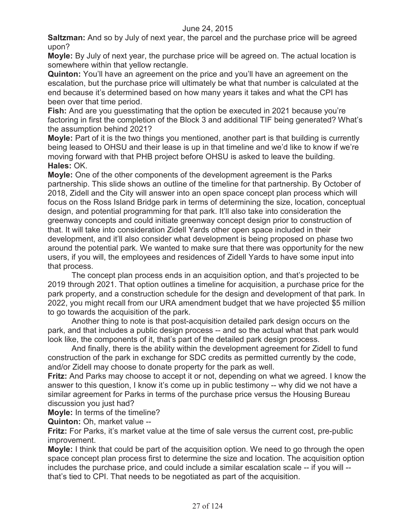**Saltzman:** And so by July of next year, the parcel and the purchase price will be agreed upon?

**Moyle:** By July of next year, the purchase price will be agreed on. The actual location is somewhere within that yellow rectangle.

**Quinton:** You'll have an agreement on the price and you'll have an agreement on the escalation, but the purchase price will ultimately be what that number is calculated at the end because it's determined based on how many years it takes and what the CPI has been over that time period.

**Fish:** And are you guesstimating that the option be executed in 2021 because you're factoring in first the completion of the Block 3 and additional TIF being generated? What's the assumption behind 2021?

**Moyle:** Part of it is the two things you mentioned, another part is that building is currently being leased to OHSU and their lease is up in that timeline and we'd like to know if we're moving forward with that PHB project before OHSU is asked to leave the building. **Hales:** OK.

**Moyle:** One of the other components of the development agreement is the Parks partnership. This slide shows an outline of the timeline for that partnership. By October of 2018, Zidell and the City will answer into an open space concept plan process which will focus on the Ross Island Bridge park in terms of determining the size, location, conceptual design, and potential programming for that park. It'll also take into consideration the greenway concepts and could initiate greenway concept design prior to construction of that. It will take into consideration Zidell Yards other open space included in their development, and it'll also consider what development is being proposed on phase two around the potential park. We wanted to make sure that there was opportunity for the new users, if you will, the employees and residences of Zidell Yards to have some input into that process.

The concept plan process ends in an acquisition option, and that's projected to be 2019 through 2021. That option outlines a timeline for acquisition, a purchase price for the park property, and a construction schedule for the design and development of that park. In 2022, you might recall from our URA amendment budget that we have projected \$5 million to go towards the acquisition of the park.

Another thing to note is that post-acquisition detailed park design occurs on the park, and that includes a public design process -- and so the actual what that park would look like, the components of it, that's part of the detailed park design process.

And finally, there is the ability within the development agreement for Zidell to fund construction of the park in exchange for SDC credits as permitted currently by the code, and/or Zidell may choose to donate property for the park as well.

**Fritz:** And Parks may choose to accept it or not, depending on what we agreed. I know the answer to this question, I know it's come up in public testimony -- why did we not have a similar agreement for Parks in terms of the purchase price versus the Housing Bureau discussion you just had?

**Moyle:** In terms of the timeline?

**Quinton:** Oh, market value --

**Fritz:** For Parks, it's market value at the time of sale versus the current cost, pre-public improvement.

**Moyle:** I think that could be part of the acquisition option. We need to go through the open space concept plan process first to determine the size and location. The acquisition option includes the purchase price, and could include a similar escalation scale -- if you will - that's tied to CPI. That needs to be negotiated as part of the acquisition.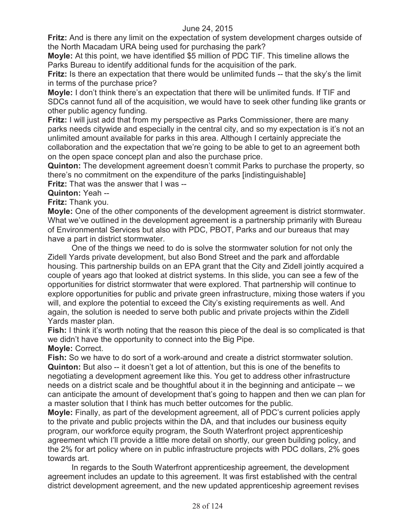**Fritz:** And is there any limit on the expectation of system development charges outside of the North Macadam URA being used for purchasing the park?

**Moyle:** At this point, we have identified \$5 million of PDC TIF. This timeline allows the Parks Bureau to identify additional funds for the acquisition of the park.

**Fritz:** Is there an expectation that there would be unlimited funds -- that the sky's the limit in terms of the purchase price?

**Moyle:** I don't think there's an expectation that there will be unlimited funds. If TIF and SDCs cannot fund all of the acquisition, we would have to seek other funding like grants or other public agency funding.

**Fritz:** I will just add that from my perspective as Parks Commissioner, there are many parks needs citywide and especially in the central city, and so my expectation is it's not an unlimited amount available for parks in this area. Although I certainly appreciate the collaboration and the expectation that we're going to be able to get to an agreement both on the open space concept plan and also the purchase price.

**Quinton:** The development agreement doesn't commit Parks to purchase the property, so there's no commitment on the expenditure of the parks [indistinguishable]

**Fritz:** That was the answer that I was --

**Quinton:** Yeah --

**Fritz:** Thank you.

**Moyle:** One of the other components of the development agreement is district stormwater. What we've outlined in the development agreement is a partnership primarily with Bureau of Environmental Services but also with PDC, PBOT, Parks and our bureaus that may have a part in district stormwater.

One of the things we need to do is solve the stormwater solution for not only the Zidell Yards private development, but also Bond Street and the park and affordable housing. This partnership builds on an EPA grant that the City and Zidell jointly acquired a couple of years ago that looked at district systems. In this slide, you can see a few of the opportunities for district stormwater that were explored. That partnership will continue to explore opportunities for public and private green infrastructure, mixing those waters if you will, and explore the potential to exceed the City's existing requirements as well. And again, the solution is needed to serve both public and private projects within the Zidell Yards master plan.

**Fish:** I think it's worth noting that the reason this piece of the deal is so complicated is that we didn't have the opportunity to connect into the Big Pipe.

**Moyle:** Correct.

**Fish:** So we have to do sort of a work-around and create a district stormwater solution. **Quinton:** But also -- it doesn't get a lot of attention, but this is one of the benefits to negotiating a development agreement like this. You get to address other infrastructure needs on a district scale and be thoughtful about it in the beginning and anticipate -- we can anticipate the amount of development that's going to happen and then we can plan for a master solution that I think has much better outcomes for the public.

**Moyle:** Finally, as part of the development agreement, all of PDC's current policies apply to the private and public projects within the DA, and that includes our business equity program, our workforce equity program, the South Waterfront project apprenticeship agreement which I'll provide a little more detail on shortly, our green building policy, and the 2% for art policy where on in public infrastructure projects with PDC dollars, 2% goes towards art.

In regards to the South Waterfront apprenticeship agreement, the development agreement includes an update to this agreement. It was first established with the central district development agreement, and the new updated apprenticeship agreement revises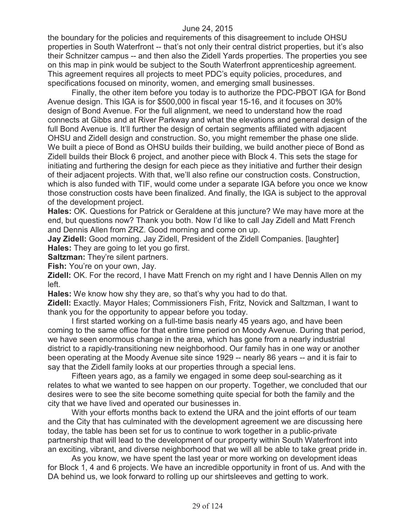the boundary for the policies and requirements of this disagreement to include OHSU properties in South Waterfront -- that's not only their central district properties, but it's also their Schnitzer campus -- and then also the Zidell Yards properties. The properties you see on this map in pink would be subject to the South Waterfront apprenticeship agreement. This agreement requires all projects to meet PDC's equity policies, procedures, and specifications focused on minority, women, and emerging small businesses.

Finally, the other item before you today is to authorize the PDC-PBOT IGA for Bond Avenue design. This IGA is for \$500,000 in fiscal year 15-16, and it focuses on 30% design of Bond Avenue. For the full alignment, we need to understand how the road connects at Gibbs and at River Parkway and what the elevations and general design of the full Bond Avenue is. It'll further the design of certain segments affiliated with adjacent OHSU and Zidell design and construction. So, you might remember the phase one slide. We built a piece of Bond as OHSU builds their building, we build another piece of Bond as Zidell builds their Block 6 project, and another piece with Block 4. This sets the stage for initiating and furthering the design for each piece as they initiative and further their design of their adjacent projects. With that, we'll also refine our construction costs. Construction, which is also funded with TIF, would come under a separate IGA before you once we know those construction costs have been finalized. And finally, the IGA is subject to the approval of the development project.

**Hales:** OK. Questions for Patrick or Geraldene at this juncture? We may have more at the end, but questions now? Thank you both. Now I'd like to call Jay Zidell and Matt French and Dennis Allen from ZRZ. Good morning and come on up.

**Jay Zidell:** Good morning. Jay Zidell, President of the Zidell Companies. [laughter] **Hales:** They are going to let you go first.

**Saltzman:** They're silent partners.

**Fish:** You're on your own, Jay.

**Zidell:** OK. For the record, I have Matt French on my right and I have Dennis Allen on my left.

**Hales:** We know how shy they are, so that's why you had to do that.

**Zidell:** Exactly. Mayor Hales; Commissioners Fish, Fritz, Novick and Saltzman, I want to thank you for the opportunity to appear before you today.

I first started working on a full-time basis nearly 45 years ago, and have been coming to the same office for that entire time period on Moody Avenue. During that period, we have seen enormous change in the area, which has gone from a nearly industrial district to a rapidly-transitioning new neighborhood. Our family has in one way or another been operating at the Moody Avenue site since 1929 -- nearly 86 years -- and it is fair to say that the Zidell family looks at our properties through a special lens.

Fifteen years ago, as a family we engaged in some deep soul-searching as it relates to what we wanted to see happen on our property. Together, we concluded that our desires were to see the site become something quite special for both the family and the city that we have lived and operated our businesses in.

With your efforts months back to extend the URA and the joint efforts of our team and the City that has culminated with the development agreement we are discussing here today, the table has been set for us to continue to work together in a public-private partnership that will lead to the development of our property within South Waterfront into an exciting, vibrant, and diverse neighborhood that we will all be able to take great pride in.

As you know, we have spent the last year or more working on development ideas for Block 1, 4 and 6 projects. We have an incredible opportunity in front of us. And with the DA behind us, we look forward to rolling up our shirtsleeves and getting to work.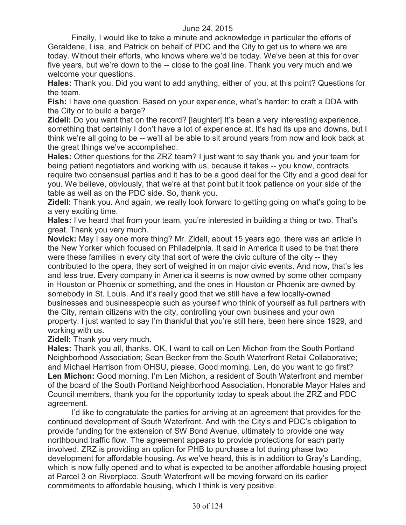Finally, I would like to take a minute and acknowledge in particular the efforts of Geraldene, Lisa, and Patrick on behalf of PDC and the City to get us to where we are today. Without their efforts, who knows where we'd be today. We've been at this for over five years, but we're down to the -- close to the goal line. Thank you very much and we welcome your questions.

**Hales:** Thank you. Did you want to add anything, either of you, at this point? Questions for the team.

**Fish:** I have one question. Based on your experience, what's harder: to craft a DDA with the City or to build a barge?

**Zidell:** Do you want that on the record? [laughter] It's been a very interesting experience, something that certainly I don't have a lot of experience at. It's had its ups and downs, but I think we're all going to be -- we'll all be able to sit around years from now and look back at the great things we've accomplished.

**Hales:** Other questions for the ZRZ team? I just want to say thank you and your team for being patient negotiators and working with us, because it takes -- you know, contracts require two consensual parties and it has to be a good deal for the City and a good deal for you. We believe, obviously, that we're at that point but it took patience on your side of the table as well as on the PDC side. So, thank you.

**Zidell:** Thank you. And again, we really look forward to getting going on what's going to be a very exciting time.

**Hales:** I've heard that from your team, you're interested in building a thing or two. That's great. Thank you very much.

**Novick:** May I say one more thing? Mr. Zidell, about 15 years ago, there was an article in the New Yorker which focused on Philadelphia. It said in America it used to be that there were these families in every city that sort of were the civic culture of the city -- they contributed to the opera, they sort of weighed in on major civic events. And now, that's les and less true. Every company in America it seems is now owned by some other company in Houston or Phoenix or something, and the ones in Houston or Phoenix are owned by somebody in St. Louis. And it's really good that we still have a few locally-owned businesses and businesspeople such as yourself who think of yourself as full partners with the City, remain citizens with the city, controlling your own business and your own property. I just wanted to say I'm thankful that you're still here, been here since 1929, and working with us.

**Zidell:** Thank you very much.

**Hales:** Thank you all, thanks. OK, I want to call on Len Michon from the South Portland Neighborhood Association; Sean Becker from the South Waterfront Retail Collaborative; and Michael Harrison from OHSU, please. Good morning. Len, do you want to go first? **Len Michon:** Good morning. I'm Len Michon, a resident of South Waterfront and member of the board of the South Portland Neighborhood Association. Honorable Mayor Hales and Council members, thank you for the opportunity today to speak about the ZRZ and PDC agreement.

I'd like to congratulate the parties for arriving at an agreement that provides for the continued development of South Waterfront. And with the City's and PDC's obligation to provide funding for the extension of SW Bond Avenue, ultimately to provide one way northbound traffic flow. The agreement appears to provide protections for each party involved. ZRZ is providing an option for PHB to purchase a lot during phase two development for affordable housing. As we've heard, this is in addition to Gray's Landing, which is now fully opened and to what is expected to be another affordable housing project at Parcel 3 on Riverplace. South Waterfront will be moving forward on its earlier commitments to affordable housing, which I think is very positive.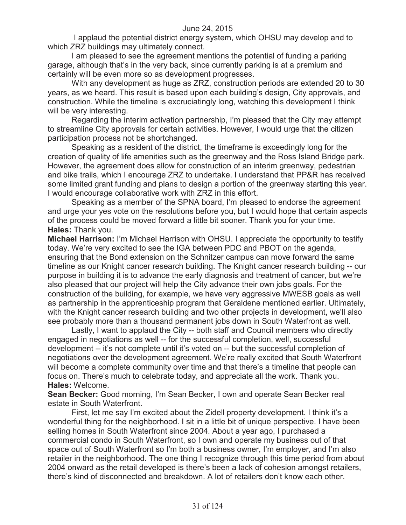I applaud the potential district energy system, which OHSU may develop and to which ZRZ buildings may ultimately connect.

I am pleased to see the agreement mentions the potential of funding a parking garage, although that's in the very back, since currently parking is at a premium and certainly will be even more so as development progresses.

With any development as huge as ZRZ, construction periods are extended 20 to 30 years, as we heard. This result is based upon each building's design, City approvals, and construction. While the timeline is excruciatingly long, watching this development I think will be very interesting.

Regarding the interim activation partnership, I'm pleased that the City may attempt to streamline City approvals for certain activities. However, I would urge that the citizen participation process not be shortchanged.

Speaking as a resident of the district, the timeframe is exceedingly long for the creation of quality of life amenities such as the greenway and the Ross Island Bridge park. However, the agreement does allow for construction of an interim greenway, pedestrian and bike trails, which I encourage ZRZ to undertake. I understand that PP&R has received some limited grant funding and plans to design a portion of the greenway starting this year. I would encourage collaborative work with ZRZ in this effort.

Speaking as a member of the SPNA board, I'm pleased to endorse the agreement and urge your yes vote on the resolutions before you, but I would hope that certain aspects of the process could be moved forward a little bit sooner. Thank you for your time. **Hales:** Thank you.

**Michael Harrison:** I'm Michael Harrison with OHSU. I appreciate the opportunity to testify today. We're very excited to see the IGA between PDC and PBOT on the agenda, ensuring that the Bond extension on the Schnitzer campus can move forward the same timeline as our Knight cancer research building. The Knight cancer research building -- our purpose in building it is to advance the early diagnosis and treatment of cancer, but we're also pleased that our project will help the City advance their own jobs goals. For the construction of the building, for example, we have very aggressive MWESB goals as well as partnership in the apprenticeship program that Geraldene mentioned earlier. Ultimately, with the Knight cancer research building and two other projects in development, we'll also see probably more than a thousand permanent jobs down in South Waterfront as well.

Lastly, I want to applaud the City -- both staff and Council members who directly engaged in negotiations as well -- for the successful completion, well, successful development -- it's not complete until it's voted on -- but the successful completion of negotiations over the development agreement. We're really excited that South Waterfront will become a complete community over time and that there's a timeline that people can focus on. There's much to celebrate today, and appreciate all the work. Thank you. **Hales:** Welcome.

**Sean Becker:** Good morning, I'm Sean Becker, I own and operate Sean Becker real estate in South Waterfront.

First, let me say I'm excited about the Zidell property development. I think it's a wonderful thing for the neighborhood. I sit in a little bit of unique perspective. I have been selling homes in South Waterfront since 2004. About a year ago, I purchased a commercial condo in South Waterfront, so I own and operate my business out of that space out of South Waterfront so I'm both a business owner, I'm employer, and I'm also retailer in the neighborhood. The one thing I recognize through this time period from about 2004 onward as the retail developed is there's been a lack of cohesion amongst retailers, there's kind of disconnected and breakdown. A lot of retailers don't know each other.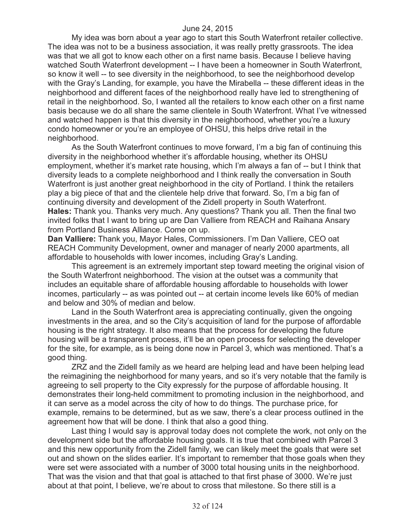My idea was born about a year ago to start this South Waterfront retailer collective. The idea was not to be a business association, it was really pretty grassroots. The idea was that we all got to know each other on a first name basis. Because I believe having watched South Waterfront development -- I have been a homeowner in South Waterfront, so know it well -- to see diversity in the neighborhood, to see the neighborhood develop with the Gray's Landing, for example, you have the Mirabella -- these different ideas in the neighborhood and different faces of the neighborhood really have led to strengthening of retail in the neighborhood. So, I wanted all the retailers to know each other on a first name basis because we do all share the same clientele in South Waterfront. What I've witnessed and watched happen is that this diversity in the neighborhood, whether you're a luxury condo homeowner or you're an employee of OHSU, this helps drive retail in the neighborhood.

As the South Waterfront continues to move forward, I'm a big fan of continuing this diversity in the neighborhood whether it's affordable housing, whether its OHSU employment, whether it's market rate housing, which I'm always a fan of -- but I think that diversity leads to a complete neighborhood and I think really the conversation in South Waterfront is just another great neighborhood in the city of Portland. I think the retailers play a big piece of that and the clientele help drive that forward. So, I'm a big fan of continuing diversity and development of the Zidell property in South Waterfront. **Hales:** Thank you. Thanks very much. Any questions? Thank you all. Then the final two invited folks that I want to bring up are Dan Valliere from REACH and Raihana Ansary from Portland Business Alliance. Come on up.

**Dan Valliere:** Thank you, Mayor Hales, Commissioners. I'm Dan Valliere, CEO oat REACH Community Development, owner and manager of nearly 2000 apartments, all affordable to households with lower incomes, including Gray's Landing.

This agreement is an extremely important step toward meeting the original vision of the South Waterfront neighborhood. The vision at the outset was a community that includes an equitable share of affordable housing affordable to households with lower incomes, particularly -- as was pointed out -- at certain income levels like 60% of median and below and 30% of median and below.

Land in the South Waterfront area is appreciating continually, given the ongoing investments in the area, and so the City's acquisition of land for the purpose of affordable housing is the right strategy. It also means that the process for developing the future housing will be a transparent process, it'll be an open process for selecting the developer for the site, for example, as is being done now in Parcel 3, which was mentioned. That's a good thing.

ZRZ and the Zidell family as we heard are helping lead and have been helping lead the reimagining the neighborhood for many years, and so it's very notable that the family is agreeing to sell property to the City expressly for the purpose of affordable housing. It demonstrates their long-held commitment to promoting inclusion in the neighborhood, and it can serve as a model across the city of how to do things. The purchase price, for example, remains to be determined, but as we saw, there's a clear process outlined in the agreement how that will be done. I think that also a good thing.

Last thing I would say is approval today does not complete the work, not only on the development side but the affordable housing goals. It is true that combined with Parcel 3 and this new opportunity from the Zidell family, we can likely meet the goals that were set out and shown on the slides earlier. It's important to remember that those goals when they were set were associated with a number of 3000 total housing units in the neighborhood. That was the vision and that that goal is attached to that first phase of 3000. We're just about at that point, I believe, we're about to cross that milestone. So there still is a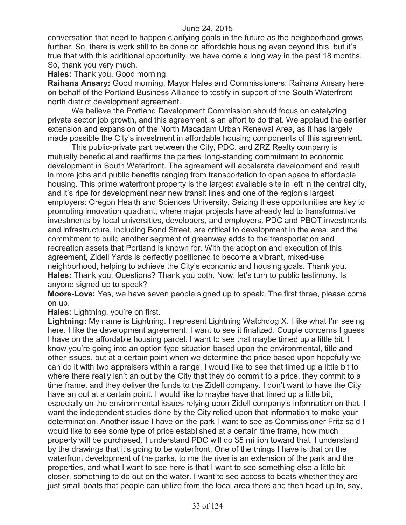conversation that need to happen clarifying goals in the future as the neighborhood grows further. So, there is work still to be done on affordable housing even beyond this, but it's true that with this additional opportunity, we have come a long way in the past 18 months. So, thank you very much.

**Hales:** Thank you. Good morning.

**Raihana Ansary:** Good morning, Mayor Hales and Commissioners. Raihana Ansary here on behalf of the Portland Business Alliance to testify in support of the South Waterfront north district development agreement.

We believe the Portland Development Commission should focus on catalyzing private sector job growth, and this agreement is an effort to do that. We applaud the earlier extension and expansion of the North Macadam Urban Renewal Area, as it has largely made possible the City's investment in affordable housing components of this agreement.

This public-private part between the City, PDC, and ZRZ Realty company is mutually beneficial and reaffirms the parties' long-standing commitment to economic development in South Waterfront. The agreement will accelerate development and result in more jobs and public benefits ranging from transportation to open space to affordable housing. This prime waterfront property is the largest available site in left in the central city, and it's ripe for development near new transit lines and one of the region's largest employers: Oregon Health and Sciences University. Seizing these opportunities are key to promoting innovation quadrant, where major projects have already led to transformative investments by local universities, developers, and employers. PDC and PBOT investments and infrastructure, including Bond Street, are critical to development in the area, and the commitment to build another segment of greenway adds to the transportation and recreation assets that Portland is known for. With the adoption and execution of this agreement, Zidell Yards is perfectly positioned to become a vibrant, mixed-use neighborhood, helping to achieve the City's economic and housing goals. Thank you. **Hales:** Thank you. Questions? Thank you both. Now, let's turn to public testimony. Is anyone signed up to speak?

**Moore-Love:** Yes, we have seven people signed up to speak. The first three, please come on up.

**Hales:** Lightning, you're on first.

**Lightning:** My name is Lightning. I represent Lightning Watchdog X. I like what I'm seeing here. I like the development agreement. I want to see it finalized. Couple concerns I guess I have on the affordable housing parcel. I want to see that maybe timed up a little bit. I know you're going into an option type situation based upon the environmental, title and other issues, but at a certain point when we determine the price based upon hopefully we can do it with two appraisers within a range, I would like to see that timed up a little bit to where there really isn't an out by the City that they do commit to a price, they commit to a time frame, and they deliver the funds to the Zidell company. I don't want to have the City have an out at a certain point. I would like to maybe have that timed up a little bit, especially on the environmental issues relying upon Zidell company's information on that. I want the independent studies done by the City relied upon that information to make your determination. Another issue I have on the park I want to see as Commissioner Fritz said I would like to see some type of price established at a certain time frame, how much property will be purchased. I understand PDC will do \$5 million toward that. I understand by the drawings that it's going to be waterfront. One of the things I have is that on the waterfront development of the parks, to me the river is an extension of the park and the properties, and what I want to see here is that I want to see something else a little bit closer, something to do out on the water. I want to see access to boats whether they are just small boats that people can utilize from the local area there and then head up to, say,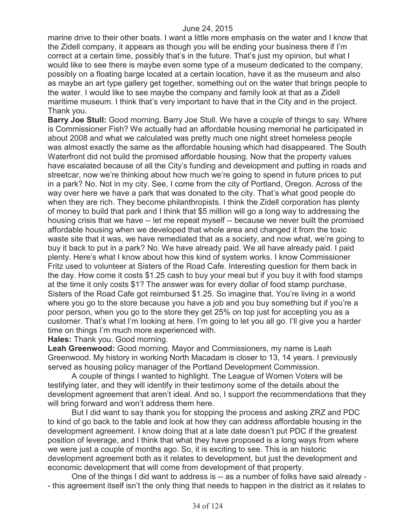marine drive to their other boats. I want a little more emphasis on the water and I know that the Zidell company, it appears as though you will be ending your business there if I'm correct at a certain time, possibly that's in the future. That's just my opinion, but what I would like to see there is maybe even some type of a museum dedicated to the company, possibly on a floating barge located at a certain location, have it as the museum and also as maybe an art type gallery get together, something out on the water that brings people to the water. I would like to see maybe the company and family look at that as a Zidell maritime museum. I think that's very important to have that in the City and in the project. Thank you.

**Barry Joe Stull:** Good morning. Barry Joe Stull. We have a couple of things to say. Where is Commissioner Fish? We actually had an affordable housing memorial he participated in about 2008 and what we calculated was pretty much one night street homeless people was almost exactly the same as the affordable housing which had disappeared. The South Waterfront did not build the promised affordable housing. Now that the property values have escalated because of all the City's funding and development and putting in roads and streetcar, now we're thinking about how much we're going to spend in future prices to put in a park? No. Not in my city. See, I come from the city of Portland, Oregon. Across of the way over here we have a park that was donated to the city. That's what good people do when they are rich. They become philanthropists. I think the Zidell corporation has plenty of money to build that park and I think that \$5 million will go a long way to addressing the housing crisis that we have -- let me repeat myself -- because we never built the promised affordable housing when we developed that whole area and changed it from the toxic waste site that it was, we have remediated that as a society, and now what, we're going to buy it back to put in a park? No. We have already paid. We all have already paid. I paid plenty. Here's what I know about how this kind of system works. I know Commissioner Fritz used to volunteer at Sisters of the Road Cafe. Interesting question for them back in the day. How come it costs \$1.25 cash to buy your meal but if you buy it with food stamps at the time it only costs \$1? The answer was for every dollar of food stamp purchase, Sisters of the Road Cafe got reimbursed \$1.25. So imagine that. You're living in a world where you go to the store because you have a job and you buy something but if you're a poor person, when you go to the store they get 25% on top just for accepting you as a customer. That's what I'm looking at here. I'm going to let you all go. I'll give you a harder time on things I'm much more experienced with.

**Hales:** Thank you. Good morning.

**Leah Greenwood:** Good morning. Mayor and Commissioners, my name is Leah Greenwood. My history in working North Macadam is closer to 13, 14 years. I previously served as housing policy manager of the Portland Development Commission.

A couple of things I wanted to highlight. The League of Women Voters will be testifying later, and they will identify in their testimony some of the details about the development agreement that aren't ideal. And so, I support the recommendations that they will bring forward and won't address them here.

But I did want to say thank you for stopping the process and asking ZRZ and PDC to kind of go back to the table and look at how they can address affordable housing in the development agreement. I know doing that at a late date doesn't put PDC if the greatest position of leverage, and I think that what they have proposed is a long ways from where we were just a couple of months ago. So, it is exciting to see. This is an historic development agreement both as it relates to development, but just the development and economic development that will come from development of that property.

One of the things I did want to address is -- as a number of folks have said already - - this agreement itself isn't the only thing that needs to happen in the district as it relates to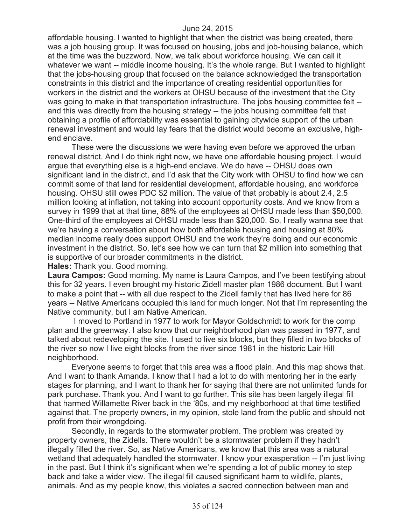affordable housing. I wanted to highlight that when the district was being created, there was a job housing group. It was focused on housing, jobs and job-housing balance, which at the time was the buzzword. Now, we talk about workforce housing. We can call it whatever we want -- middle income housing. It's the whole range. But I wanted to highlight that the jobs-housing group that focused on the balance acknowledged the transportation constraints in this district and the importance of creating residential opportunities for workers in the district and the workers at OHSU because of the investment that the City was going to make in that transportation infrastructure. The jobs housing committee felt - and this was directly from the housing strategy -- the jobs housing committee felt that obtaining a profile of affordability was essential to gaining citywide support of the urban renewal investment and would lay fears that the district would become an exclusive, highend enclave.

These were the discussions we were having even before we approved the urban renewal district. And I do think right now, we have one affordable housing project. I would argue that everything else is a high-end enclave. We do have -- OHSU does own significant land in the district, and I'd ask that the City work with OHSU to find how we can commit some of that land for residential development, affordable housing, and workforce housing. OHSU still owes PDC \$2 million. The value of that probably is about 2.4, 2.5 million looking at inflation, not taking into account opportunity costs. And we know from a survey in 1999 that at that time, 88% of the employees at OHSU made less than \$50,000. One-third of the employees at OHSU made less than \$20,000. So, I really wanna see that we're having a conversation about how both affordable housing and housing at 80% median income really does support OHSU and the work they're doing and our economic investment in the district. So, let's see how we can turn that \$2 million into something that is supportive of our broader commitments in the district.

**Hales:** Thank you. Good morning.

**Laura Campos:** Good morning. My name is Laura Campos, and I've been testifying about this for 32 years. I even brought my historic Zidell master plan 1986 document. But I want to make a point that -- with all due respect to the Zidell family that has lived here for 86 years -- Native Americans occupied this land for much longer. Not that I'm representing the Native community, but I am Native American.

I moved to Portland in 1977 to work for Mayor Goldschmidt to work for the comp plan and the greenway. I also know that our neighborhood plan was passed in 1977, and talked about redeveloping the site. I used to live six blocks, but they filled in two blocks of the river so now I live eight blocks from the river since 1981 in the historic Lair Hill neighborhood.

Everyone seems to forget that this area was a flood plain. And this map shows that. And I want to thank Amanda. I know that I had a lot to do with mentoring her in the early stages for planning, and I want to thank her for saying that there are not unlimited funds for park purchase. Thank you. And I want to go further. This site has been largely illegal fill that harmed Willamette River back in the '80s, and my neighborhood at that time testified against that. The property owners, in my opinion, stole land from the public and should not profit from their wrongdoing.

Secondly, in regards to the stormwater problem. The problem was created by property owners, the Zidells. There wouldn't be a stormwater problem if they hadn't illegally filled the river. So, as Native Americans, we know that this area was a natural wetland that adequately handled the stormwater. I know your exasperation -- I'm just living in the past. But I think it's significant when we're spending a lot of public money to step back and take a wider view. The illegal fill caused significant harm to wildlife, plants, animals. And as my people know, this violates a sacred connection between man and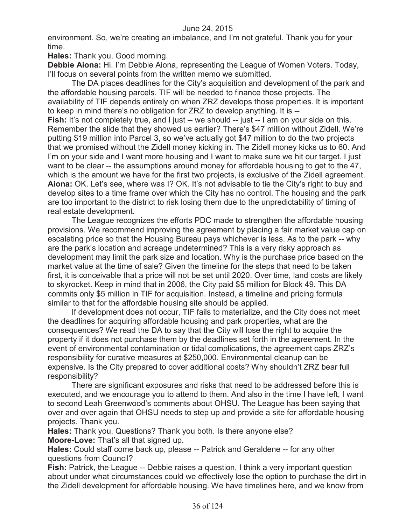environment. So, we're creating an imbalance, and I'm not grateful. Thank you for your time.

**Hales:** Thank you. Good morning.

**Debbie Aiona:** Hi. I'm Debbie Aiona, representing the League of Women Voters. Today, I'll focus on several points from the written memo we submitted.

The DA places deadlines for the City's acquisition and development of the park and the affordable housing parcels. TIF will be needed to finance those projects. The availability of TIF depends entirely on when ZRZ develops those properties. It is important to keep in mind there's no obligation for ZRZ to develop anything. It is --

**Fish:** It's not completely true, and I just -- we should -- just -- I am on your side on this. Remember the slide that they showed us earlier? There's \$47 million without Zidell. We're putting \$19 million into Parcel 3, so we've actually got \$47 million to do the two projects that we promised without the Zidell money kicking in. The Zidell money kicks us to 60. And I'm on your side and I want more housing and I want to make sure we hit our target. I just want to be clear -- the assumptions around money for affordable housing to get to the 47, which is the amount we have for the first two projects, is exclusive of the Zidell agreement. **Aiona:** OK. Let's see, where was I? OK. It's not advisable to tie the City's right to buy and develop sites to a time frame over which the City has no control. The housing and the park are too important to the district to risk losing them due to the unpredictability of timing of real estate development.

The League recognizes the efforts PDC made to strengthen the affordable housing provisions. We recommend improving the agreement by placing a fair market value cap on escalating price so that the Housing Bureau pays whichever is less. As to the park -- why are the park's location and acreage undetermined? This is a very risky approach as development may limit the park size and location. Why is the purchase price based on the market value at the time of sale? Given the timeline for the steps that need to be taken first, it is conceivable that a price will not be set until 2020. Over time, land costs are likely to skyrocket. Keep in mind that in 2006, the City paid \$5 million for Block 49. This DA commits only \$5 million in TIF for acquisition. Instead, a timeline and pricing formula similar to that for the affordable housing site should be applied.

If development does not occur, TIF fails to materialize, and the City does not meet the deadlines for acquiring affordable housing and park properties, what are the consequences? We read the DA to say that the City will lose the right to acquire the property if it does not purchase them by the deadlines set forth in the agreement. In the event of environmental contamination or tidal complications, the agreement caps ZRZ's responsibility for curative measures at \$250,000. Environmental cleanup can be expensive. Is the City prepared to cover additional costs? Why shouldn't ZRZ bear full responsibility?

There are significant exposures and risks that need to be addressed before this is executed, and we encourage you to attend to them. And also in the time I have left, I want to second Leah Greenwood's comments about OHSU. The League has been saying that over and over again that OHSU needs to step up and provide a site for affordable housing projects. Thank you.

**Hales:** Thank you. Questions? Thank you both. Is there anyone else?

**Moore-Love:** That's all that signed up.

**Hales:** Could staff come back up, please -- Patrick and Geraldene -- for any other questions from Council?

**Fish:** Patrick, the League -- Debbie raises a question, I think a very important question about under what circumstances could we effectively lose the option to purchase the dirt in the Zidell development for affordable housing. We have timelines here, and we know from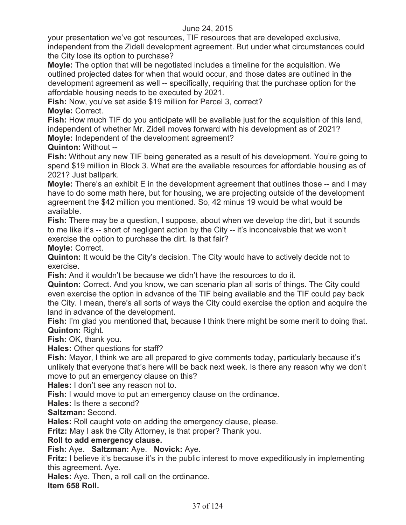your presentation we've got resources, TIF resources that are developed exclusive, independent from the Zidell development agreement. But under what circumstances could the City lose its option to purchase?

**Moyle:** The option that will be negotiated includes a timeline for the acquisition. We outlined projected dates for when that would occur, and those dates are outlined in the development agreement as well -- specifically, requiring that the purchase option for the affordable housing needs to be executed by 2021.

**Fish:** Now, you've set aside \$19 million for Parcel 3, correct? **Moyle:** Correct.

**Fish:** How much TIF do you anticipate will be available just for the acquisition of this land, independent of whether Mr. Zidell moves forward with his development as of 2021?

**Moyle:** Independent of the development agreement?

**Quinton:** Without -- **Fish:** Without any new TIF being generated as a result of his development. You're going to spend \$19 million in Block 3. What are the available resources for affordable housing as of 2021? Just ballpark.

**Moyle:** There's an exhibit E in the development agreement that outlines those -- and I may have to do some math here, but for housing, we are projecting outside of the development agreement the \$42 million you mentioned. So, 42 minus 19 would be what would be available.

**Fish:** There may be a question, I suppose, about when we develop the dirt, but it sounds to me like it's -- short of negligent action by the City -- it's inconceivable that we won't exercise the option to purchase the dirt. Is that fair?

**Moyle:** Correct.

**Quinton:** It would be the City's decision. The City would have to actively decide not to exercise.

**Fish:** And it wouldn't be because we didn't have the resources to do it.

**Quinton:** Correct. And you know, we can scenario plan all sorts of things. The City could even exercise the option in advance of the TIF being available and the TIF could pay back the City. I mean, there's all sorts of ways the City could exercise the option and acquire the land in advance of the development.

**Fish:** I'm glad you mentioned that, because I think there might be some merit to doing that. **Quinton:** Right.

**Fish:** OK, thank you.

**Hales:** Other questions for staff?

**Fish:** Mayor, I think we are all prepared to give comments today, particularly because it's unlikely that everyone that's here will be back next week. Is there any reason why we don't move to put an emergency clause on this?

**Hales:** I don't see any reason not to.

**Fish:** I would move to put an emergency clause on the ordinance.

**Hales:** Is there a second?

**Saltzman:** Second.

**Hales:** Roll caught vote on adding the emergency clause, please.

**Fritz:** May I ask the City Attorney, is that proper? Thank you.

# **Roll to add emergency clause.**

**Fish:** Aye. **Saltzman:** Aye. **Novick:** Aye.

**Fritz:** I believe it's because it's in the public interest to move expeditiously in implementing this agreement. Aye.

**Hales:** Aye. Then, a roll call on the ordinance.

**Item 658 Roll.**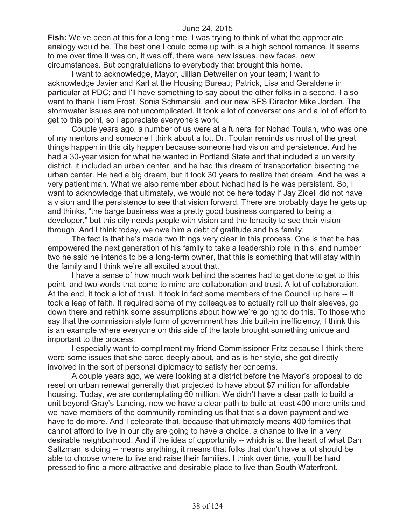**Fish:** We've been at this for a long time. I was trying to think of what the appropriate analogy would be. The best one I could come up with is a high school romance. It seems to me over time it was on, it was off, there were new issues, new faces, new circumstances. But congratulations to everybody that brought this home.

I want to acknowledge, Mayor, Jillian Detweiler on your team; I want to acknowledge Javier and Karl at the Housing Bureau; Patrick, Lisa and Geraldene in particular at PDC; and I'll have something to say about the other folks in a second. I also want to thank Liam Frost, Sonia Schmanski, and our new BES Director Mike Jordan. The stormwater issues are not uncomplicated. It took a lot of conversations and a lot of effort to get to this point, so I appreciate everyone's work.

Couple years ago, a number of us were at a funeral for Nohad Toulan, who was one of my mentors and someone I think about a lot. Dr. Toulan reminds us most of the great things happen in this city happen because someone had vision and persistence. And he had a 30-year vision for what he wanted in Portland State and that included a university district, it included an urban center, and he had this dream of transportation bisecting the urban center. He had a big dream, but it took 30 years to realize that dream. And he was a very patient man. What we also remember about Nohad had is he was persistent. So, I want to acknowledge that ultimately, we would not be here today if Jay Zidell did not have a vision and the persistence to see that vision forward. There are probably days he gets up and thinks, "the barge business was a pretty good business compared to being a developer," but this city needs people with vision and the tenacity to see their vision through. And I think today, we owe him a debt of gratitude and his family.

The fact is that he's made two things very clear in this process. One is that he has empowered the next generation of his family to take a leadership role in this, and number two he said he intends to be a long-term owner, that this is something that will stay within the family and I think we're all excited about that.

I have a sense of how much work behind the scenes had to get done to get to this point, and two words that come to mind are collaboration and trust. A lot of collaboration. At the end, it took a lot of trust. It took in fact some members of the Council up here -- it took a leap of faith. It required some of my colleagues to actually roll up their sleeves, go down there and rethink some assumptions about how we're going to do this. To those who say that the commission style form of government has this built-in inefficiency, I think this is an example where everyone on this side of the table brought something unique and important to the process.

I especially want to compliment my friend Commissioner Fritz because I think there were some issues that she cared deeply about, and as is her style, she got directly involved in the sort of personal diplomacy to satisfy her concerns.

A couple years ago, we were looking at a district before the Mayor's proposal to do reset on urban renewal generally that projected to have about \$7 million for affordable housing. Today, we are contemplating 60 million. We didn't have a clear path to build a unit beyond Gray's Landing, now we have a clear path to build at least 400 more units and we have members of the community reminding us that that's a down payment and we have to do more. And I celebrate that, because that ultimately means 400 families that cannot afford to live in our city are going to have a choice, a chance to live in a very desirable neighborhood. And if the idea of opportunity -- which is at the heart of what Dan Saltzman is doing -- means anything, it means that folks that don't have a lot should be able to choose where to live and raise their families. I think over time, you'll be hard pressed to find a more attractive and desirable place to live than South Waterfront.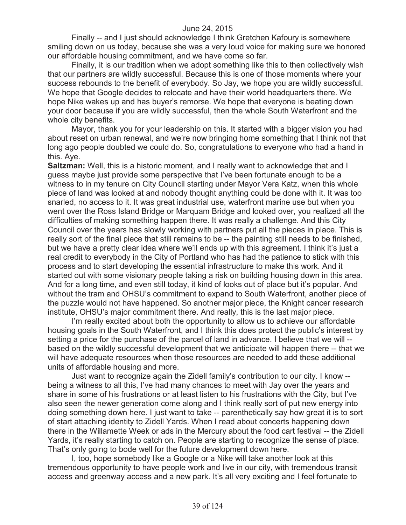Finally -- and I just should acknowledge I think Gretchen Kafoury is somewhere smiling down on us today, because she was a very loud voice for making sure we honored our affordable housing commitment, and we have come so far.

Finally, it is our tradition when we adopt something like this to then collectively wish that our partners are wildly successful. Because this is one of those moments where your success rebounds to the benefit of everybody. So Jay, we hope you are wildly successful. We hope that Google decides to relocate and have their world headquarters there. We hope Nike wakes up and has buyer's remorse. We hope that everyone is beating down your door because if you are wildly successful, then the whole South Waterfront and the whole city benefits.

Mayor, thank you for your leadership on this. It started with a bigger vision you had about reset on urban renewal, and we're now bringing home something that I think not that long ago people doubted we could do. So, congratulations to everyone who had a hand in this. Aye.

**Saltzman:** Well, this is a historic moment, and I really want to acknowledge that and I guess maybe just provide some perspective that I've been fortunate enough to be a witness to in my tenure on City Council starting under Mayor Vera Katz, when this whole piece of land was looked at and nobody thought anything could be done with it. It was too snarled, no access to it. It was great industrial use, waterfront marine use but when you went over the Ross Island Bridge or Marquam Bridge and looked over, you realized all the difficulties of making something happen there. It was really a challenge. And this City Council over the years has slowly working with partners put all the pieces in place. This is really sort of the final piece that still remains to be -- the painting still needs to be finished, but we have a pretty clear idea where we'll ends up with this agreement. I think it's just a real credit to everybody in the City of Portland who has had the patience to stick with this process and to start developing the essential infrastructure to make this work. And it started out with some visionary people taking a risk on building housing down in this area. And for a long time, and even still today, it kind of looks out of place but it's popular. And without the tram and OHSU's commitment to expand to South Waterfront, another piece of the puzzle would not have happened. So another major piece, the Knight cancer research institute, OHSU's major commitment there. And really, this is the last major piece.

I'm really excited about both the opportunity to allow us to achieve our affordable housing goals in the South Waterfront, and I think this does protect the public's interest by setting a price for the purchase of the parcel of land in advance. I believe that we will - based on the wildly successful development that we anticipate will happen there -- that we will have adequate resources when those resources are needed to add these additional units of affordable housing and more.

Just want to recognize again the Zidell family's contribution to our city. I know - being a witness to all this, I've had many chances to meet with Jay over the years and share in some of his frustrations or at least listen to his frustrations with the City, but I've also seen the newer generation come along and I think really sort of put new energy into doing something down here. I just want to take -- parenthetically say how great it is to sort of start attaching identity to Zidell Yards. When I read about concerts happening down there in the Willamette Week or ads in the Mercury about the food cart festival -- the Zidell Yards, it's really starting to catch on. People are starting to recognize the sense of place. That's only going to bode well for the future development down here.

I, too, hope somebody like a Google or a Nike will take another look at this tremendous opportunity to have people work and live in our city, with tremendous transit access and greenway access and a new park. It's all very exciting and I feel fortunate to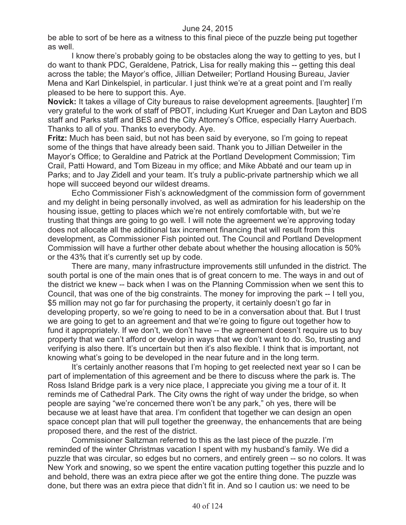be able to sort of be here as a witness to this final piece of the puzzle being put together as well.

I know there's probably going to be obstacles along the way to getting to yes, but I do want to thank PDC, Geraldene, Patrick, Lisa for really making this -- getting this deal across the table; the Mayor's office, Jillian Detweiler; Portland Housing Bureau, Javier Mena and Karl Dinkelspiel, in particular. I just think we're at a great point and I'm really pleased to be here to support this. Aye.

**Novick:** It takes a village of City bureaus to raise development agreements. [laughter] I'm very grateful to the work of staff of PBOT, including Kurt Krueger and Dan Layton and BDS staff and Parks staff and BES and the City Attorney's Office, especially Harry Auerbach. Thanks to all of you. Thanks to everybody. Aye.

**Fritz:** Much has been said, but not has been said by everyone, so I'm going to repeat some of the things that have already been said. Thank you to Jillian Detweiler in the Mayor's Office; to Geraldine and Patrick at the Portland Development Commission; Tim Crail, Patti Howard, and Tom Bizeau in my office; and Mike Abbaté and our team up in Parks; and to Jay Zidell and your team. It's truly a public-private partnership which we all hope will succeed beyond our wildest dreams.

Echo Commissioner Fish's acknowledgment of the commission form of government and my delight in being personally involved, as well as admiration for his leadership on the housing issue, getting to places which we're not entirely comfortable with, but we're trusting that things are going to go well. I will note the agreement we're approving today does not allocate all the additional tax increment financing that will result from this development, as Commissioner Fish pointed out. The Council and Portland Development Commission will have a further other debate about whether the housing allocation is 50% or the 43% that it's currently set up by code.

There are many, many infrastructure improvements still unfunded in the district. The south portal is one of the main ones that is of great concern to me. The ways in and out of the district we knew -- back when I was on the Planning Commission when we sent this to Council, that was one of the big constraints. The money for improving the park -- I tell you, \$5 million may not go far for purchasing the property, it certainly doesn't go far in developing property, so we're going to need to be in a conversation about that. But I trust we are going to get to an agreement and that we're going to figure out together how to fund it appropriately. If we don't, we don't have -- the agreement doesn't require us to buy property that we can't afford or develop in ways that we don't want to do. So, trusting and verifying is also there. It's uncertain but then it's also flexible. I think that is important, not knowing what's going to be developed in the near future and in the long term.

It's certainly another reasons that I'm hoping to get reelected next year so I can be part of implementation of this agreement and be there to discuss where the park is. The Ross Island Bridge park is a very nice place, I appreciate you giving me a tour of it. It reminds me of Cathedral Park. The City owns the right of way under the bridge, so when people are saying "we're concerned there won't be any park," oh yes, there will be because we at least have that area. I'm confident that together we can design an open space concept plan that will pull together the greenway, the enhancements that are being proposed there, and the rest of the district.

Commissioner Saltzman referred to this as the last piece of the puzzle. I'm reminded of the winter Christmas vacation I spent with my husband's family. We did a puzzle that was circular, so edges but no corners, and entirely green -- so no colors. It was New York and snowing, so we spent the entire vacation putting together this puzzle and lo and behold, there was an extra piece after we got the entire thing done. The puzzle was done, but there was an extra piece that didn't fit in. And so I caution us: we need to be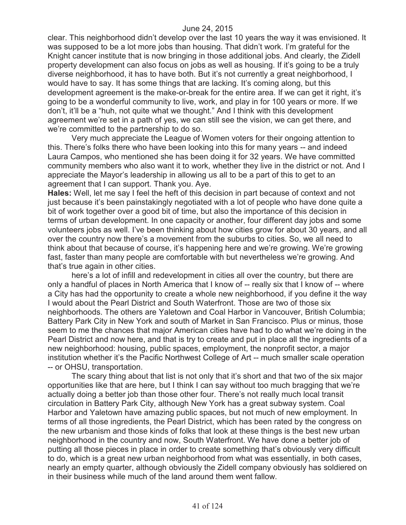clear. This neighborhood didn't develop over the last 10 years the way it was envisioned. It was supposed to be a lot more jobs than housing. That didn't work. I'm grateful for the Knight cancer institute that is now bringing in those additional jobs. And clearly, the Zidell property development can also focus on jobs as well as housing. If it's going to be a truly diverse neighborhood, it has to have both. But it's not currently a great neighborhood, I would have to say. It has some things that are lacking. It's coming along, but this development agreement is the make-or-break for the entire area. If we can get it right, it's going to be a wonderful community to live, work, and play in for 100 years or more. If we don't, it'll be a "huh, not quite what we thought." And I think with this development agreement we're set in a path of yes, we can still see the vision, we can get there, and we're committed to the partnership to do so.

Very much appreciate the League of Women voters for their ongoing attention to this. There's folks there who have been looking into this for many years -- and indeed Laura Campos, who mentioned she has been doing it for 32 years. We have committed community members who also want it to work, whether they live in the district or not. And I appreciate the Mayor's leadership in allowing us all to be a part of this to get to an agreement that I can support. Thank you. Aye.

**Hales:** Well, let me say I feel the heft of this decision in part because of context and not just because it's been painstakingly negotiated with a lot of people who have done quite a bit of work together over a good bit of time, but also the importance of this decision in terms of urban development. In one capacity or another, four different day jobs and some volunteers jobs as well. I've been thinking about how cities grow for about 30 years, and all over the country now there's a movement from the suburbs to cities. So, we all need to think about that because of course, it's happening here and we're growing. We're growing fast, faster than many people are comfortable with but nevertheless we're growing. And that's true again in other cities.

here's a lot of infill and redevelopment in cities all over the country, but there are only a handful of places in North America that I know of -- really six that I know of -- where a City has had the opportunity to create a whole new neighborhood, if you define it the way I would about the Pearl District and South Waterfront. Those are two of those six neighborhoods. The others are Yaletown and Coal Harbor in Vancouver, British Columbia; Battery Park City in New York and south of Market in San Francisco. Plus or minus, those seem to me the chances that major American cities have had to do what we're doing in the Pearl District and now here, and that is try to create and put in place all the ingredients of a new neighborhood: housing, public spaces, employment, the nonprofit sector, a major institution whether it's the Pacific Northwest College of Art -- much smaller scale operation -- or OHSU, transportation.

The scary thing about that list is not only that it's short and that two of the six major opportunities like that are here, but I think I can say without too much bragging that we're actually doing a better job than those other four. There's not really much local transit circulation in Battery Park City, although New York has a great subway system. Coal Harbor and Yaletown have amazing public spaces, but not much of new employment. In terms of all those ingredients, the Pearl District, which has been rated by the congress on the new urbanism and those kinds of folks that look at these things is the best new urban neighborhood in the country and now, South Waterfront. We have done a better job of putting all those pieces in place in order to create something that's obviously very difficult to do, which is a great new urban neighborhood from what was essentially, in both cases, nearly an empty quarter, although obviously the Zidell company obviously has soldiered on in their business while much of the land around them went fallow.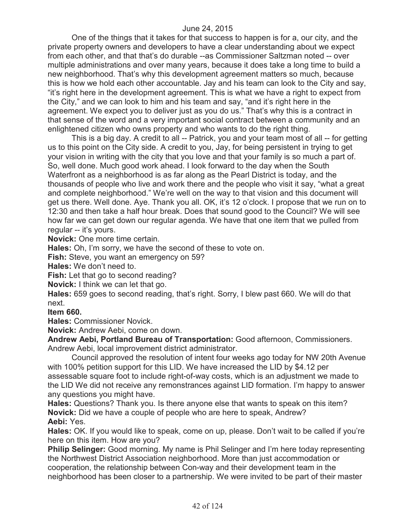One of the things that it takes for that success to happen is for a, our city, and the private property owners and developers to have a clear understanding about we expect from each other, and that that's do durable --as Commissioner Saltzman noted -- over multiple administrations and over many years, because it does take a long time to build a new neighborhood. That's why this development agreement matters so much, because this is how we hold each other accountable. Jay and his team can look to the City and say, "it's right here in the development agreement. This is what we have a right to expect from the City," and we can look to him and his team and say, "and it's right here in the agreement. We expect you to deliver just as you do us." That's why this is a contract in that sense of the word and a very important social contract between a community and an enlightened citizen who owns property and who wants to do the right thing.

This is a big day. A credit to all -- Patrick, you and your team most of all -- for getting us to this point on the City side. A credit to you, Jay, for being persistent in trying to get your vision in writing with the city that you love and that your family is so much a part of. So, well done. Much good work ahead. I look forward to the day when the South Waterfront as a neighborhood is as far along as the Pearl District is today, and the thousands of people who live and work there and the people who visit it say, "what a great and complete neighborhood." We're well on the way to that vision and this document will get us there. Well done. Aye. Thank you all. OK, it's 12 o'clock. I propose that we run on to 12:30 and then take a half hour break. Does that sound good to the Council? We will see how far we can get down our regular agenda. We have that one item that we pulled from regular -- it's yours.

**Novick:** One more time certain.

**Hales:** Oh, I'm sorry, we have the second of these to vote on.

**Fish:** Steve, you want an emergency on 59?

**Hales:** We don't need to.

**Fish:** Let that go to second reading?

**Novick:** I think we can let that go.

**Hales:** 659 goes to second reading, that's right. Sorry, I blew past 660. We will do that next.

**Item 660.**

**Hales:** Commissioner Novick.

**Novick:** Andrew Aebi, come on down.

**Andrew Aebi, Portland Bureau of Transportation:** Good afternoon, Commissioners. Andrew Aebi, local improvement district administrator.

Council approved the resolution of intent four weeks ago today for NW 20th Avenue with 100% petition support for this LID. We have increased the LID by \$4.12 per assessable square foot to include right-of-way costs, which is an adjustment we made to the LID We did not receive any remonstrances against LID formation. I'm happy to answer any questions you might have.

**Hales:** Questions? Thank you. Is there anyone else that wants to speak on this item? **Novick:** Did we have a couple of people who are here to speak, Andrew? **Aebi:** Yes.

**Hales:** OK. If you would like to speak, come on up, please. Don't wait to be called if you're here on this item. How are you?

**Philip Selinger:** Good morning. My name is Phil Selinger and I'm here today representing the Northwest District Association neighborhood. More than just accommodation or cooperation, the relationship between Con-way and their development team in the neighborhood has been closer to a partnership. We were invited to be part of their master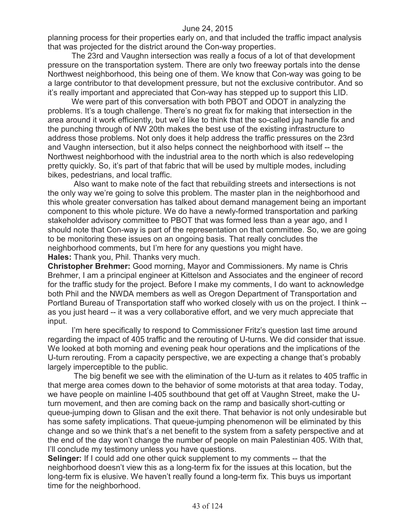planning process for their properties early on, and that included the traffic impact analysis that was projected for the district around the Con-way properties.

The 23rd and Vaughn intersection was really a focus of a lot of that development pressure on the transportation system. There are only two freeway portals into the dense Northwest neighborhood, this being one of them. We know that Con-way was going to be a large contributor to that development pressure, but not the exclusive contributor. And so it's really important and appreciated that Con-way has stepped up to support this LID.

We were part of this conversation with both PBOT and ODOT in analyzing the problems. It's a tough challenge. There's no great fix for making that intersection in the area around it work efficiently, but we'd like to think that the so-called jug handle fix and the punching through of NW 20th makes the best use of the existing infrastructure to address those problems. Not only does it help address the traffic pressures on the 23rd and Vaughn intersection, but it also helps connect the neighborhood with itself -- the Northwest neighborhood with the industrial area to the north which is also redeveloping pretty quickly. So, it's part of that fabric that will be used by multiple modes, including bikes, pedestrians, and local traffic.

Also want to make note of the fact that rebuilding streets and intersections is not the only way we're going to solve this problem. The master plan in the neighborhood and this whole greater conversation has talked about demand management being an important component to this whole picture. We do have a newly-formed transportation and parking stakeholder advisory committee to PBOT that was formed less than a year ago, and I should note that Con-way is part of the representation on that committee. So, we are going to be monitoring these issues on an ongoing basis. That really concludes the neighborhood comments, but I'm here for any questions you might have. **Hales:** Thank you, Phil. Thanks very much.

**Christopher Brehmer:** Good morning, Mayor and Commissioners. My name is Chris Brehmer, I am a principal engineer at Kittelson and Associates and the engineer of record for the traffic study for the project. Before I make my comments, I do want to acknowledge both Phil and the NWDA members as well as Oregon Department of Transportation and Portland Bureau of Transportation staff who worked closely with us on the project. I think - as you just heard -- it was a very collaborative effort, and we very much appreciate that input.

I'm here specifically to respond to Commissioner Fritz's question last time around regarding the impact of 405 traffic and the rerouting of U-turns. We did consider that issue. We looked at both morning and evening peak hour operations and the implications of the U-turn rerouting. From a capacity perspective, we are expecting a change that's probably largely imperceptible to the public.

The big benefit we see with the elimination of the U-turn as it relates to 405 traffic in that merge area comes down to the behavior of some motorists at that area today. Today, we have people on mainline I-405 southbound that get off at Vaughn Street, make the Uturn movement, and then are coming back on the ramp and basically short-cutting or queue-jumping down to Glisan and the exit there. That behavior is not only undesirable but has some safety implications. That queue-jumping phenomenon will be eliminated by this change and so we think that's a net benefit to the system from a safety perspective and at the end of the day won't change the number of people on main Palestinian 405. With that, I'll conclude my testimony unless you have questions.

**Selinger:** If I could add one other quick supplement to my comments -- that the neighborhood doesn't view this as a long-term fix for the issues at this location, but the long-term fix is elusive. We haven't really found a long-term fix. This buys us important time for the neighborhood.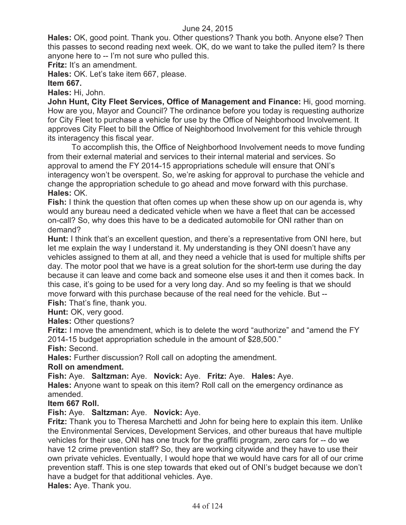**Hales:** OK, good point. Thank you. Other questions? Thank you both. Anyone else? Then this passes to second reading next week. OK, do we want to take the pulled item? Is there anyone here to -- I'm not sure who pulled this.

**Fritz:** It's an amendment.

**Hales:** OK. Let's take item 667, please.

**Item 667.**

**Hales:** Hi, John.

**John Hunt, City Fleet Services, Office of Management and Finance:** Hi, good morning. How are you, Mayor and Council? The ordinance before you today is requesting authorize for City Fleet to purchase a vehicle for use by the Office of Neighborhood Involvement. It approves City Fleet to bill the Office of Neighborhood Involvement for this vehicle through its interagency this fiscal year.

To accomplish this, the Office of Neighborhood Involvement needs to move funding from their external material and services to their internal material and services. So approval to amend the FY 2014-15 appropriations schedule will ensure that ONI's interagency won't be overspent. So, we're asking for approval to purchase the vehicle and change the appropriation schedule to go ahead and move forward with this purchase. **Hales:** OK.

**Fish:** I think the question that often comes up when these show up on our agenda is, why would any bureau need a dedicated vehicle when we have a fleet that can be accessed on-call? So, why does this have to be a dedicated automobile for ONI rather than on demand?

**Hunt:** I think that's an excellent question, and there's a representative from ONI here, but let me explain the way I understand it. My understanding is they ONI doesn't have any vehicles assigned to them at all, and they need a vehicle that is used for multiple shifts per day. The motor pool that we have is a great solution for the short-term use during the day because it can leave and come back and someone else uses it and then it comes back. In this case, it's going to be used for a very long day. And so my feeling is that we should move forward with this purchase because of the real need for the vehicle. But --

**Fish:** That's fine, thank you.

**Hunt: OK, very good.** 

**Hales:** Other questions?

**Fritz:** I move the amendment, which is to delete the word "authorize" and "amend the FY 2014-15 budget appropriation schedule in the amount of \$28,500."

**Fish:** Second.

**Hales:** Further discussion? Roll call on adopting the amendment.

#### **Roll on amendment.**

**Fish:** Aye. **Saltzman:** Aye. **Novick:** Aye. **Fritz:** Aye. **Hales:** Aye.

**Hales:** Anyone want to speak on this item? Roll call on the emergency ordinance as amended.

#### **Item 667 Roll.**

# **Fish:** Aye. **Saltzman:** Aye. **Novick:** Aye.

**Fritz:** Thank you to Theresa Marchetti and John for being here to explain this item. Unlike the Environmental Services, Development Services, and other bureaus that have multiple vehicles for their use, ONI has one truck for the graffiti program, zero cars for -- do we have 12 crime prevention staff? So, they are working citywide and they have to use their own private vehicles. Eventually, I would hope that we would have cars for all of our crime prevention staff. This is one step towards that eked out of ONI's budget because we don't have a budget for that additional vehicles. Aye.

**Hales:** Aye. Thank you.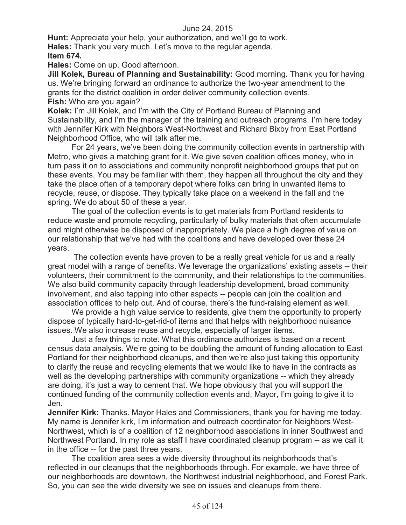**Hunt:** Appreciate your help, your authorization, and we'll go to work. **Hales:** Thank you very much. Let's move to the regular agenda. **Item 674.**

**Hales:** Come on up. Good afternoon.

**Jill Kolek, Bureau of Planning and Sustainability:** Good morning. Thank you for having us. We're bringing forward an ordinance to authorize the two-year amendment to the grants for the district coalition in order deliver community collection events. **Fish:** Who are you again?

**Kolek:** I'm Jill Kolek, and I'm with the City of Portland Bureau of Planning and Sustainability, and I'm the manager of the training and outreach programs. I'm here today with Jennifer Kirk with Neighbors West-Northwest and Richard Bixby from East Portland Neighborhood Office, who will talk after me.

For 24 years, we've been doing the community collection events in partnership with Metro, who gives a matching grant for it. We give seven coalition offices money, who in turn pass it on to associations and community nonprofit neighborhood groups that put on these events. You may be familiar with them, they happen all throughout the city and they take the place often of a temporary depot where folks can bring in unwanted items to recycle, reuse, or dispose. They typically take place on a weekend in the fall and the spring. We do about 50 of these a year.

The goal of the collection events is to get materials from Portland residents to reduce waste and promote recycling, particularly of bulky materials that often accumulate and might otherwise be disposed of inappropriately. We place a high degree of value on our relationship that we've had with the coalitions and have developed over these 24 years.

The collection events have proven to be a really great vehicle for us and a really great model with a range of benefits. We leverage the organizations' existing assets -- their volunteers, their commitment to the community, and their relationships to the communities. We also build community capacity through leadership development, broad community involvement, and also tapping into other aspects -- people can join the coalition and association offices to help out. And of course, there's the fund-raising element as well.

We provide a high value service to residents, give them the opportunity to properly dispose of typically hard-to-get-rid-of items and that helps with neighborhood nuisance issues. We also increase reuse and recycle, especially of larger items.

Just a few things to note. What this ordinance authorizes is based on a recent census data analysis. We're going to be doubling the amount of funding allocation to East Portland for their neighborhood cleanups, and then we're also just taking this opportunity to clarify the reuse and recycling elements that we would like to have in the contracts as well as the developing partnerships with community organizations -- which they already are doing, it's just a way to cement that. We hope obviously that you will support the continued funding of the community collection events and, Mayor, I'm going to give it to Jen.

**Jennifer Kirk:** Thanks. Mayor Hales and Commissioners, thank you for having me today. My name is Jennifer kirk, I'm information and outreach coordinator for Neighbors West-Northwest, which is of a coalition of 12 neighborhood associations in inner Southwest and Northwest Portland. In my role as staff I have coordinated cleanup program -- as we call it in the office -- for the past three years.

The coalition area sees a wide diversity throughout its neighborhoods that's reflected in our cleanups that the neighborhoods through. For example, we have three of our neighborhoods are downtown, the Northwest industrial neighborhood, and Forest Park. So, you can see the wide diversity we see on issues and cleanups from there.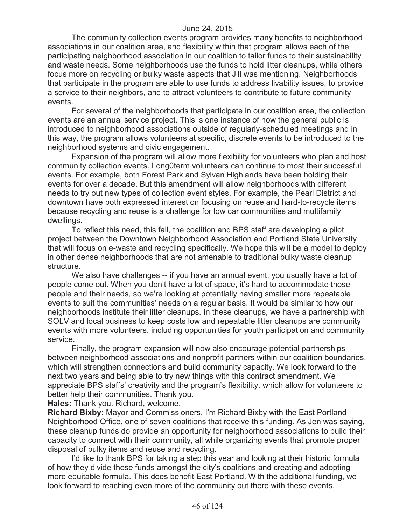The community collection events program provides many benefits to neighborhood associations in our coalition area, and flexibility within that program allows each of the participating neighborhood association in our coalition to tailor funds to their sustainability and waste needs. Some neighborhoods use the funds to hold litter cleanups, while others focus more on recycling or bulky waste aspects that Jill was mentioning. Neighborhoods that participate in the program are able to use funds to address livability issues, to provide a service to their neighbors, and to attract volunteers to contribute to future community events.

For several of the neighborhoods that participate in our coalition area, the collection events are an annual service project. This is one instance of how the general public is introduced to neighborhood associations outside of regularly-scheduled meetings and in this way, the program allows volunteers at specific, discrete events to be introduced to the neighborhood systems and civic engagement.

Expansion of the program will allow more flexibility for volunteers who plan and host community collection events. Long0term volunteers can continue to most their successful events. For example, both Forest Park and Sylvan Highlands have been holding their events for over a decade. But this amendment will allow neighborhoods with different needs to try out new types of collection event styles. For example, the Pearl District and downtown have both expressed interest on focusing on reuse and hard-to-recycle items because recycling and reuse is a challenge for low car communities and multifamily dwellings.

To reflect this need, this fall, the coalition and BPS staff are developing a pilot project between the Downtown Neighborhood Association and Portland State University that will focus on e-waste and recycling specifically. We hope this will be a model to deploy in other dense neighborhoods that are not amenable to traditional bulky waste cleanup structure.

We also have challenges -- if you have an annual event, you usually have a lot of people come out. When you don't have a lot of space, it's hard to accommodate those people and their needs, so we're looking at potentially having smaller more repeatable events to suit the communities' needs on a regular basis. It would be similar to how our neighborhoods institute their litter cleanups. In these cleanups, we have a partnership with SOLV and local business to keep costs low and repeatable litter cleanups are community events with more volunteers, including opportunities for youth participation and community service.

Finally, the program expansion will now also encourage potential partnerships between neighborhood associations and nonprofit partners within our coalition boundaries, which will strengthen connections and build community capacity. We look forward to the next two years and being able to try new things with this contract amendment. We appreciate BPS staffs' creativity and the program's flexibility, which allow for volunteers to better help their communities. Thank you.

**Hales:** Thank you. Richard, welcome.

**Richard Bixby:** Mayor and Commissioners, I'm Richard Bixby with the East Portland Neighborhood Office, one of seven coalitions that receive this funding. As Jen was saying, these cleanup funds do provide an opportunity for neighborhood associations to build their capacity to connect with their community, all while organizing events that promote proper disposal of bulky items and reuse and recycling.

I'd like to thank BPS for taking a step this year and looking at their historic formula of how they divide these funds amongst the city's coalitions and creating and adopting more equitable formula. This does benefit East Portland. With the additional funding, we look forward to reaching even more of the community out there with these events.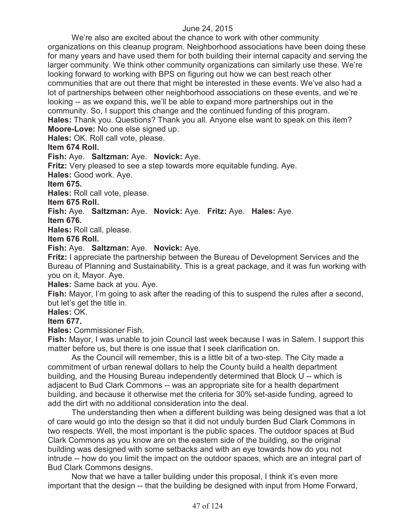We're also are excited about the chance to work with other community organizations on this cleanup program. Neighborhood associations have been doing these for many years and have used them for both building their internal capacity and serving the larger community. We think other community organizations can similarly use these. We're looking forward to working with BPS on figuring out how we can best reach other communities that are out there that might be interested in these events. We've also had a lot of partnerships between other neighborhood associations on these events, and we're looking -- as we expand this, we'll be able to expand more partnerships out in the community. So, I support this change and the continued funding of this program. **Hales:** Thank you. Questions? Thank you all. Anyone else want to speak on this item? **Moore-Love:** No one else signed up.

**Hales:** OK. Roll call vote, please.

# **Item 674 Roll.**

# **Fish:** Aye. **Saltzman:** Aye. **Novick:** Aye.

**Fritz:** Very pleased to see a step towards more equitable funding. Aye.

**Hales:** Good work. Aye.

**Item 675.**

**Hales:** Roll call vote, please.

**Item 675 Roll.**

**Fish:** Aye. **Saltzman:** Aye. **Novick:** Aye. **Fritz:** Aye. **Hales:** Aye.

**Item 676.**

**Hales:** Roll call, please.

**Item 676 Roll.**

# **Fish:** Aye. **Saltzman:** Aye. **Novick:** Aye.

**Fritz:** I appreciate the partnership between the Bureau of Development Services and the Bureau of Planning and Sustainability. This is a great package, and it was fun working with you on it, Mayor. Aye.

**Hales:** Same back at you. Aye.

**Fish:** Mayor, I'm going to ask after the reading of this to suspend the rules after a second, but let's get the title in.

**Hales:** OK.

# **Item 677.**

**Hales:** Commissioner Fish.

**Fish:** Mayor, I was unable to join Council last week because I was in Salem. I support this matter before us, but there is one issue that I seek clarification on.

As the Council will remember, this is a little bit of a two-step. The City made a commitment of urban renewal dollars to help the County build a health department building, and the Housing Bureau independently determined that Block U -- which is adjacent to Bud Clark Commons -- was an appropriate site for a health department building, and because it otherwise met the criteria for 30% set-aside funding, agreed to add the dirt with no additional consideration into the deal.

The understanding then when a different building was being designed was that a lot of care would go into the design so that it did not unduly burden Bud Clark Commons in two respects. Well, the most important is the public spaces. The outdoor spaces at Bud Clark Commons as you know are on the eastern side of the building, so the original building was designed with some setbacks and with an eye towards how do you not intrude -- how do you limit the impact on the outdoor spaces, which are an integral part of Bud Clark Commons designs.

Now that we have a taller building under this proposal, I think it's even more important that the design -- that the building be designed with input from Home Forward,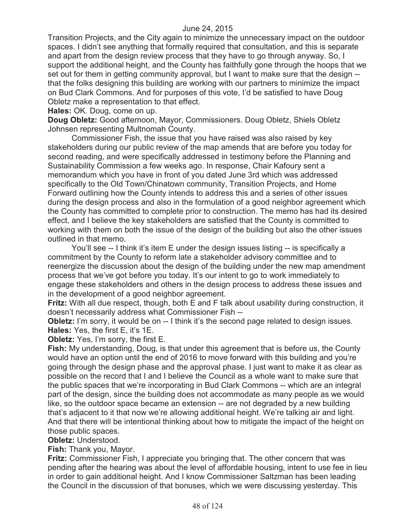Transition Projects, and the City again to minimize the unnecessary impact on the outdoor spaces. I didn't see anything that formally required that consultation, and this is separate and apart from the design review process that they have to go through anyway. So, I support the additional height, and the County has faithfully gone through the hoops that we set out for them in getting community approval, but I want to make sure that the design - that the folks designing this building are working with our partners to minimize the impact on Bud Clark Commons. And for purposes of this vote, I'd be satisfied to have Doug Obletz make a representation to that effect.

**Hales:** OK. Doug, come on up.

**Doug Obletz:** Good afternoon, Mayor, Commissioners. Doug Obletz, Shiels Obletz Johnsen representing Multnomah County.

Commissioner Fish, the issue that you have raised was also raised by key stakeholders during our public review of the map amends that are before you today for second reading, and were specifically addressed in testimony before the Planning and Sustainability Commission a few weeks ago. In response, Chair Kafoury sent a memorandum which you have in front of you dated June 3rd which was addressed specifically to the Old Town/Chinatown community, Transition Projects, and Home Forward outlining how the County intends to address this and a series of other issues during the design process and also in the formulation of a good neighbor agreement which the County has committed to complete prior to construction. The memo has had its desired effect, and I believe the key stakeholders are satisfied that the County is committed to working with them on both the issue of the design of the building but also the other issues outlined in that memo.

You'll see -- I think it's item E under the design issues listing -- is specifically a commitment by the County to reform late a stakeholder advisory committee and to reenergize the discussion about the design of the building under the new map amendment process that we've got before you today. It's our intent to go to work immediately to engage these stakeholders and others in the design process to address these issues and in the development of a good neighbor agreement.

**Fritz:** With all due respect, though, both E and F talk about usability during construction, it doesn't necessarily address what Commissioner Fish --

**Obletz:** I'm sorry, it would be on -- I think it's the second page related to design issues. **Hales:** Yes, the first E, it's 1E.

**Obletz:** Yes, I'm sorry, the first E.

**Fish:** My understanding, Doug, is that under this agreement that is before us, the County would have an option until the end of 2016 to move forward with this building and you're going through the design phase and the approval phase. I just want to make it as clear as possible on the record that I and I believe the Council as a whole want to make sure that the public spaces that we're incorporating in Bud Clark Commons -- which are an integral part of the design, since the building does not accommodate as many people as we would like, so the outdoor space became an extension -- are not degraded by a new building that's adjacent to it that now we're allowing additional height. We're talking air and light. And that there will be intentional thinking about how to mitigate the impact of the height on those public spaces.

**Obletz:** Understood.

**Fish:** Thank you, Mayor.

**Fritz:** Commissioner Fish, I appreciate you bringing that. The other concern that was pending after the hearing was about the level of affordable housing, intent to use fee in lieu in order to gain additional height. And I know Commissioner Saltzman has been leading the Council in the discussion of that bonuses, which we were discussing yesterday. This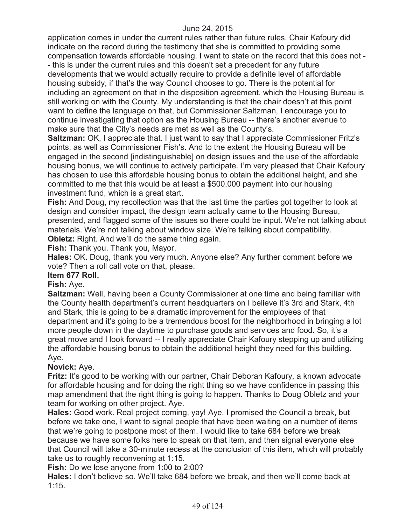application comes in under the current rules rather than future rules. Chair Kafoury did indicate on the record during the testimony that she is committed to providing some compensation towards affordable housing. I want to state on the record that this does not - - this is under the current rules and this doesn't set a precedent for any future developments that we would actually require to provide a definite level of affordable housing subsidy, if that's the way Council chooses to go. There is the potential for including an agreement on that in the disposition agreement, which the Housing Bureau is still working on with the County. My understanding is that the chair doesn't at this point want to define the language on that, but Commissioner Saltzman, I encourage you to continue investigating that option as the Housing Bureau -- there's another avenue to make sure that the City's needs are met as well as the County's.

**Saltzman:** OK, I appreciate that. I just want to say that I appreciate Commissioner Fritz's points, as well as Commissioner Fish's. And to the extent the Housing Bureau will be engaged in the second [indistinguishable] on design issues and the use of the affordable housing bonus, we will continue to actively participate. I'm very pleased that Chair Kafoury has chosen to use this affordable housing bonus to obtain the additional height, and she committed to me that this would be at least a \$500,000 payment into our housing investment fund, which is a great start.

**Fish:** And Doug, my recollection was that the last time the parties got together to look at design and consider impact, the design team actually came to the Housing Bureau, presented, and flagged some of the issues so there could be input. We're not talking about materials. We're not talking about window size. We're talking about compatibility. **Obletz:** Right. And we'll do the same thing again.

**Fish:** Thank you. Thank you, Mayor.

**Hales:** OK. Doug, thank you very much. Anyone else? Any further comment before we vote? Then a roll call vote on that, please.

# **Item 677 Roll.**

# **Fish:** Aye.

**Saltzman:** Well, having been a County Commissioner at one time and being familiar with the County health department's current headquarters on I believe it's 3rd and Stark, 4th and Stark, this is going to be a dramatic improvement for the employees of that department and it's going to be a tremendous boost for the neighborhood in bringing a lot more people down in the daytime to purchase goods and services and food. So, it's a great move and I look forward -- I really appreciate Chair Kafoury stepping up and utilizing the affordable housing bonus to obtain the additional height they need for this building. Aye.

# **Novick:** Aye.

**Fritz:** It's good to be working with our partner, Chair Deborah Kafoury, a known advocate for affordable housing and for doing the right thing so we have confidence in passing this map amendment that the right thing is going to happen. Thanks to Doug Obletz and your team for working on other project. Aye.

**Hales:** Good work. Real project coming, yay! Aye. I promised the Council a break, but before we take one, I want to signal people that have been waiting on a number of items that we're going to postpone most of them. I would like to take 684 before we break because we have some folks here to speak on that item, and then signal everyone else that Council will take a 30-minute recess at the conclusion of this item, which will probably take us to roughly reconvening at 1:15.

**Fish:** Do we lose anyone from 1:00 to 2:00?

**Hales:** I don't believe so. We'll take 684 before we break, and then we'll come back at 1:15.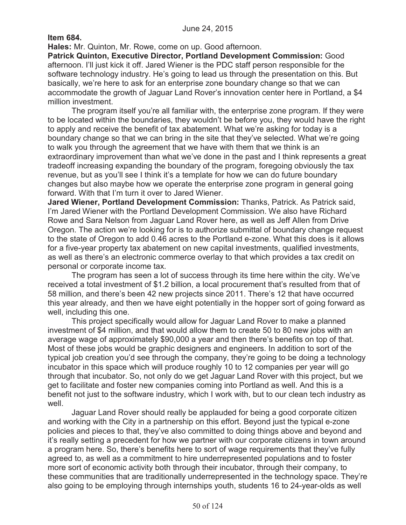**Item 684.**

**Hales:** Mr. Quinton, Mr. Rowe, come on up. Good afternoon.

**Patrick Quinton, Executive Director, Portland Development Commission:** Good afternoon. I'll just kick it off. Jared Wiener is the PDC staff person responsible for the software technology industry. He's going to lead us through the presentation on this. But basically, we're here to ask for an enterprise zone boundary change so that we can accommodate the growth of Jaguar Land Rover's innovation center here in Portland, a \$4 million investment.

The program itself you're all familiar with, the enterprise zone program. If they were to be located within the boundaries, they wouldn't be before you, they would have the right to apply and receive the benefit of tax abatement. What we're asking for today is a boundary change so that we can bring in the site that they've selected. What we're going to walk you through the agreement that we have with them that we think is an extraordinary improvement than what we've done in the past and I think represents a great tradeoff increasing expanding the boundary of the program, foregoing obviously the tax revenue, but as you'll see I think it's a template for how we can do future boundary changes but also maybe how we operate the enterprise zone program in general going forward. With that I'm turn it over to Jared Wiener.

**Jared Wiener, Portland Development Commission:** Thanks, Patrick. As Patrick said, I'm Jared Wiener with the Portland Development Commission. We also have Richard Rowe and Sara Nelson from Jaguar Land Rover here, as well as Jeff Allen from Drive Oregon. The action we're looking for is to authorize submittal of boundary change request to the state of Oregon to add 0.46 acres to the Portland e-zone. What this does is it allows for a five-year property tax abatement on new capital investments, qualified investments, as well as there's an electronic commerce overlay to that which provides a tax credit on personal or corporate income tax.

The program has seen a lot of success through its time here within the city. We've received a total investment of \$1.2 billion, a local procurement that's resulted from that of 58 million, and there's been 42 new projects since 2011. There's 12 that have occurred this year already, and then we have eight potentially in the hopper sort of going forward as well, including this one.

This project specifically would allow for Jaguar Land Rover to make a planned investment of \$4 million, and that would allow them to create 50 to 80 new jobs with an average wage of approximately \$90,000 a year and then there's benefits on top of that. Most of these jobs would be graphic designers and engineers. In addition to sort of the typical job creation you'd see through the company, they're going to be doing a technology incubator in this space which will produce roughly 10 to 12 companies per year will go through that incubator. So, not only do we get Jaguar Land Rover with this project, but we get to facilitate and foster new companies coming into Portland as well. And this is a benefit not just to the software industry, which I work with, but to our clean tech industry as well.

Jaguar Land Rover should really be applauded for being a good corporate citizen and working with the City in a partnership on this effort. Beyond just the typical e-zone policies and pieces to that, they've also committed to doing things above and beyond and it's really setting a precedent for how we partner with our corporate citizens in town around a program here. So, there's benefits here to sort of wage requirements that they've fully agreed to, as well as a commitment to hire underrepresented populations and to foster more sort of economic activity both through their incubator, through their company, to these communities that are traditionally underrepresented in the technology space. They're also going to be employing through internships youth, students 16 to 24-year-olds as well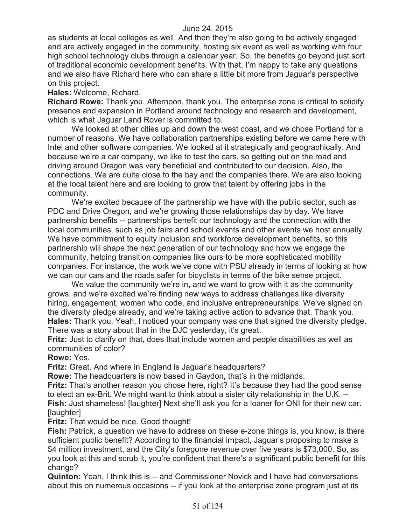as students at local colleges as well. And then they're also going to be actively engaged and are actively engaged in the community, hosting six event as well as working with four high school technology clubs through a calendar year. So, the benefits go beyond just sort of traditional economic development benefits. With that, I'm happy to take any questions and we also have Richard here who can share a little bit more from Jaguar's perspective on this project.

#### **Hales:** Welcome, Richard.

**Richard Rowe:** Thank you. Afternoon, thank you. The enterprise zone is critical to solidify presence and expansion in Portland around technology and research and development, which is what Jaguar Land Rover is committed to.

We looked at other cities up and down the west coast, and we chose Portland for a number of reasons. We have collaboration partnerships existing before we came here with Intel and other software companies. We looked at it strategically and geographically. And because we're a car company, we like to test the cars, so getting out on the road and driving around Oregon was very beneficial and contributed to our decision. Also, the connections. We are quite close to the bay and the companies there. We are also looking at the local talent here and are looking to grow that talent by offering jobs in the community.

We're excited because of the partnership we have with the public sector, such as PDC and Drive Oregon, and we're growing those relationships day by day. We have partnership benefits -- partnerships benefit our technology and the connection with the local communities, such as job fairs and school events and other events we host annually. We have commitment to equity inclusion and workforce development benefits, so this partnership will shape the next generation of our technology and how we engage the community, helping transition companies like ours to be more sophisticated mobility companies. For instance, the work we've done with PSU already in terms of looking at how we can our cars and the roads safer for bicyclists in terms of the bike sense project.

We value the community we're in, and we want to grow with it as the community grows, and we're excited we're finding new ways to address challenges like diversity hiring, engagement, women who code, and inclusive entrepreneurships. We've signed on the diversity pledge already, and we're taking active action to advance that. Thank you. **Hales:** Thank you. Yeah, I noticed your company was one that signed the diversity pledge. There was a story about that in the DJC yesterday, it's great.

**Fritz:** Just to clarify on that, does that include women and people disabilities as well as communities of color?

# **Rowe:** Yes.

**Fritz:** Great. And where in England is Jaguar's headquarters?

**Rowe:** The headquarters is now based in Gaydon, that's in the midlands.

**Fritz:** That's another reason you chose here, right? It's because they had the good sense to elect an ex-Brit. We might want to think about a sister city relationship in the U.K. -- **Fish:** Just shameless! [laughter] Next she'll ask you for a loaner for ONI for their new car. [laughter]

#### **Fritz:** That would be nice. Good thought!

**Fish:** Patrick, a question we have to address on these e-zone things is, you know, is there sufficient public benefit? According to the financial impact, Jaguar's proposing to make a \$4 million investment, and the City's foregone revenue over five years is \$73,000. So, as you look at this and scrub it, you're confident that there's a significant public benefit for this change?

**Quinton:** Yeah, I think this is -- and Commissioner Novick and I have had conversations about this on numerous occasions -- if you look at the enterprise zone program just at its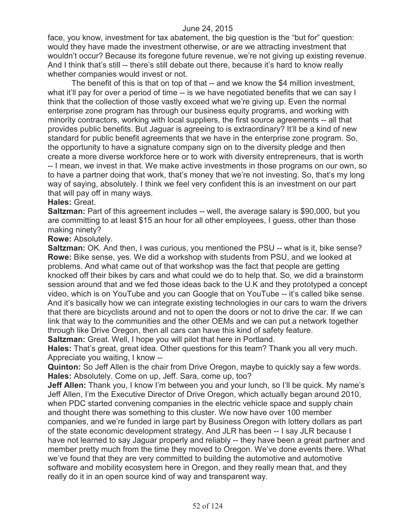face, you know, investment for tax abatement, the big question is the "but for" question: would they have made the investment otherwise, or are we attracting investment that wouldn't occur? Because its foregone future revenue, we're not giving up existing revenue. And I think that's still -- there's still debate out there, because it's hard to know really whether companies would invest or not.

The benefit of this is that on top of that -- and we know the \$4 million investment, what it'll pay for over a period of time -- is we have negotiated benefits that we can say I think that the collection of those vastly exceed what we're giving up. Even the normal enterprise zone program has through our business equity programs, and working with minority contractors, working with local suppliers, the first source agreements -- all that provides public benefits. But Jaguar is agreeing to is extraordinary? It'll be a kind of new standard for public benefit agreements that we have in the enterprise zone program. So, the opportunity to have a signature company sign on to the diversity pledge and then create a more diverse workforce here or to work with diversity entrepreneurs, that is worth -- I mean, we invest in that. We make active investments in those programs on our own, so to have a partner doing that work, that's money that we're not investing. So, that's my long way of saying, absolutely. I think we feel very confident this is an investment on our part that will pay off in many ways.

#### **Hales:** Great.

**Saltzman:** Part of this agreement includes -- well, the average salary is \$90,000, but you are committing to at least \$15 an hour for all other employees, I guess, other than those making ninety?

#### **Rowe:** Absolutely.

**Saltzman:** OK. And then, I was curious, you mentioned the PSU -- what is it, bike sense? **Rowe:** Bike sense, yes. We did a workshop with students from PSU, and we looked at problems. And what came out of that workshop was the fact that people are getting knocked off their bikes by cars and what could we do to help that. So, we did a brainstorm session around that and we fed those ideas back to the U.K and they prototyped a concept video, which is on YouTube and you can Google that on YouTube -- it's called bike sense. And it's basically how we can integrate existing technologies in our cars to warn the drivers that there are bicyclists around and not to open the doors or not to drive the car. If we can link that way to the communities and the other OEMs and we can put a network together through like Drive Oregon, then all cars can have this kind of safety feature.

**Saltzman:** Great. Well, I hope you will pilot that here in Portland.

**Hales:** That's great, great idea. Other questions for this team? Thank you all very much. Appreciate you waiting, I know --

**Quinton:** So Jeff Allen is the chair from Drive Oregon, maybe to quickly say a few words. **Hales:** Absolutely. Come on up, Jeff. Sara, come up, too?

**Jeff Allen:** Thank you, I know I'm between you and your lunch, so I'll be quick. My name's Jeff Allen, I'm the Executive Director of Drive Oregon, which actually began around 2010, when PDC started convening companies in the electric vehicle space and supply chain and thought there was something to this cluster. We now have over 100 member companies, and we're funded in large part by Business Oregon with lottery dollars as part of the state economic development strategy. And JLR has been -- I say JLR because I have not learned to say Jaguar properly and reliably -- they have been a great partner and member pretty much from the time they moved to Oregon. We've done events there. What we've found that they are very committed to building the automotive and automotive software and mobility ecosystem here in Oregon, and they really mean that, and they really do it in an open source kind of way and transparent way.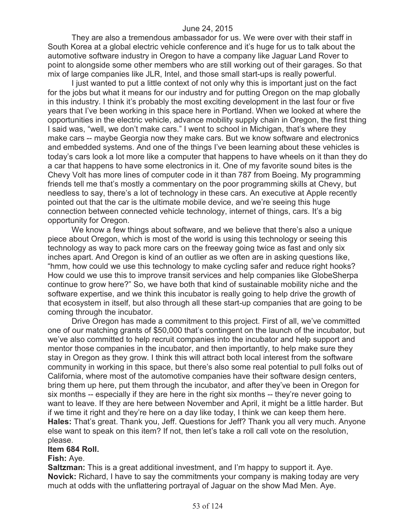They are also a tremendous ambassador for us. We were over with their staff in South Korea at a global electric vehicle conference and it's huge for us to talk about the automotive software industry in Oregon to have a company like Jaguar Land Rover to point to alongside some other members who are still working out of their garages. So that mix of large companies like JLR, Intel, and those small start-ups is really powerful.

I just wanted to put a little context of not only why this is important just on the fact for the jobs but what it means for our industry and for putting Oregon on the map globally in this industry. I think it's probably the most exciting development in the last four or five years that I've been working in this space here in Portland. When we looked at where the opportunities in the electric vehicle, advance mobility supply chain in Oregon, the first thing I said was, "well, we don't make cars." I went to school in Michigan, that's where they make cars -- maybe Georgia now they make cars. But we know software and electronics and embedded systems. And one of the things I've been learning about these vehicles is today's cars look a lot more like a computer that happens to have wheels on it than they do a car that happens to have some electronics in it. One of my favorite sound bites is the Chevy Volt has more lines of computer code in it than 787 from Boeing. My programming friends tell me that's mostly a commentary on the poor programming skills at Chevy, but needless to say, there's a lot of technology in these cars. An executive at Apple recently pointed out that the car is the ultimate mobile device, and we're seeing this huge connection between connected vehicle technology, internet of things, cars. It's a big opportunity for Oregon.

We know a few things about software, and we believe that there's also a unique piece about Oregon, which is most of the world is using this technology or seeing this technology as way to pack more cars on the freeway going twice as fast and only six inches apart. And Oregon is kind of an outlier as we often are in asking questions like, "hmm, how could we use this technology to make cycling safer and reduce right hooks? How could we use this to improve transit services and help companies like GlobeSherpa continue to grow here?" So, we have both that kind of sustainable mobility niche and the software expertise, and we think this incubator is really going to help drive the growth of that ecosystem in itself, but also through all these start-up companies that are going to be coming through the incubator.

Drive Oregon has made a commitment to this project. First of all, we've committed one of our matching grants of \$50,000 that's contingent on the launch of the incubator, but we've also committed to help recruit companies into the incubator and help support and mentor those companies in the incubator, and then importantly, to help make sure they stay in Oregon as they grow. I think this will attract both local interest from the software community in working in this space, but there's also some real potential to pull folks out of California, where most of the automotive companies have their software design centers, bring them up here, put them through the incubator, and after they've been in Oregon for six months -- especially if they are here in the right six months -- they're never going to want to leave. If they are here between November and April, it might be a little harder. But if we time it right and they're here on a day like today, I think we can keep them here. **Hales:** That's great. Thank you, Jeff. Questions for Jeff? Thank you all very much. Anyone else want to speak on this item? If not, then let's take a roll call vote on the resolution, please.

#### **Item 684 Roll.**

#### **Fish:** Aye.

**Saltzman:** This is a great additional investment, and I'm happy to support it. Aye. **Novick:** Richard, I have to say the commitments your company is making today are very much at odds with the unflattering portrayal of Jaguar on the show Mad Men. Aye.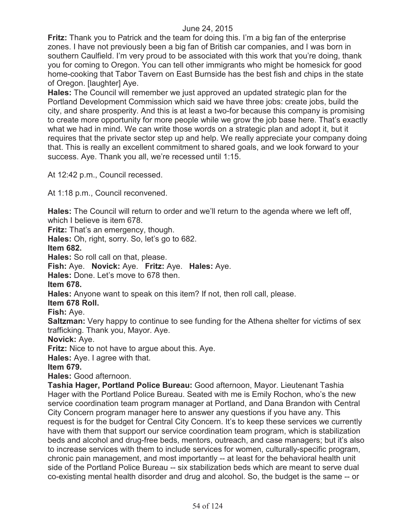**Fritz:** Thank you to Patrick and the team for doing this. I'm a big fan of the enterprise zones. I have not previously been a big fan of British car companies, and I was born in southern Caulfield. I'm very proud to be associated with this work that you're doing, thank you for coming to Oregon. You can tell other immigrants who might be homesick for good home-cooking that Tabor Tavern on East Burnside has the best fish and chips in the state of Oregon. [laughter] Aye.

**Hales:** The Council will remember we just approved an updated strategic plan for the Portland Development Commission which said we have three jobs: create jobs, build the city, and share prosperity. And this is at least a two-for because this company is promising to create more opportunity for more people while we grow the job base here. That's exactly what we had in mind. We can write those words on a strategic plan and adopt it, but it requires that the private sector step up and help. We really appreciate your company doing that. This is really an excellent commitment to shared goals, and we look forward to your success. Aye. Thank you all, we're recessed until 1:15.

At 12:42 p.m., Council recessed.

At 1:18 p.m., Council reconvened.

**Hales:** The Council will return to order and we'll return to the agenda where we left off, which I believe is item 678.

Fritz: That's an emergency, though.

**Hales:** Oh, right, sorry. So, let's go to 682.

**Item 682.**

**Hales:** So roll call on that, please.

**Fish:** Aye. **Novick:** Aye. **Fritz:** Aye. **Hales:** Aye.

**Hales:** Done. Let's move to 678 then.

**Item 678.**

**Hales:** Anyone want to speak on this item? If not, then roll call, please.

**Item 678 Roll.**

**Fish:** Aye.

**Saltzman:** Very happy to continue to see funding for the Athena shelter for victims of sex trafficking. Thank you, Mayor. Aye.

**Novick:** Aye.

**Fritz:** Nice to not have to argue about this. Aye.

**Hales:** Aye. I agree with that.

**Item 679.**

**Hales:** Good afternoon.

**Tashia Hager, Portland Police Bureau:** Good afternoon, Mayor. Lieutenant Tashia Hager with the Portland Police Bureau. Seated with me is Emily Rochon, who's the new service coordination team program manager at Portland, and Dana Brandon with Central City Concern program manager here to answer any questions if you have any. This request is for the budget for Central City Concern. It's to keep these services we currently have with them that support our service coordination team program, which is stabilization beds and alcohol and drug-free beds, mentors, outreach, and case managers; but it's also to increase services with them to include services for women, culturally-specific program, chronic pain management, and most importantly -- at least for the behavioral health unit side of the Portland Police Bureau -- six stabilization beds which are meant to serve dual co-existing mental health disorder and drug and alcohol. So, the budget is the same -- or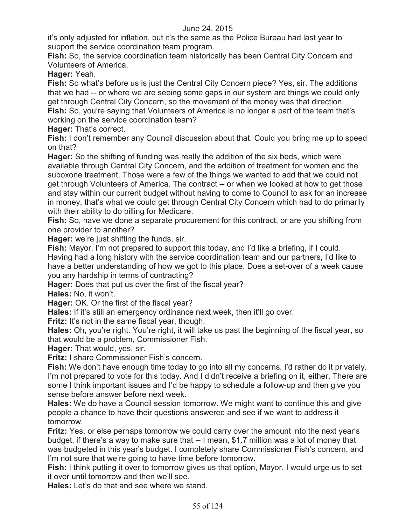it's only adjusted for inflation, but it's the same as the Police Bureau had last year to support the service coordination team program.

**Fish:** So, the service coordination team historically has been Central City Concern and Volunteers of America.

**Hager:** Yeah.

**Fish:** So what's before us is just the Central City Concern piece? Yes, sir. The additions that we had -- or where we are seeing some gaps in our system are things we could only get through Central City Concern, so the movement of the money was that direction. **Fish:** So, you're saying that Volunteers of America is no longer a part of the team that's working on the service coordination team?

**Hager:** That's correct.

**Fish:** I don't remember any Council discussion about that. Could you bring me up to speed on that?

**Hager:** So the shifting of funding was really the addition of the six beds, which were available through Central City Concern, and the addition of treatment for women and the suboxone treatment. Those were a few of the things we wanted to add that we could not get through Volunteers of America. The contract -- or when we looked at how to get those and stay within our current budget without having to come to Council to ask for an increase in money, that's what we could get through Central City Concern which had to do primarily with their ability to do billing for Medicare.

**Fish:** So, have we done a separate procurement for this contract, or are you shifting from one provider to another?

**Hager:** we're just shifting the funds, sir.

**Fish:** Mayor, I'm not prepared to support this today, and I'd like a briefing, if I could. Having had a long history with the service coordination team and our partners, I'd like to have a better understanding of how we got to this place. Does a set-over of a week cause you any hardship in terms of contracting?

**Hager:** Does that put us over the first of the fiscal year?

**Hales:** No, it won't.

**Hager:** OK. Or the first of the fiscal year?

**Hales:** If it's still an emergency ordinance next week, then it'll go over.

**Fritz:** It's not in the same fiscal year, though.

**Hales:** Oh, you're right. You're right, it will take us past the beginning of the fiscal year, so that would be a problem, Commissioner Fish.

**Hager:** That would, yes, sir.

**Fritz:** I share Commissioner Fish's concern.

**Fish:** We don't have enough time today to go into all my concerns. I'd rather do it privately. I'm not prepared to vote for this today. And I didn't receive a briefing on it, either. There are some I think important issues and I'd be happy to schedule a follow-up and then give you sense before answer before next week.

**Hales:** We do have a Council session tomorrow. We might want to continue this and give people a chance to have their questions answered and see if we want to address it tomorrow.

**Fritz:** Yes, or else perhaps tomorrow we could carry over the amount into the next year's budget, if there's a way to make sure that -- I mean, \$1.7 million was a lot of money that was budgeted in this year's budget. I completely share Commissioner Fish's concern, and I'm not sure that we're going to have time before tomorrow.

**Fish:** I think putting it over to tomorrow gives us that option, Mayor. I would urge us to set it over until tomorrow and then we'll see.

**Hales:** Let's do that and see where we stand.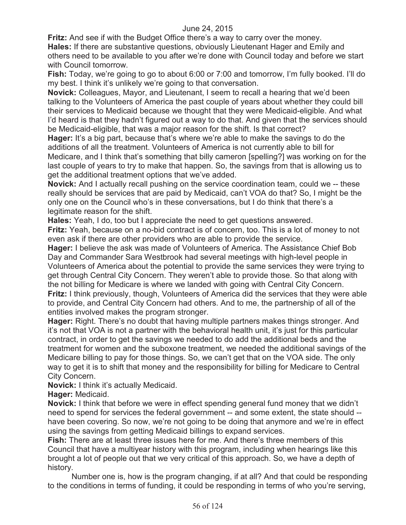**Fritz:** And see if with the Budget Office there's a way to carry over the money. **Hales:** If there are substantive questions, obviously Lieutenant Hager and Emily and others need to be available to you after we're done with Council today and before we start with Council tomorrow.

**Fish:** Today, we're going to go to about 6:00 or 7:00 and tomorrow, I'm fully booked. I'll do my best. I think it's unlikely we're going to that conversation.

**Novick:** Colleagues, Mayor, and Lieutenant, I seem to recall a hearing that we'd been talking to the Volunteers of America the past couple of years about whether they could bill their services to Medicaid because we thought that they were Medicaid-eligible. And what I'd heard is that they hadn't figured out a way to do that. And given that the services should be Medicaid-eligible, that was a major reason for the shift. Is that correct?

**Hager:** It's a big part, because that's where we're able to make the savings to do the additions of all the treatment. Volunteers of America is not currently able to bill for Medicare, and I think that's something that billy cameron [spelling?] was working on for the last couple of years to try to make that happen. So, the savings from that is allowing us to get the additional treatment options that we've added.

**Novick:** And I actually recall pushing on the service coordination team, could we -- these really should be services that are paid by Medicaid, can't VOA do that? So, I might be the only one on the Council who's in these conversations, but I do think that there's a legitimate reason for the shift.

**Hales:** Yeah, I do, too but I appreciate the need to get questions answered.

**Fritz:** Yeah, because on a no-bid contract is of concern, too. This is a lot of money to not even ask if there are other providers who are able to provide the service.

**Hager:** I believe the ask was made of Volunteers of America. The Assistance Chief Bob Day and Commander Sara Westbrook had several meetings with high-level people in Volunteers of America about the potential to provide the same services they were trying to get through Central City Concern. They weren't able to provide those. So that along with the not billing for Medicare is where we landed with going with Central City Concern. **Fritz:** I think previously, though, Volunteers of America did the services that they were able to provide, and Central City Concern had others. And to me, the partnership of all of the entities involved makes the program stronger.

**Hager:** Right. There's no doubt that having multiple partners makes things stronger. And it's not that VOA is not a partner with the behavioral health unit, it's just for this particular contract, in order to get the savings we needed to do add the additional beds and the treatment for women and the suboxone treatment, we needed the additional savings of the Medicare billing to pay for those things. So, we can't get that on the VOA side. The only way to get it is to shift that money and the responsibility for billing for Medicare to Central City Concern.

**Novick:** I think it's actually Medicaid.

**Hager:** Medicaid.

**Novick:** I think that before we were in effect spending general fund money that we didn't need to spend for services the federal government -- and some extent, the state should - have been covering. So now, we're not going to be doing that anymore and we're in effect using the savings from getting Medicaid billings to expand services.

**Fish:** There are at least three issues here for me. And there's three members of this Council that have a multiyear history with this program, including when hearings like this brought a lot of people out that we very critical of this approach. So, we have a depth of history.

Number one is, how is the program changing, if at all? And that could be responding to the conditions in terms of funding, it could be responding in terms of who you're serving,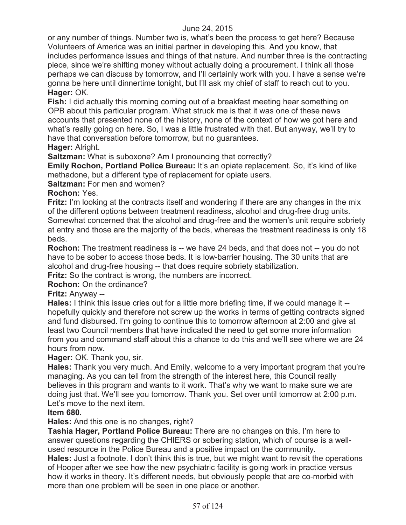or any number of things. Number two is, what's been the process to get here? Because Volunteers of America was an initial partner in developing this. And you know, that includes performance issues and things of that nature. And number three is the contracting piece, since we're shifting money without actually doing a procurement. I think all those perhaps we can discuss by tomorrow, and I'll certainly work with you. I have a sense we're gonna be here until dinnertime tonight, but I'll ask my chief of staff to reach out to you. **Hager:** OK.

**Fish:** I did actually this morning coming out of a breakfast meeting hear something on OPB about this particular program. What struck me is that it was one of these news accounts that presented none of the history, none of the context of how we got here and what's really going on here. So, I was a little frustrated with that. But anyway, we'll try to have that conversation before tomorrow, but no guarantees.

# **Hager:** Alright.

**Saltzman:** What is suboxone? Am I pronouncing that correctly?

**Emily Rochon, Portland Police Bureau:** It's an opiate replacement. So, it's kind of like methadone, but a different type of replacement for opiate users.

**Saltzman:** For men and women?

# **Rochon:** Yes.

**Fritz:** I'm looking at the contracts itself and wondering if there are any changes in the mix of the different options between treatment readiness, alcohol and drug-free drug units. Somewhat concerned that the alcohol and drug-free and the women's unit require sobriety at entry and those are the majority of the beds, whereas the treatment readiness is only 18 beds.

**Rochon:** The treatment readiness is -- we have 24 beds, and that does not -- you do not have to be sober to access those beds. It is low-barrier housing. The 30 units that are alcohol and drug-free housing -- that does require sobriety stabilization.

**Fritz:** So the contract is wrong, the numbers are incorrect.

# **Rochon:** On the ordinance?

# **Fritz:** Anyway --

**Hales:** I think this issue cries out for a little more briefing time, if we could manage it - hopefully quickly and therefore not screw up the works in terms of getting contracts signed and fund disbursed. I'm going to continue this to tomorrow afternoon at 2:00 and give at least two Council members that have indicated the need to get some more information from you and command staff about this a chance to do this and we'll see where we are 24 hours from now.

# **Hager:** OK. Thank you, sir.

**Hales:** Thank you very much. And Emily, welcome to a very important program that you're managing. As you can tell from the strength of the interest here, this Council really believes in this program and wants to it work. That's why we want to make sure we are doing just that. We'll see you tomorrow. Thank you. Set over until tomorrow at 2:00 p.m. Let's move to the next item.

# **Item 680.**

**Hales:** And this one is no changes, right?

**Tashia Hager, Portland Police Bureau:** There are no changes on this. I'm here to answer questions regarding the CHIERS or sobering station, which of course is a wellused resource in the Police Bureau and a positive impact on the community.

**Hales:** Just a footnote. I don't think this is true, but we might want to revisit the operations of Hooper after we see how the new psychiatric facility is going work in practice versus how it works in theory. It's different needs, but obviously people that are co-morbid with more than one problem will be seen in one place or another.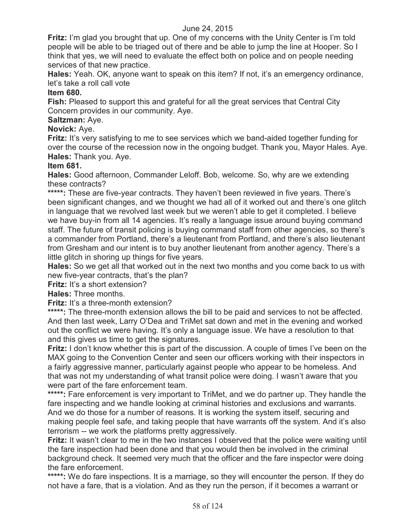**Fritz:** I'm glad you brought that up. One of my concerns with the Unity Center is I'm told people will be able to be triaged out of there and be able to jump the line at Hooper. So I think that yes, we will need to evaluate the effect both on police and on people needing services of that new practice.

**Hales:** Yeah. OK, anyone want to speak on this item? If not, it's an emergency ordinance, let's take a roll call vote

#### **Item 680.**

**Fish:** Pleased to support this and grateful for all the great services that Central City Concern provides in our community. Aye.

### **Saltzman:** Aye.

**Novick:** Aye.

**Fritz:** It's very satisfying to me to see services which we band-aided together funding for over the course of the recession now in the ongoing budget. Thank you, Mayor Hales. Aye. **Hales:** Thank you. Aye.

#### **Item 681.**

**Hales:** Good afternoon, Commander Leloff. Bob, welcome. So, why are we extending these contracts?

\*\*\*\*\*: These are five-year contracts. They haven't been reviewed in five years. There's been significant changes, and we thought we had all of it worked out and there's one glitch in language that we revolved last week but we weren't able to get it completed. I believe we have buy-in from all 14 agencies. It's really a language issue around buying command staff. The future of transit policing is buying command staff from other agencies, so there's a commander from Portland, there's a lieutenant from Portland, and there's also lieutenant from Gresham and our intent is to buy another lieutenant from another agency. There's a little glitch in shoring up things for five years.

**Hales:** So we get all that worked out in the next two months and you come back to us with new five-year contracts, that's the plan?

**Fritz:** It's a short extension?

**Hales:** Three months.

**Fritz:** It's a three-month extension?

**\*\*\*\*\*:** The three-month extension allows the bill to be paid and services to not be affected. And then last week, Larry O'Dea and TriMet sat down and met in the evening and worked out the conflict we were having. It's only a language issue. We have a resolution to that and this gives us time to get the signatures.

**Fritz:** I don't know whether this is part of the discussion. A couple of times I've been on the MAX going to the Convention Center and seen our officers working with their inspectors in a fairly aggressive manner, particularly against people who appear to be homeless. And that was not my understanding of what transit police were doing. I wasn't aware that you were part of the fare enforcement team.

**\*\*\*\*\*:** Fare enforcement is very important to TriMet, and we do partner up. They handle the fare inspecting and we handle looking at criminal histories and exclusions and warrants. And we do those for a number of reasons. It is working the system itself, securing and making people feel safe, and taking people that have warrants off the system. And it's also terrorism -- we work the platforms pretty aggressively.

**Fritz:** It wasn't clear to me in the two instances I observed that the police were waiting until the fare inspection had been done and that you would then be involved in the criminal background check. It seemed very much that the officer and the fare inspector were doing the fare enforcement.

**\*\*\*\*\*:** We do fare inspections. It is a marriage, so they will encounter the person. If they do not have a fare, that is a violation. And as they run the person, if it becomes a warrant or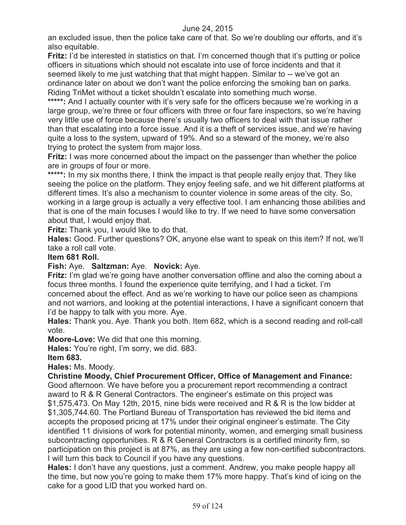an excluded issue, then the police take care of that. So we're doubling our efforts, and it's also equitable.

**Fritz:** I'd be interested in statistics on that. I'm concerned though that it's putting or police officers in situations which should not escalate into use of force incidents and that it seemed likely to me just watching that that might happen. Similar to -- we've got an ordinance later on about we don't want the police enforcing the smoking ban on parks. Riding TriMet without a ticket shouldn't escalate into something much worse.

\*\*\*\*\*: And I actually counter with it's very safe for the officers because we're working in a large group, we're three or four officers with three or four fare inspectors, so we're having very little use of force because there's usually two officers to deal with that issue rather than that escalating into a force issue. And it is a theft of services issue, and we're having quite a loss to the system, upward of 19%. And so a steward of the money, we're also trying to protect the system from major loss.

**Fritz:** I was more concerned about the impact on the passenger than whether the police are in groups of four or more.

\*\*\*\*\*: In my six months there, I think the impact is that people really enjoy that. They like seeing the police on the platform. They enjoy feeling safe, and we hit different platforms at different times. It's also a mechanism to counter violence in some areas of the city. So, working in a large group is actually a very effective tool. I am enhancing those abilities and that is one of the main focuses I would like to try. If we need to have some conversation about that, I would enjoy that.

**Fritz:** Thank you, I would like to do that.

**Hales:** Good. Further questions? OK, anyone else want to speak on this item? If not, we'll take a roll call vote.

# **Item 681 Roll.**

### **Fish:** Aye. **Saltzman:** Aye. **Novick:** Aye.

**Fritz:** I'm glad we're going have another conversation offline and also the coming about a focus three months. I found the experience quite terrifying, and I had a ticket. I'm concerned about the effect. And as we're working to have our police seen as champions and not warriors, and looking at the potential interactions, I have a significant concern that I'd be happy to talk with you more. Aye.

**Hales:** Thank you. Aye. Thank you both. Item 682, which is a second reading and roll-call vote.

**Moore-Love:** We did that one this morning.

**Hales:** You're right, I'm sorry, we did. 683.

**Item 683.**

**Hales:** Ms. Moody.

**Christine Moody, Chief Procurement Officer, Office of Management and Finance:** 

Good afternoon. We have before you a procurement report recommending a contract award to R & R General Contractors. The engineer's estimate on this project was \$1,575,473. On May 12th, 2015, nine bids were received and R & R is the low bidder at \$1,305,744.60. The Portland Bureau of Transportation has reviewed the bid items and accepts the proposed pricing at 17% under their original engineer's estimate. The City identified 11 divisions of work for potential minority, women, and emerging small business subcontracting opportunities. R & R General Contractors is a certified minority firm, so participation on this project is at 87%, as they are using a few non-certified subcontractors. I will turn this back to Council if you have any questions.

**Hales:** I don't have any questions, just a comment. Andrew, you make people happy all the time, but now you're going to make them 17% more happy. That's kind of icing on the cake for a good LID that you worked hard on.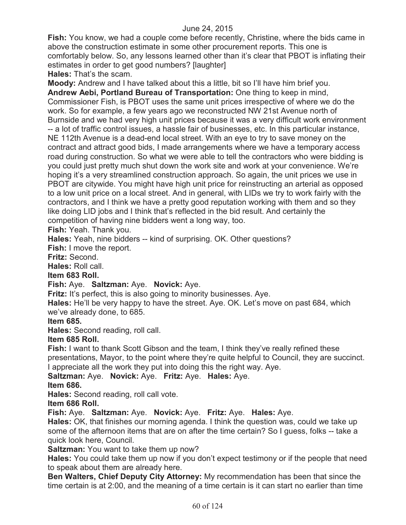**Fish:** You know, we had a couple come before recently, Christine, where the bids came in above the construction estimate in some other procurement reports. This one is comfortably below. So, any lessons learned other than it's clear that PBOT is inflating their estimates in order to get good numbers? [laughter]

**Hales:** That's the scam.

**Moody:** Andrew and I have talked about this a little, bit so I'll have him brief you. **Andrew Aebi, Portland Bureau of Transportation:** One thing to keep in mind, Commissioner Fish, is PBOT uses the same unit prices irrespective of where we do the work. So for example, a few years ago we reconstructed NW 21st Avenue north of Burnside and we had very high unit prices because it was a very difficult work environment -- a lot of traffic control issues, a hassle fair of businesses, etc. In this particular instance, NE 112th Avenue is a dead-end local street. With an eye to try to save money on the contract and attract good bids, I made arrangements where we have a temporary access road during construction. So what we were able to tell the contractors who were bidding is you could just pretty much shut down the work site and work at your convenience. We're hoping it's a very streamlined construction approach. So again, the unit prices we use in PBOT are citywide. You might have high unit price for reinstructing an arterial as opposed to a low unit price on a local street. And in general, with LIDs we try to work fairly with the contractors, and I think we have a pretty good reputation working with them and so they like doing LID jobs and I think that's reflected in the bid result. And certainly the competition of having nine bidders went a long way, too.

**Fish:** Yeah. Thank you.

**Hales:** Yeah, nine bidders -- kind of surprising. OK. Other questions?

**Fish:** I move the report.

**Fritz:** Second.

**Hales:** Roll call.

#### **Item 683 Roll.**

# **Fish:** Aye. **Saltzman:** Aye. **Novick:** Aye.

**Fritz:** It's perfect, this is also going to minority businesses. Aye.

**Hales:** He'll be very happy to have the street. Aye. OK. Let's move on past 684, which we've already done, to 685.

#### **Item 685.**

**Hales:** Second reading, roll call.

#### **Item 685 Roll.**

**Fish:** I want to thank Scott Gibson and the team, I think they've really refined these presentations, Mayor, to the point where they're quite helpful to Council, they are succinct. I appreciate all the work they put into doing this the right way. Aye.

**Saltzman:** Aye. **Novick:** Aye. **Fritz:** Aye. **Hales:** Aye. **Item 686.**

**Hales:** Second reading, roll call vote.

# **Item 686 Roll.**

**Fish:** Aye. **Saltzman:** Aye. **Novick:** Aye. **Fritz:** Aye. **Hales:** Aye.

**Hales:** OK, that finishes our morning agenda. I think the question was, could we take up some of the afternoon items that are on after the time certain? So I guess, folks -- take a quick look here, Council.

**Saltzman:** You want to take them up now?

**Hales:** You could take them up now if you don't expect testimony or if the people that need to speak about them are already here.

**Ben Walters, Chief Deputy City Attorney:** My recommendation has been that since the time certain is at 2:00, and the meaning of a time certain is it can start no earlier than time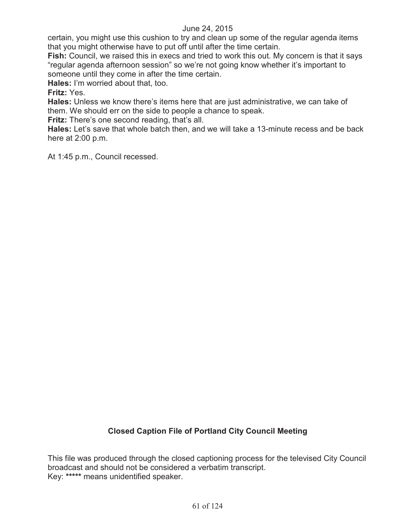certain, you might use this cushion to try and clean up some of the regular agenda items that you might otherwise have to put off until after the time certain.

**Fish:** Council, we raised this in execs and tried to work this out. My concern is that it says "regular agenda afternoon session" so we're not going know whether it's important to someone until they come in after the time certain.

**Hales:** I'm worried about that, too.

**Fritz:** Yes.

**Hales:** Unless we know there's items here that are just administrative, we can take of them. We should err on the side to people a chance to speak.

**Fritz:** There's one second reading, that's all.

**Hales:** Let's save that whole batch then, and we will take a 13-minute recess and be back here at 2:00 p.m.

At 1:45 p.m., Council recessed.

# **Closed Caption File of Portland City Council Meeting**

This file was produced through the closed captioning process for the televised City Council broadcast and should not be considered a verbatim transcript. Key: **\*\*\*\*\*** means unidentified speaker.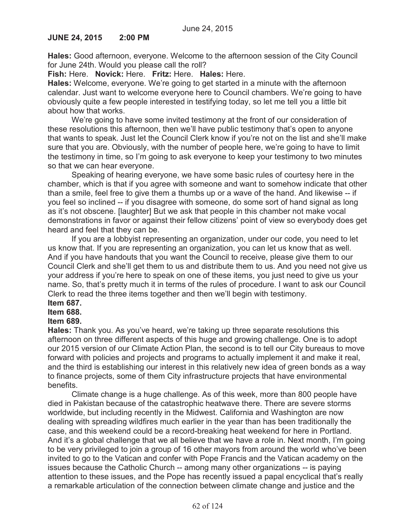### **JUNE 24, 2015 2:00 PM**

**Hales:** Good afternoon, everyone. Welcome to the afternoon session of the City Council for June 24th. Would you please call the roll?

**Fish:** Here. **Novick:** Here. **Fritz:** Here. **Hales:** Here.

**Hales:** Welcome, everyone. We're going to get started in a minute with the afternoon calendar. Just want to welcome everyone here to Council chambers. We're going to have obviously quite a few people interested in testifying today, so let me tell you a little bit about how that works.

We're going to have some invited testimony at the front of our consideration of these resolutions this afternoon, then we'll have public testimony that's open to anyone that wants to speak. Just let the Council Clerk know if you're not on the list and she'll make sure that you are. Obviously, with the number of people here, we're going to have to limit the testimony in time, so I'm going to ask everyone to keep your testimony to two minutes so that we can hear everyone.

Speaking of hearing everyone, we have some basic rules of courtesy here in the chamber, which is that if you agree with someone and want to somehow indicate that other than a smile, feel free to give them a thumbs up or a wave of the hand. And likewise -- if you feel so inclined -- if you disagree with someone, do some sort of hand signal as long as it's not obscene. [laughter] But we ask that people in this chamber not make vocal demonstrations in favor or against their fellow citizens' point of view so everybody does get heard and feel that they can be.

If you are a lobbyist representing an organization, under our code, you need to let us know that. If you are representing an organization, you can let us know that as well. And if you have handouts that you want the Council to receive, please give them to our Council Clerk and she'll get them to us and distribute them to us. And you need not give us your address if you're here to speak on one of these items, you just need to give us your name. So, that's pretty much it in terms of the rules of procedure. I want to ask our Council Clerk to read the three items together and then we'll begin with testimony.

# **Item 687.**

#### **Item 688.**

# **Item 689.**

**Hales:** Thank you. As you've heard, we're taking up three separate resolutions this afternoon on three different aspects of this huge and growing challenge. One is to adopt our 2015 version of our Climate Action Plan, the second is to tell our City bureaus to move forward with policies and projects and programs to actually implement it and make it real, and the third is establishing our interest in this relatively new idea of green bonds as a way to finance projects, some of them City infrastructure projects that have environmental benefits.

Climate change is a huge challenge. As of this week, more than 800 people have died in Pakistan because of the catastrophic heatwave there. There are severe storms worldwide, but including recently in the Midwest. California and Washington are now dealing with spreading wildfires much earlier in the year than has been traditionally the case, and this weekend could be a record-breaking heat weekend for here in Portland. And it's a global challenge that we all believe that we have a role in. Next month, I'm going to be very privileged to join a group of 16 other mayors from around the world who've been invited to go to the Vatican and confer with Pope Francis and the Vatican academy on the issues because the Catholic Church -- among many other organizations -- is paying attention to these issues, and the Pope has recently issued a papal encyclical that's really a remarkable articulation of the connection between climate change and justice and the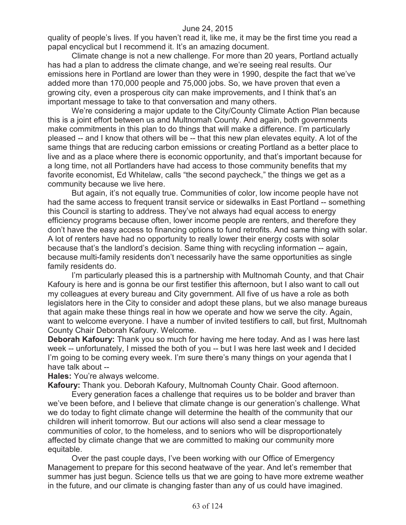quality of people's lives. If you haven't read it, like me, it may be the first time you read a papal encyclical but I recommend it. It's an amazing document.

Climate change is not a new challenge. For more than 20 years, Portland actually has had a plan to address the climate change, and we're seeing real results. Our emissions here in Portland are lower than they were in 1990, despite the fact that we've added more than 170,000 people and 75,000 jobs. So, we have proven that even a growing city, even a prosperous city can make improvements, and I think that's an important message to take to that conversation and many others.

We're considering a major update to the City/County Climate Action Plan because this is a joint effort between us and Multnomah County. And again, both governments make commitments in this plan to do things that will make a difference. I'm particularly pleased -- and I know that others will be -- that this new plan elevates equity. A lot of the same things that are reducing carbon emissions or creating Portland as a better place to live and as a place where there is economic opportunity, and that's important because for a long time, not all Portlanders have had access to those community benefits that my favorite economist, Ed Whitelaw, calls "the second paycheck," the things we get as a community because we live here.

But again, it's not equally true. Communities of color, low income people have not had the same access to frequent transit service or sidewalks in East Portland -- something this Council is starting to address. They've not always had equal access to energy efficiency programs because often, lower income people are renters, and therefore they don't have the easy access to financing options to fund retrofits. And same thing with solar. A lot of renters have had no opportunity to really lower their energy costs with solar because that's the landlord's decision. Same thing with recycling information -- again, because multi-family residents don't necessarily have the same opportunities as single family residents do.

I'm particularly pleased this is a partnership with Multnomah County, and that Chair Kafoury is here and is gonna be our first testifier this afternoon, but I also want to call out my colleagues at every bureau and City government. All five of us have a role as both legislators here in the City to consider and adopt these plans, but we also manage bureaus that again make these things real in how we operate and how we serve the city. Again, want to welcome everyone. I have a number of invited testifiers to call, but first, Multnomah County Chair Deborah Kafoury. Welcome.

**Deborah Kafoury:** Thank you so much for having me here today. And as I was here last week -- unfortunately, I missed the both of you -- but I was here last week and I decided I'm going to be coming every week. I'm sure there's many things on your agenda that I have talk about --

**Hales:** You're always welcome.

**Kafoury:** Thank you. Deborah Kafoury, Multnomah County Chair. Good afternoon.

Every generation faces a challenge that requires us to be bolder and braver than we've been before, and I believe that climate change is our generation's challenge. What we do today to fight climate change will determine the health of the community that our children will inherit tomorrow. But our actions will also send a clear message to communities of color, to the homeless, and to seniors who will be disproportionately affected by climate change that we are committed to making our community more equitable.

Over the past couple days, I've been working with our Office of Emergency Management to prepare for this second heatwave of the year. And let's remember that summer has just begun. Science tells us that we are going to have more extreme weather in the future, and our climate is changing faster than any of us could have imagined.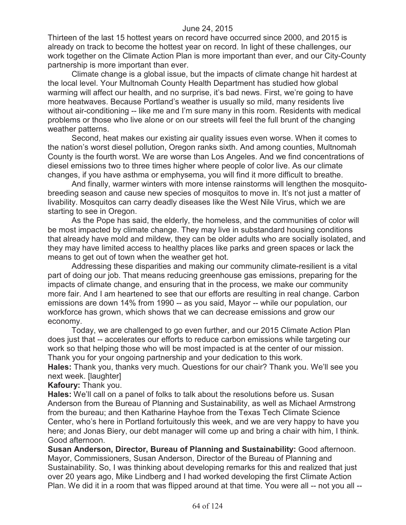Thirteen of the last 15 hottest years on record have occurred since 2000, and 2015 is already on track to become the hottest year on record. In light of these challenges, our work together on the Climate Action Plan is more important than ever, and our City-County partnership is more important than ever.

Climate change is a global issue, but the impacts of climate change hit hardest at the local level. Your Multnomah County Health Department has studied how global warming will affect our health, and no surprise, it's bad news. First, we're going to have more heatwaves. Because Portland's weather is usually so mild, many residents live without air-conditioning -- like me and I'm sure many in this room. Residents with medical problems or those who live alone or on our streets will feel the full brunt of the changing weather patterns.

Second, heat makes our existing air quality issues even worse. When it comes to the nation's worst diesel pollution, Oregon ranks sixth. And among counties, Multnomah County is the fourth worst. We are worse than Los Angeles. And we find concentrations of diesel emissions two to three times higher where people of color live. As our climate changes, if you have asthma or emphysema, you will find it more difficult to breathe.

And finally, warmer winters with more intense rainstorms will lengthen the mosquitobreeding season and cause new species of mosquitos to move in. It's not just a matter of livability. Mosquitos can carry deadly diseases like the West Nile Virus, which we are starting to see in Oregon.

As the Pope has said, the elderly, the homeless, and the communities of color will be most impacted by climate change. They may live in substandard housing conditions that already have mold and mildew, they can be older adults who are socially isolated, and they may have limited access to healthy places like parks and green spaces or lack the means to get out of town when the weather get hot.

Addressing these disparities and making our community climate-resilient is a vital part of doing our job. That means reducing greenhouse gas emissions, preparing for the impacts of climate change, and ensuring that in the process, we make our community more fair. And I am heartened to see that our efforts are resulting in real change. Carbon emissions are down 14% from 1990 -- as you said, Mayor -- while our population, our workforce has grown, which shows that we can decrease emissions and grow our economy.

Today, we are challenged to go even further, and our 2015 Climate Action Plan does just that -- accelerates our efforts to reduce carbon emissions while targeting our work so that helping those who will be most impacted is at the center of our mission. Thank you for your ongoing partnership and your dedication to this work.

**Hales:** Thank you, thanks very much. Questions for our chair? Thank you. We'll see you next week. [laughter]

**Kafoury:** Thank you.

**Hales:** We'll call on a panel of folks to talk about the resolutions before us. Susan Anderson from the Bureau of Planning and Sustainability, as well as Michael Armstrong from the bureau; and then Katharine Hayhoe from the Texas Tech Climate Science Center, who's here in Portland fortuitously this week, and we are very happy to have you here; and Jonas Biery, our debt manager will come up and bring a chair with him, I think. Good afternoon.

**Susan Anderson, Director, Bureau of Planning and Sustainability:** Good afternoon. Mayor, Commissioners, Susan Anderson, Director of the Bureau of Planning and Sustainability. So, I was thinking about developing remarks for this and realized that just over 20 years ago, Mike Lindberg and I had worked developing the first Climate Action Plan. We did it in a room that was flipped around at that time. You were all -- not you all --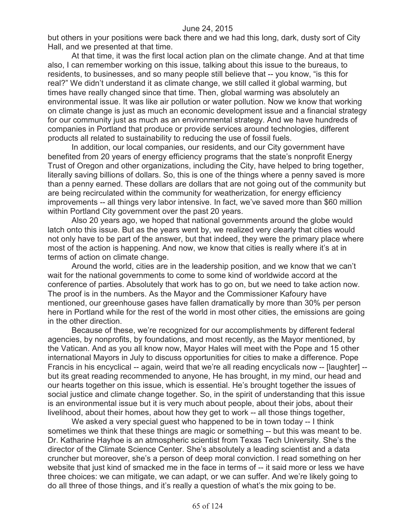but others in your positions were back there and we had this long, dark, dusty sort of City Hall, and we presented at that time.

At that time, it was the first local action plan on the climate change. And at that time also, I can remember working on this issue, talking about this issue to the bureaus, to residents, to businesses, and so many people still believe that -- you know, "is this for real?" We didn't understand it as climate change, we still called it global warming, but times have really changed since that time. Then, global warming was absolutely an environmental issue. It was like air pollution or water pollution. Now we know that working on climate change is just as much an economic development issue and a financial strategy for our community just as much as an environmental strategy. And we have hundreds of companies in Portland that produce or provide services around technologies, different products all related to sustainability to reducing the use of fossil fuels.

In addition, our local companies, our residents, and our City government have benefited from 20 years of energy efficiency programs that the state's nonprofit Energy Trust of Oregon and other organizations, including the City, have helped to bring together, literally saving billions of dollars. So, this is one of the things where a penny saved is more than a penny earned. These dollars are dollars that are not going out of the community but are being recirculated within the community for weatherization, for energy efficiency improvements -- all things very labor intensive. In fact, we've saved more than \$60 million within Portland City government over the past 20 years.

Also 20 years ago, we hoped that national governments around the globe would latch onto this issue. But as the years went by, we realized very clearly that cities would not only have to be part of the answer, but that indeed, they were the primary place where most of the action is happening. And now, we know that cities is really where it's at in terms of action on climate change.

Around the world, cities are in the leadership position, and we know that we can't wait for the national governments to come to some kind of worldwide accord at the conference of parties. Absolutely that work has to go on, but we need to take action now. The proof is in the numbers. As the Mayor and the Commissioner Kafoury have mentioned, our greenhouse gases have fallen dramatically by more than 30% per person here in Portland while for the rest of the world in most other cities, the emissions are going in the other direction.

Because of these, we're recognized for our accomplishments by different federal agencies, by nonprofits, by foundations, and most recently, as the Mayor mentioned, by the Vatican. And as you all know now, Mayor Hales will meet with the Pope and 15 other international Mayors in July to discuss opportunities for cities to make a difference. Pope Francis in his encyclical -- again, weird that we're all reading encyclicals now -- [laughter] - but its great reading recommended to anyone, He has brought, in my mind, our head and our hearts together on this issue, which is essential. He's brought together the issues of social justice and climate change together. So, in the spirit of understanding that this issue is an environmental issue but it is very much about people, about their jobs, about their livelihood, about their homes, about how they get to work -- all those things together,

We asked a very special quest who happened to be in town today -- I think sometimes we think that these things are magic or something -- but this was meant to be. Dr. Katharine Hayhoe is an atmospheric scientist from Texas Tech University. She's the director of the Climate Science Center. She's absolutely a leading scientist and a data cruncher but moreover, she's a person of deep moral conviction. I read something on her website that just kind of smacked me in the face in terms of -- it said more or less we have three choices: we can mitigate, we can adapt, or we can suffer. And we're likely going to do all three of those things, and it's really a question of what's the mix going to be.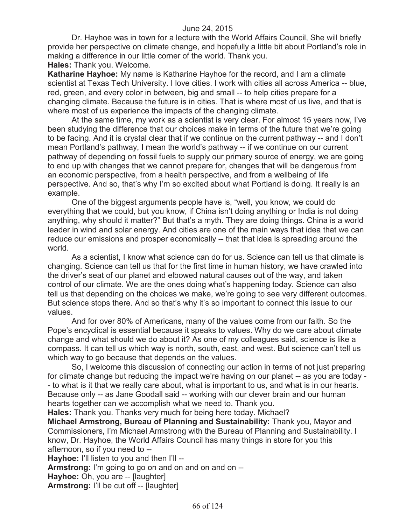Dr. Hayhoe was in town for a lecture with the World Affairs Council, She will briefly provide her perspective on climate change, and hopefully a little bit about Portland's role in making a difference in our little corner of the world. Thank you.

**Hales:** Thank you. Welcome.

**Katharine Hayhoe:** My name is Katharine Hayhoe for the record, and I am a climate scientist at Texas Tech University. I love cities. I work with cities all across America -- blue, red, green, and every color in between, big and small -- to help cities prepare for a changing climate. Because the future is in cities. That is where most of us live, and that is where most of us experience the impacts of the changing climate.

At the same time, my work as a scientist is very clear. For almost 15 years now, I've been studying the difference that our choices make in terms of the future that we're going to be facing. And it is crystal clear that if we continue on the current pathway -- and I don't mean Portland's pathway, I mean the world's pathway -- if we continue on our current pathway of depending on fossil fuels to supply our primary source of energy, we are going to end up with changes that we cannot prepare for, changes that will be dangerous from an economic perspective, from a health perspective, and from a wellbeing of life perspective. And so, that's why I'm so excited about what Portland is doing. It really is an example.

One of the biggest arguments people have is, "well, you know, we could do everything that we could, but you know, if China isn't doing anything or India is not doing anything, why should it matter?" But that's a myth. They are doing things. China is a world leader in wind and solar energy. And cities are one of the main ways that idea that we can reduce our emissions and prosper economically -- that that idea is spreading around the world.

As a scientist, I know what science can do for us. Science can tell us that climate is changing. Science can tell us that for the first time in human history, we have crawled into the driver's seat of our planet and elbowed natural causes out of the way, and taken control of our climate. We are the ones doing what's happening today. Science can also tell us that depending on the choices we make, we're going to see very different outcomes. But science stops there. And so that's why it's so important to connect this issue to our values.

And for over 80% of Americans, many of the values come from our faith. So the Pope's encyclical is essential because it speaks to values. Why do we care about climate change and what should we do about it? As one of my colleagues said, science is like a compass. It can tell us which way is north, south, east, and west. But science can't tell us which way to go because that depends on the values.

So, I welcome this discussion of connecting our action in terms of not just preparing for climate change but reducing the impact we're having on our planet -- as you are today - - to what is it that we really care about, what is important to us, and what is in our hearts. Because only -- as Jane Goodall said -- working with our clever brain and our human hearts together can we accomplish what we need to. Thank you.

**Hales:** Thank you. Thanks very much for being here today. Michael?

**Michael Armstrong, Bureau of Planning and Sustainability:** Thank you, Mayor and Commissioners, I'm Michael Armstrong with the Bureau of Planning and Sustainability. I know, Dr. Hayhoe, the World Affairs Council has many things in store for you this afternoon, so if you need to --

**Hayhoe:** I'll listen to you and then I'll --

**Armstrong:** I'm going to go on and on and on and on --

**Hayhoe:** Oh, you are -- [laughter]

**Armstrong:** I'll be cut off -- [laughter]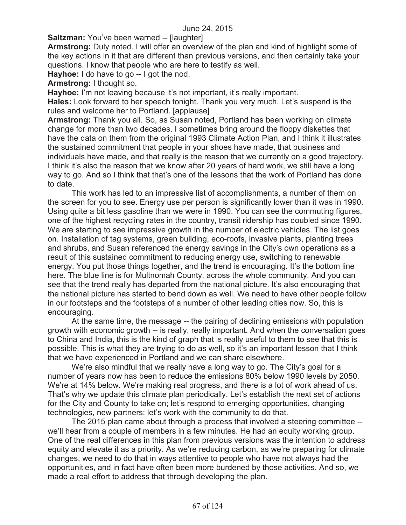**Saltzman:** You've been warned -- [laughter]

**Armstrong:** Duly noted. I will offer an overview of the plan and kind of highlight some of the key actions in it that are different than previous versions, and then certainly take your questions. I know that people who are here to testify as well.

**Hayhoe:** I do have to go -- I got the nod.

**Armstrong:** I thought so.

**Hayhoe:** I'm not leaving because it's not important, it's really important.

**Hales:** Look forward to her speech tonight. Thank you very much. Let's suspend is the rules and welcome her to Portland. [applause]

**Armstrong:** Thank you all. So, as Susan noted, Portland has been working on climate change for more than two decades. I sometimes bring around the floppy diskettes that have the data on them from the original 1993 Climate Action Plan, and I think it illustrates the sustained commitment that people in your shoes have made, that business and individuals have made, and that really is the reason that we currently on a good trajectory. I think it's also the reason that we know after 20 years of hard work, we still have a long way to go. And so I think that that's one of the lessons that the work of Portland has done to date.

This work has led to an impressive list of accomplishments, a number of them on the screen for you to see. Energy use per person is significantly lower than it was in 1990. Using quite a bit less gasoline than we were in 1990. You can see the commuting figures, one of the highest recycling rates in the country, transit ridership has doubled since 1990. We are starting to see impressive growth in the number of electric vehicles. The list goes on. Installation of tag systems, green building, eco-roofs, invasive plants, planting trees and shrubs, and Susan referenced the energy savings in the City's own operations as a result of this sustained commitment to reducing energy use, switching to renewable energy. You put those things together, and the trend is encouraging. It's the bottom line here. The blue line is for Multnomah County, across the whole community. And you can see that the trend really has departed from the national picture. It's also encouraging that the national picture has started to bend down as well. We need to have other people follow in our footsteps and the footsteps of a number of other leading cities now. So, this is encouraging.

At the same time, the message -- the pairing of declining emissions with population growth with economic growth -- is really, really important. And when the conversation goes to China and India, this is the kind of graph that is really useful to them to see that this is possible. This is what they are trying to do as well, so it's an important lesson that I think that we have experienced in Portland and we can share elsewhere.

We're also mindful that we really have a long way to go. The City's goal for a number of years now has been to reduce the emissions 80% below 1990 levels by 2050. We're at 14% below. We're making real progress, and there is a lot of work ahead of us. That's why we update this climate plan periodically. Let's establish the next set of actions for the City and County to take on; let's respond to emerging opportunities, changing technologies, new partners; let's work with the community to do that.

The 2015 plan came about through a process that involved a steering committee - we'll hear from a couple of members in a few minutes. He had an equity working group. One of the real differences in this plan from previous versions was the intention to address equity and elevate it as a priority. As we're reducing carbon, as we're preparing for climate changes, we need to do that in ways attentive to people who have not always had the opportunities, and in fact have often been more burdened by those activities. And so, we made a real effort to address that through developing the plan.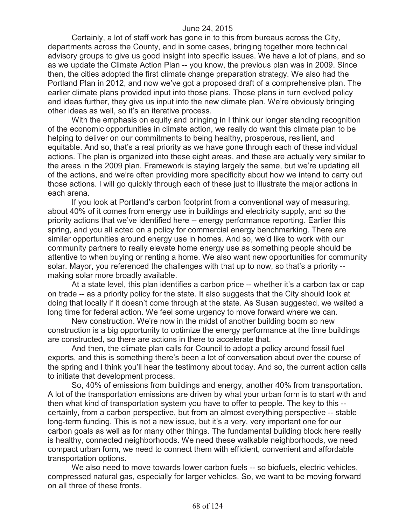Certainly, a lot of staff work has gone in to this from bureaus across the City, departments across the County, and in some cases, bringing together more technical advisory groups to give us good insight into specific issues. We have a lot of plans, and so as we update the Climate Action Plan -- you know, the previous plan was in 2009. Since then, the cities adopted the first climate change preparation strategy. We also had the Portland Plan in 2012, and now we've got a proposed draft of a comprehensive plan. The earlier climate plans provided input into those plans. Those plans in turn evolved policy and ideas further, they give us input into the new climate plan. We're obviously bringing other ideas as well, so it's an iterative process.

With the emphasis on equity and bringing in I think our longer standing recognition of the economic opportunities in climate action, we really do want this climate plan to be helping to deliver on our commitments to being healthy, prosperous, resilient, and equitable. And so, that's a real priority as we have gone through each of these individual actions. The plan is organized into these eight areas, and these are actually very similar to the areas in the 2009 plan. Framework is staying largely the same, but we're updating all of the actions, and we're often providing more specificity about how we intend to carry out those actions. I will go quickly through each of these just to illustrate the major actions in each arena.

If you look at Portland's carbon footprint from a conventional way of measuring, about 40% of it comes from energy use in buildings and electricity supply, and so the priority actions that we've identified here -- energy performance reporting. Earlier this spring, and you all acted on a policy for commercial energy benchmarking. There are similar opportunities around energy use in homes. And so, we'd like to work with our community partners to really elevate home energy use as something people should be attentive to when buying or renting a home. We also want new opportunities for community solar. Mayor, you referenced the challenges with that up to now, so that's a priority - making solar more broadly available.

At a state level, this plan identifies a carbon price -- whether it's a carbon tax or cap on trade -- as a priority policy for the state. It also suggests that the City should look at doing that locally if it doesn't come through at the state. As Susan suggested, we waited a long time for federal action. We feel some urgency to move forward where we can.

New construction. We're now in the midst of another building boom so new construction is a big opportunity to optimize the energy performance at the time buildings are constructed, so there are actions in there to accelerate that.

And then, the climate plan calls for Council to adopt a policy around fossil fuel exports, and this is something there's been a lot of conversation about over the course of the spring and I think you'll hear the testimony about today. And so, the current action calls to initiate that development process.

So, 40% of emissions from buildings and energy, another 40% from transportation. A lot of the transportation emissions are driven by what your urban form is to start with and then what kind of transportation system you have to offer to people. The key to this - certainly, from a carbon perspective, but from an almost everything perspective -- stable long-term funding. This is not a new issue, but it's a very, very important one for our carbon goals as well as for many other things. The fundamental building block here really is healthy, connected neighborhoods. We need these walkable neighborhoods, we need compact urban form, we need to connect them with efficient, convenient and affordable transportation options.

We also need to move towards lower carbon fuels -- so biofuels, electric vehicles, compressed natural gas, especially for larger vehicles. So, we want to be moving forward on all three of these fronts.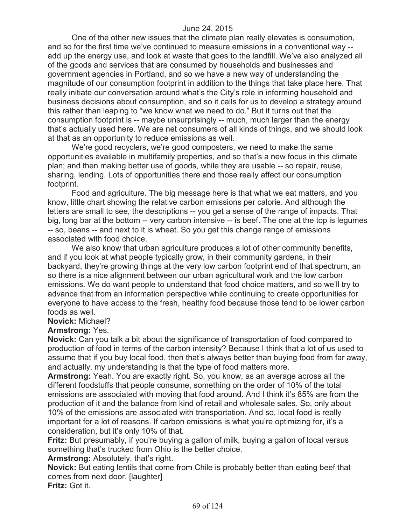One of the other new issues that the climate plan really elevates is consumption, and so for the first time we've continued to measure emissions in a conventional way - add up the energy use, and look at waste that goes to the landfill. We've also analyzed all of the goods and services that are consumed by households and businesses and government agencies in Portland, and so we have a new way of understanding the magnitude of our consumption footprint in addition to the things that take place here. That really initiate our conversation around what's the City's role in informing household and business decisions about consumption, and so it calls for us to develop a strategy around this rather than leaping to "we know what we need to do." But it turns out that the consumption footprint is -- maybe unsurprisingly -- much, much larger than the energy that's actually used here. We are net consumers of all kinds of things, and we should look at that as an opportunity to reduce emissions as well.

We're good recyclers, we're good composters, we need to make the same opportunities available in multifamily properties, and so that's a new focus in this climate plan; and then making better use of goods, while they are usable -- so repair, reuse, sharing, lending. Lots of opportunities there and those really affect our consumption footprint.

Food and agriculture. The big message here is that what we eat matters, and you know, little chart showing the relative carbon emissions per calorie. And although the letters are small to see, the descriptions -- you get a sense of the range of impacts. That big, long bar at the bottom -- very carbon intensive -- is beef. The one at the top is legumes -- so, beans -- and next to it is wheat. So you get this change range of emissions associated with food choice.

We also know that urban agriculture produces a lot of other community benefits. and if you look at what people typically grow, in their community gardens, in their backyard, they're growing things at the very low carbon footprint end of that spectrum, an so there is a nice alignment between our urban agricultural work and the low carbon emissions. We do want people to understand that food choice matters, and so we'll try to advance that from an information perspective while continuing to create opportunities for everyone to have access to the fresh, healthy food because those tend to be lower carbon foods as well.

#### **Novick:** Michael?

#### **Armstrong:** Yes.

**Novick:** Can you talk a bit about the significance of transportation of food compared to production of food in terms of the carbon intensity? Because I think that a lot of us used to assume that if you buy local food, then that's always better than buying food from far away, and actually, my understanding is that the type of food matters more.

**Armstrong:** Yeah. You are exactly right. So, you know, as an average across all the different foodstuffs that people consume, something on the order of 10% of the total emissions are associated with moving that food around. And I think it's 85% are from the production of it and the balance from kind of retail and wholesale sales. So, only about 10% of the emissions are associated with transportation. And so, local food is really important for a lot of reasons. If carbon emissions is what you're optimizing for, it's a consideration, but it's only 10% of that.

**Fritz:** But presumably, if you're buying a gallon of milk, buying a gallon of local versus something that's trucked from Ohio is the better choice.

**Armstrong:** Absolutely, that's right.

**Novick:** But eating lentils that come from Chile is probably better than eating beef that comes from next door. [laughter]

**Fritz:** Got it.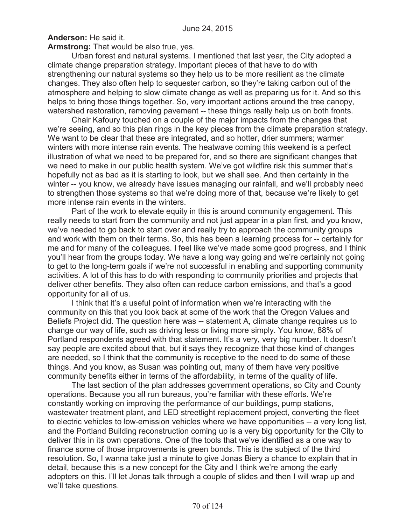**Anderson:** He said it.

**Armstrong:** That would be also true, yes.

Urban forest and natural systems. I mentioned that last year, the City adopted a climate change preparation strategy. Important pieces of that have to do with strengthening our natural systems so they help us to be more resilient as the climate changes. They also often help to sequester carbon, so they're taking carbon out of the atmosphere and helping to slow climate change as well as preparing us for it. And so this helps to bring those things together. So, very important actions around the tree canopy, watershed restoration, removing pavement -- these things really help us on both fronts.

Chair Kafoury touched on a couple of the major impacts from the changes that we're seeing, and so this plan rings in the key pieces from the climate preparation strategy. We want to be clear that these are integrated, and so hotter, drier summers; warmer winters with more intense rain events. The heatwave coming this weekend is a perfect illustration of what we need to be prepared for, and so there are significant changes that we need to make in our public health system. We've got wildfire risk this summer that's hopefully not as bad as it is starting to look, but we shall see. And then certainly in the winter -- you know, we already have issues managing our rainfall, and we'll probably need to strengthen those systems so that we're doing more of that, because we're likely to get more intense rain events in the winters.

Part of the work to elevate equity in this is around community engagement. This really needs to start from the community and not just appear in a plan first, and you know, we've needed to go back to start over and really try to approach the community groups and work with them on their terms. So, this has been a learning process for -- certainly for me and for many of the colleagues. I feel like we've made some good progress, and I think you'll hear from the groups today. We have a long way going and we're certainly not going to get to the long-term goals if we're not successful in enabling and supporting community activities. A lot of this has to do with responding to community priorities and projects that deliver other benefits. They also often can reduce carbon emissions, and that's a good opportunity for all of us.

I think that it's a useful point of information when we're interacting with the community on this that you look back at some of the work that the Oregon Values and Beliefs Project did. The question here was -- statement A, climate change requires us to change our way of life, such as driving less or living more simply. You know, 88% of Portland respondents agreed with that statement. It's a very, very big number. It doesn't say people are excited about that, but it says they recognize that those kind of changes are needed, so I think that the community is receptive to the need to do some of these things. And you know, as Susan was pointing out, many of them have very positive community benefits either in terms of the affordability, in terms of the quality of life.

The last section of the plan addresses government operations, so City and County operations. Because you all run bureaus, you're familiar with these efforts. We're constantly working on improving the performance of our buildings, pump stations, wastewater treatment plant, and LED streetlight replacement project, converting the fleet to electric vehicles to low-emission vehicles where we have opportunities -- a very long list, and the Portland Building reconstruction coming up is a very big opportunity for the City to deliver this in its own operations. One of the tools that we've identified as a one way to finance some of those improvements is green bonds. This is the subject of the third resolution. So, I wanna take just a minute to give Jonas Biery a chance to explain that in detail, because this is a new concept for the City and I think we're among the early adopters on this. I'll let Jonas talk through a couple of slides and then I will wrap up and we'll take questions.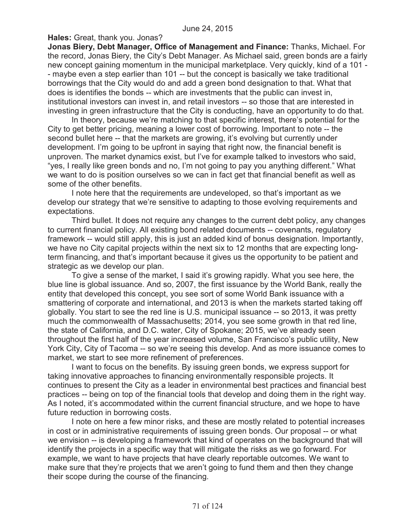**Hales:** Great, thank you. Jonas?

**Jonas Biery, Debt Manager, Office of Management and Finance:** Thanks, Michael. For the record, Jonas Biery, the City's Debt Manager. As Michael said, green bonds are a fairly new concept gaining momentum in the municipal marketplace. Very quickly, kind of a 101 - - maybe even a step earlier than 101 -- but the concept is basically we take traditional borrowings that the City would do and add a green bond designation to that. What that does is identifies the bonds -- which are investments that the public can invest in, institutional investors can invest in, and retail investors -- so those that are interested in investing in green infrastructure that the City is conducting, have an opportunity to do that.

In theory, because we're matching to that specific interest, there's potential for the City to get better pricing, meaning a lower cost of borrowing. Important to note -- the second bullet here -- that the markets are growing, it's evolving but currently under development. I'm going to be upfront in saying that right now, the financial benefit is unproven. The market dynamics exist, but I've for example talked to investors who said, "yes, I really like green bonds and no, I'm not going to pay you anything different." What we want to do is position ourselves so we can in fact get that financial benefit as well as some of the other benefits.

I note here that the requirements are undeveloped, so that's important as we develop our strategy that we're sensitive to adapting to those evolving requirements and expectations.

Third bullet. It does not require any changes to the current debt policy, any changes to current financial policy. All existing bond related documents -- covenants, regulatory framework -- would still apply, this is just an added kind of bonus designation. Importantly, we have no City capital projects within the next six to 12 months that are expecting longterm financing, and that's important because it gives us the opportunity to be patient and strategic as we develop our plan.

To give a sense of the market, I said it's growing rapidly. What you see here, the blue line is global issuance. And so, 2007, the first issuance by the World Bank, really the entity that developed this concept, you see sort of some World Bank issuance with a smattering of corporate and international, and 2013 is when the markets started taking off globally. You start to see the red line is U.S. municipal issuance -- so 2013, it was pretty much the commonwealth of Massachusetts; 2014, you see some growth in that red line, the state of California, and D.C. water, City of Spokane; 2015, we've already seen throughout the first half of the year increased volume, San Francisco's public utility, New York City, City of Tacoma -- so we're seeing this develop. And as more issuance comes to market, we start to see more refinement of preferences.

I want to focus on the benefits. By issuing green bonds, we express support for taking innovative approaches to financing environmentally responsible projects. It continues to present the City as a leader in environmental best practices and financial best practices -- being on top of the financial tools that develop and doing them in the right way. As I noted, it's accommodated within the current financial structure, and we hope to have future reduction in borrowing costs.

I note on here a few minor risks, and these are mostly related to potential increases in cost or in administrative requirements of issuing green bonds. Our proposal -- or what we envision -- is developing a framework that kind of operates on the background that will identify the projects in a specific way that will mitigate the risks as we go forward. For example, we want to have projects that have clearly reportable outcomes. We want to make sure that they're projects that we aren't going to fund them and then they change their scope during the course of the financing.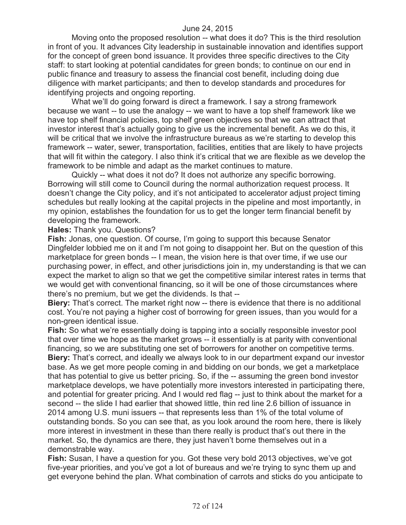Moving onto the proposed resolution -- what does it do? This is the third resolution in front of you. It advances City leadership in sustainable innovation and identifies support for the concept of green bond issuance. It provides three specific directives to the City staff: to start looking at potential candidates for green bonds; to continue on our end in public finance and treasury to assess the financial cost benefit, including doing due diligence with market participants; and then to develop standards and procedures for identifying projects and ongoing reporting.

What we'll do going forward is direct a framework. I say a strong framework because we want -- to use the analogy -- we want to have a top shelf framework like we have top shelf financial policies, top shelf green objectives so that we can attract that investor interest that's actually going to give us the incremental benefit. As we do this, it will be critical that we involve the infrastructure bureaus as we're starting to develop this framework -- water, sewer, transportation, facilities, entities that are likely to have projects that will fit within the category. I also think it's critical that we are flexible as we develop the framework to be nimble and adapt as the market continues to mature.

Quickly -- what does it not do? It does not authorize any specific borrowing. Borrowing will still come to Council during the normal authorization request process. It doesn't change the City policy, and it's not anticipated to accelerator adjust project timing schedules but really looking at the capital projects in the pipeline and most importantly, in my opinion, establishes the foundation for us to get the longer term financial benefit by developing the framework.

#### **Hales:** Thank you. Questions?

**Fish:** Jonas, one question. Of course, I'm going to support this because Senator Dingfelder lobbied me on it and I'm not going to disappoint her. But on the question of this marketplace for green bonds -- I mean, the vision here is that over time, if we use our purchasing power, in effect, and other jurisdictions join in, my understanding is that we can expect the market to align so that we get the competitive similar interest rates in terms that we would get with conventional financing, so it will be one of those circumstances where there's no premium, but we get the dividends. Is that --

**Biery:** That's correct. The market right now -- there is evidence that there is no additional cost. You're not paying a higher cost of borrowing for green issues, than you would for a non-green identical issue.

**Fish:** So what we're essentially doing is tapping into a socially responsible investor pool that over time we hope as the market grows -- it essentially is at parity with conventional financing, so we are substituting one set of borrowers for another on competitive terms. **Biery:** That's correct, and ideally we always look to in our department expand our investor base. As we get more people coming in and bidding on our bonds, we get a marketplace that has potential to give us better pricing. So, if the -- assuming the green bond investor marketplace develops, we have potentially more investors interested in participating there, and potential for greater pricing. And I would red flag -- just to think about the market for a second -- the slide I had earlier that showed little, thin red line 2.6 billion of issuance in 2014 among U.S. muni issuers -- that represents less than 1% of the total volume of outstanding bonds. So you can see that, as you look around the room here, there is likely more interest in investment in these than there really is product that's out there in the market. So, the dynamics are there, they just haven't borne themselves out in a demonstrable way.

**Fish:** Susan, I have a question for you. Got these very bold 2013 objectives, we've got five-year priorities, and you've got a lot of bureaus and we're trying to sync them up and get everyone behind the plan. What combination of carrots and sticks do you anticipate to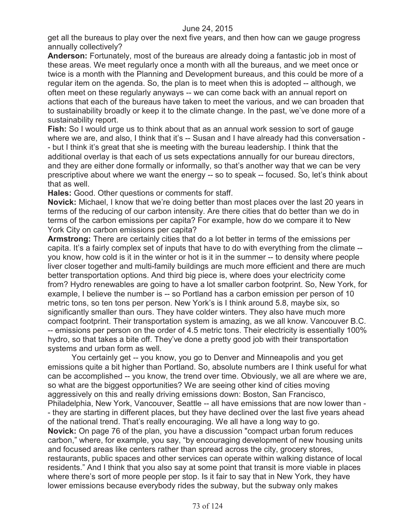get all the bureaus to play over the next five years, and then how can we gauge progress annually collectively?

**Anderson:** Fortunately, most of the bureaus are already doing a fantastic job in most of these areas. We meet regularly once a month with all the bureaus, and we meet once or twice is a month with the Planning and Development bureaus, and this could be more of a regular item on the agenda. So, the plan is to meet when this is adopted -- although, we often meet on these regularly anyways -- we can come back with an annual report on actions that each of the bureaus have taken to meet the various, and we can broaden that to sustainability broadly or keep it to the climate change. In the past, we've done more of a sustainability report.

**Fish:** So I would urge us to think about that as an annual work session to sort of gauge where we are, and also, I think that it's -- Susan and I have already had this conversation -- but I think it's great that she is meeting with the bureau leadership. I think that the additional overlay is that each of us sets expectations annually for our bureau directors, and they are either done formally or informally, so that's another way that we can be very prescriptive about where we want the energy -- so to speak -- focused. So, let's think about that as well.

**Hales:** Good. Other questions or comments for staff.

**Novick:** Michael, I know that we're doing better than most places over the last 20 years in terms of the reducing of our carbon intensity. Are there cities that do better than we do in terms of the carbon emissions per capita? For example, how do we compare it to New York City on carbon emissions per capita?

**Armstrong:** There are certainly cities that do a lot better in terms of the emissions per capita. It's a fairly complex set of inputs that have to do with everything from the climate - you know, how cold is it in the winter or hot is it in the summer -- to density where people liver closer together and multi-family buildings are much more efficient and there are much better transportation options. And third big piece is, where does your electricity come from? Hydro renewables are going to have a lot smaller carbon footprint. So, New York, for example, I believe the number is -- so Portland has a carbon emission per person of 10 metric tons, so ten tons per person. New York's is I think around 5.8, maybe six, so significantly smaller than ours. They have colder winters. They also have much more compact footprint. Their transportation system is amazing, as we all know. Vancouver B.C. -- emissions per person on the order of 4.5 metric tons. Their electricity is essentially 100% hydro, so that takes a bite off. They've done a pretty good job with their transportation systems and urban form as well.

You certainly get -- you know, you go to Denver and Minneapolis and you get emissions quite a bit higher than Portland. So, absolute numbers are I think useful for what can be accomplished -- you know, the trend over time. Obviously, we all are where we are, so what are the biggest opportunities? We are seeing other kind of cities moving aggressively on this and really driving emissions down: Boston, San Francisco, Philadelphia, New York, Vancouver, Seattle -- all have emissions that are now lower than - - they are starting in different places, but they have declined over the last five years ahead of the national trend. That's really encouraging. We all have a long way to go. **Novick:** On page 76 of the plan, you have a discussion "compact urban forum reduces carbon," where, for example, you say, "by encouraging development of new housing units and focused areas like centers rather than spread across the city, grocery stores, restaurants, public spaces and other services can operate within walking distance of local residents." And I think that you also say at some point that transit is more viable in places where there's sort of more people per stop. Is it fair to say that in New York, they have lower emissions because everybody rides the subway, but the subway only makes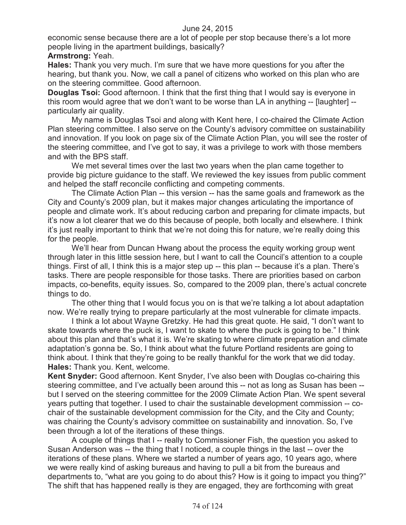economic sense because there are a lot of people per stop because there's a lot more people living in the apartment buildings, basically?

## **Armstrong:** Yeah.

**Hales:** Thank you very much. I'm sure that we have more questions for you after the hearing, but thank you. Now, we call a panel of citizens who worked on this plan who are on the steering committee. Good afternoon.

**Douglas Tsoi:** Good afternoon. I think that the first thing that I would say is everyone in this room would agree that we don't want to be worse than LA in anything -- [laughter] - particularly air quality.

My name is Douglas Tsoi and along with Kent here, I co-chaired the Climate Action Plan steering committee. I also serve on the County's advisory committee on sustainability and innovation. If you look on page six of the Climate Action Plan, you will see the roster of the steering committee, and I've got to say, it was a privilege to work with those members and with the BPS staff.

We met several times over the last two years when the plan came together to provide big picture guidance to the staff. We reviewed the key issues from public comment and helped the staff reconcile conflicting and competing comments.

The Climate Action Plan -- this version -- has the same goals and framework as the City and County's 2009 plan, but it makes major changes articulating the importance of people and climate work. It's about reducing carbon and preparing for climate impacts, but it's now a lot clearer that we do this because of people, both locally and elsewhere. I think it's just really important to think that we're not doing this for nature, we're really doing this for the people.

We'll hear from Duncan Hwang about the process the equity working group went through later in this little session here, but I want to call the Council's attention to a couple things. First of all, I think this is a major step up -- this plan -- because it's a plan. There's tasks. There are people responsible for those tasks. There are priorities based on carbon impacts, co-benefits, equity issues. So, compared to the 2009 plan, there's actual concrete things to do.

The other thing that I would focus you on is that we're talking a lot about adaptation now. We're really trying to prepare particularly at the most vulnerable for climate impacts.

I think a lot about Wayne Gretzky. He had this great quote. He said, "I don't want to skate towards where the puck is, I want to skate to where the puck is going to be." I think about this plan and that's what it is. We're skating to where climate preparation and climate adaptation's gonna be. So, I think about what the future Portland residents are going to think about. I think that they're going to be really thankful for the work that we did today. **Hales:** Thank you. Kent, welcome.

**Kent Snyder:** Good afternoon. Kent Snyder, I've also been with Douglas co-chairing this steering committee, and I've actually been around this -- not as long as Susan has been - but I served on the steering committee for the 2009 Climate Action Plan. We spent several years putting that together. I used to chair the sustainable development commission -- cochair of the sustainable development commission for the City, and the City and County; was chairing the County's advisory committee on sustainability and innovation. So, I've been through a lot of the iterations of these things.

A couple of things that I -- really to Commissioner Fish, the question you asked to Susan Anderson was -- the thing that I noticed, a couple things in the last -- over the iterations of these plans. Where we started a number of years ago, 10 years ago, where we were really kind of asking bureaus and having to pull a bit from the bureaus and departments to, "what are you going to do about this? How is it going to impact you thing?" The shift that has happened really is they are engaged, they are forthcoming with great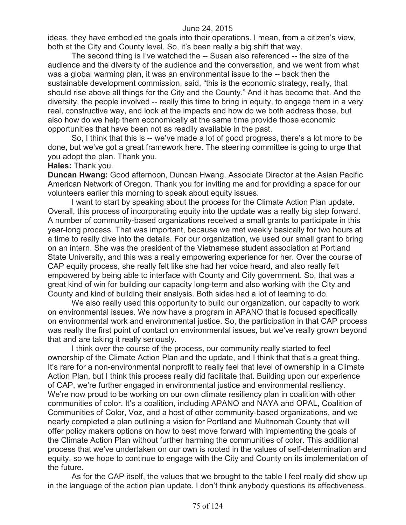ideas, they have embodied the goals into their operations. I mean, from a citizen's view, both at the City and County level. So, it's been really a big shift that way.

The second thing is I've watched the -- Susan also referenced -- the size of the audience and the diversity of the audience and the conversation, and we went from what was a global warming plan, it was an environmental issue to the -- back then the sustainable development commission, said, "this is the economic strategy, really, that should rise above all things for the City and the County." And it has become that. And the diversity, the people involved -- really this time to bring in equity, to engage them in a very real, constructive way, and look at the impacts and how do we both address those, but also how do we help them economically at the same time provide those economic opportunities that have been not as readily available in the past.

So, I think that this is -- we've made a lot of good progress, there's a lot more to be done, but we've got a great framework here. The steering committee is going to urge that you adopt the plan. Thank you.

### **Hales:** Thank you.

**Duncan Hwang:** Good afternoon, Duncan Hwang, Associate Director at the Asian Pacific American Network of Oregon. Thank you for inviting me and for providing a space for our volunteers earlier this morning to speak about equity issues.

I want to start by speaking about the process for the Climate Action Plan update. Overall, this process of incorporating equity into the update was a really big step forward. A number of community-based organizations received a small grants to participate in this year-long process. That was important, because we met weekly basically for two hours at a time to really dive into the details. For our organization, we used our small grant to bring on an intern. She was the president of the Vietnamese student association at Portland State University, and this was a really empowering experience for her. Over the course of CAP equity process, she really felt like she had her voice heard, and also really felt empowered by being able to interface with County and City government. So, that was a great kind of win for building our capacity long-term and also working with the City and County and kind of building their analysis. Both sides had a lot of learning to do.

We also really used this opportunity to build our organization, our capacity to work on environmental issues. We now have a program in APANO that is focused specifically on environmental work and environmental justice. So, the participation in that CAP process was really the first point of contact on environmental issues, but we've really grown beyond that and are taking it really seriously.

I think over the course of the process, our community really started to feel ownership of the Climate Action Plan and the update, and I think that that's a great thing. It's rare for a non-environmental nonprofit to really feel that level of ownership in a Climate Action Plan, but I think this process really did facilitate that. Building upon our experience of CAP, we're further engaged in environmental justice and environmental resiliency. We're now proud to be working on our own climate resiliency plan in coalition with other communities of color. It's a coalition, including APANO and NAYA and OPAL, Coalition of Communities of Color, Voz, and a host of other community-based organizations, and we nearly completed a plan outlining a vision for Portland and Multnomah County that will offer policy makers options on how to best move forward with implementing the goals of the Climate Action Plan without further harming the communities of color. This additional process that we've undertaken on our own is rooted in the values of self-determination and equity, so we hope to continue to engage with the City and County on its implementation of the future.

As for the CAP itself, the values that we brought to the table I feel really did show up in the language of the action plan update. I don't think anybody questions its effectiveness.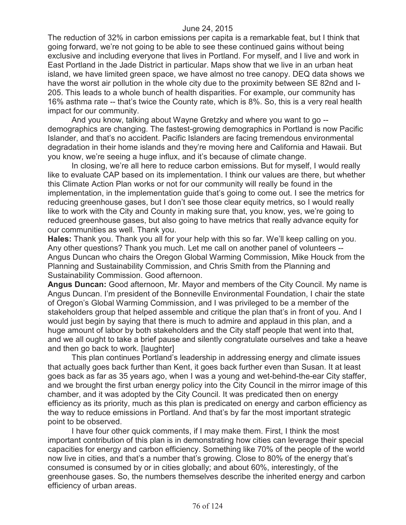The reduction of 32% in carbon emissions per capita is a remarkable feat, but I think that going forward, we're not going to be able to see these continued gains without being exclusive and including everyone that lives in Portland. For myself, and I live and work in East Portland in the Jade District in particular. Maps show that we live in an urban heat island, we have limited green space, we have almost no tree canopy. DEQ data shows we have the worst air pollution in the whole city due to the proximity between SE 82nd and I-205. This leads to a whole bunch of health disparities. For example, our community has 16% asthma rate -- that's twice the County rate, which is 8%. So, this is a very real health impact for our community.

And you know, talking about Wayne Gretzky and where you want to go - demographics are changing. The fastest-growing demographics in Portland is now Pacific Islander, and that's no accident. Pacific Islanders are facing tremendous environmental degradation in their home islands and they're moving here and California and Hawaii. But you know, we're seeing a huge influx, and it's because of climate change.

In closing, we're all here to reduce carbon emissions. But for myself, I would really like to evaluate CAP based on its implementation. I think our values are there, but whether this Climate Action Plan works or not for our community will really be found in the implementation, in the implementation guide that's going to come out. I see the metrics for reducing greenhouse gases, but I don't see those clear equity metrics, so I would really like to work with the City and County in making sure that, you know, yes, we're going to reduced greenhouse gases, but also going to have metrics that really advance equity for our communities as well. Thank you.

**Hales:** Thank you. Thank you all for your help with this so far. We'll keep calling on you. Any other questions? Thank you much. Let me call on another panel of volunteers -- Angus Duncan who chairs the Oregon Global Warming Commission, Mike Houck from the Planning and Sustainability Commission, and Chris Smith from the Planning and Sustainability Commission. Good afternoon.

**Angus Duncan:** Good afternoon, Mr. Mayor and members of the City Council. My name is Angus Duncan. I'm president of the Bonneville Environmental Foundation, I chair the state of Oregon's Global Warming Commission, and I was privileged to be a member of the stakeholders group that helped assemble and critique the plan that's in front of you. And I would just begin by saying that there is much to admire and applaud in this plan, and a huge amount of labor by both stakeholders and the City staff people that went into that, and we all ought to take a brief pause and silently congratulate ourselves and take a heave and then go back to work. [laughter]

This plan continues Portland's leadership in addressing energy and climate issues that actually goes back further than Kent, it goes back further even than Susan. It at least goes back as far as 35 years ago, when I was a young and wet-behind-the-ear City staffer, and we brought the first urban energy policy into the City Council in the mirror image of this chamber, and it was adopted by the City Council. It was predicated then on energy efficiency as its priority, much as this plan is predicated on energy and carbon efficiency as the way to reduce emissions in Portland. And that's by far the most important strategic point to be observed.

I have four other quick comments, if I may make them. First, I think the most important contribution of this plan is in demonstrating how cities can leverage their special capacities for energy and carbon efficiency. Something like 70% of the people of the world now live in cities, and that's a number that's growing. Close to 80% of the energy that's consumed is consumed by or in cities globally; and about 60%, interestingly, of the greenhouse gases. So, the numbers themselves describe the inherited energy and carbon efficiency of urban areas.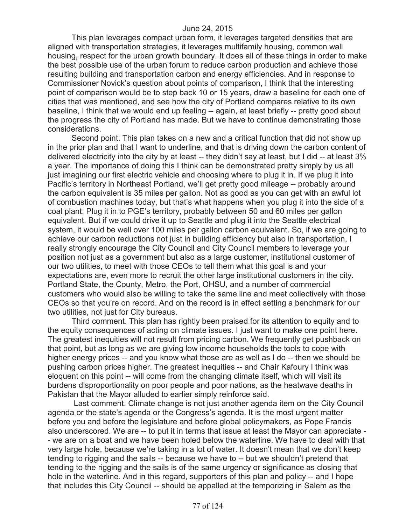This plan leverages compact urban form, it leverages targeted densities that are aligned with transportation strategies, it leverages multifamily housing, common wall housing, respect for the urban growth boundary. It does all of these things in order to make the best possible use of the urban forum to reduce carbon production and achieve those resulting building and transportation carbon and energy efficiencies. And in response to Commissioner Novick's question about points of comparison, I think that the interesting point of comparison would be to step back 10 or 15 years, draw a baseline for each one of cities that was mentioned, and see how the city of Portland compares relative to its own baseline, I think that we would end up feeling -- again, at least briefly -- pretty good about the progress the city of Portland has made. But we have to continue demonstrating those considerations.

Second point. This plan takes on a new and a critical function that did not show up in the prior plan and that I want to underline, and that is driving down the carbon content of delivered electricity into the city by at least -- they didn't say at least, but I did -- at least 3% a year. The importance of doing this I think can be demonstrated pretty simply by us all just imagining our first electric vehicle and choosing where to plug it in. If we plug it into Pacific's territory in Northeast Portland, we'll get pretty good mileage -- probably around the carbon equivalent is 35 miles per gallon. Not as good as you can get with an awful lot of combustion machines today, but that's what happens when you plug it into the side of a coal plant. Plug it in to PGE's territory, probably between 50 and 60 miles per gallon equivalent. But if we could drive it up to Seattle and plug it into the Seattle electrical system, it would be well over 100 miles per gallon carbon equivalent. So, if we are going to achieve our carbon reductions not just in building efficiency but also in transportation, I really strongly encourage the City Council and City Council members to leverage your position not just as a government but also as a large customer, institutional customer of our two utilities, to meet with those CEOs to tell them what this goal is and your expectations are, even more to recruit the other large institutional customers in the city. Portland State, the County, Metro, the Port, OHSU, and a number of commercial customers who would also be willing to take the same line and meet collectively with those CEOs so that you're on record. And on the record is in effect setting a benchmark for our two utilities, not just for City bureaus.

Third comment. This plan has rightly been praised for its attention to equity and to the equity consequences of acting on climate issues. I just want to make one point here. The greatest inequities will not result from pricing carbon. We frequently get pushback on that point, but as long as we are giving low income households the tools to cope with higher energy prices -- and you know what those are as well as I do -- then we should be pushing carbon prices higher. The greatest inequities -- and Chair Kafoury I think was eloquent on this point -- will come from the changing climate itself, which will visit its burdens disproportionality on poor people and poor nations, as the heatwave deaths in Pakistan that the Mayor alluded to earlier simply reinforce said.

Last comment. Climate change is not just another agenda item on the City Council agenda or the state's agenda or the Congress's agenda. It is the most urgent matter before you and before the legislature and before global policymakers, as Pope Francis also underscored. We are -- to put it in terms that issue at least the Mayor can appreciate - - we are on a boat and we have been holed below the waterline. We have to deal with that very large hole, because we're taking in a lot of water. It doesn't mean that we don't keep tending to rigging and the sails -- because we have to -- but we shouldn't pretend that tending to the rigging and the sails is of the same urgency or significance as closing that hole in the waterline. And in this regard, supporters of this plan and policy -- and I hope that includes this City Council -- should be appalled at the temporizing in Salem as the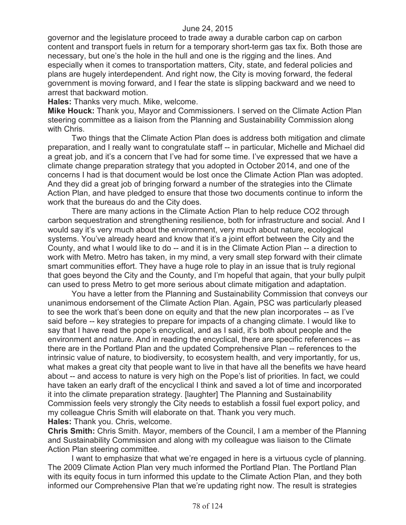governor and the legislature proceed to trade away a durable carbon cap on carbon content and transport fuels in return for a temporary short-term gas tax fix. Both those are necessary, but one's the hole in the hull and one is the rigging and the lines. And especially when it comes to transportation matters, City, state, and federal policies and plans are hugely interdependent. And right now, the City is moving forward, the federal government is moving forward, and I fear the state is slipping backward and we need to arrest that backward motion.

**Hales:** Thanks very much. Mike, welcome.

**Mike Houck:** Thank you, Mayor and Commissioners. I served on the Climate Action Plan steering committee as a liaison from the Planning and Sustainability Commission along with Chris.

Two things that the Climate Action Plan does is address both mitigation and climate preparation, and I really want to congratulate staff -- in particular, Michelle and Michael did a great job, and it's a concern that I've had for some time. I've expressed that we have a climate change preparation strategy that you adopted in October 2014, and one of the concerns I had is that document would be lost once the Climate Action Plan was adopted. And they did a great job of bringing forward a number of the strategies into the Climate Action Plan, and have pledged to ensure that those two documents continue to inform the work that the bureaus do and the City does.

There are many actions in the Climate Action Plan to help reduce CO2 through carbon sequestration and strengthening resilience, both for infrastructure and social. And I would say it's very much about the environment, very much about nature, ecological systems. You've already heard and know that it's a joint effort between the City and the County, and what I would like to do -- and it is in the Climate Action Plan -- a direction to work with Metro. Metro has taken, in my mind, a very small step forward with their climate smart communities effort. They have a huge role to play in an issue that is truly regional that goes beyond the City and the County, and I'm hopeful that again, that your bully pulpit can used to press Metro to get more serious about climate mitigation and adaptation.

You have a letter from the Planning and Sustainability Commission that conveys our unanimous endorsement of the Climate Action Plan. Again, PSC was particularly pleased to see the work that's been done on equity and that the new plan incorporates -- as I've said before -- key strategies to prepare for impacts of a changing climate. I would like to say that I have read the pope's encyclical, and as I said, it's both about people and the environment and nature. And in reading the encyclical, there are specific references -- as there are in the Portland Plan and the updated Comprehensive Plan -- references to the intrinsic value of nature, to biodiversity, to ecosystem health, and very importantly, for us, what makes a great city that people want to live in that have all the benefits we have heard about -- and access to nature is very high on the Pope's list of priorities. In fact, we could have taken an early draft of the encyclical I think and saved a lot of time and incorporated it into the climate preparation strategy. [laughter] The Planning and Sustainability Commission feels very strongly the City needs to establish a fossil fuel export policy, and my colleague Chris Smith will elaborate on that. Thank you very much. **Hales:** Thank you. Chris, welcome.

**Chris Smith:** Chris Smith. Mayor, members of the Council, I am a member of the Planning and Sustainability Commission and along with my colleague was liaison to the Climate Action Plan steering committee.

I want to emphasize that what we're engaged in here is a virtuous cycle of planning. The 2009 Climate Action Plan very much informed the Portland Plan. The Portland Plan with its equity focus in turn informed this update to the Climate Action Plan, and they both informed our Comprehensive Plan that we're updating right now. The result is strategies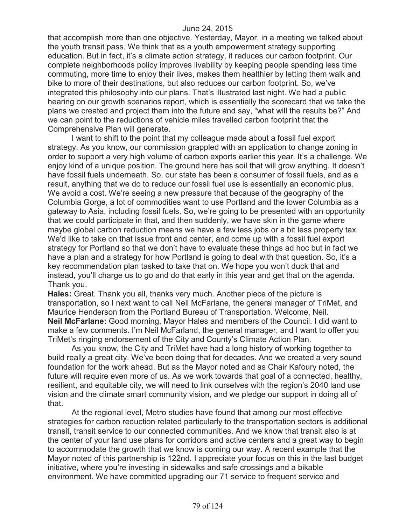that accomplish more than one objective. Yesterday, Mayor, in a meeting we talked about the youth transit pass. We think that as a youth empowerment strategy supporting education. But in fact, it's a climate action strategy, it reduces our carbon footprint. Our complete neighborhoods policy improves livability by keeping people spending less time commuting, more time to enjoy their lives, makes them healthier by letting them walk and bike to more of their destinations, but also reduces our carbon footprint. So, we've integrated this philosophy into our plans. That's illustrated last night. We had a public hearing on our growth scenarios report, which is essentially the scorecard that we take the plans we created and project them into the future and say, "what will the results be?" And we can point to the reductions of vehicle miles travelled carbon footprint that the Comprehensive Plan will generate.

I want to shift to the point that my colleague made about a fossil fuel export strategy. As you know, our commission grappled with an application to change zoning in order to support a very high volume of carbon exports earlier this year. It's a challenge. We enjoy kind of a unique position. The ground here has soil that will grow anything. It doesn't have fossil fuels underneath. So, our state has been a consumer of fossil fuels, and as a result, anything that we do to reduce our fossil fuel use is essentially an economic plus. We avoid a cost. We're seeing a new pressure that because of the geography of the Columbia Gorge, a lot of commodities want to use Portland and the lower Columbia as a gateway to Asia, including fossil fuels. So, we're going to be presented with an opportunity that we could participate in that, and then suddenly, we have skin in the game where maybe global carbon reduction means we have a few less jobs or a bit less property tax. We'd like to take on that issue front and center, and come up with a fossil fuel export strategy for Portland so that we don't have to evaluate these things ad hoc but in fact we have a plan and a strategy for how Portland is going to deal with that question. So, it's a key recommendation plan tasked to take that on. We hope you won't duck that and instead, you'll charge us to go and do that early in this year and get that on the agenda. Thank you.

**Hales:** Great. Thank you all, thanks very much. Another piece of the picture is transportation, so I next want to call Neil McFarlane, the general manager of TriMet, and Maurice Henderson from the Portland Bureau of Transportation. Welcome, Neil. **Neil McFarlane:** Good morning, Mayor Hales and members of the Council. I did want to make a few comments. I'm Neil McFarland, the general manager, and I want to offer you TriMet's ringing endorsement of the City and County's Climate Action Plan.

As you know, the City and TriMet have had a long history of working together to build really a great city. We've been doing that for decades. And we created a very sound foundation for the work ahead. But as the Mayor noted and as Chair Kafoury noted, the future will require even more of us. As we work towards that goal of a connected, healthy, resilient, and equitable city, we will need to link ourselves with the region's 2040 land use vision and the climate smart community vision, and we pledge our support in doing all of that.

At the regional level, Metro studies have found that among our most effective strategies for carbon reduction related particularly to the transportation sectors is additional transit, transit service to our connected communities. And we know that transit also is at the center of your land use plans for corridors and active centers and a great way to begin to accommodate the growth that we know is coming our way. A recent example that the Mayor noted of this partnership is 122nd. I appreciate your focus on this in the last budget initiative, where you're investing in sidewalks and safe crossings and a bikable environment. We have committed upgrading our 71 service to frequent service and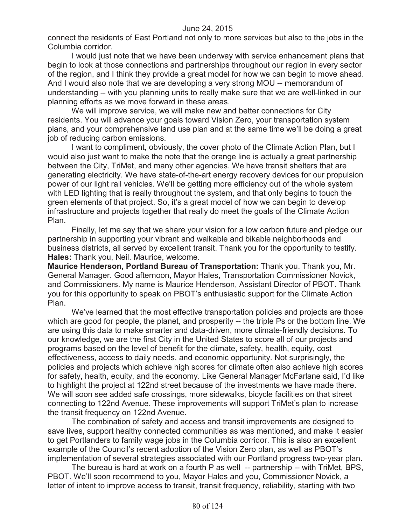connect the residents of East Portland not only to more services but also to the jobs in the Columbia corridor.

I would just note that we have been underway with service enhancement plans that begin to look at those connections and partnerships throughout our region in every sector of the region, and I think they provide a great model for how we can begin to move ahead. And I would also note that we are developing a very strong MOU -- memorandum of understanding -- with you planning units to really make sure that we are well-linked in our planning efforts as we move forward in these areas.

We will improve service, we will make new and better connections for City residents. You will advance your goals toward Vision Zero, your transportation system plans, and your comprehensive land use plan and at the same time we'll be doing a great job of reducing carbon emissions.

I want to compliment, obviously, the cover photo of the Climate Action Plan, but I would also just want to make the note that the orange line is actually a great partnership between the City, TriMet, and many other agencies. We have transit shelters that are generating electricity. We have state-of-the-art energy recovery devices for our propulsion power of our light rail vehicles. We'll be getting more efficiency out of the whole system with LED lighting that is really throughout the system, and that only begins to touch the green elements of that project. So, it's a great model of how we can begin to develop infrastructure and projects together that really do meet the goals of the Climate Action Plan.

Finally, let me say that we share your vision for a low carbon future and pledge our partnership in supporting your vibrant and walkable and bikable neighborhoods and business districts, all served by excellent transit. Thank you for the opportunity to testify. **Hales:** Thank you, Neil. Maurice, welcome.

**Maurice Henderson, Portland Bureau of Transportation:** Thank you. Thank you, Mr. General Manager. Good afternoon, Mayor Hales, Transportation Commissioner Novick, and Commissioners. My name is Maurice Henderson, Assistant Director of PBOT. Thank you for this opportunity to speak on PBOT's enthusiastic support for the Climate Action Plan.

We've learned that the most effective transportation policies and projects are those which are good for people, the planet, and prosperity -- the triple Ps or the bottom line. We are using this data to make smarter and data-driven, more climate-friendly decisions. To our knowledge, we are the first City in the United States to score all of our projects and programs based on the level of benefit for the climate, safety, health, equity, cost effectiveness, access to daily needs, and economic opportunity. Not surprisingly, the policies and projects which achieve high scores for climate often also achieve high scores for safety, health, equity, and the economy. Like General Manager McFarlane said, I'd like to highlight the project at 122nd street because of the investments we have made there. We will soon see added safe crossings, more sidewalks, bicycle facilities on that street connecting to 122nd Avenue. These improvements will support TriMet's plan to increase the transit frequency on 122nd Avenue.

The combination of safety and access and transit improvements are designed to save lives, support healthy connected communities as was mentioned, and make it easier to get Portlanders to family wage jobs in the Columbia corridor. This is also an excellent example of the Council's recent adoption of the Vision Zero plan, as well as PBOT's implementation of several strategies associated with our Portland progress two-year plan.

The bureau is hard at work on a fourth P as well -- partnership -- with TriMet, BPS, PBOT. We'll soon recommend to you, Mayor Hales and you, Commissioner Novick, a letter of intent to improve access to transit, transit frequency, reliability, starting with two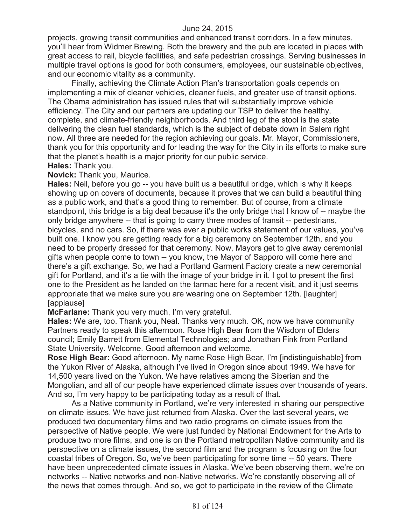projects, growing transit communities and enhanced transit corridors. In a few minutes, you'll hear from Widmer Brewing. Both the brewery and the pub are located in places with great access to rail, bicycle facilities, and safe pedestrian crossings. Serving businesses in multiple travel options is good for both consumers, employees, our sustainable objectives, and our economic vitality as a community.

Finally, achieving the Climate Action Plan's transportation goals depends on implementing a mix of cleaner vehicles, cleaner fuels, and greater use of transit options. The Obama administration has issued rules that will substantially improve vehicle efficiency. The City and our partners are updating our TSP to deliver the healthy, complete, and climate-friendly neighborhoods. And third leg of the stool is the state delivering the clean fuel standards, which is the subject of debate down in Salem right now. All three are needed for the region achieving our goals. Mr. Mayor, Commissioners, thank you for this opportunity and for leading the way for the City in its efforts to make sure that the planet's health is a major priority for our public service.

#### **Hales:** Thank you.

**Novick:** Thank you, Maurice.

**Hales:** Neil, before you go -- you have built us a beautiful bridge, which is why it keeps showing up on covers of documents, because it proves that we can build a beautiful thing as a public work, and that's a good thing to remember. But of course, from a climate standpoint, this bridge is a big deal because it's the only bridge that I know of -- maybe the only bridge anywhere -- that is going to carry three modes of transit -- pedestrians, bicycles, and no cars. So, if there was ever a public works statement of our values, you've built one. I know you are getting ready for a big ceremony on September 12th, and you need to be properly dressed for that ceremony. Now, Mayors get to give away ceremonial gifts when people come to town -- you know, the Mayor of Sapporo will come here and there's a gift exchange. So, we had a Portland Garment Factory create a new ceremonial gift for Portland, and it's a tie with the image of your bridge in it. I got to present the first one to the President as he landed on the tarmac here for a recent visit, and it just seems appropriate that we make sure you are wearing one on September 12th. [laughter] [applause]

**McFarlane:** Thank you very much, I'm very grateful.

**Hales:** We are, too. Thank you, Neal. Thanks very much. OK, now we have community Partners ready to speak this afternoon. Rose High Bear from the Wisdom of Elders council; Emily Barrett from Elemental Technologies; and Jonathan Fink from Portland State University. Welcome. Good afternoon and welcome.

**Rose High Bear:** Good afternoon. My name Rose High Bear, I'm [indistinguishable] from the Yukon River of Alaska, although I've lived in Oregon since about 1949. We have for 14,500 years lived on the Yukon. We have relatives among the Siberian and the Mongolian, and all of our people have experienced climate issues over thousands of years. And so, I'm very happy to be participating today as a result of that.

As a Native community in Portland, we're very interested in sharing our perspective on climate issues. We have just returned from Alaska. Over the last several years, we produced two documentary films and two radio programs on climate issues from the perspective of Native people. We were just funded by National Endowment for the Arts to produce two more films, and one is on the Portland metropolitan Native community and its perspective on a climate issues, the second film and the program is focusing on the four coastal tribes of Oregon. So, we've been participating for some time -- 50 years. There have been unprecedented climate issues in Alaska. We've been observing them, we're on networks -- Native networks and non-Native networks. We're constantly observing all of the news that comes through. And so, we got to participate in the review of the Climate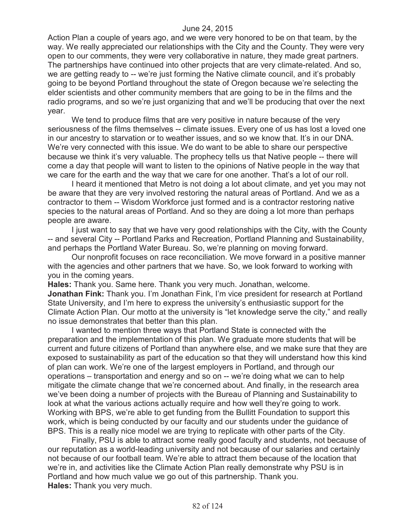Action Plan a couple of years ago, and we were very honored to be on that team, by the way. We really appreciated our relationships with the City and the County. They were very open to our comments, they were very collaborative in nature, they made great partners. The partnerships have continued into other projects that are very climate-related. And so, we are getting ready to -- we're just forming the Native climate council, and it's probably going to be beyond Portland throughout the state of Oregon because we're selecting the elder scientists and other community members that are going to be in the films and the radio programs, and so we're just organizing that and we'll be producing that over the next year.

We tend to produce films that are very positive in nature because of the very seriousness of the films themselves -- climate issues. Every one of us has lost a loved one in our ancestry to starvation or to weather issues, and so we know that. It's in our DNA. We're very connected with this issue. We do want to be able to share our perspective because we think it's very valuable. The prophecy tells us that Native people -- there will come a day that people will want to listen to the opinions of Native people in the way that we care for the earth and the way that we care for one another. That's a lot of our roll.

I heard it mentioned that Metro is not doing a lot about climate, and yet you may not be aware that they are very involved restoring the natural areas of Portland. And we as a contractor to them -- Wisdom Workforce just formed and is a contractor restoring native species to the natural areas of Portland. And so they are doing a lot more than perhaps people are aware.

I just want to say that we have very good relationships with the City, with the County -- and several City -- Portland Parks and Recreation, Portland Planning and Sustainability, and perhaps the Portland Water Bureau. So, we're planning on moving forward.

Our nonprofit focuses on race reconciliation. We move forward in a positive manner with the agencies and other partners that we have. So, we look forward to working with you in the coming years.

**Hales:** Thank you. Same here. Thank you very much. Jonathan, welcome. **Jonathan Fink:** Thank you. I'm Jonathan Fink, I'm vice president for research at Portland State University, and I'm here to express the university's enthusiastic support for the Climate Action Plan. Our motto at the university is "let knowledge serve the city," and really no issue demonstrates that better than this plan.

I wanted to mention three ways that Portland State is connected with the preparation and the implementation of this plan. We graduate more students that will be current and future citizens of Portland than anywhere else, and we make sure that they are exposed to sustainability as part of the education so that they will understand how this kind of plan can work. We're one of the largest employers in Portland, and through our operations – transportation and energy and so on -- we're doing what we can to help mitigate the climate change that we're concerned about. And finally, in the research area we've been doing a number of projects with the Bureau of Planning and Sustainability to look at what the various actions actually require and how well they're going to work. Working with BPS, we're able to get funding from the Bullitt Foundation to support this work, which is being conducted by our faculty and our students under the guidance of BPS. This is a really nice model we are trying to replicate with other parts of the City.

Finally, PSU is able to attract some really good faculty and students, not because of our reputation as a world-leading university and not because of our salaries and certainly not because of our football team. We're able to attract them because of the location that we're in, and activities like the Climate Action Plan really demonstrate why PSU is in Portland and how much value we go out of this partnership. Thank you. **Hales:** Thank you very much.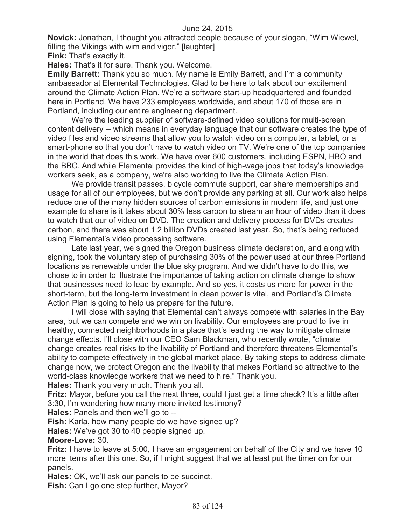**Novick:** Jonathan, I thought you attracted people because of your slogan, "Wim Wiewel, filling the Vikings with wim and vigor." [laughter]

**Fink:** That's exactly it.

**Hales:** That's it for sure. Thank you. Welcome.

**Emily Barrett:** Thank you so much. My name is Emily Barrett, and I'm a community ambassador at Elemental Technologies. Glad to be here to talk about our excitement around the Climate Action Plan. We're a software start-up headquartered and founded here in Portland. We have 233 employees worldwide, and about 170 of those are in Portland, including our entire engineering department.

We're the leading supplier of software-defined video solutions for multi-screen content delivery -- which means in everyday language that our software creates the type of video files and video streams that allow you to watch video on a computer, a tablet, or a smart-phone so that you don't have to watch video on TV. We're one of the top companies in the world that does this work. We have over 600 customers, including ESPN, HBO and the BBC. And while Elemental provides the kind of high-wage jobs that today's knowledge workers seek, as a company, we're also working to live the Climate Action Plan.

We provide transit passes, bicycle commute support, car share memberships and usage for all of our employees, but we don't provide any parking at all. Our work also helps reduce one of the many hidden sources of carbon emissions in modern life, and just one example to share is it takes about 30% less carbon to stream an hour of video than it does to watch that our of video on DVD. The creation and delivery process for DVDs creates carbon, and there was about 1.2 billion DVDs created last year. So, that's being reduced using Elemental's video processing software.

Late last year, we signed the Oregon business climate declaration, and along with signing, took the voluntary step of purchasing 30% of the power used at our three Portland locations as renewable under the blue sky program. And we didn't have to do this, we chose to in order to illustrate the importance of taking action on climate change to show that businesses need to lead by example. And so yes, it costs us more for power in the short-term, but the long-term investment in clean power is vital, and Portland's Climate Action Plan is going to help us prepare for the future.

I will close with saying that Elemental can't always compete with salaries in the Bay area, but we can compete and we win on livability. Our employees are proud to live in healthy, connected neighborhoods in a place that's leading the way to mitigate climate change effects. I'll close with our CEO Sam Blackman, who recently wrote, "climate change creates real risks to the livability of Portland and therefore threatens Elemental's ability to compete effectively in the global market place. By taking steps to address climate change now, we protect Oregon and the livability that makes Portland so attractive to the world-class knowledge workers that we need to hire." Thank you.

**Hales:** Thank you very much. Thank you all.

**Fritz:** Mayor, before you call the next three, could I just get a time check? It's a little after 3:30, I'm wondering how many more invited testimony?

**Hales:** Panels and then we'll go to --

**Fish:** Karla, how many people do we have signed up?

**Hales:** We've got 30 to 40 people signed up.

**Moore-Love:** 30.

**Fritz:** I have to leave at 5:00, I have an engagement on behalf of the City and we have 10 more items after this one. So, if I might suggest that we at least put the timer on for our panels.

**Hales:** OK, we'll ask our panels to be succinct.

**Fish:** Can I go one step further, Mayor?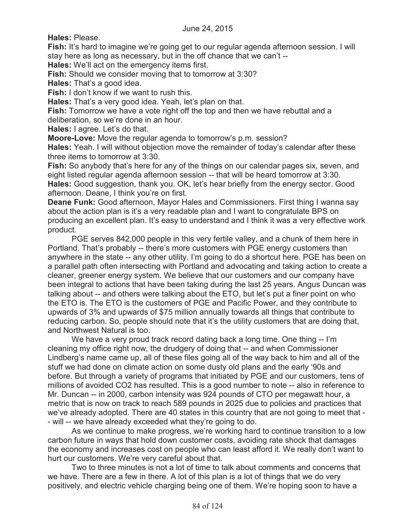**Hales:** Please.

**Fish:** It's hard to imagine we're going get to our regular agenda afternoon session. I will stay here as long as necessary, but in the off chance that we can't --

**Hales:** We'll act on the emergency items first.

**Fish:** Should we consider moving that to tomorrow at 3:30?

**Hales:** That's a good idea.

**Fish:** I don't know if we want to rush this.

**Hales:** That's a very good idea. Yeah, let's plan on that.

**Fish:** Tomorrow we have a vote right off the top and then we have rebuttal and a deliberation, so we're done in an hour.

**Hales:** I agree. Let's do that.

**Moore-Love:** Move the regular agenda to tomorrow's p.m. session?

**Hales:** Yeah. I will without objection move the remainder of today's calendar after these three items to tomorrow at 3:30.

**Fish:** So anybody that's here for any of the things on our calendar pages six, seven, and eight listed regular agenda afternoon session -- that will be heard tomorrow at 3:30. **Hales:** Good suggestion, thank you. OK, let's hear briefly from the energy sector. Good afternoon. Deane, I think you're on first.

**Deane Funk:** Good afternoon, Mayor Hales and Commissioners. First thing I wanna say about the action plan is it's a very readable plan and I want to congratulate BPS on producing an excellent plan. It's easy to understand and I think it was a very effective work product.

PGE serves 842,000 people in this very fertile valley, and a chunk of them here in Portland. That's probably -- there's more customers with PGE energy customers than anywhere in the state -- any other utility. I'm going to do a shortcut here. PGE has been on a parallel path often intersecting with Portland and advocating and taking action to create a cleaner, greener energy system. We believe that our customers and our company have been integral to actions that have been taking during the last 25 years. Angus Duncan was talking about -- and others were talking about the ETO, but let's put a finer point on who the ETO is. The ETO is the customers of PGE and Pacific Power, and they contribute to upwards of 3% and upwards of \$75 million annually towards all things that contribute to reducing carbon. So, people should note that it's the utility customers that are doing that, and Northwest Natural is too.

We have a very proud track record dating back a long time. One thing -- I'm cleaning my office right now, the drudgery of doing that -- and when Commissioner Lindberg's name came up, all of these files going all of the way back to him and all of the stuff we had done on climate action on some dusty old plans and the early '90s and before. But through a variety of programs that initiated by PGE and our customers, tens of millions of avoided CO2 has resulted. This is a good number to note -- also in reference to Mr. Duncan -- in 2000, carbon intensity was 924 pounds of CTO per megawatt hour, a metric that is now on track to reach 589 pounds in 2025 due to policies and practices that we've already adopted. There are 40 states in this country that are not going to meet that - - will -- we have already exceeded what they're going to do.

As we continue to make progress, we're working hard to continue transition to a low carbon future in ways that hold down customer costs, avoiding rate shock that damages the economy and increases cost on people who can least afford it. We really don't want to hurt our customers. We're very careful about that.

Two to three minutes is not a lot of time to talk about comments and concerns that we have. There are a few in there. A lot of this plan is a lot of things that we do very positively, and electric vehicle charging being one of them. We're hoping soon to have a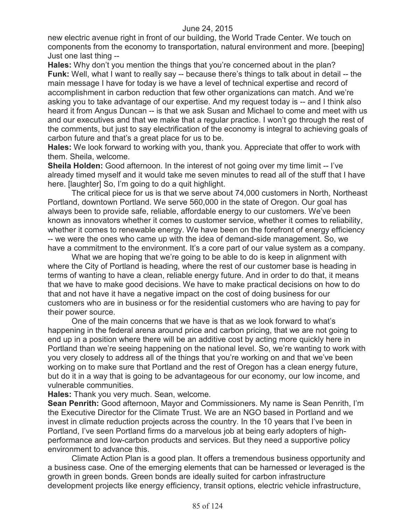new electric avenue right in front of our building, the World Trade Center. We touch on components from the economy to transportation, natural environment and more. [beeping] Just one last thing --

**Hales:** Why don't you mention the things that you're concerned about in the plan? **Funk:** Well, what I want to really say -- because there's things to talk about in detail -- the main message I have for today is we have a level of technical expertise and record of accomplishment in carbon reduction that few other organizations can match. And we're asking you to take advantage of our expertise. And my request today is -- and I think also heard it from Angus Duncan -- is that we ask Susan and Michael to come and meet with us and our executives and that we make that a regular practice. I won't go through the rest of the comments, but just to say electrification of the economy is integral to achieving goals of carbon future and that's a great place for us to be.

**Hales:** We look forward to working with you, thank you. Appreciate that offer to work with them. Sheila, welcome.

**Sheila Holden:** Good afternoon. In the interest of not going over my time limit -- I've already timed myself and it would take me seven minutes to read all of the stuff that I have here. [laughter] So, I'm going to do a quit highlight.

The critical piece for us is that we serve about 74,000 customers in North, Northeast Portland, downtown Portland. We serve 560,000 in the state of Oregon. Our goal has always been to provide safe, reliable, affordable energy to our customers. We've been known as innovators whether it comes to customer service, whether it comes to reliability, whether it comes to renewable energy. We have been on the forefront of energy efficiency -- we were the ones who came up with the idea of demand-side management. So, we have a commitment to the environment. It's a core part of our value system as a company.

What we are hoping that we're going to be able to do is keep in alignment with where the City of Portland is heading, where the rest of our customer base is heading in terms of wanting to have a clean, reliable energy future. And in order to do that, it means that we have to make good decisions. We have to make practical decisions on how to do that and not have it have a negative impact on the cost of doing business for our customers who are in business or for the residential customers who are having to pay for their power source.

One of the main concerns that we have is that as we look forward to what's happening in the federal arena around price and carbon pricing, that we are not going to end up in a position where there will be an additive cost by acting more quickly here in Portland than we're seeing happening on the national level. So, we're wanting to work with you very closely to address all of the things that you're working on and that we've been working on to make sure that Portland and the rest of Oregon has a clean energy future, but do it in a way that is going to be advantageous for our economy, our low income, and vulnerable communities.

**Hales:** Thank you very much. Sean, welcome.

**Sean Penrith:** Good afternoon, Mayor and Commissioners. My name is Sean Penrith, I'm the Executive Director for the Climate Trust. We are an NGO based in Portland and we invest in climate reduction projects across the country. In the 10 years that I've been in Portland, I've seen Portland firms do a marvelous job at being early adopters of highperformance and low-carbon products and services. But they need a supportive policy environment to advance this.

Climate Action Plan is a good plan. It offers a tremendous business opportunity and a business case. One of the emerging elements that can be harnessed or leveraged is the growth in green bonds. Green bonds are ideally suited for carbon infrastructure development projects like energy efficiency, transit options, electric vehicle infrastructure,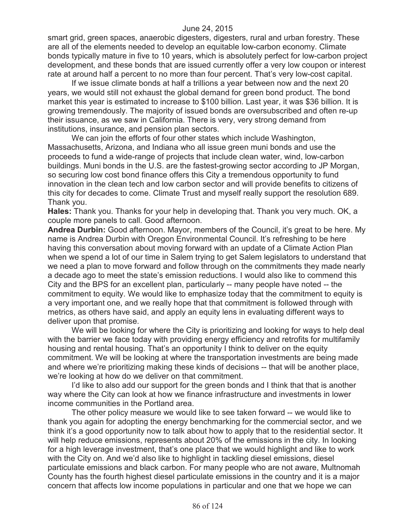smart grid, green spaces, anaerobic digesters, digesters, rural and urban forestry. These are all of the elements needed to develop an equitable low-carbon economy. Climate bonds typically mature in five to 10 years, which is absolutely perfect for low-carbon project development, and these bonds that are issued currently offer a very low coupon or interest rate at around half a percent to no more than four percent. That's very low-cost capital.

If we issue climate bonds at half a trillions a year between now and the next 20 years, we would still not exhaust the global demand for green bond product. The bond market this year is estimated to increase to \$100 billion. Last year, it was \$36 billion. It is growing tremendously. The majority of issued bonds are oversubscribed and often re-up their issuance, as we saw in California. There is very, very strong demand from institutions, insurance, and pension plan sectors.

We can join the efforts of four other states which include Washington, Massachusetts, Arizona, and Indiana who all issue green muni bonds and use the proceeds to fund a wide-range of projects that include clean water, wind, low-carbon buildings. Muni bonds in the U.S. are the fastest-growing sector according to JP Morgan, so securing low cost bond finance offers this City a tremendous opportunity to fund innovation in the clean tech and low carbon sector and will provide benefits to citizens of this city for decades to come. Climate Trust and myself really support the resolution 689. Thank you.

**Hales:** Thank you. Thanks for your help in developing that. Thank you very much. OK, a couple more panels to call. Good afternoon.

**Andrea Durbin:** Good afternoon. Mayor, members of the Council, it's great to be here. My name is Andrea Durbin with Oregon Environmental Council. It's refreshing to be here having this conversation about moving forward with an update of a Climate Action Plan when we spend a lot of our time in Salem trying to get Salem legislators to understand that we need a plan to move forward and follow through on the commitments they made nearly a decade ago to meet the state's emission reductions. I would also like to commend this City and the BPS for an excellent plan, particularly -- many people have noted -- the commitment to equity. We would like to emphasize today that the commitment to equity is a very important one, and we really hope that that commitment is followed through with metrics, as others have said, and apply an equity lens in evaluating different ways to deliver upon that promise.

We will be looking for where the City is prioritizing and looking for ways to help deal with the barrier we face today with providing energy efficiency and retrofits for multifamily housing and rental housing. That's an opportunity I think to deliver on the equity commitment. We will be looking at where the transportation investments are being made and where we're prioritizing making these kinds of decisions -- that will be another place, we're looking at how do we deliver on that commitment.

I'd like to also add our support for the green bonds and I think that that is another way where the City can look at how we finance infrastructure and investments in lower income communities in the Portland area.

The other policy measure we would like to see taken forward -- we would like to thank you again for adopting the energy benchmarking for the commercial sector, and we think it's a good opportunity now to talk about how to apply that to the residential sector. It will help reduce emissions, represents about 20% of the emissions in the city. In looking for a high leverage investment, that's one place that we would highlight and like to work with the City on. And we'd also like to highlight in tackling diesel emissions, diesel particulate emissions and black carbon. For many people who are not aware, Multnomah County has the fourth highest diesel particulate emissions in the country and it is a major concern that affects low income populations in particular and one that we hope we can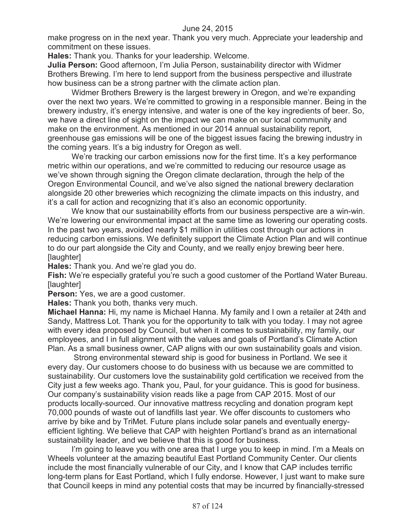make progress on in the next year. Thank you very much. Appreciate your leadership and commitment on these issues.

**Hales:** Thank you. Thanks for your leadership. Welcome.

**Julia Person:** Good afternoon, I'm Julia Person, sustainability director with Widmer Brothers Brewing. I'm here to lend support from the business perspective and illustrate how business can be a strong partner with the climate action plan.

Widmer Brothers Brewery is the largest brewery in Oregon, and we're expanding over the next two years. We're committed to growing in a responsible manner. Being in the brewery industry, it's energy intensive, and water is one of the key ingredients of beer. So, we have a direct line of sight on the impact we can make on our local community and make on the environment. As mentioned in our 2014 annual sustainability report, greenhouse gas emissions will be one of the biggest issues facing the brewing industry in the coming years. It's a big industry for Oregon as well.

We're tracking our carbon emissions now for the first time. It's a key performance metric within our operations, and we're committed to reducing our resource usage as we've shown through signing the Oregon climate declaration, through the help of the Oregon Environmental Council, and we've also signed the national brewery declaration alongside 20 other breweries which recognizing the climate impacts on this industry, and it's a call for action and recognizing that it's also an economic opportunity.

We know that our sustainability efforts from our business perspective are a win-win. We're lowering our environmental impact at the same time as lowering our operating costs. In the past two years, avoided nearly \$1 million in utilities cost through our actions in reducing carbon emissions. We definitely support the Climate Action Plan and will continue to do our part alongside the City and County, and we really enjoy brewing beer here. [laughter]

**Hales:** Thank you. And we're glad you do.

**Fish:** We're especially grateful you're such a good customer of the Portland Water Bureau. [laughter]

**Person:** Yes, we are a good customer.

**Hales:** Thank you both, thanks very much.

**Michael Hanna:** Hi, my name is Michael Hanna. My family and I own a retailer at 24th and Sandy, Mattress Lot. Thank you for the opportunity to talk with you today. I may not agree with every idea proposed by Council, but when it comes to sustainability, my family, our employees, and I in full alignment with the values and goals of Portland's Climate Action Plan. As a small business owner, CAP aligns with our own sustainability goals and vision.

Strong environmental steward ship is good for business in Portland. We see it every day. Our customers choose to do business with us because we are committed to sustainability. Our customers love the sustainability gold certification we received from the City just a few weeks ago. Thank you, Paul, for your guidance. This is good for business. Our company's sustainability vision reads like a page from CAP 2015. Most of our products locally-sourced. Our innovative mattress recycling and donation program kept 70,000 pounds of waste out of landfills last year. We offer discounts to customers who arrive by bike and by TriMet. Future plans include solar panels and eventually energyefficient lighting. We believe that CAP with heighten Portland's brand as an international sustainability leader, and we believe that this is good for business.

I'm going to leave you with one area that I urge you to keep in mind. I'm a Meals on Wheels volunteer at the amazing beautiful East Portland Community Center. Our clients include the most financially vulnerable of our City, and I know that CAP includes terrific long-term plans for East Portland, which I fully endorse. However, I just want to make sure that Council keeps in mind any potential costs that may be incurred by financially-stressed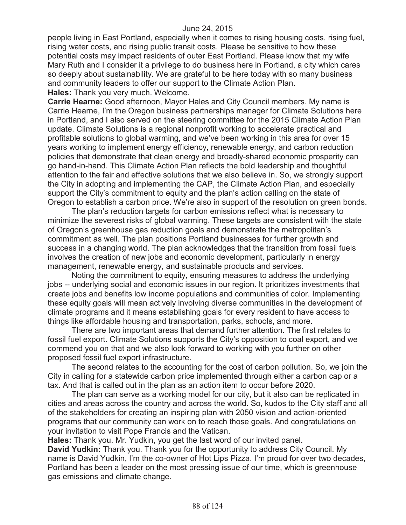people living in East Portland, especially when it comes to rising housing costs, rising fuel, rising water costs, and rising public transit costs. Please be sensitive to how these potential costs may impact residents of outer East Portland. Please know that my wife Mary Ruth and I consider it a privilege to do business here in Portland, a city which cares so deeply about sustainability. We are grateful to be here today with so many business and community leaders to offer our support to the Climate Action Plan.

**Hales:** Thank you very much. Welcome.

**Carrie Hearne:** Good afternoon, Mayor Hales and City Council members. My name is Carrie Hearne, I'm the Oregon business partnerships manager for Climate Solutions here in Portland, and I also served on the steering committee for the 2015 Climate Action Plan update. Climate Solutions is a regional nonprofit working to accelerate practical and profitable solutions to global warming, and we've been working in this area for over 15 years working to implement energy efficiency, renewable energy, and carbon reduction policies that demonstrate that clean energy and broadly-shared economic prosperity can go hand-in-hand. This Climate Action Plan reflects the bold leadership and thoughtful attention to the fair and effective solutions that we also believe in. So, we strongly support the City in adopting and implementing the CAP, the Climate Action Plan, and especially support the City's commitment to equity and the plan's action calling on the state of Oregon to establish a carbon price. We're also in support of the resolution on green bonds.

The plan's reduction targets for carbon emissions reflect what is necessary to minimize the severest risks of global warming. These targets are consistent with the state of Oregon's greenhouse gas reduction goals and demonstrate the metropolitan's commitment as well. The plan positions Portland businesses for further growth and success in a changing world. The plan acknowledges that the transition from fossil fuels involves the creation of new jobs and economic development, particularly in energy management, renewable energy, and sustainable products and services.

Noting the commitment to equity, ensuring measures to address the underlying jobs -- underlying social and economic issues in our region. It prioritizes investments that create jobs and benefits low income populations and communities of color. Implementing these equity goals will mean actively involving diverse communities in the development of climate programs and it means establishing goals for every resident to have access to things like affordable housing and transportation, parks, schools, and more.

There are two important areas that demand further attention. The first relates to fossil fuel export. Climate Solutions supports the City's opposition to coal export, and we commend you on that and we also look forward to working with you further on other proposed fossil fuel export infrastructure.

The second relates to the accounting for the cost of carbon pollution. So, we join the City in calling for a statewide carbon price implemented through either a carbon cap or a tax. And that is called out in the plan as an action item to occur before 2020.

The plan can serve as a working model for our city, but it also can be replicated in cities and areas across the country and across the world. So, kudos to the City staff and all of the stakeholders for creating an inspiring plan with 2050 vision and action-oriented programs that our community can work on to reach those goals. And congratulations on your invitation to visit Pope Francis and the Vatican.

**Hales:** Thank you. Mr. Yudkin, you get the last word of our invited panel.

**David Yudkin:** Thank you. Thank you for the opportunity to address City Council. My name is David Yudkin, I'm the co-owner of Hot Lips Pizza. I'm proud for over two decades, Portland has been a leader on the most pressing issue of our time, which is greenhouse gas emissions and climate change.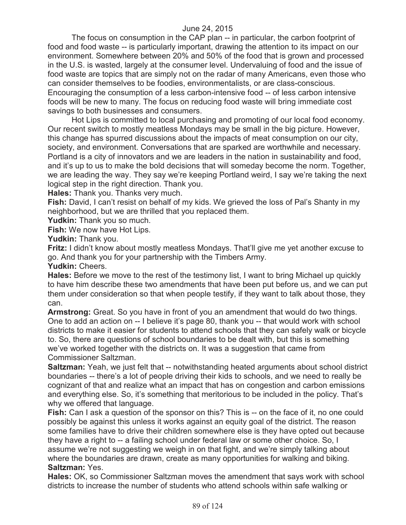The focus on consumption in the CAP plan -- in particular, the carbon footprint of food and food waste -- is particularly important, drawing the attention to its impact on our environment. Somewhere between 20% and 50% of the food that is grown and processed in the U.S. is wasted, largely at the consumer level. Undervaluing of food and the issue of food waste are topics that are simply not on the radar of many Americans, even those who can consider themselves to be foodies, environmentalists, or are class-conscious. Encouraging the consumption of a less carbon-intensive food -- of less carbon intensive foods will be new to many. The focus on reducing food waste will bring immediate cost savings to both businesses and consumers.

Hot Lips is committed to local purchasing and promoting of our local food economy. Our recent switch to mostly meatless Mondays may be small in the big picture. However, this change has spurred discussions about the impacts of meat consumption on our city, society, and environment. Conversations that are sparked are worthwhile and necessary. Portland is a city of innovators and we are leaders in the nation in sustainability and food, and it's up to us to make the bold decisions that will someday become the norm. Together, we are leading the way. They say we're keeping Portland weird, I say we're taking the next logical step in the right direction. Thank you.

**Hales:** Thank you. Thanks very much.

**Fish:** David, I can't resist on behalf of my kids. We grieved the loss of Pal's Shanty in my neighborhood, but we are thrilled that you replaced them.

**Yudkin:** Thank you so much.

**Fish:** We now have Hot Lips.

**Yudkin:** Thank you.

**Fritz:** I didn't know about mostly meatless Mondays. That'll give me yet another excuse to go. And thank you for your partnership with the Timbers Army.

**Yudkin:** Cheers.

**Hales:** Before we move to the rest of the testimony list, I want to bring Michael up quickly to have him describe these two amendments that have been put before us, and we can put them under consideration so that when people testify, if they want to talk about those, they can.

**Armstrong:** Great. So you have in front of you an amendment that would do two things. One to add an action on -- I believe it's page 80, thank you -- that would work with school districts to make it easier for students to attend schools that they can safely walk or bicycle to. So, there are questions of school boundaries to be dealt with, but this is something we've worked together with the districts on. It was a suggestion that came from Commissioner Saltzman.

**Saltzman:** Yeah, we just felt that -- notwithstanding heated arguments about school district boundaries -- there's a lot of people driving their kids to schools, and we need to really be cognizant of that and realize what an impact that has on congestion and carbon emissions and everything else. So, it's something that meritorious to be included in the policy. That's why we offered that language.

**Fish:** Can I ask a question of the sponsor on this? This is -- on the face of it, no one could possibly be against this unless it works against an equity goal of the district. The reason some families have to drive their children somewhere else is they have opted out because they have a right to -- a failing school under federal law or some other choice. So, I assume we're not suggesting we weigh in on that fight, and we're simply talking about where the boundaries are drawn, create as many opportunities for walking and biking. **Saltzman:** Yes.

**Hales:** OK, so Commissioner Saltzman moves the amendment that says work with school districts to increase the number of students who attend schools within safe walking or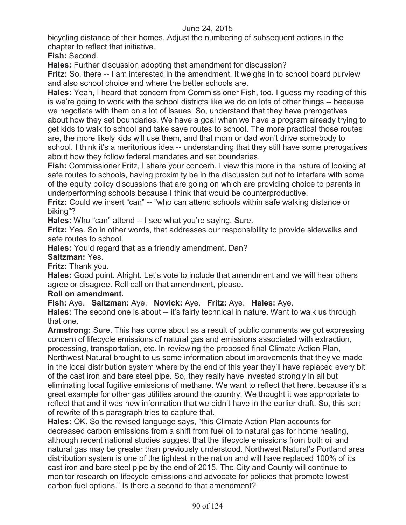bicycling distance of their homes. Adjust the numbering of subsequent actions in the chapter to reflect that initiative.

**Fish:** Second.

**Hales:** Further discussion adopting that amendment for discussion?

**Fritz:** So, there -- I am interested in the amendment. It weighs in to school board purview and also school choice and where the better schools are.

**Hales:** Yeah, I heard that concern from Commissioner Fish, too. I guess my reading of this is we're going to work with the school districts like we do on lots of other things -- because we negotiate with them on a lot of issues. So, understand that they have prerogatives about how they set boundaries. We have a goal when we have a program already trying to get kids to walk to school and take save routes to school. The more practical those routes are, the more likely kids will use them, and that mom or dad won't drive somebody to school. I think it's a meritorious idea -- understanding that they still have some prerogatives about how they follow federal mandates and set boundaries.

**Fish:** Commissioner Fritz, I share your concern. I view this more in the nature of looking at safe routes to schools, having proximity be in the discussion but not to interfere with some of the equity policy discussions that are going on which are providing choice to parents in underperforming schools because I think that would be counterproductive.

**Fritz:** Could we insert "can" -- "who can attend schools within safe walking distance or biking"?

**Hales:** Who "can" attend -- I see what you're saying. Sure.

**Fritz:** Yes. So in other words, that addresses our responsibility to provide sidewalks and safe routes to school.

**Hales:** You'd regard that as a friendly amendment, Dan?

**Saltzman:** Yes.

**Fritz:** Thank you.

**Hales:** Good point. Alright. Let's vote to include that amendment and we will hear others agree or disagree. Roll call on that amendment, please.

# **Roll on amendment.**

**Fish:** Aye. **Saltzman:** Aye. **Novick:** Aye. **Fritz:** Aye. **Hales:** Aye.

**Hales:** The second one is about -- it's fairly technical in nature. Want to walk us through that one.

**Armstrong:** Sure. This has come about as a result of public comments we got expressing concern of lifecycle emissions of natural gas and emissions associated with extraction, processing, transportation, etc. In reviewing the proposed final Climate Action Plan, Northwest Natural brought to us some information about improvements that they've made in the local distribution system where by the end of this year they'll have replaced every bit of the cast iron and bare steel pipe. So, they really have invested strongly in all but eliminating local fugitive emissions of methane. We want to reflect that here, because it's a great example for other gas utilities around the country. We thought it was appropriate to reflect that and it was new information that we didn't have in the earlier draft. So, this sort of rewrite of this paragraph tries to capture that.

**Hales:** OK. So the revised language says, "this Climate Action Plan accounts for decreased carbon emissions from a shift from fuel oil to natural gas for home heating, although recent national studies suggest that the lifecycle emissions from both oil and natural gas may be greater than previously understood. Northwest Natural's Portland area distribution system is one of the tightest in the nation and will have replaced 100% of its cast iron and bare steel pipe by the end of 2015. The City and County will continue to monitor research on lifecycle emissions and advocate for policies that promote lowest carbon fuel options." Is there a second to that amendment?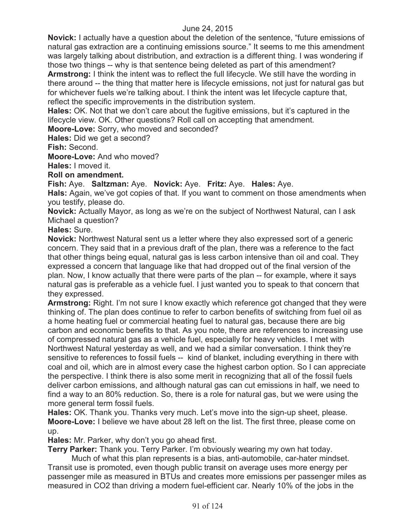**Novick:** I actually have a question about the deletion of the sentence, "future emissions of natural gas extraction are a continuing emissions source." It seems to me this amendment was largely talking about distribution, and extraction is a different thing. I was wondering if those two things -- why is that sentence being deleted as part of this amendment?

**Armstrong:** I think the intent was to reflect the full lifecycle. We still have the wording in there around -- the thing that matter here is lifecycle emissions, not just for natural gas but for whichever fuels we're talking about. I think the intent was let lifecycle capture that, reflect the specific improvements in the distribution system.

**Hales:** OK. Not that we don't care about the fugitive emissions, but it's captured in the lifecycle view. OK. Other questions? Roll call on accepting that amendment.

**Moore-Love:** Sorry, who moved and seconded?

**Hales:** Did we get a second?

**Fish:** Second.

**Moore-Love:** And who moved?

**Hales:** I moved it.

**Roll on amendment.**

**Fish:** Aye. **Saltzman:** Aye. **Novick:** Aye. **Fritz:** Aye. **Hales:** Aye.

Hals: Again, we've got copies of that. If you want to comment on those amendments when you testify, please do.

**Novick:** Actually Mayor, as long as we're on the subject of Northwest Natural, can I ask Michael a question?

**Hales:** Sure.

**Novick:** Northwest Natural sent us a letter where they also expressed sort of a generic concern. They said that in a previous draft of the plan, there was a reference to the fact that other things being equal, natural gas is less carbon intensive than oil and coal. They expressed a concern that language like that had dropped out of the final version of the plan. Now, I know actually that there were parts of the plan -- for example, where it says natural gas is preferable as a vehicle fuel. I just wanted you to speak to that concern that they expressed.

**Armstrong:** Right. I'm not sure I know exactly which reference got changed that they were thinking of. The plan does continue to refer to carbon benefits of switching from fuel oil as a home heating fuel or commercial heating fuel to natural gas, because there are big carbon and economic benefits to that. As you note, there are references to increasing use of compressed natural gas as a vehicle fuel, especially for heavy vehicles. I met with Northwest Natural yesterday as well, and we had a similar conversation. I think they're sensitive to references to fossil fuels -- kind of blanket, including everything in there with coal and oil, which are in almost every case the highest carbon option. So I can appreciate the perspective. I think there is also some merit in recognizing that all of the fossil fuels deliver carbon emissions, and although natural gas can cut emissions in half, we need to find a way to an 80% reduction. So, there is a role for natural gas, but we were using the more general term fossil fuels.

**Hales:** OK. Thank you. Thanks very much. Let's move into the sign-up sheet, please. **Moore-Love:** I believe we have about 28 left on the list. The first three, please come on up.

**Hales:** Mr. Parker, why don't you go ahead first.

**Terry Parker:** Thank you. Terry Parker. I'm obviously wearing my own hat today.

Much of what this plan represents is a bias, anti-automobile, car-hater mindset. Transit use is promoted, even though public transit on average uses more energy per passenger mile as measured in BTUs and creates more emissions per passenger miles as measured in CO2 than driving a modern fuel-efficient car. Nearly 10% of the jobs in the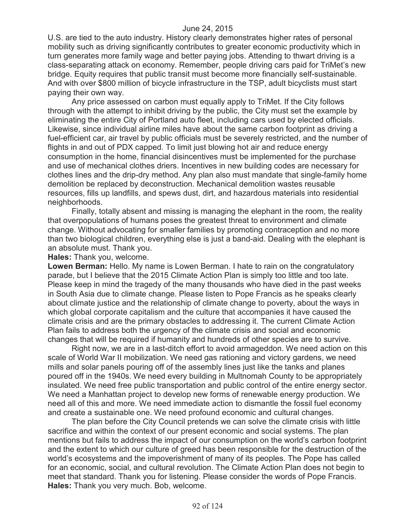U.S. are tied to the auto industry. History clearly demonstrates higher rates of personal mobility such as driving significantly contributes to greater economic productivity which in turn generates more family wage and better paying jobs. Attending to thwart driving is a class-separating attack on economy. Remember, people driving cars paid for TriMet's new bridge. Equity requires that public transit must become more financially self-sustainable. And with over \$800 million of bicycle infrastructure in the TSP, adult bicyclists must start paying their own way.

Any price assessed on carbon must equally apply to TriMet. If the City follows through with the attempt to inhibit driving by the public, the City must set the example by eliminating the entire City of Portland auto fleet, including cars used by elected officials. Likewise, since individual airline miles have about the same carbon footprint as driving a fuel-efficient car, air travel by public officials must be severely restricted, and the number of flights in and out of PDX capped. To limit just blowing hot air and reduce energy consumption in the home, financial disincentives must be implemented for the purchase and use of mechanical clothes driers. Incentives in new building codes are necessary for clothes lines and the drip-dry method. Any plan also must mandate that single-family home demolition be replaced by deconstruction. Mechanical demolition wastes reusable resources, fills up landfills, and spews dust, dirt, and hazardous materials into residential neighborhoods.

Finally, totally absent and missing is managing the elephant in the room, the reality that overpopulations of humans poses the greatest threat to environment and climate change. Without advocating for smaller families by promoting contraception and no more than two biological children, everything else is just a band-aid. Dealing with the elephant is an absolute must. Thank you.

**Hales:** Thank you, welcome.

**Lowen Berman:** Hello. My name is Lowen Berman. I hate to rain on the congratulatory parade, but I believe that the 2015 Climate Action Plan is simply too little and too late. Please keep in mind the tragedy of the many thousands who have died in the past weeks in South Asia due to climate change. Please listen to Pope Francis as he speaks clearly about climate justice and the relationship of climate change to poverty, about the ways in which global corporate capitalism and the culture that accompanies it have caused the climate crisis and are the primary obstacles to addressing it. The current Climate Action Plan fails to address both the urgency of the climate crisis and social and economic changes that will be required if humanity and hundreds of other species are to survive.

Right now, we are in a last-ditch effort to avoid armageddon. We need action on this scale of World War II mobilization. We need gas rationing and victory gardens, we need mills and solar panels pouring off of the assembly lines just like the tanks and planes poured off in the 1940s. We need every building in Multnomah County to be appropriately insulated. We need free public transportation and public control of the entire energy sector. We need a Manhattan project to develop new forms of renewable energy production. We need all of this and more. We need immediate action to dismantle the fossil fuel economy and create a sustainable one. We need profound economic and cultural changes.

The plan before the City Council pretends we can solve the climate crisis with little sacrifice and within the context of our present economic and social systems. The plan mentions but fails to address the impact of our consumption on the world's carbon footprint and the extent to which our culture of greed has been responsible for the destruction of the world's ecosystems and the impoverishment of many of its peoples. The Pope has called for an economic, social, and cultural revolution. The Climate Action Plan does not begin to meet that standard. Thank you for listening. Please consider the words of Pope Francis. **Hales:** Thank you very much. Bob, welcome.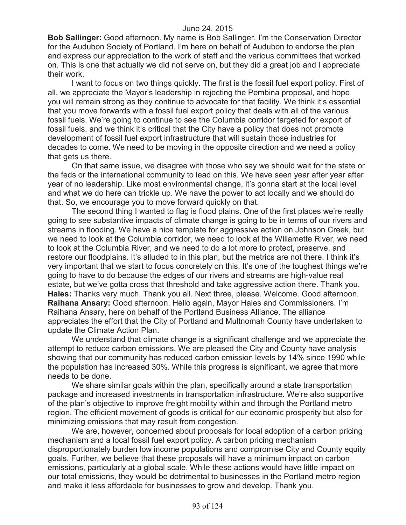**Bob Sallinger:** Good afternoon. My name is Bob Sallinger, I'm the Conservation Director for the Audubon Society of Portland. I'm here on behalf of Audubon to endorse the plan and express our appreciation to the work of staff and the various committees that worked on. This is one that actually we did not serve on, but they did a great job and I appreciate their work.

I want to focus on two things quickly. The first is the fossil fuel export policy. First of all, we appreciate the Mayor's leadership in rejecting the Pembina proposal, and hope you will remain strong as they continue to advocate for that facility. We think it's essential that you move forwards with a fossil fuel export policy that deals with all of the various fossil fuels. We're going to continue to see the Columbia corridor targeted for export of fossil fuels, and we think it's critical that the City have a policy that does not promote development of fossil fuel export infrastructure that will sustain those industries for decades to come. We need to be moving in the opposite direction and we need a policy that gets us there.

On that same issue, we disagree with those who say we should wait for the state or the feds or the international community to lead on this. We have seen year after year after year of no leadership. Like most environmental change, it's gonna start at the local level and what we do here can trickle up. We have the power to act locally and we should do that. So, we encourage you to move forward quickly on that.

The second thing I wanted to flag is flood plains. One of the first places we're really going to see substantive impacts of climate change is going to be in terms of our rivers and streams in flooding. We have a nice template for aggressive action on Johnson Creek, but we need to look at the Columbia corridor, we need to look at the Willamette River, we need to look at the Columbia River, and we need to do a lot more to protect, preserve, and restore our floodplains. It's alluded to in this plan, but the metrics are not there. I think it's very important that we start to focus concretely on this. It's one of the toughest things we're going to have to do because the edges of our rivers and streams are high-value real estate, but we've gotta cross that threshold and take aggressive action there. Thank you. **Hales:** Thanks very much. Thank you all. Next three, please. Welcome. Good afternoon. **Raihana Ansary:** Good afternoon. Hello again, Mayor Hales and Commissioners. I'm Raihana Ansary, here on behalf of the Portland Business Alliance. The alliance appreciates the effort that the City of Portland and Multnomah County have undertaken to update the Climate Action Plan.

We understand that climate change is a significant challenge and we appreciate the attempt to reduce carbon emissions. We are pleased the City and County have analysis showing that our community has reduced carbon emission levels by 14% since 1990 while the population has increased 30%. While this progress is significant, we agree that more needs to be done.

We share similar goals within the plan, specifically around a state transportation package and increased investments in transportation infrastructure. We're also supportive of the plan's objective to improve freight mobility within and through the Portland metro region. The efficient movement of goods is critical for our economic prosperity but also for minimizing emissions that may result from congestion.

We are, however, concerned about proposals for local adoption of a carbon pricing mechanism and a local fossil fuel export policy. A carbon pricing mechanism disproportionately burden low income populations and compromise City and County equity goals. Further, we believe that these proposals will have a minimum impact on carbon emissions, particularly at a global scale. While these actions would have little impact on our total emissions, they would be detrimental to businesses in the Portland metro region and make it less affordable for businesses to grow and develop. Thank you.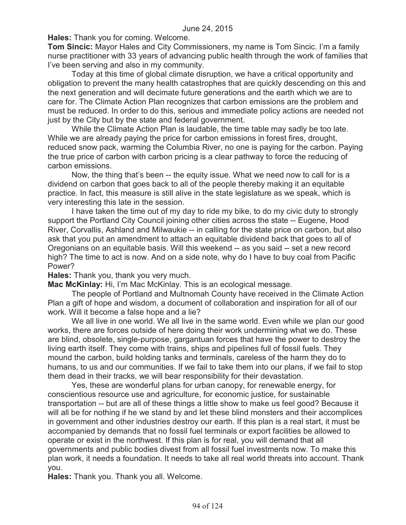**Hales:** Thank you for coming. Welcome.

**Tom Sincic:** Mayor Hales and City Commissioners, my name is Tom Sincic. I'm a family nurse practitioner with 33 years of advancing public health through the work of families that I've been serving and also in my community.

Today at this time of global climate disruption, we have a critical opportunity and obligation to prevent the many health catastrophes that are quickly descending on this and the next generation and will decimate future generations and the earth which we are to care for. The Climate Action Plan recognizes that carbon emissions are the problem and must be reduced. In order to do this, serious and immediate policy actions are needed not just by the City but by the state and federal government.

While the Climate Action Plan is laudable, the time table may sadly be too late. While we are already paying the price for carbon emissions in forest fires, drought, reduced snow pack, warming the Columbia River, no one is paying for the carbon. Paying the true price of carbon with carbon pricing is a clear pathway to force the reducing of carbon emissions.

Now, the thing that's been -- the equity issue. What we need now to call for is a dividend on carbon that goes back to all of the people thereby making it an equitable practice. In fact, this measure is still alive in the state legislature as we speak, which is very interesting this late in the session.

I have taken the time out of my day to ride my bike, to do my civic duty to strongly support the Portland City Council joining other cities across the state -- Eugene, Hood River, Corvallis, Ashland and Milwaukie -- in calling for the state price on carbon, but also ask that you put an amendment to attach an equitable dividend back that goes to all of Oregonians on an equitable basis. Will this weekend -- as you said -- set a new record high? The time to act is now. And on a side note, why do I have to buy coal from Pacific Power?

**Hales:** Thank you, thank you very much.

**Mac McKinlay:** Hi, I'm Mac McKinlay. This is an ecological message.

The people of Portland and Multnomah County have received in the Climate Action Plan a gift of hope and wisdom, a document of collaboration and inspiration for all of our work. Will it become a false hope and a lie?

We all live in one world. We all live in the same world. Even while we plan our good works, there are forces outside of here doing their work undermining what we do. These are blind, obsolete, single-purpose, gargantuan forces that have the power to destroy the living earth itself. They come with trains, ships and pipelines full of fossil fuels. They mound the carbon, build holding tanks and terminals, careless of the harm they do to humans, to us and our communities. If we fail to take them into our plans, if we fail to stop them dead in their tracks, we will bear responsibility for their devastation.

Yes, these are wonderful plans for urban canopy, for renewable energy, for conscientious resource use and agriculture, for economic justice, for sustainable transportation -- but are all of these things a little show to make us feel good? Because it will all be for nothing if he we stand by and let these blind monsters and their accomplices in government and other industries destroy our earth. If this plan is a real start, it must be accompanied by demands that no fossil fuel terminals or export facilities be allowed to operate or exist in the northwest. If this plan is for real, you will demand that all governments and public bodies divest from all fossil fuel investments now. To make this plan work, it needs a foundation. It needs to take all real world threats into account. Thank you.

**Hales:** Thank you. Thank you all. Welcome.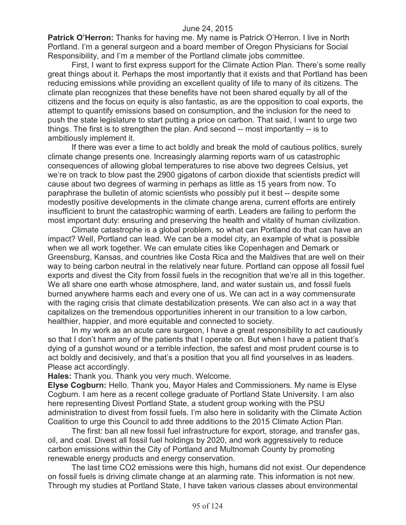**Patrick O'Herron:** Thanks for having me. My name is Patrick O'Herron. I live in North Portland. I'm a general surgeon and a board member of Oregon Physicians for Social Responsibility, and I'm a member of the Portland climate jobs committee.

First, I want to first express support for the Climate Action Plan. There's some really great things about it. Perhaps the most importantly that it exists and that Portland has been reducing emissions while providing an excellent quality of life to many of its citizens. The climate plan recognizes that these benefits have not been shared equally by all of the citizens and the focus on equity is also fantastic, as are the opposition to coal exports, the attempt to quantify emissions based on consumption, and the inclusion for the need to push the state legislature to start putting a price on carbon. That said, I want to urge two things. The first is to strengthen the plan. And second -- most importantly -- is to ambitiously implement it.

If there was ever a time to act boldly and break the mold of cautious politics, surely climate change presents one. Increasingly alarming reports warn of us catastrophic consequences of allowing global temperatures to rise above two degrees Celsius, yet we're on track to blow past the 2900 gigatons of carbon dioxide that scientists predict will cause about two degrees of warming in perhaps as little as 15 years from now. To paraphrase the bulletin of atomic scientists who possibly put it best -- despite some modestly positive developments in the climate change arena, current efforts are entirely insufficient to brunt the catastrophic warming of earth. Leaders are failing to perform the most important duty: ensuring and preserving the health and vitality of human civilization.

Climate catastrophe is a global problem, so what can Portland do that can have an impact? Well, Portland can lead. We can be a model city, an example of what is possible when we all work together. We can emulate cities like Copenhagen and Demark or Greensburg, Kansas, and countries like Costa Rica and the Maldives that are well on their way to being carbon neutral in the relatively near future. Portland can oppose all fossil fuel exports and divest the City from fossil fuels in the recognition that we're all in this together. We all share one earth whose atmosphere, land, and water sustain us, and fossil fuels burned anywhere harms each and every one of us. We can act in a way commensurate with the raging crisis that climate destabilization presents. We can also act in a way that capitalizes on the tremendous opportunities inherent in our transition to a low carbon, healthier, happier, and more equitable and connected to society.

In my work as an acute care surgeon, I have a great responsibility to act cautiously so that I don't harm any of the patients that I operate on. But when I have a patient that's dying of a gunshot wound or a terrible infection, the safest and most prudent course is to act boldly and decisively, and that's a position that you all find yourselves in as leaders. Please act accordingly.

**Hales:** Thank you. Thank you very much. Welcome.

**Elyse Cogburn:** Hello. Thank you, Mayor Hales and Commissioners. My name is Elyse Cogburn. I am here as a recent college graduate of Portland State University. I am also here representing Divest Portland State, a student group working with the PSU administration to divest from fossil fuels. I'm also here in solidarity with the Climate Action Coalition to urge this Council to add three additions to the 2015 Climate Action Plan.

The first: ban all new fossil fuel infrastructure for export, storage, and transfer gas, oil, and coal. Divest all fossil fuel holdings by 2020, and work aggressively to reduce carbon emissions within the City of Portland and Multnomah County by promoting renewable energy products and energy conservation.

The last time CO2 emissions were this high, humans did not exist. Our dependence on fossil fuels is driving climate change at an alarming rate. This information is not new. Through my studies at Portland State, I have taken various classes about environmental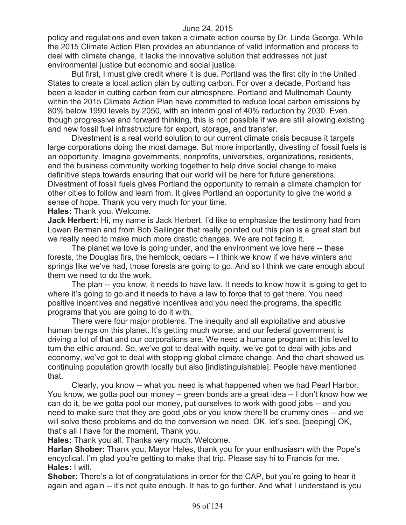policy and regulations and even taken a climate action course by Dr. Linda George. While the 2015 Climate Action Plan provides an abundance of valid information and process to deal with climate change, it lacks the innovative solution that addresses not just environmental justice but economic and social justice.

But first, I must give credit where it is due. Portland was the first city in the United States to create a local action plan by cutting carbon. For over a decade, Portland has been a leader in cutting carbon from our atmosphere. Portland and Multnomah County within the 2015 Climate Action Plan have committed to reduce local carbon emissions by 80% below 1990 levels by 2050, with an interim goal of 40% reduction by 2030. Even though progressive and forward thinking, this is not possible if we are still allowing existing and new fossil fuel infrastructure for export, storage, and transfer.

Divestment is a real world solution to our current climate crisis because it targets large corporations doing the most damage. But more importantly, divesting of fossil fuels is an opportunity. Imagine governments, nonprofits, universities, organizations, residents, and the business community working together to help drive social change to make definitive steps towards ensuring that our world will be here for future generations. Divestment of fossil fuels gives Portland the opportunity to remain a climate champion for other cities to follow and learn from. It gives Portland an opportunity to give the world a sense of hope. Thank you very much for your time.

**Hales:** Thank you. Welcome.

**Jack Herbert:** Hi, my name is Jack Herbert. I'd like to emphasize the testimony had from Lowen Berman and from Bob Sallinger that really pointed out this plan is a great start but we really need to make much more drastic changes. We are not facing it.

The planet we love is going under, and the environment we love here -- these forests, the Douglas firs, the hemlock, cedars -- I think we know if we have winters and springs like we've had, those forests are going to go. And so I think we care enough about them we need to do the work.

The plan -- you know, it needs to have law. It needs to know how it is going to get to where it's going to go and it needs to have a law to force that to get there. You need positive incentives and negative incentives and you need the programs, the specific programs that you are going to do it with.

There were four major problems. The inequity and all exploitative and abusive human beings on this planet. It's getting much worse, and our federal government is driving a lot of that and our corporations are. We need a humane program at this level to turn the ethic around. So, we've got to deal with equity, we've got to deal with jobs and economy, we've got to deal with stopping global climate change. And the chart showed us continuing population growth locally but also [indistinguishable]. People have mentioned that.

Clearly, you know -- what you need is what happened when we had Pearl Harbor. You know, we gotta pool our money -- green bonds are a great idea -- I don't know how we can do it, be we gotta pool our money, put ourselves to work with good jobs -- and you need to make sure that they are good jobs or you know there'll be crummy ones -- and we will solve those problems and do the conversion we need. OK, let's see. [beeping] OK, that's all I have for the moment. Thank you.

**Hales:** Thank you all. Thanks very much. Welcome.

**Harlan Shober:** Thank you. Mayor Hales, thank you for your enthusiasm with the Pope's encyclical. I'm glad you're getting to make that trip. Please say hi to Francis for me. **Hales:** I will.

**Shober:** There's a lot of congratulations in order for the CAP, but you're going to hear it again and again -- it's not quite enough. It has to go further. And what I understand is you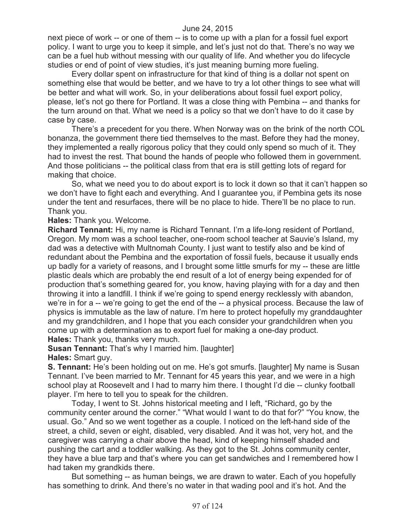next piece of work -- or one of them -- is to come up with a plan for a fossil fuel export policy. I want to urge you to keep it simple, and let's just not do that. There's no way we can be a fuel hub without messing with our quality of life. And whether you do lifecycle studies or end of point of view studies, it's just meaning burning more fueling.

Every dollar spent on infrastructure for that kind of thing is a dollar not spent on something else that would be better, and we have to try a lot other things to see what will be better and what will work. So, in your deliberations about fossil fuel export policy, please, let's not go there for Portland. It was a close thing with Pembina -- and thanks for the turn around on that. What we need is a policy so that we don't have to do it case by case by case.

There's a precedent for you there. When Norway was on the brink of the north COL bonanza, the government there tied themselves to the mast. Before they had the money, they implemented a really rigorous policy that they could only spend so much of it. They had to invest the rest. That bound the hands of people who followed them in government. And those politicians -- the political class from that era is still getting lots of regard for making that choice.

So, what we need you to do about export is to lock it down so that it can't happen so we don't have to fight each and everything. And I guarantee you, if Pembina gets its nose under the tent and resurfaces, there will be no place to hide. There'll be no place to run. Thank you.

**Hales:** Thank you. Welcome.

**Richard Tennant:** Hi, my name is Richard Tennant. I'm a life-long resident of Portland, Oregon. My mom was a school teacher, one-room school teacher at Sauvie's Island, my dad was a detective with Multnomah County. I just want to testify also and be kind of redundant about the Pembina and the exportation of fossil fuels, because it usually ends up badly for a variety of reasons, and I brought some little smurfs for my -- these are little plastic deals which are probably the end result of a lot of energy being expended for of production that's something geared for, you know, having playing with for a day and then throwing it into a landfill. I think if we're going to spend energy recklessly with abandon, we're in for a -- we're going to get the end of the -- a physical process. Because the law of physics is immutable as the law of nature. I'm here to protect hopefully my granddaughter and my grandchildren, and I hope that you each consider your grandchildren when you come up with a determination as to export fuel for making a one-day product. **Hales:** Thank you, thanks very much.

**Susan Tennant:** That's why I married him. [laughter] **Hales:** Smart guy.

**S. Tennant:** He's been holding out on me. He's got smurfs. [laughter] My name is Susan Tennant. I've been married to Mr. Tennant for 45 years this year, and we were in a high school play at Roosevelt and I had to marry him there. I thought I'd die -- clunky football player. I'm here to tell you to speak for the children.

Today, I went to St. Johns historical meeting and I left, "Richard, go by the community center around the corner." "What would I want to do that for?" "You know, the usual. Go." And so we went together as a couple. I noticed on the left-hand side of the street, a child, seven or eight, disabled, very disabled. And it was hot, very hot, and the caregiver was carrying a chair above the head, kind of keeping himself shaded and pushing the cart and a toddler walking. As they got to the St. Johns community center, they have a blue tarp and that's where you can get sandwiches and I remembered how I had taken my grandkids there.

But something -- as human beings, we are drawn to water. Each of you hopefully has something to drink. And there's no water in that wading pool and it's hot. And the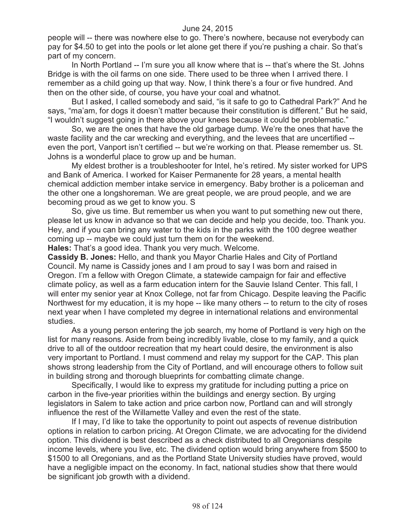people will -- there was nowhere else to go. There's nowhere, because not everybody can pay for \$4.50 to get into the pools or let alone get there if you're pushing a chair. So that's part of my concern.

In North Portland -- I'm sure you all know where that is -- that's where the St. Johns Bridge is with the oil farms on one side. There used to be three when I arrived there. I remember as a child going up that way. Now, I think there's a four or five hundred. And then on the other side, of course, you have your coal and whatnot.

But I asked, I called somebody and said, "is it safe to go to Cathedral Park?" And he says, "ma'am, for dogs it doesn't matter because their constitution is different." But he said, "I wouldn't suggest going in there above your knees because it could be problematic."

So, we are the ones that have the old garbage dump. We're the ones that have the waste facility and the car wrecking and everything, and the levees that are uncertified - even the port, Vanport isn't certified -- but we're working on that. Please remember us. St. Johns is a wonderful place to grow up and be human.

My eldest brother is a troubleshooter for Intel, he's retired. My sister worked for UPS and Bank of America. I worked for Kaiser Permanente for 28 years, a mental health chemical addiction member intake service in emergency. Baby brother is a policeman and the other one a longshoreman. We are great people, we are proud people, and we are becoming proud as we get to know you. S

So, give us time. But remember us when you want to put something new out there, please let us know in advance so that we can decide and help you decide, too. Thank you. Hey, and if you can bring any water to the kids in the parks with the 100 degree weather coming up -- maybe we could just turn them on for the weekend.

**Hales:** That's a good idea. Thank you very much. Welcome.

**Cassidy B. Jones:** Hello, and thank you Mayor Charlie Hales and City of Portland Council. My name is Cassidy jones and I am proud to say I was born and raised in Oregon. I'm a fellow with Oregon Climate, a statewide campaign for fair and effective climate policy, as well as a farm education intern for the Sauvie Island Center. This fall, I will enter my senior year at Knox College, not far from Chicago. Despite leaving the Pacific Northwest for my education, it is my hope -- like many others -- to return to the city of roses next year when I have completed my degree in international relations and environmental studies.

As a young person entering the job search, my home of Portland is very high on the list for many reasons. Aside from being incredibly livable, close to my family, and a quick drive to all of the outdoor recreation that my heart could desire, the environment is also very important to Portland. I must commend and relay my support for the CAP. This plan shows strong leadership from the City of Portland, and will encourage others to follow suit in building strong and thorough blueprints for combatting climate change.

Specifically, I would like to express my gratitude for including putting a price on carbon in the five-year priorities within the buildings and energy section. By urging legislators in Salem to take action and price carbon now, Portland can and will strongly influence the rest of the Willamette Valley and even the rest of the state.

If I may, I'd like to take the opportunity to point out aspects of revenue distribution options in relation to carbon pricing. At Oregon Climate, we are advocating for the dividend option. This dividend is best described as a check distributed to all Oregonians despite income levels, where you live, etc. The dividend option would bring anywhere from \$500 to \$1500 to all Oregonians, and as the Portland State University studies have proved, would have a negligible impact on the economy. In fact, national studies show that there would be significant job growth with a dividend.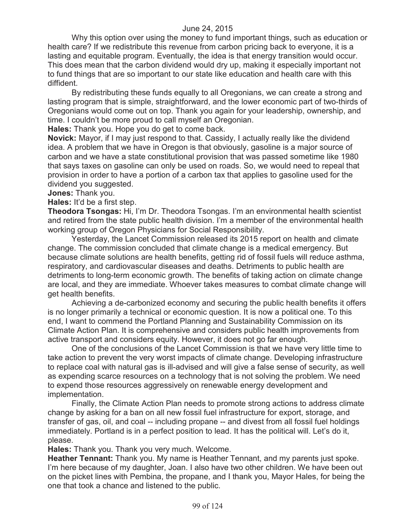Why this option over using the money to fund important things, such as education or health care? If we redistribute this revenue from carbon pricing back to everyone, it is a lasting and equitable program. Eventually, the idea is that energy transition would occur. This does mean that the carbon dividend would dry up, making it especially important not to fund things that are so important to our state like education and health care with this diffident.

By redistributing these funds equally to all Oregonians, we can create a strong and lasting program that is simple, straightforward, and the lower economic part of two-thirds of Oregonians would come out on top. Thank you again for your leadership, ownership, and time. I couldn't be more proud to call myself an Oregonian.

**Hales:** Thank you. Hope you do get to come back.

**Novick:** Mayor, if I may just respond to that. Cassidy, I actually really like the dividend idea. A problem that we have in Oregon is that obviously, gasoline is a major source of carbon and we have a state constitutional provision that was passed sometime like 1980 that says taxes on gasoline can only be used on roads. So, we would need to repeal that provision in order to have a portion of a carbon tax that applies to gasoline used for the dividend you suggested.

**Jones:** Thank you.

**Hales:** It'd be a first step.

**Theodora Tsongas:** Hi, I'm Dr. Theodora Tsongas. I'm an environmental health scientist and retired from the state public health division. I'm a member of the environmental health working group of Oregon Physicians for Social Responsibility.

Yesterday, the Lancet Commission released its 2015 report on health and climate change. The commission concluded that climate change is a medical emergency. But because climate solutions are health benefits, getting rid of fossil fuels will reduce asthma, respiratory, and cardiovascular diseases and deaths. Detriments to public health are detriments to long-term economic growth. The benefits of taking action on climate change are local, and they are immediate. Whoever takes measures to combat climate change will get health benefits.

Achieving a de-carbonized economy and securing the public health benefits it offers is no longer primarily a technical or economic question. It is now a political one. To this end, I want to commend the Portland Planning and Sustainability Commission on its Climate Action Plan. It is comprehensive and considers public health improvements from active transport and considers equity. However, it does not go far enough.

One of the conclusions of the Lancet Commission is that we have very little time to take action to prevent the very worst impacts of climate change. Developing infrastructure to replace coal with natural gas is ill-advised and will give a false sense of security, as well as expending scarce resources on a technology that is not solving the problem. We need to expend those resources aggressively on renewable energy development and implementation.

Finally, the Climate Action Plan needs to promote strong actions to address climate change by asking for a ban on all new fossil fuel infrastructure for export, storage, and transfer of gas, oil, and coal -- including propane -- and divest from all fossil fuel holdings immediately. Portland is in a perfect position to lead. It has the political will. Let's do it, please.

**Hales:** Thank you. Thank you very much. Welcome.

**Heather Tennant:** Thank you. My name is Heather Tennant, and my parents just spoke. I'm here because of my daughter, Joan. I also have two other children. We have been out on the picket lines with Pembina, the propane, and I thank you, Mayor Hales, for being the one that took a chance and listened to the public.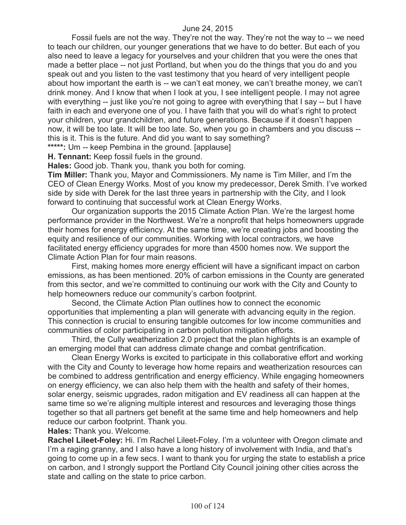Fossil fuels are not the way. They're not the way. They're not the way to -- we need to teach our children, our younger generations that we have to do better. But each of you also need to leave a legacy for yourselves and your children that you were the ones that made a better place -- not just Portland, but when you do the things that you do and you speak out and you listen to the vast testimony that you heard of very intelligent people about how important the earth is -- we can't eat money, we can't breathe money, we can't drink money. And I know that when I look at you, I see intelligent people. I may not agree with everything -- just like you're not going to agree with everything that I say -- but I have faith in each and everyone one of you. I have faith that you will do what's right to protect your children, your grandchildren, and future generations. Because if it doesn't happen now, it will be too late. It will be too late. So, when you go in chambers and you discuss - this is it. This is the future. And did you want to say something?

**\*\*\*\*\*:** Um -- keep Pembina in the ground. [applause]

**H. Tennant:** Keep fossil fuels in the ground.

**Hales:** Good job. Thank you, thank you both for coming.

**Tim Miller:** Thank you, Mayor and Commissioners. My name is Tim Miller, and I'm the CEO of Clean Energy Works. Most of you know my predecessor, Derek Smith. I've worked side by side with Derek for the last three years in partnership with the City, and I look forward to continuing that successful work at Clean Energy Works.

Our organization supports the 2015 Climate Action Plan. We're the largest home performance provider in the Northwest. We're a nonprofit that helps homeowners upgrade their homes for energy efficiency. At the same time, we're creating jobs and boosting the equity and resilience of our communities. Working with local contractors, we have facilitated energy efficiency upgrades for more than 4500 homes now. We support the Climate Action Plan for four main reasons.

First, making homes more energy efficient will have a significant impact on carbon emissions, as has been mentioned. 20% of carbon emissions in the County are generated from this sector, and we're committed to continuing our work with the City and County to help homeowners reduce our community's carbon footprint.

Second, the Climate Action Plan outlines how to connect the economic opportunities that implementing a plan will generate with advancing equity in the region. This connection is crucial to ensuring tangible outcomes for low income communities and communities of color participating in carbon pollution mitigation efforts.

Third, the Cully weatherization 2.0 project that the plan highlights is an example of an emerging model that can address climate change and combat gentrification.

Clean Energy Works is excited to participate in this collaborative effort and working with the City and County to leverage how home repairs and weatherization resources can be combined to address gentrification and energy efficiency. While engaging homeowners on energy efficiency, we can also help them with the health and safety of their homes, solar energy, seismic upgrades, radon mitigation and EV readiness all can happen at the same time so we're aligning multiple interest and resources and leveraging those things together so that all partners get benefit at the same time and help homeowners and help reduce our carbon footprint. Thank you.

**Hales:** Thank you. Welcome.

**Rachel Lileet-Foley:** Hi. I'm Rachel Lileet-Foley. I'm a volunteer with Oregon climate and I'm a raging granny, and I also have a long history of involvement with India, and that's going to come up in a few secs. I want to thank you for urging the state to establish a price on carbon, and I strongly support the Portland City Council joining other cities across the state and calling on the state to price carbon.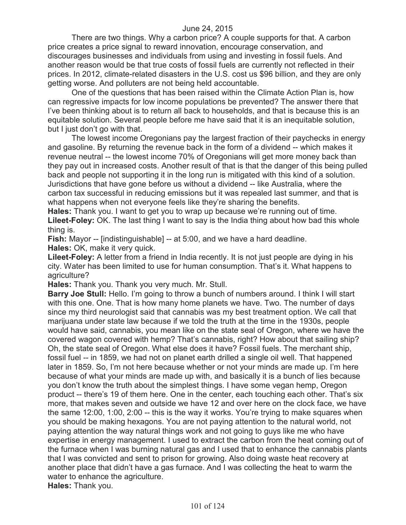There are two things. Why a carbon price? A couple supports for that. A carbon price creates a price signal to reward innovation, encourage conservation, and discourages businesses and individuals from using and investing in fossil fuels. And another reason would be that true costs of fossil fuels are currently not reflected in their prices. In 2012, climate-related disasters in the U.S. cost us \$96 billion, and they are only getting worse. And polluters are not being held accountable.

One of the questions that has been raised within the Climate Action Plan is, how can regressive impacts for low income populations be prevented? The answer there that I've been thinking about is to return all back to households, and that is because this is an equitable solution. Several people before me have said that it is an inequitable solution, but I just don't go with that.

The lowest income Oregonians pay the largest fraction of their paychecks in energy and gasoline. By returning the revenue back in the form of a dividend -- which makes it revenue neutral -- the lowest income 70% of Oregonians will get more money back than they pay out in increased costs. Another result of that is that the danger of this being pulled back and people not supporting it in the long run is mitigated with this kind of a solution. Jurisdictions that have gone before us without a dividend -- like Australia, where the carbon tax successful in reducing emissions but it was repealed last summer, and that is what happens when not everyone feels like they're sharing the benefits.

**Hales:** Thank you. I want to get you to wrap up because we're running out of time. Lileet-Foley: OK. The last thing I want to say is the India thing about how bad this whole thing is.

**Fish:** Mayor -- [indistinguishable] -- at 5:00, and we have a hard deadline. **Hales:** OK, make it very quick.

**Lileet-Foley:** A letter from a friend in India recently. It is not just people are dying in his city. Water has been limited to use for human consumption. That's it. What happens to agriculture?

**Hales:** Thank you. Thank you very much. Mr. Stull.

**Barry Joe Stull:** Hello. I'm going to throw a bunch of numbers around. I think I will start with this one. One. That is how many home planets we have. Two. The number of days since my third neurologist said that cannabis was my best treatment option. We call that marijuana under state law because if we told the truth at the time in the 1930s, people would have said, cannabis, you mean like on the state seal of Oregon, where we have the covered wagon covered with hemp? That's cannabis, right? How about that sailing ship? Oh, the state seal of Oregon. What else does it have? Fossil fuels. The merchant ship, fossil fuel -- in 1859, we had not on planet earth drilled a single oil well. That happened later in 1859. So, I'm not here because whether or not your minds are made up. I'm here because of what your minds are made up with, and basically it is a bunch of lies because you don't know the truth about the simplest things. I have some vegan hemp, Oregon product -- there's 19 of them here. One in the center, each touching each other. That's six more, that makes seven and outside we have 12 and over here on the clock face, we have the same 12:00, 1:00, 2:00 -- this is the way it works. You're trying to make squares when you should be making hexagons. You are not paying attention to the natural world, not paying attention the way natural things work and not going to guys like me who have expertise in energy management. I used to extract the carbon from the heat coming out of the furnace when I was burning natural gas and I used that to enhance the cannabis plants that I was convicted and sent to prison for growing. Also doing waste heat recovery at another place that didn't have a gas furnace. And I was collecting the heat to warm the water to enhance the agriculture.

**Hales:** Thank you.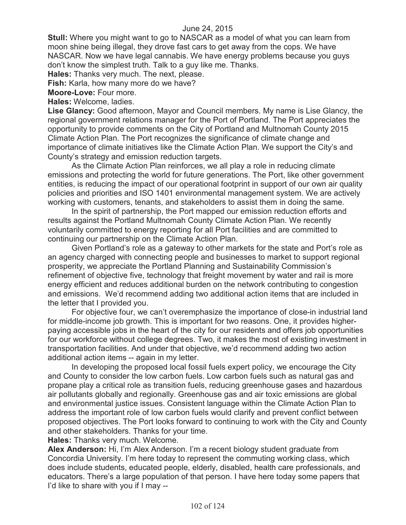**Stull:** Where you might want to go to NASCAR as a model of what you can learn from moon shine being illegal, they drove fast cars to get away from the cops. We have NASCAR. Now we have legal cannabis. We have energy problems because you guys don't know the simplest truth. Talk to a guy like me. Thanks.

**Hales:** Thanks very much. The next, please.

**Fish:** Karla, how many more do we have?

**Moore-Love:** Four more.

**Hales:** Welcome, ladies.

**Lise Glancy:** Good afternoon, Mayor and Council members. My name is Lise Glancy, the regional government relations manager for the Port of Portland. The Port appreciates the opportunity to provide comments on the City of Portland and Multnomah County 2015 Climate Action Plan. The Port recognizes the significance of climate change and importance of climate initiatives like the Climate Action Plan. We support the City's and County's strategy and emission reduction targets.

As the Climate Action Plan reinforces, we all play a role in reducing climate emissions and protecting the world for future generations. The Port, like other government entities, is reducing the impact of our operational footprint in support of our own air quality policies and priorities and ISO 1401 environmental management system. We are actively working with customers, tenants, and stakeholders to assist them in doing the same.

In the spirit of partnership, the Port mapped our emission reduction efforts and results against the Portland Multnomah County Climate Action Plan. We recently voluntarily committed to energy reporting for all Port facilities and are committed to continuing our partnership on the Climate Action Plan.

Given Portland's role as a gateway to other markets for the state and Port's role as an agency charged with connecting people and businesses to market to support regional prosperity, we appreciate the Portland Planning and Sustainability Commission's refinement of objective five, technology that freight movement by water and rail is more energy efficient and reduces additional burden on the network contributing to congestion and emissions. We'd recommend adding two additional action items that are included in the letter that I provided you.

For objective four, we can't overemphasize the importance of close-in industrial land for middle-income job growth. This is important for two reasons. One, it provides higherpaying accessible jobs in the heart of the city for our residents and offers job opportunities for our workforce without college degrees. Two, it makes the most of existing investment in transportation facilities. And under that objective, we'd recommend adding two action additional action items -- again in my letter.

In developing the proposed local fossil fuels expert policy, we encourage the City and County to consider the low carbon fuels. Low carbon fuels such as natural gas and propane play a critical role as transition fuels, reducing greenhouse gases and hazardous air pollutants globally and regionally. Greenhouse gas and air toxic emissions are global and environmental justice issues. Consistent language within the Climate Action Plan to address the important role of low carbon fuels would clarify and prevent conflict between proposed objectives. The Port looks forward to continuing to work with the City and County and other stakeholders. Thanks for your time.

**Hales:** Thanks very much. Welcome.

**Alex Anderson:** Hi, I'm Alex Anderson. I'm a recent biology student graduate from Concordia University. I'm here today to represent the commuting working class, which does include students, educated people, elderly, disabled, health care professionals, and educators. There's a large population of that person. I have here today some papers that I'd like to share with you if I may --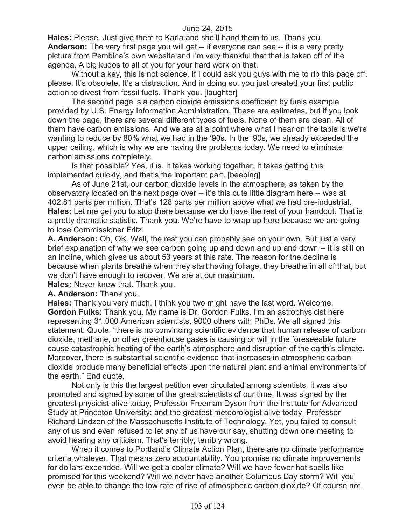**Hales:** Please. Just give them to Karla and she'll hand them to us. Thank you. **Anderson:** The very first page you will get -- if everyone can see -- it is a very pretty picture from Pembina's own website and I'm very thankful that that is taken off of the agenda. A big kudos to all of you for your hard work on that.

Without a key, this is not science. If I could ask you guys with me to rip this page off, please. It's obsolete. It's a distraction. And in doing so, you just created your first public action to divest from fossil fuels. Thank you. [laughter]

The second page is a carbon dioxide emissions coefficient by fuels example provided by U.S. Energy Information Administration. These are estimates, but if you look down the page, there are several different types of fuels. None of them are clean. All of them have carbon emissions. And we are at a point where what I hear on the table is we're wanting to reduce by 80% what we had in the '90s. In the '90s, we already exceeded the upper ceiling, which is why we are having the problems today. We need to eliminate carbon emissions completely.

Is that possible? Yes, it is. It takes working together. It takes getting this implemented quickly, and that's the important part. [beeping]

As of June 21st, our carbon dioxide levels in the atmosphere, as taken by the observatory located on the next page over -- it's this cute little diagram here -- was at 402.81 parts per million. That's 128 parts per million above what we had pre-industrial. **Hales:** Let me get you to stop there because we do have the rest of your handout. That is a pretty dramatic statistic. Thank you. We're have to wrap up here because we are going to lose Commissioner Fritz.

**A. Anderson:** Oh, OK. Well, the rest you can probably see on your own. But just a very brief explanation of why we see carbon going up and down and up and down -- it is still on an incline, which gives us about 53 years at this rate. The reason for the decline is because when plants breathe when they start having foliage, they breathe in all of that, but we don't have enough to recover. We are at our maximum.

**Hales:** Never knew that. Thank you.

**A. Anderson:** Thank you.

**Hales:** Thank you very much. I think you two might have the last word. Welcome. **Gordon Fulks:** Thank you. My name is Dr. Gordon Fulks. I'm an astrophysicist here representing 31,000 American scientists, 9000 others with PhDs. We all signed this statement. Quote, "there is no convincing scientific evidence that human release of carbon dioxide, methane, or other greenhouse gases is causing or will in the foreseeable future cause catastrophic heating of the earth's atmosphere and disruption of the earth's climate. Moreover, there is substantial scientific evidence that increases in atmospheric carbon dioxide produce many beneficial effects upon the natural plant and animal environments of the earth." End quote.

Not only is this the largest petition ever circulated among scientists, it was also promoted and signed by some of the great scientists of our time. It was signed by the greatest physicist alive today, Professor Freeman Dyson from the Institute for Advanced Study at Princeton University; and the greatest meteorologist alive today, Professor Richard Lindzen of the Massachusetts Institute of Technology. Yet, you failed to consult any of us and even refused to let any of us have our say, shutting down one meeting to avoid hearing any criticism. That's terribly, terribly wrong.

When it comes to Portland's Climate Action Plan, there are no climate performance criteria whatever. That means zero accountability. You promise no climate improvements for dollars expended. Will we get a cooler climate? Will we have fewer hot spells like promised for this weekend? Will we never have another Columbus Day storm? Will you even be able to change the low rate of rise of atmospheric carbon dioxide? Of course not.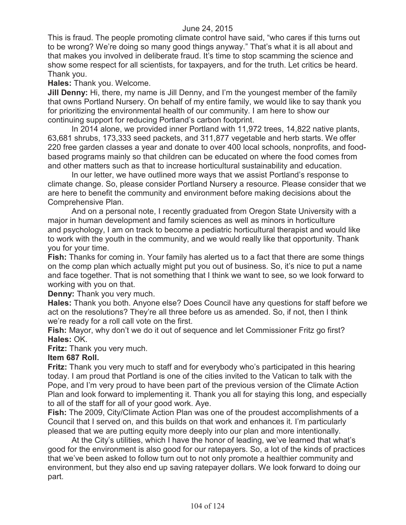This is fraud. The people promoting climate control have said, "who cares if this turns out to be wrong? We're doing so many good things anyway." That's what it is all about and that makes you involved in deliberate fraud. It's time to stop scamming the science and show some respect for all scientists, for taxpayers, and for the truth. Let critics be heard. Thank you.

**Hales:** Thank you. Welcome.

**Jill Denny:** Hi, there, my name is Jill Denny, and I'm the youngest member of the family that owns Portland Nursery. On behalf of my entire family, we would like to say thank you for prioritizing the environmental health of our community. I am here to show our continuing support for reducing Portland's carbon footprint.

In 2014 alone, we provided inner Portland with 11,972 trees, 14,822 native plants, 63,681 shrubs, 173,333 seed packets, and 311,877 vegetable and herb starts. We offer 220 free garden classes a year and donate to over 400 local schools, nonprofits, and foodbased programs mainly so that children can be educated on where the food comes from and other matters such as that to increase horticultural sustainability and education.

In our letter, we have outlined more ways that we assist Portland's response to climate change. So, please consider Portland Nursery a resource. Please consider that we are here to benefit the community and environment before making decisions about the Comprehensive Plan.

And on a personal note, I recently graduated from Oregon State University with a major in human development and family sciences as well as minors in horticulture and psychology, I am on track to become a pediatric horticultural therapist and would like to work with the youth in the community, and we would really like that opportunity. Thank you for your time.

**Fish:** Thanks for coming in. Your family has alerted us to a fact that there are some things on the comp plan which actually might put you out of business. So, it's nice to put a name and face together. That is not something that I think we want to see, so we look forward to working with you on that.

**Denny:** Thank you very much.

**Hales:** Thank you both. Anyone else? Does Council have any questions for staff before we act on the resolutions? They're all three before us as amended. So, if not, then I think we're ready for a roll call vote on the first.

**Fish:** Mayor, why don't we do it out of sequence and let Commissioner Fritz go first? **Hales:** OK.

### **Fritz:** Thank you very much.

# **Item 687 Roll.**

**Fritz:** Thank you very much to staff and for everybody who's participated in this hearing today. I am proud that Portland is one of the cities invited to the Vatican to talk with the Pope, and I'm very proud to have been part of the previous version of the Climate Action Plan and look forward to implementing it. Thank you all for staying this long, and especially to all of the staff for all of your good work. Aye.

**Fish:** The 2009, City/Climate Action Plan was one of the proudest accomplishments of a Council that I served on, and this builds on that work and enhances it. I'm particularly pleased that we are putting equity more deeply into our plan and more intentionally.

At the City's utilities, which I have the honor of leading, we've learned that what's good for the environment is also good for our ratepayers. So, a lot of the kinds of practices that we've been asked to follow turn out to not only promote a healthier community and environment, but they also end up saving ratepayer dollars. We look forward to doing our part.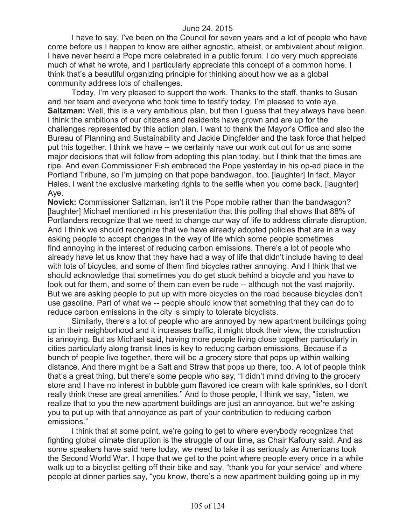I have to say, I've been on the Council for seven years and a lot of people who have come before us I happen to know are either agnostic, atheist, or ambivalent about religion. I have never heard a Pope more celebrated in a public forum. I do very much appreciate much of what he wrote, and I particularly appreciate this concept of a common home. I think that's a beautiful organizing principle for thinking about how we as a global community address lots of challenges.

Today, I'm very pleased to support the work. Thanks to the staff, thanks to Susan and her team and everyone who took time to testify today. I'm pleased to vote aye. **Saltzman:** Well, this is a very ambitious plan, but then I guess that they always have been. I think the ambitions of our citizens and residents have grown and are up for the challenges represented by this action plan. I want to thank the Mayor's Office and also the Bureau of Planning and Sustainability and Jackie Dingfelder and the task force that helped put this together. I think we have -- we certainly have our work cut out for us and some major decisions that will follow from adopting this plan today, but I think that the times are ripe. And even Commissioner Fish embraced the Pope yesterday in his op-ed piece in the Portland Tribune, so I'm jumping on that pope bandwagon, too. [laughter] In fact, Mayor Hales, I want the exclusive marketing rights to the selfie when you come back. [laughter] Aye.

**Novick:** Commissioner Saltzman, isn't it the Pope mobile rather than the bandwagon? [laughter] Michael mentioned in his presentation that this polling that shows that 88% of Portlanders recognize that we need to change our way of life to address climate disruption. And I think we should recognize that we have already adopted policies that are in a way asking people to accept changes in the way of life which some people sometimes find annoying in the interest of reducing carbon emissions. There's a lot of people who already have let us know that they have had a way of life that didn't include having to deal with lots of bicycles, and some of them find bicycles rather annoying. And I think that we should acknowledge that sometimes you do get stuck behind a bicycle and you have to look out for them, and some of them can even be rude -- although not the vast majority. But we are asking people to put up with more bicycles on the road because bicycles don't use gasoline. Part of what we -- people should know that something that they can do to reduce carbon emissions in the city is simply to tolerate bicyclists.

Similarly, there's a lot of people who are annoyed by new apartment buildings going up in their neighborhood and it increases traffic, it might block their view, the construction is annoying. But as Michael said, having more people living close together particularly in cities particularly along transit lines is key to reducing carbon emissions. Because if a bunch of people live together, there will be a grocery store that pops up within walking distance. And there might be a Salt and Straw that pops up there, too. A lot of people think that's a great thing, but there's some people who say, "I didn't mind driving to the grocery store and I have no interest in bubble gum flavored ice cream with kale sprinkles, so I don't really think these are great amenities." And to those people, I think we say, "listen, we realize that to you the new apartment buildings are just an annoyance, but we're asking you to put up with that annoyance as part of your contribution to reducing carbon emissions."

I think that at some point, we're going to get to where everybody recognizes that fighting global climate disruption is the struggle of our time, as Chair Kafoury said. And as some speakers have said here today, we need to take it as seriously as Americans took the Second World War. I hope that we get to the point where people every once in a while walk up to a bicyclist getting off their bike and say, "thank you for your service" and where people at dinner parties say, "you know, there's a new apartment building going up in my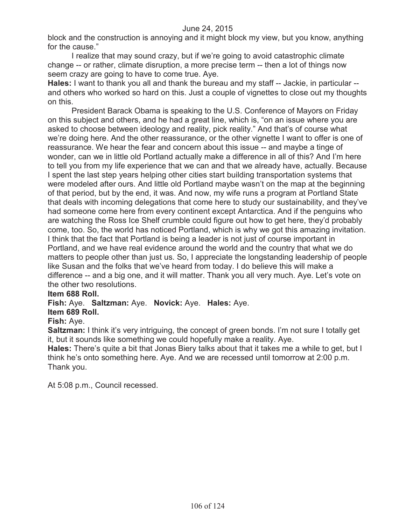block and the construction is annoying and it might block my view, but you know, anything for the cause."

I realize that may sound crazy, but if we're going to avoid catastrophic climate change -- or rather, climate disruption, a more precise term -- then a lot of things now seem crazy are going to have to come true. Aye.

**Hales:** I want to thank you all and thank the bureau and my staff -- Jackie, in particular - and others who worked so hard on this. Just a couple of vignettes to close out my thoughts on this.

President Barack Obama is speaking to the U.S. Conference of Mayors on Friday on this subject and others, and he had a great line, which is, "on an issue where you are asked to choose between ideology and reality, pick reality." And that's of course what we're doing here. And the other reassurance, or the other vignette I want to offer is one of reassurance. We hear the fear and concern about this issue -- and maybe a tinge of wonder, can we in little old Portland actually make a difference in all of this? And I'm here to tell you from my life experience that we can and that we already have, actually. Because I spent the last step years helping other cities start building transportation systems that were modeled after ours. And little old Portland maybe wasn't on the map at the beginning of that period, but by the end, it was. And now, my wife runs a program at Portland State that deals with incoming delegations that come here to study our sustainability, and they've had someone come here from every continent except Antarctica. And if the penguins who are watching the Ross Ice Shelf crumble could figure out how to get here, they'd probably come, too. So, the world has noticed Portland, which is why we got this amazing invitation. I think that the fact that Portland is being a leader is not just of course important in Portland, and we have real evidence around the world and the country that what we do matters to people other than just us. So, I appreciate the longstanding leadership of people like Susan and the folks that we've heard from today. I do believe this will make a difference -- and a big one, and it will matter. Thank you all very much. Aye. Let's vote on the other two resolutions.

# **Item 688 Roll.**

**Fish:** Aye. **Saltzman:** Aye. **Novick:** Aye. **Hales:** Aye.

# **Item 689 Roll.**

# **Fish:** Aye.

**Saltzman:** I think it's very intriguing, the concept of green bonds. I'm not sure I totally get it, but it sounds like something we could hopefully make a reality. Aye.

**Hales:** There's quite a bit that Jonas Biery talks about that it takes me a while to get, but I think he's onto something here. Aye. And we are recessed until tomorrow at 2:00 p.m. Thank you.

At 5:08 p.m., Council recessed.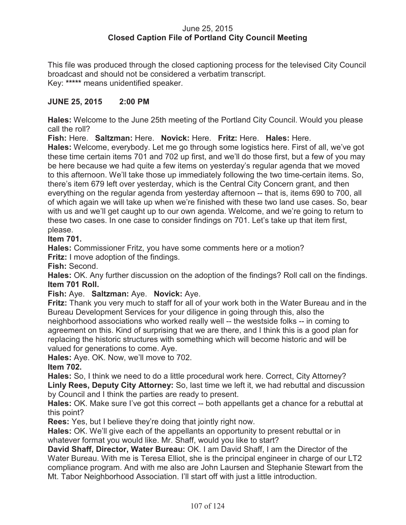## June 25, 2015 **Closed Caption File of Portland City Council Meeting**

This file was produced through the closed captioning process for the televised City Council broadcast and should not be considered a verbatim transcript. Key: **\*\*\*\*\*** means unidentified speaker.

# **JUNE 25, 2015 2:00 PM**

**Hales:** Welcome to the June 25th meeting of the Portland City Council. Would you please call the roll?

**Fish:** Here. **Saltzman:** Here. **Novick:** Here. **Fritz:** Here. **Hales:** Here.

**Hales:** Welcome, everybody. Let me go through some logistics here. First of all, we've got these time certain items 701 and 702 up first, and we'll do those first, but a few of you may be here because we had quite a few items on yesterday's regular agenda that we moved to this afternoon. We'll take those up immediately following the two time-certain items. So, there's item 679 left over yesterday, which is the Central City Concern grant, and then everything on the regular agenda from yesterday afternoon -- that is, items 690 to 700, all of which again we will take up when we're finished with these two land use cases. So, bear with us and we'll get caught up to our own agenda. Welcome, and we're going to return to these two cases. In one case to consider findings on 701. Let's take up that item first, please.

# **Item 701.**

**Hales:** Commissioner Fritz, you have some comments here or a motion?

**Fritz:** I move adoption of the findings.

**Fish:** Second.

**Hales:** OK. Any further discussion on the adoption of the findings? Roll call on the findings. **Item 701 Roll.**

# **Fish:** Aye. **Saltzman:** Aye. **Novick:** Aye.

**Fritz:** Thank you very much to staff for all of your work both in the Water Bureau and in the Bureau Development Services for your diligence in going through this, also the neighborhood associations who worked really well -- the westside folks -- in coming to agreement on this. Kind of surprising that we are there, and I think this is a good plan for replacing the historic structures with something which will become historic and will be valued for generations to come. Aye.

**Hales:** Aye. OK. Now, we'll move to 702.

**Item 702.**

**Hales:** So, I think we need to do a little procedural work here. Correct, City Attorney? **Linly Rees, Deputy City Attorney:** So, last time we left it, we had rebuttal and discussion by Council and I think the parties are ready to present.

**Hales:** OK. Make sure I've got this correct -- both appellants get a chance for a rebuttal at this point?

**Rees:** Yes, but I believe they're doing that jointly right now.

**Hales:** OK. We'll give each of the appellants an opportunity to present rebuttal or in whatever format you would like. Mr. Shaff, would you like to start?

**David Shaff, Director, Water Bureau:** OK. I am David Shaff, I am the Director of the Water Bureau. With me is Teresa Elliot, she is the principal engineer in charge of our LT2 compliance program. And with me also are John Laursen and Stephanie Stewart from the Mt. Tabor Neighborhood Association. I'll start off with just a little introduction.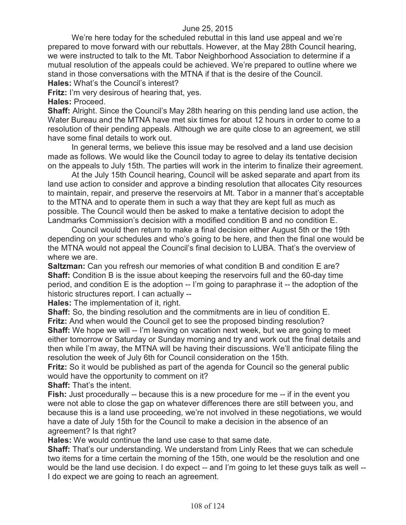## June 25, 2015

We're here today for the scheduled rebuttal in this land use appeal and we're prepared to move forward with our rebuttals. However, at the May 28th Council hearing, we were instructed to talk to the Mt. Tabor Neighborhood Association to determine if a mutual resolution of the appeals could be achieved. We're prepared to outline where we stand in those conversations with the MTNA if that is the desire of the Council.

**Hales:** What's the Council's interest?

**Fritz:** I'm very desirous of hearing that, yes.

**Hales:** Proceed.

**Shaff:** Alright. Since the Council's May 28th hearing on this pending land use action, the Water Bureau and the MTNA have met six times for about 12 hours in order to come to a resolution of their pending appeals. Although we are quite close to an agreement, we still have some final details to work out.

In general terms, we believe this issue may be resolved and a land use decision made as follows. We would like the Council today to agree to delay its tentative decision on the appeals to July 15th. The parties will work in the interim to finalize their agreement.

At the July 15th Council hearing, Council will be asked separate and apart from its land use action to consider and approve a binding resolution that allocates City resources to maintain, repair, and preserve the reservoirs at Mt. Tabor in a manner that's acceptable to the MTNA and to operate them in such a way that they are kept full as much as possible. The Council would then be asked to make a tentative decision to adopt the Landmarks Commission's decision with a modified condition B and no condition E.

Council would then return to make a final decision either August 5th or the 19th depending on your schedules and who's going to be here, and then the final one would be the MTNA would not appeal the Council's final decision to LUBA. That's the overview of where we are.

**Saltzman:** Can you refresh our memories of what condition B and condition E are? **Shaff:** Condition B is the issue about keeping the reservoirs full and the 60-day time period, and condition E is the adoption -- I'm going to paraphrase it -- the adoption of the historic structures report. I can actually --

**Hales:** The implementation of it, right.

**Shaff:** So, the binding resolution and the commitments are in lieu of condition E. **Fritz:** And when would the Council get to see the proposed binding resolution?

**Shaff:** We hope we will -- I'm leaving on vacation next week, but we are going to meet either tomorrow or Saturday or Sunday morning and try and work out the final details and then while I'm away, the MTNA will be having their discussions. We'll anticipate filing the resolution the week of July 6th for Council consideration on the 15th.

**Fritz:** So it would be published as part of the agenda for Council so the general public would have the opportunity to comment on it?

**Shaff:** That's the intent.

**Fish:** Just procedurally -- because this is a new procedure for me -- if in the event you were not able to close the gap on whatever differences there are still between you, and because this is a land use proceeding, we're not involved in these negotiations, we would have a date of July 15th for the Council to make a decision in the absence of an agreement? Is that right?

**Hales:** We would continue the land use case to that same date.

**Shaff:** That's our understanding. We understand from Linly Rees that we can schedule two items for a time certain the morning of the 15th, one would be the resolution and one would be the land use decision. I do expect -- and I'm going to let these guys talk as well -- I do expect we are going to reach an agreement.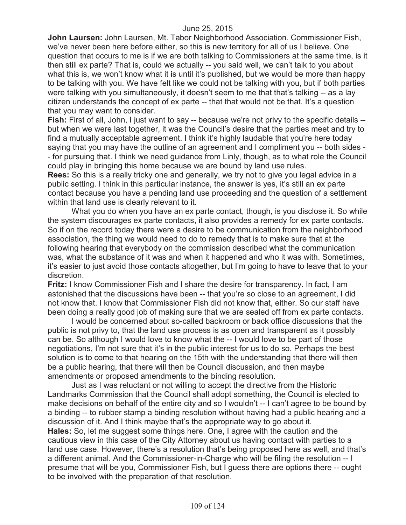**John Laursen:** John Laursen, Mt. Tabor Neighborhood Association. Commissioner Fish, we've never been here before either, so this is new territory for all of us I believe. One question that occurs to me is if we are both talking to Commissioners at the same time, is it then still ex parte? That is, could we actually -- you said well, we can't talk to you about what this is, we won't know what it is until it's published, but we would be more than happy to be talking with you. We have felt like we could not be talking with you, but if both parties were talking with you simultaneously, it doesn't seem to me that that's talking -- as a lay citizen understands the concept of ex parte -- that that would not be that. It's a question that you may want to consider.

**Fish:** First of all, John, I just want to say -- because we're not privy to the specific details -but when we were last together, it was the Council's desire that the parties meet and try to find a mutually acceptable agreement. I think it's highly laudable that you're here today saying that you may have the outline of an agreement and I compliment you -- both sides - - for pursuing that. I think we need guidance from Linly, though, as to what role the Council could play in bringing this home because we are bound by land use rules.

**Rees:** So this is a really tricky one and generally, we try not to give you legal advice in a public setting. I think in this particular instance, the answer is yes, it's still an ex parte contact because you have a pending land use proceeding and the question of a settlement within that land use is clearly relevant to it.

What you do when you have an ex parte contact, though, is you disclose it. So while the system discourages ex parte contacts, it also provides a remedy for ex parte contacts. So if on the record today there were a desire to be communication from the neighborhood association, the thing we would need to do to remedy that is to make sure that at the following hearing that everybody on the commission described what the communication was, what the substance of it was and when it happened and who it was with. Sometimes, it's easier to just avoid those contacts altogether, but I'm going to have to leave that to your discretion.

**Fritz:** I know Commissioner Fish and I share the desire for transparency. In fact, I am astonished that the discussions have been -- that you're so close to an agreement, I did not know that. I know that Commissioner Fish did not know that, either. So our staff have been doing a really good job of making sure that we are sealed off from ex parte contacts.

I would be concerned about so-called backroom or back office discussions that the public is not privy to, that the land use process is as open and transparent as it possibly can be. So although I would love to know what the -- I would love to be part of those negotiations, I'm not sure that it's in the public interest for us to do so. Perhaps the best solution is to come to that hearing on the 15th with the understanding that there will then be a public hearing, that there will then be Council discussion, and then maybe amendments or proposed amendments to the binding resolution.

Just as I was reluctant or not willing to accept the directive from the Historic Landmarks Commission that the Council shall adopt something, the Council is elected to make decisions on behalf of the entire city and so I wouldn't -- I can't agree to be bound by a binding -- to rubber stamp a binding resolution without having had a public hearing and a discussion of it. And I think maybe that's the appropriate way to go about it.

**Hales:** So, let me suggest some things here. One, I agree with the caution and the cautious view in this case of the City Attorney about us having contact with parties to a land use case. However, there's a resolution that's being proposed here as well, and that's a different animal. And the Commissioner-in-Charge who will be filing the resolution -- I presume that will be you, Commissioner Fish, but I guess there are options there -- ought to be involved with the preparation of that resolution.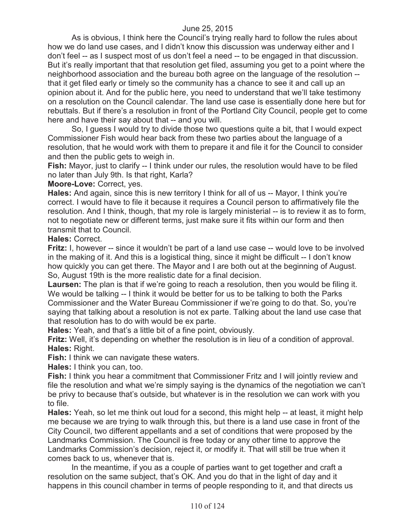As is obvious, I think here the Council's trying really hard to follow the rules about how we do land use cases, and I didn't know this discussion was underway either and I don't feel -- as I suspect most of us don't feel a need -- to be engaged in that discussion. But it's really important that that resolution get filed, assuming you get to a point where the neighborhood association and the bureau both agree on the language of the resolution - that it get filed early or timely so the community has a chance to see it and call up an opinion about it. And for the public here, you need to understand that we'll take testimony on a resolution on the Council calendar. The land use case is essentially done here but for rebuttals. But if there's a resolution in front of the Portland City Council, people get to come here and have their say about that -- and you will.

So, I guess I would try to divide those two questions quite a bit, that I would expect Commissioner Fish would hear back from these two parties about the language of a resolution, that he would work with them to prepare it and file it for the Council to consider and then the public gets to weigh in.

**Fish:** Mayor, just to clarify -- I think under our rules, the resolution would have to be filed no later than July 9th. Is that right, Karla?

**Moore-Love:** Correct, yes.

**Hales:** And again, since this is new territory I think for all of us -- Mayor, I think you're correct. I would have to file it because it requires a Council person to affirmatively file the resolution. And I think, though, that my role is largely ministerial -- is to review it as to form, not to negotiate new or different terms, just make sure it fits within our form and then transmit that to Council.

**Hales:** Correct.

**Fritz:** I, however -- since it wouldn't be part of a land use case -- would love to be involved in the making of it. And this is a logistical thing, since it might be difficult -- I don't know how quickly you can get there. The Mayor and I are both out at the beginning of August. So, August 19th is the more realistic date for a final decision.

Laursen: The plan is that if we're going to reach a resolution, then you would be filing it. We would be talking -- I think it would be better for us to be talking to both the Parks Commissioner and the Water Bureau Commissioner if we're going to do that. So, you're saying that talking about a resolution is not ex parte. Talking about the land use case that that resolution has to do with would be ex parte.

**Hales:** Yeah, and that's a little bit of a fine point, obviously.

**Fritz:** Well, it's depending on whether the resolution is in lieu of a condition of approval. **Hales:** Right.

**Fish:** I think we can navigate these waters.

**Hales:** I think you can, too.

**Fish:** I think you hear a commitment that Commissioner Fritz and I will jointly review and file the resolution and what we're simply saying is the dynamics of the negotiation we can't be privy to because that's outside, but whatever is in the resolution we can work with you to file.

**Hales:** Yeah, so let me think out loud for a second, this might help -- at least, it might help me because we are trying to walk through this, but there is a land use case in front of the City Council, two different appellants and a set of conditions that were proposed by the Landmarks Commission. The Council is free today or any other time to approve the Landmarks Commission's decision, reject it, or modify it. That will still be true when it comes back to us, whenever that is.

In the meantime, if you as a couple of parties want to get together and craft a resolution on the same subject, that's OK. And you do that in the light of day and it happens in this council chamber in terms of people responding to it, and that directs us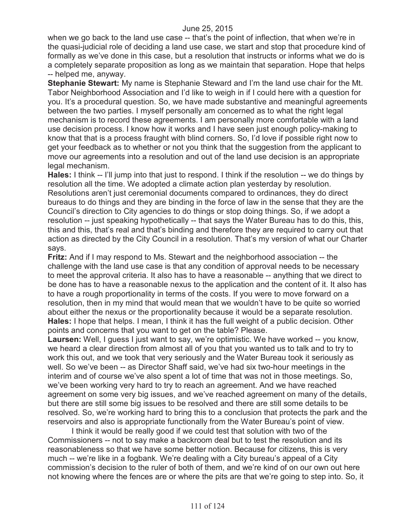when we go back to the land use case -- that's the point of inflection, that when we're in the quasi-judicial role of deciding a land use case, we start and stop that procedure kind of formally as we've done in this case, but a resolution that instructs or informs what we do is a completely separate proposition as long as we maintain that separation. Hope that helps -- helped me, anyway.

**Stephanie Stewart:** My name is Stephanie Steward and I'm the land use chair for the Mt. Tabor Neighborhood Association and I'd like to weigh in if I could here with a question for you. It's a procedural question. So, we have made substantive and meaningful agreements between the two parties. I myself personally am concerned as to what the right legal mechanism is to record these agreements. I am personally more comfortable with a land use decision process. I know how it works and I have seen just enough policy-making to know that that is a process fraught with blind corners. So, I'd love if possible right now to get your feedback as to whether or not you think that the suggestion from the applicant to move our agreements into a resolution and out of the land use decision is an appropriate legal mechanism.

**Hales:** I think -- I'll jump into that just to respond. I think if the resolution -- we do things by resolution all the time. We adopted a climate action plan yesterday by resolution. Resolutions aren't just ceremonial documents compared to ordinances, they do direct bureaus to do things and they are binding in the force of law in the sense that they are the Council's direction to City agencies to do things or stop doing things. So, if we adopt a resolution -- just speaking hypothetically -- that says the Water Bureau has to do this, this, this and this, that's real and that's binding and therefore they are required to carry out that action as directed by the City Council in a resolution. That's my version of what our Charter says.

**Fritz:** And if I may respond to Ms. Stewart and the neighborhood association -- the challenge with the land use case is that any condition of approval needs to be necessary to meet the approval criteria. It also has to have a reasonable -- anything that we direct to be done has to have a reasonable nexus to the application and the content of it. It also has to have a rough proportionality in terms of the costs. If you were to move forward on a resolution, then in my mind that would mean that we wouldn't have to be quite so worried about either the nexus or the proportionality because it would be a separate resolution. **Hales:** I hope that helps. I mean, I think it has the full weight of a public decision. Other points and concerns that you want to get on the table? Please.

**Laursen:** Well, I guess I just want to say, we're optimistic. We have worked -- you know, we heard a clear direction from almost all of you that you wanted us to talk and to try to work this out, and we took that very seriously and the Water Bureau took it seriously as well. So we've been -- as Director Shaff said, we've had six two-hour meetings in the interim and of course we've also spent a lot of time that was not in those meetings. So, we've been working very hard to try to reach an agreement. And we have reached agreement on some very big issues, and we've reached agreement on many of the details, but there are still some big issues to be resolved and there are still some details to be resolved. So, we're working hard to bring this to a conclusion that protects the park and the reservoirs and also is appropriate functionally from the Water Bureau's point of view.

I think it would be really good if we could test that solution with two of the Commissioners -- not to say make a backroom deal but to test the resolution and its reasonableness so that we have some better notion. Because for citizens, this is very much -- we're like in a fogbank. We're dealing with a City bureau's appeal of a City commission's decision to the ruler of both of them, and we're kind of on our own out here not knowing where the fences are or where the pits are that we're going to step into. So, it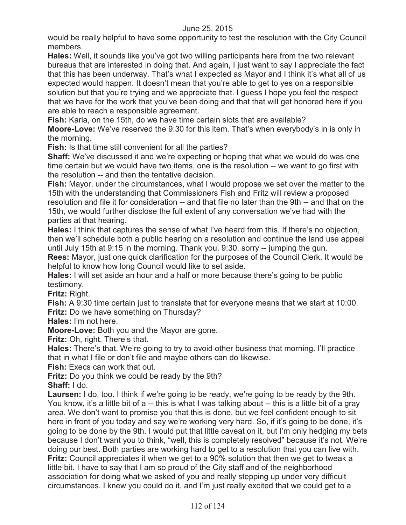would be really helpful to have some opportunity to test the resolution with the City Council members.

**Hales:** Well, it sounds like you've got two willing participants here from the two relevant bureaus that are interested in doing that. And again, I just want to say I appreciate the fact that this has been underway. That's what I expected as Mayor and I think it's what all of us expected would happen. It doesn't mean that you're able to get to yes on a responsible solution but that you're trying and we appreciate that. I guess I hope you feel the respect that we have for the work that you've been doing and that that will get honored here if you are able to reach a responsible agreement.

**Fish:** Karla, on the 15th, do we have time certain slots that are available?

**Moore-Love:** We've reserved the 9:30 for this item. That's when everybody's in is only in the morning.

**Fish:** Is that time still convenient for all the parties?

**Shaff:** We've discussed it and we're expecting or hoping that what we would do was one time certain but we would have two items, one is the resolution -- we want to go first with the resolution -- and then the tentative decision.

**Fish:** Mayor, under the circumstances, what I would propose we set over the matter to the 15th with the understanding that Commissioners Fish and Fritz will review a proposed resolution and file it for consideration -- and that file no later than the 9th -- and that on the 15th, we would further disclose the full extent of any conversation we've had with the parties at that hearing.

**Hales:** I think that captures the sense of what I've heard from this. If there's no objection, then we'll schedule both a public hearing on a resolution and continue the land use appeal until July 15th at 9:15 in the morning. Thank you. 9:30, sorry -- jumping the gun.

**Rees:** Mayor, just one quick clarification for the purposes of the Council Clerk. It would be helpful to know how long Council would like to set aside.

**Hales:** I will set aside an hour and a half or more because there's going to be public testimony.

**Fritz:** Right.

**Fish:** A 9:30 time certain just to translate that for everyone means that we start at 10:00. **Fritz:** Do we have something on Thursday?

**Hales:** I'm not here.

**Moore-Love:** Both you and the Mayor are gone.

**Fritz:** Oh, right. There's that.

**Hales:** There's that. We're going to try to avoid other business that morning. I'll practice that in what I file or don't file and maybe others can do likewise.

**Fish:** Execs can work that out.

**Fritz:** Do you think we could be ready by the 9th?

**Shaff:** I do.

**Laursen:** I do, too. I think if we're going to be ready, we're going to be ready by the 9th. You know, it's a little bit of a -- this is what I was talking about -- this is a little bit of a gray area. We don't want to promise you that this is done, but we feel confident enough to sit here in front of you today and say we're working very hard. So, if it's going to be done, it's going to be done by the 9th. I would put that little caveat on it, but I'm only hedging my bets because I don't want you to think, "well, this is completely resolved" because it's not. We're doing our best. Both parties are working hard to get to a resolution that you can live with. **Fritz:** Council appreciates it when we get to a 90% solution that then we get to tweak a little bit. I have to say that I am so proud of the City staff and of the neighborhood association for doing what we asked of you and really stepping up under very difficult circumstances. I knew you could do it, and I'm just really excited that we could get to a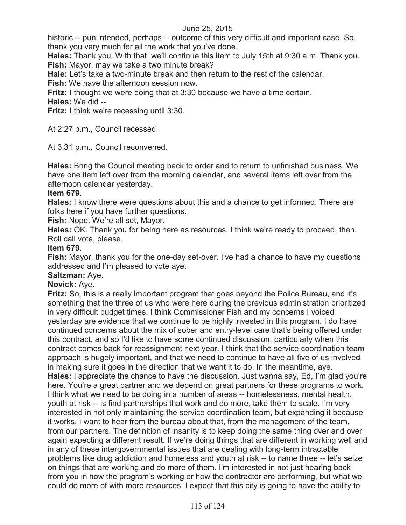historic -- pun intended, perhaps -- outcome of this very difficult and important case. So, thank you very much for all the work that you've done.

**Hales:** Thank you. With that, we'll continue this item to July 15th at 9:30 a.m. Thank you. **Fish:** Mayor, may we take a two minute break?

**Hale:** Let's take a two-minute break and then return to the rest of the calendar.

**Fish:** We have the afternoon session now.

**Fritz:** I thought we were doing that at 3:30 because we have a time certain.

**Hales:** We did --

**Fritz:** I think we're recessing until 3:30.

At 2:27 p.m., Council recessed.

At 3:31 p.m., Council reconvened.

**Hales:** Bring the Council meeting back to order and to return to unfinished business. We have one item left over from the morning calendar, and several items left over from the afternoon calendar yesterday.

# **Item 679.**

**Hales:** I know there were questions about this and a chance to get informed. There are folks here if you have further questions.

**Fish:** Nope. We're all set, Mayor.

**Hales:** OK. Thank you for being here as resources. I think we're ready to proceed, then. Roll call vote, please.

# **Item 679.**

**Fish:** Mayor, thank you for the one-day set-over. I've had a chance to have my questions addressed and I'm pleased to vote aye.

# **Saltzman:** Aye.

# **Novick:** Aye.

**Fritz:** So, this is a really important program that goes beyond the Police Bureau, and it's something that the three of us who were here during the previous administration prioritized in very difficult budget times. I think Commissioner Fish and my concerns I voiced yesterday are evidence that we continue to be highly invested in this program. I do have continued concerns about the mix of sober and entry-level care that's being offered under this contract, and so I'd like to have some continued discussion, particularly when this contract comes back for reassignment next year. I think that the service coordination team approach is hugely important, and that we need to continue to have all five of us involved in making sure it goes in the direction that we want it to do. In the meantime, aye. **Hales:** I appreciate the chance to have the discussion. Just wanna say, Ed, I'm glad you're here. You're a great partner and we depend on great partners for these programs to work. I think what we need to be doing in a number of areas -- homelessness, mental health, youth at risk -- is find partnerships that work and do more, take them to scale. I'm very interested in not only maintaining the service coordination team, but expanding it because it works. I want to hear from the bureau about that, from the management of the team, from our partners. The definition of insanity is to keep doing the same thing over and over again expecting a different result. If we're doing things that are different in working well and in any of these intergovernmental issues that are dealing with long-term intractable problems like drug addiction and homeless and youth at risk -- to name three -- let's seize on things that are working and do more of them. I'm interested in not just hearing back from you in how the program's working or how the contractor are performing, but what we could do more of with more resources. I expect that this city is going to have the ability to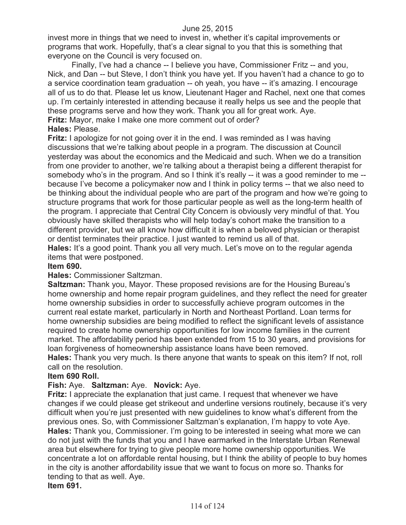invest more in things that we need to invest in, whether it's capital improvements or programs that work. Hopefully, that's a clear signal to you that this is something that everyone on the Council is very focused on.

Finally, I've had a chance -- I believe you have, Commissioner Fritz -- and you, Nick, and Dan -- but Steve, I don't think you have yet. If you haven't had a chance to go to a service coordination team graduation -- oh yeah, you have -- it's amazing. I encourage all of us to do that. Please let us know, Lieutenant Hager and Rachel, next one that comes up. I'm certainly interested in attending because it really helps us see and the people that these programs serve and how they work. Thank you all for great work. Aye. **Fritz:** Mayor, make I make one more comment out of order?

# **Hales:** Please.

**Fritz:** I apologize for not going over it in the end. I was reminded as I was having discussions that we're talking about people in a program. The discussion at Council yesterday was about the economics and the Medicaid and such. When we do a transition from one provider to another, we're talking about a therapist being a different therapist for somebody who's in the program. And so I think it's really -- it was a good reminder to me -because I've become a policymaker now and I think in policy terms -- that we also need to be thinking about the individual people who are part of the program and how we're going to structure programs that work for those particular people as well as the long-term health of the program. I appreciate that Central City Concern is obviously very mindful of that. You obviously have skilled therapists who will help today's cohort make the transition to a different provider, but we all know how difficult it is when a beloved physician or therapist or dentist terminates their practice. I just wanted to remind us all of that.

Hales: It's a good point. Thank you all very much. Let's move on to the regular agenda items that were postponed.

#### **Item 690.**

#### **Hales:** Commissioner Saltzman.

**Saltzman:** Thank you, Mayor. These proposed revisions are for the Housing Bureau's home ownership and home repair program guidelines, and they reflect the need for greater home ownership subsidies in order to successfully achieve program outcomes in the current real estate market, particularly in North and Northeast Portland. Loan terms for home ownership subsidies are being modified to reflect the significant levels of assistance required to create home ownership opportunities for low income families in the current market. The affordability period has been extended from 15 to 30 years, and provisions for loan forgiveness of homeownership assistance loans have been removed.

**Hales:** Thank you very much. Is there anyone that wants to speak on this item? If not, roll call on the resolution.

## **Item 690 Roll.**

# **Fish:** Aye. **Saltzman:** Aye. **Novick:** Aye.

**Fritz:** I appreciate the explanation that just came. I request that whenever we have changes if we could please get strikeout and underline versions routinely, because it's very difficult when you're just presented with new guidelines to know what's different from the previous ones. So, with Commissioner Saltzman's explanation, I'm happy to vote Aye. **Hales:** Thank you, Commissioner. I'm going to be interested in seeing what more we can do not just with the funds that you and I have earmarked in the Interstate Urban Renewal area but elsewhere for trying to give people more home ownership opportunities. We concentrate a lot on affordable rental housing, but I think the ability of people to buy homes in the city is another affordability issue that we want to focus on more so. Thanks for tending to that as well. Aye. **Item 691.**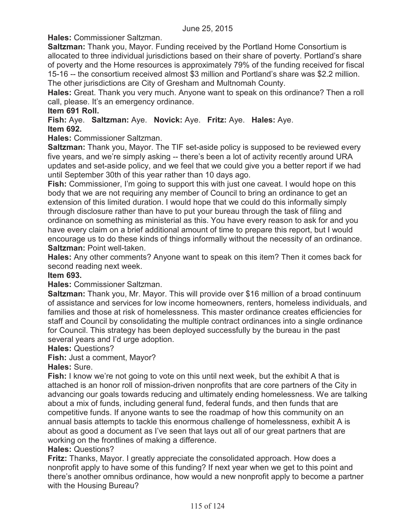**Hales:** Commissioner Saltzman.

**Saltzman:** Thank you, Mayor. Funding received by the Portland Home Consortium is allocated to three individual jurisdictions based on their share of poverty. Portland's share of poverty and the Home resources is approximately 79% of the funding received for fiscal 15-16 -- the consortium received almost \$3 million and Portland's share was \$2.2 million. The other jurisdictions are City of Gresham and Multnomah County.

**Hales:** Great. Thank you very much. Anyone want to speak on this ordinance? Then a roll call, please. It's an emergency ordinance.

## **Item 691 Roll.**

**Fish:** Aye. **Saltzman:** Aye. **Novick:** Aye. **Fritz:** Aye. **Hales:** Aye. **Item 692.**

**Hales:** Commissioner Saltzman.

**Saltzman:** Thank you, Mayor. The TIF set-aside policy is supposed to be reviewed every five years, and we're simply asking -- there's been a lot of activity recently around URA updates and set-aside policy, and we feel that we could give you a better report if we had until September 30th of this year rather than 10 days ago.

**Fish:** Commissioner, I'm going to support this with just one caveat. I would hope on this body that we are not requiring any member of Council to bring an ordinance to get an extension of this limited duration. I would hope that we could do this informally simply through disclosure rather than have to put your bureau through the task of filing and ordinance on something as ministerial as this. You have every reason to ask for and you have every claim on a brief additional amount of time to prepare this report, but I would encourage us to do these kinds of things informally without the necessity of an ordinance. **Saltzman:** Point well-taken.

**Hales:** Any other comments? Anyone want to speak on this item? Then it comes back for second reading next week.

#### **Item 693.**

**Hales:** Commissioner Saltzman.

**Saltzman:** Thank you, Mr. Mayor. This will provide over \$16 million of a broad continuum of assistance and services for low income homeowners, renters, homeless individuals, and families and those at risk of homelessness. This master ordinance creates efficiencies for staff and Council by consolidating the multiple contract ordinances into a single ordinance for Council. This strategy has been deployed successfully by the bureau in the past several years and I'd urge adoption.

**Hales:** Questions?

**Fish:** Just a comment, Mayor?

**Hales:** Sure.

**Fish:** I know we're not going to vote on this until next week, but the exhibit A that is attached is an honor roll of mission-driven nonprofits that are core partners of the City in advancing our goals towards reducing and ultimately ending homelessness. We are talking about a mix of funds, including general fund, federal funds, and then funds that are competitive funds. If anyone wants to see the roadmap of how this community on an annual basis attempts to tackle this enormous challenge of homelessness, exhibit A is about as good a document as I've seen that lays out all of our great partners that are working on the frontlines of making a difference.

# **Hales:** Questions?

**Fritz:** Thanks, Mayor. I greatly appreciate the consolidated approach. How does a nonprofit apply to have some of this funding? If next year when we get to this point and there's another omnibus ordinance, how would a new nonprofit apply to become a partner with the Housing Bureau?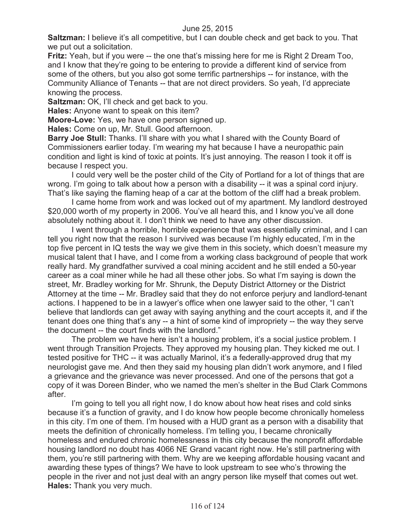**Saltzman:** I believe it's all competitive, but I can double check and get back to you. That we put out a solicitation.

**Fritz:** Yeah, but if you were -- the one that's missing here for me is Right 2 Dream Too, and I know that they're going to be entering to provide a different kind of service from some of the others, but you also got some terrific partnerships -- for instance, with the Community Alliance of Tenants -- that are not direct providers. So yeah, I'd appreciate knowing the process.

**Saltzman:** OK, I'll check and get back to you.

**Hales:** Anyone want to speak on this item?

**Moore-Love:** Yes, we have one person signed up.

**Hales:** Come on up, Mr. Stull. Good afternoon.

**Barry Joe Stull:** Thanks. I'll share with you what I shared with the County Board of Commissioners earlier today. I'm wearing my hat because I have a neuropathic pain condition and light is kind of toxic at points. It's just annoying. The reason I took it off is because I respect you.

I could very well be the poster child of the City of Portland for a lot of things that are wrong. I'm going to talk about how a person with a disability -- it was a spinal cord injury. That's like saying the flaming heap of a car at the bottom of the cliff had a break problem.

I came home from work and was locked out of my apartment. My landlord destroyed \$20,000 worth of my property in 2006. You've all heard this, and I know you've all done absolutely nothing about it. I don't think we need to have any other discussion.

I went through a horrible, horrible experience that was essentially criminal, and I can tell you right now that the reason I survived was because I'm highly educated, I'm in the top five percent in IQ tests the way we give them in this society, which doesn't measure my musical talent that I have, and I come from a working class background of people that work really hard. My grandfather survived a coal mining accident and he still ended a 50-year career as a coal miner while he had all these other jobs. So what I'm saying is down the street, Mr. Bradley working for Mr. Shrunk, the Deputy District Attorney or the District Attorney at the time -- Mr. Bradley said that they do not enforce perjury and landlord-tenant actions. I happened to be in a lawyer's office when one lawyer said to the other, "I can't believe that landlords can get away with saying anything and the court accepts it, and if the tenant does one thing that's any -- a hint of some kind of impropriety -- the way they serve the document -- the court finds with the landlord."

The problem we have here isn't a housing problem, it's a social justice problem. I went through Transition Projects. They approved my housing plan. They kicked me out. I tested positive for THC -- it was actually Marinol, it's a federally-approved drug that my neurologist gave me. And then they said my housing plan didn't work anymore, and I filed a grievance and the grievance was never processed. And one of the persons that got a copy of it was Doreen Binder, who we named the men's shelter in the Bud Clark Commons after.

I'm going to tell you all right now, I do know about how heat rises and cold sinks because it's a function of gravity, and I do know how people become chronically homeless in this city. I'm one of them. I'm housed with a HUD grant as a person with a disability that meets the definition of chronically homeless. I'm telling you, I became chronically homeless and endured chronic homelessness in this city because the nonprofit affordable housing landlord no doubt has 4066 NE Grand vacant right now. He's still partnering with them, you're still partnering with them. Why are we keeping affordable housing vacant and awarding these types of things? We have to look upstream to see who's throwing the people in the river and not just deal with an angry person like myself that comes out wet. **Hales:** Thank you very much.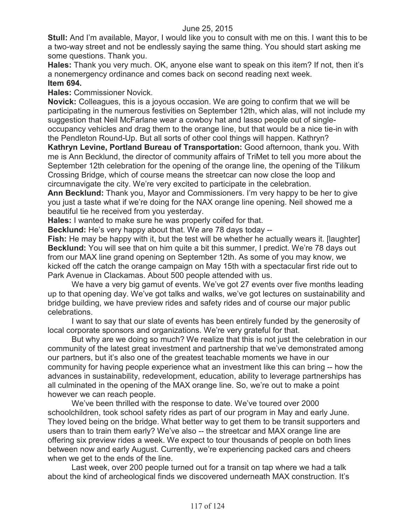**Stull:** And I'm available, Mayor, I would like you to consult with me on this. I want this to be a two-way street and not be endlessly saying the same thing. You should start asking me some questions. Thank you.

**Hales:** Thank you very much. OK, anyone else want to speak on this item? If not, then it's a nonemergency ordinance and comes back on second reading next week. **Item 694.**

**Hales:** Commissioner Novick.

**Novick:** Colleagues, this is a joyous occasion. We are going to confirm that we will be participating in the numerous festivities on September 12th, which alas, will not include my suggestion that Neil McFarlane wear a cowboy hat and lasso people out of singleoccupancy vehicles and drag them to the orange line, but that would be a nice tie-in with

the Pendleton Round-Up. But all sorts of other cool things will happen. Kathryn? **Kathryn Levine, Portland Bureau of Transportation:** Good afternoon, thank you. With me is Ann Becklund, the director of community affairs of TriMet to tell you more about the September 12th celebration for the opening of the orange line, the opening of the Tilikum Crossing Bridge, which of course means the streetcar can now close the loop and circumnavigate the city. We're very excited to participate in the celebration.

**Ann Becklund:** Thank you, Mayor and Commissioners. I'm very happy to be her to give you just a taste what if we're doing for the NAX orange line opening. Neil showed me a beautiful tie he received from you yesterday.

**Hales:** I wanted to make sure he was properly coifed for that.

**Becklund:** He's very happy about that. We are 78 days today --

**Fish:** He may be happy with it, but the test will be whether he actually wears it. [laughter] **Becklund:** You will see that on him quite a bit this summer, I predict. We're 78 days out from our MAX line grand opening on September 12th. As some of you may know, we kicked off the catch the orange campaign on May 15th with a spectacular first ride out to Park Avenue in Clackamas. About 500 people attended with us.

We have a very big gamut of events. We've got 27 events over five months leading up to that opening day. We've got talks and walks, we've got lectures on sustainability and bridge building, we have preview rides and safety rides and of course our major public celebrations.

I want to say that our slate of events has been entirely funded by the generosity of local corporate sponsors and organizations. We're very grateful for that.

But why are we doing so much? We realize that this is not just the celebration in our community of the latest great investment and partnership that we've demonstrated among our partners, but it's also one of the greatest teachable moments we have in our community for having people experience what an investment like this can bring -- how the advances in sustainability, redevelopment, education, ability to leverage partnerships has all culminated in the opening of the MAX orange line. So, we're out to make a point however we can reach people.

We've been thrilled with the response to date. We've toured over 2000 schoolchildren, took school safety rides as part of our program in May and early June. They loved being on the bridge. What better way to get them to be transit supporters and users than to train them early? We've also -- the streetcar and MAX orange line are offering six preview rides a week. We expect to tour thousands of people on both lines between now and early August. Currently, we're experiencing packed cars and cheers when we get to the ends of the line.

Last week, over 200 people turned out for a transit on tap where we had a talk about the kind of archeological finds we discovered underneath MAX construction. It's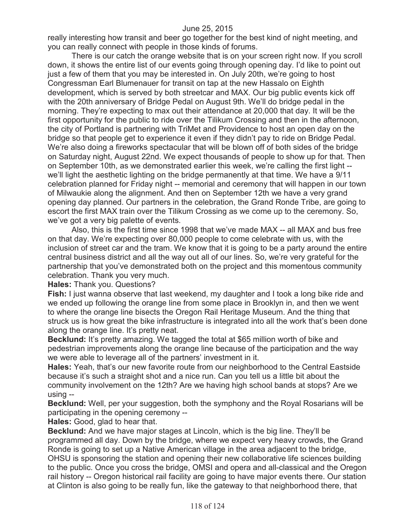really interesting how transit and beer go together for the best kind of night meeting, and you can really connect with people in those kinds of forums.

There is our catch the orange website that is on your screen right now. If you scroll down, it shows the entire list of our events going through opening day. I'd like to point out just a few of them that you may be interested in. On July 20th, we're going to host Congressman Earl Blumenauer for transit on tap at the new Hassalo on Eighth development, which is served by both streetcar and MAX. Our big public events kick off with the 20th anniversary of Bridge Pedal on August 9th. We'll do bridge pedal in the morning. They're expecting to max out their attendance at 20,000 that day. It will be the first opportunity for the public to ride over the Tilikum Crossing and then in the afternoon, the city of Portland is partnering with TriMet and Providence to host an open day on the bridge so that people get to experience it even if they didn't pay to ride on Bridge Pedal. We're also doing a fireworks spectacular that will be blown off of both sides of the bridge on Saturday night, August 22nd. We expect thousands of people to show up for that. Then on September 10th, as we demonstrated earlier this week, we're calling the first light - we'll light the aesthetic lighting on the bridge permanently at that time. We have a 9/11 celebration planned for Friday night -- memorial and ceremony that will happen in our town of Milwaukie along the alignment. And then on September 12th we have a very grand opening day planned. Our partners in the celebration, the Grand Ronde Tribe, are going to escort the first MAX train over the Tilikum Crossing as we come up to the ceremony. So, we've got a very big palette of events.

Also, this is the first time since 1998 that we've made MAX -- all MAX and bus free on that day. We're expecting over 80,000 people to come celebrate with us, with the inclusion of street car and the tram. We know that it is going to be a party around the entire central business district and all the way out all of our lines. So, we're very grateful for the partnership that you've demonstrated both on the project and this momentous community celebration. Thank you very much.

**Hales:** Thank you. Questions?

**Fish:** I just wanna observe that last weekend, my daughter and I took a long bike ride and we ended up following the orange line from some place in Brooklyn in, and then we went to where the orange line bisects the Oregon Rail Heritage Museum. And the thing that struck us is how great the bike infrastructure is integrated into all the work that's been done along the orange line. It's pretty neat.

**Becklund:** It's pretty amazing. We tagged the total at \$65 million worth of bike and pedestrian improvements along the orange line because of the participation and the way we were able to leverage all of the partners' investment in it.

**Hales:** Yeah, that's our new favorite route from our neighborhood to the Central Eastside because it's such a straight shot and a nice run. Can you tell us a little bit about the community involvement on the 12th? Are we having high school bands at stops? Are we using --

**Becklund:** Well, per your suggestion, both the symphony and the Royal Rosarians will be participating in the opening ceremony --

**Hales:** Good, glad to hear that.

**Becklund:** And we have major stages at Lincoln, which is the big line. They'll be programmed all day. Down by the bridge, where we expect very heavy crowds, the Grand Ronde is going to set up a Native American village in the area adjacent to the bridge, OHSU is sponsoring the station and opening their new collaborative life sciences building to the public. Once you cross the bridge, OMSI and opera and all-classical and the Oregon rail history -- Oregon historical rail facility are going to have major events there. Our station at Clinton is also going to be really fun, like the gateway to that neighborhood there, that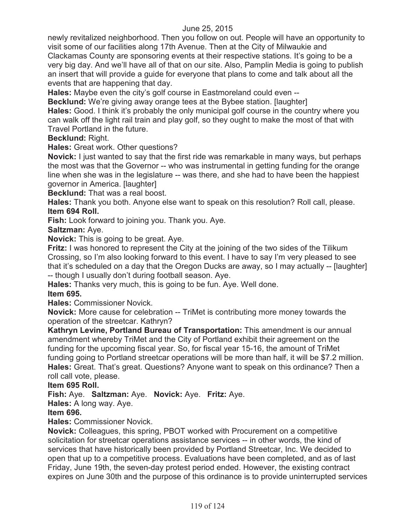newly revitalized neighborhood. Then you follow on out. People will have an opportunity to visit some of our facilities along 17th Avenue. Then at the City of Milwaukie and Clackamas County are sponsoring events at their respective stations. It's going to be a very big day. And we'll have all of that on our site. Also, Pamplin Media is going to publish an insert that will provide a guide for everyone that plans to come and talk about all the events that are happening that day.

**Hales:** Maybe even the city's golf course in Eastmoreland could even --

**Becklund:** We're giving away orange tees at the Bybee station. [laughter]

**Hales:** Good. I think it's probably the only municipal golf course in the country where you can walk off the light rail train and play golf, so they ought to make the most of that with Travel Portland in the future.

## **Becklund:** Right.

**Hales:** Great work. Other questions?

**Novick:** I just wanted to say that the first ride was remarkable in many ways, but perhaps the most was that the Governor -- who was instrumental in getting funding for the orange line when she was in the legislature -- was there, and she had to have been the happiest governor in America. [laughter]

**Becklund:** That was a real boost.

**Hales:** Thank you both. Anyone else want to speak on this resolution? Roll call, please. **Item 694 Roll.**

**Fish:** Look forward to joining you. Thank you. Aye.

# **Saltzman:** Aye.

**Novick:** This is going to be great. Aye.

**Fritz:** I was honored to represent the City at the joining of the two sides of the Tilikum Crossing, so I'm also looking forward to this event. I have to say I'm very pleased to see that it's scheduled on a day that the Oregon Ducks are away, so I may actually -- [laughter] -- though I usually don't during football season. Aye.

**Hales:** Thanks very much, this is going to be fun. Aye. Well done.

# **Item 695.**

**Hales:** Commissioner Novick.

**Novick:** More cause for celebration -- TriMet is contributing more money towards the operation of the streetcar. Kathryn?

**Kathryn Levine, Portland Bureau of Transportation:** This amendment is our annual amendment whereby TriMet and the City of Portland exhibit their agreement on the funding for the upcoming fiscal year. So, for fiscal year 15-16, the amount of TriMet funding going to Portland streetcar operations will be more than half, it will be \$7.2 million. **Hales:** Great. That's great. Questions? Anyone want to speak on this ordinance? Then a roll call vote, please.

# **Item 695 Roll.**

# **Fish:** Aye. **Saltzman:** Aye. **Novick:** Aye. **Fritz:** Aye.

**Hales:** A long way. Aye.

# **Item 696.**

**Hales:** Commissioner Novick.

**Novick:** Colleagues, this spring, PBOT worked with Procurement on a competitive solicitation for streetcar operations assistance services -- in other words, the kind of services that have historically been provided by Portland Streetcar, Inc. We decided to open that up to a competitive process. Evaluations have been completed, and as of last Friday, June 19th, the seven-day protest period ended. However, the existing contract expires on June 30th and the purpose of this ordinance is to provide uninterrupted services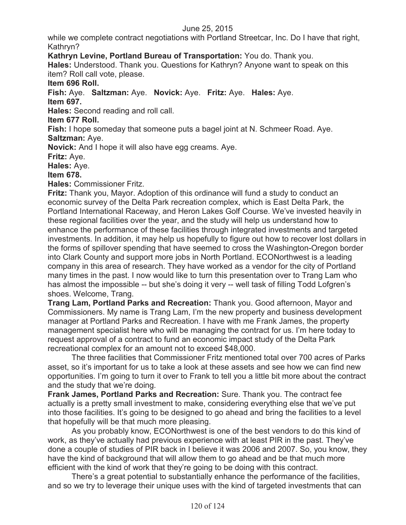while we complete contract negotiations with Portland Streetcar, Inc. Do I have that right, Kathryn?

**Kathryn Levine, Portland Bureau of Transportation:** You do. Thank you.

**Hales:** Understood. Thank you. Questions for Kathryn? Anyone want to speak on this item? Roll call vote, please.

**Item 696 Roll.**

**Fish:** Aye. **Saltzman:** Aye. **Novick:** Aye. **Fritz:** Aye. **Hales:** Aye. **Item 697.**

**Hales:** Second reading and roll call.

**Item 677 Roll.**

**Fish:** I hope someday that someone puts a bagel joint at N. Schmeer Road. Aye. **Saltzman:** Aye.

**Novick:** And I hope it will also have egg creams. Aye.

**Fritz:** Aye.

**Hales:** Aye.

**Item 678.**

**Hales:** Commissioner Fritz.

**Fritz:** Thank you, Mayor. Adoption of this ordinance will fund a study to conduct an economic survey of the Delta Park recreation complex, which is East Delta Park, the Portland International Raceway, and Heron Lakes Golf Course. We've invested heavily in these regional facilities over the year, and the study will help us understand how to enhance the performance of these facilities through integrated investments and targeted investments. In addition, it may help us hopefully to figure out how to recover lost dollars in the forms of spillover spending that have seemed to cross the Washington-Oregon border into Clark County and support more jobs in North Portland. ECONorthwest is a leading company in this area of research. They have worked as a vendor for the city of Portland many times in the past. I now would like to turn this presentation over to Trang Lam who has almost the impossible -- but she's doing it very -- well task of filling Todd Lofgren's shoes. Welcome, Trang.

**Trang Lam, Portland Parks and Recreation:** Thank you. Good afternoon, Mayor and Commissioners. My name is Trang Lam, I'm the new property and business development manager at Portland Parks and Recreation. I have with me Frank James, the property management specialist here who will be managing the contract for us. I'm here today to request approval of a contract to fund an economic impact study of the Delta Park recreational complex for an amount not to exceed \$48,000.

The three facilities that Commissioner Fritz mentioned total over 700 acres of Parks asset, so it's important for us to take a look at these assets and see how we can find new opportunities. I'm going to turn it over to Frank to tell you a little bit more about the contract and the study that we're doing.

**Frank James, Portland Parks and Recreation:** Sure. Thank you. The contract fee actually is a pretty small investment to make, considering everything else that we've put into those facilities. It's going to be designed to go ahead and bring the facilities to a level that hopefully will be that much more pleasing.

As you probably know, ECONorthwest is one of the best vendors to do this kind of work, as they've actually had previous experience with at least PIR in the past. They've done a couple of studies of PIR back in I believe it was 2006 and 2007. So, you know, they have the kind of background that will allow them to go ahead and be that much more efficient with the kind of work that they're going to be doing with this contract.

There's a great potential to substantially enhance the performance of the facilities, and so we try to leverage their unique uses with the kind of targeted investments that can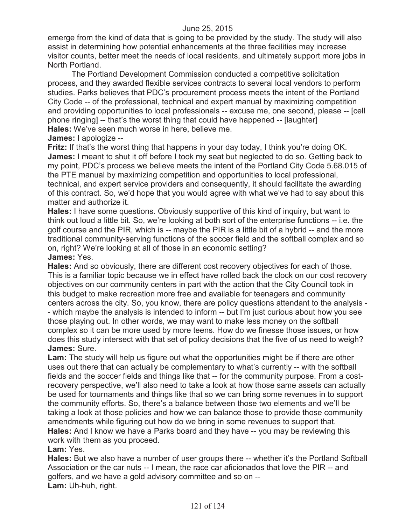emerge from the kind of data that is going to be provided by the study. The study will also assist in determining how potential enhancements at the three facilities may increase visitor counts, better meet the needs of local residents, and ultimately support more jobs in North Portland.

The Portland Development Commission conducted a competitive solicitation process, and they awarded flexible services contracts to several local vendors to perform studies. Parks believes that PDC's procurement process meets the intent of the Portland City Code -- of the professional, technical and expert manual by maximizing competition and providing opportunities to local professionals -- excuse me, one second, please -- [cell phone ringing] -- that's the worst thing that could have happened -- [laughter] **Hales:** We've seen much worse in here, believe me.

**James:** I apologize --

**Fritz:** If that's the worst thing that happens in your day today, I think you're doing OK. **James:** I meant to shut it off before I took my seat but neglected to do so. Getting back to my point, PDC's process we believe meets the intent of the Portland City Code 5.68.015 of the PTE manual by maximizing competition and opportunities to local professional, technical, and expert service providers and consequently, it should facilitate the awarding of this contract. So, we'd hope that you would agree with what we've had to say about this matter and authorize it.

**Hales:** I have some questions. Obviously supportive of this kind of inquiry, but want to think out loud a little bit. So, we're looking at both sort of the enterprise functions -- i.e. the golf course and the PIR, which is -- maybe the PIR is a little bit of a hybrid -- and the more traditional community-serving functions of the soccer field and the softball complex and so on, right? We're looking at all of those in an economic setting?

**James:** Yes.

**Hales:** And so obviously, there are different cost recovery objectives for each of those. This is a familiar topic because we in effect have rolled back the clock on our cost recovery objectives on our community centers in part with the action that the City Council took in this budget to make recreation more free and available for teenagers and community centers across the city. So, you know, there are policy questions attendant to the analysis - - which maybe the analysis is intended to inform -- but I'm just curious about how you see those playing out. In other words, we may want to make less money on the softball complex so it can be more used by more teens. How do we finesse those issues, or how does this study intersect with that set of policy decisions that the five of us need to weigh? **James:** Sure.

**Lam:** The study will help us figure out what the opportunities might be if there are other uses out there that can actually be complementary to what's currently -- with the softball fields and the soccer fields and things like that -- for the community purpose. From a costrecovery perspective, we'll also need to take a look at how those same assets can actually be used for tournaments and things like that so we can bring some revenues in to support the community efforts. So, there's a balance between those two elements and we'll be taking a look at those policies and how we can balance those to provide those community amendments while figuring out how do we bring in some revenues to support that. **Hales:** And I know we have a Parks board and they have -- you may be reviewing this work with them as you proceed.

**Lam:** Yes.

**Hales:** But we also have a number of user groups there -- whether it's the Portland Softball Association or the car nuts -- I mean, the race car aficionados that love the PIR -- and golfers, and we have a gold advisory committee and so on -- **Lam:** Uh-huh, right.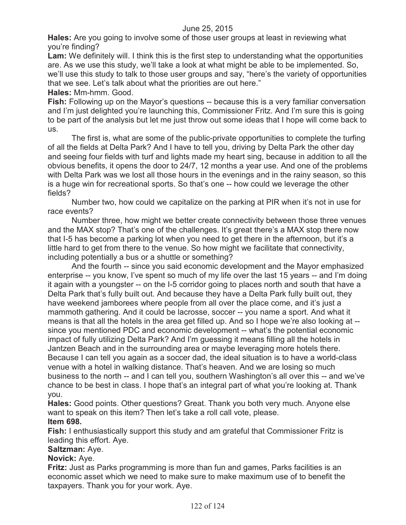**Hales:** Are you going to involve some of those user groups at least in reviewing what you're finding?

**Lam:** We definitely will. I think this is the first step to understanding what the opportunities are. As we use this study, we'll take a look at what might be able to be implemented. So, we'll use this study to talk to those user groups and say, "here's the variety of opportunities that we see. Let's talk about what the priorities are out here."

#### **Hales:** Mm-hmm. Good.

**Fish:** Following up on the Mayor's questions -- because this is a very familiar conversation and I'm just delighted you're launching this, Commissioner Fritz. And I'm sure this is going to be part of the analysis but let me just throw out some ideas that I hope will come back to us.

The first is, what are some of the public-private opportunities to complete the turfing of all the fields at Delta Park? And I have to tell you, driving by Delta Park the other day and seeing four fields with turf and lights made my heart sing, because in addition to all the obvious benefits, it opens the door to 24/7, 12 months a year use. And one of the problems with Delta Park was we lost all those hours in the evenings and in the rainy season, so this is a huge win for recreational sports. So that's one -- how could we leverage the other fields?

Number two, how could we capitalize on the parking at PIR when it's not in use for race events?

Number three, how might we better create connectivity between those three venues and the MAX stop? That's one of the challenges. It's great there's a MAX stop there now that I-5 has become a parking lot when you need to get there in the afternoon, but it's a little hard to get from there to the venue. So how might we facilitate that connectivity, including potentially a bus or a shuttle or something?

And the fourth -- since you said economic development and the Mayor emphasized enterprise -- you know, I've spent so much of my life over the last 15 years -- and I'm doing it again with a youngster -- on the I-5 corridor going to places north and south that have a Delta Park that's fully built out. And because they have a Delta Park fully built out, they have weekend jamborees where people from all over the place come, and it's just a mammoth gathering. And it could be lacrosse, soccer -- you name a sport. And what it means is that all the hotels in the area get filled up. And so I hope we're also looking at - since you mentioned PDC and economic development -- what's the potential economic impact of fully utilizing Delta Park? And I'm guessing it means filling all the hotels in Jantzen Beach and in the surrounding area or maybe leveraging more hotels there. Because I can tell you again as a soccer dad, the ideal situation is to have a world-class venue with a hotel in walking distance. That's heaven. And we are losing so much business to the north -- and I can tell you, southern Washington's all over this -- and we've chance to be best in class. I hope that's an integral part of what you're looking at. Thank you.

**Hales:** Good points. Other questions? Great. Thank you both very much. Anyone else want to speak on this item? Then let's take a roll call vote, please. **Item 698.**

**Fish:** I enthusiastically support this study and am grateful that Commissioner Fritz is leading this effort. Aye.

# **Saltzman:** Aye.

# **Novick:** Aye.

**Fritz:** Just as Parks programming is more than fun and games, Parks facilities is an economic asset which we need to make sure to make maximum use of to benefit the taxpayers. Thank you for your work. Aye.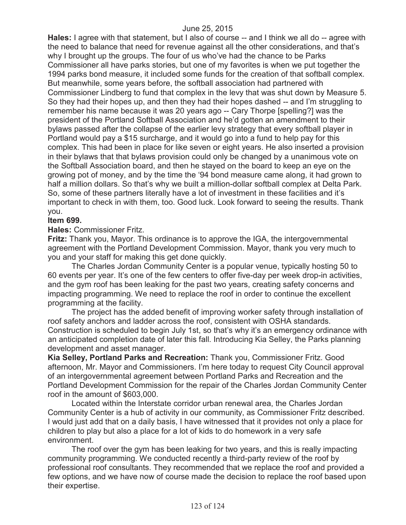**Hales:** I agree with that statement, but I also of course -- and I think we all do -- agree with the need to balance that need for revenue against all the other considerations, and that's why I brought up the groups. The four of us who've had the chance to be Parks Commissioner all have parks stories, but one of my favorites is when we put together the 1994 parks bond measure, it included some funds for the creation of that softball complex. But meanwhile, some years before, the softball association had partnered with Commissioner Lindberg to fund that complex in the levy that was shut down by Measure 5. So they had their hopes up, and then they had their hopes dashed -- and I'm struggling to remember his name because it was 20 years ago -- Cary Thorpe [spelling?] was the president of the Portland Softball Association and he'd gotten an amendment to their bylaws passed after the collapse of the earlier levy strategy that every softball player in Portland would pay a \$15 surcharge, and it would go into a fund to help pay for this complex. This had been in place for like seven or eight years. He also inserted a provision in their bylaws that that bylaws provision could only be changed by a unanimous vote on the Softball Association board, and then he stayed on the board to keep an eye on the growing pot of money, and by the time the '94 bond measure came along, it had grown to half a million dollars. So that's why we built a million-dollar softball complex at Delta Park. So, some of these partners literally have a lot of investment in these facilities and it's important to check in with them, too. Good luck. Look forward to seeing the results. Thank you.

## **Item 699.**

**Hales:** Commissioner Fritz.

**Fritz:** Thank you, Mayor. This ordinance is to approve the IGA, the intergovernmental agreement with the Portland Development Commission. Mayor, thank you very much to you and your staff for making this get done quickly.

The Charles Jordan Community Center is a popular venue, typically hosting 50 to 60 events per year. It's one of the few centers to offer five-day per week drop-in activities, and the gym roof has been leaking for the past two years, creating safety concerns and impacting programming. We need to replace the roof in order to continue the excellent programming at the facility.

The project has the added benefit of improving worker safety through installation of roof safety anchors and ladder across the roof, consistent with OSHA standards. Construction is scheduled to begin July 1st, so that's why it's an emergency ordinance with an anticipated completion date of later this fall. Introducing Kia Selley, the Parks planning development and asset manager.

**Kia Selley, Portland Parks and Recreation:** Thank you, Commissioner Fritz. Good afternoon, Mr. Mayor and Commissioners. I'm here today to request City Council approval of an intergovernmental agreement between Portland Parks and Recreation and the Portland Development Commission for the repair of the Charles Jordan Community Center roof in the amount of \$603,000.

Located within the Interstate corridor urban renewal area, the Charles Jordan Community Center is a hub of activity in our community, as Commissioner Fritz described. I would just add that on a daily basis, I have witnessed that it provides not only a place for children to play but also a place for a lot of kids to do homework in a very safe environment.

The roof over the gym has been leaking for two years, and this is really impacting community programming. We conducted recently a third-party review of the roof by professional roof consultants. They recommended that we replace the roof and provided a few options, and we have now of course made the decision to replace the roof based upon their expertise.